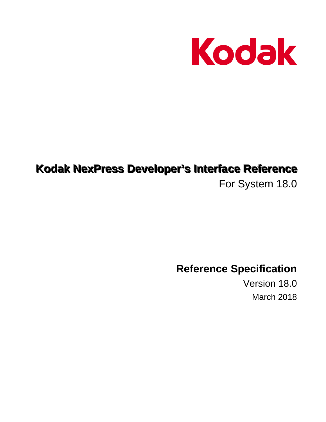

# Kodak NexPress Developer's Interface Reference

For System 18.0

**Reference Specification** 

Version 18.0 **March 2018**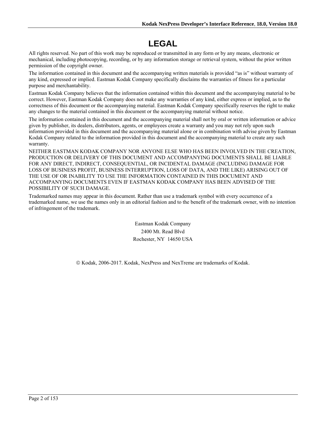# **LEGAL**

All rights reserved. No part of this work may be reproduced or transmitted in any form or by any means, electronic or mechanical, including photocopying, recording, or by any information storage or retrieval system, without the prior written permission of the copyright owner.

The information contained in this document and the accompanying written materials is provided "as is" without warranty of any kind, expressed or implied. Eastman Kodak Company specifically disclaims the warranties of fitness for a particular purpose and merchantability.

Eastman Kodak Company believes that the information contained within this document and the accompanying material to be correct. However, Eastman Kodak Company does not make any warranties of any kind, either express or implied, as to the correctness of this document or the accompanying material. Eastman Kodak Company specifically reserves the right to make any changes to the material contained in this document or the accompanying material without notice.

The information contained in this document and the accompanying material shall not by oral or written information or advice given by publisher, its dealers, distributors, agents, or employees create a warranty and you may not rely upon such information provided in this document and the accompanying material alone or in combination with advise given by Eastman Kodak Company related to the information provided in this document and the accompanying material to create any such warranty.

NEITHER EASTMAN KODAK COMPANY NOR ANYONE ELSE WHO HAS BEEN INVOLVED IN THE CREATION, PRODUCTION OR DELIVERY OF THIS DOCUMENT AND ACCOMPANYING DOCUMENTS SHALL BE LIABLE FOR ANY DIRECT, INDIRECT, CONSEQUENTIAL, OR INCIDENTAL DAMAGE (INCLUDING DAMAGE FOR LOSS OF BUSINESS PROFIT, BUSINESS INTERRUPTION, LOSS OF DATA, AND THE LIKE) ARISING OUT OF THE USE OF OR INABILITY TO USE THE INFORMATION CONTAINED IN THIS DOCUMENT AND ACCOMPANYING DOCUMENTS EVEN IF EASTMAN KODAK COMPANY HAS BEEN ADVISED OF THE POSSIBILITY OF SUCH DAMAGE.

Trademarked names may appear in this document. Rather than use a trademark symbol with every occurrence of a trademarked name, we use the names only in an editorial fashion and to the benefit of the trademark owner, with no intention of infringement of the trademark.

> Eastman Kodak Company 2400 Mt. Read Blvd Rochester, NY 14650 USA

© Kodak, 2006-2017. Kodak, NexPress and NexTreme are trademarks of Kodak.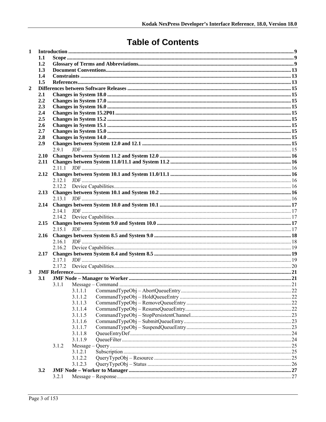# **Table of Contents**

| $\mathbf{1}$ |            |         |  |  |
|--------------|------------|---------|--|--|
|              | 1.1        |         |  |  |
|              | 1.2        |         |  |  |
|              | 1.3        |         |  |  |
|              | 1.4        |         |  |  |
|              | 1.5        |         |  |  |
| $\mathbf{2}$ |            |         |  |  |
|              | 2.1        |         |  |  |
|              | 2.2        |         |  |  |
|              | 2.3<br>2.4 |         |  |  |
|              | 2.5        |         |  |  |
|              | 2.6        |         |  |  |
|              | 2.7        |         |  |  |
|              | 2.8        |         |  |  |
|              | 2.9        |         |  |  |
|              |            | 291     |  |  |
|              | 2.10       |         |  |  |
|              | 2.11       |         |  |  |
|              |            |         |  |  |
|              | 2.12       |         |  |  |
|              |            |         |  |  |
|              |            |         |  |  |
|              |            |         |  |  |
|              |            |         |  |  |
|              |            |         |  |  |
|              |            |         |  |  |
|              |            |         |  |  |
|              | 2.15       |         |  |  |
|              |            |         |  |  |
|              |            |         |  |  |
|              |            |         |  |  |
|              |            |         |  |  |
|              | 2.17       |         |  |  |
|              |            |         |  |  |
| 3            |            |         |  |  |
|              | 3.1        |         |  |  |
|              |            |         |  |  |
|              |            | 3.1.1.1 |  |  |
|              |            | 3.1.1.2 |  |  |
|              |            | 3.1.1.3 |  |  |
|              |            | 3.1.1.4 |  |  |
|              |            | 3.1.1.5 |  |  |
|              |            | 3.1.1.6 |  |  |
|              |            | 3.1.1.7 |  |  |
|              |            | 3.1.1.8 |  |  |
|              |            | 3.1.1.9 |  |  |
|              |            | 3.1.2   |  |  |
|              |            | 3.1.2.1 |  |  |
|              |            | 3.1.2.2 |  |  |
|              |            | 3.1.2.3 |  |  |
|              | 3.2        |         |  |  |
|              |            | 3.2.1   |  |  |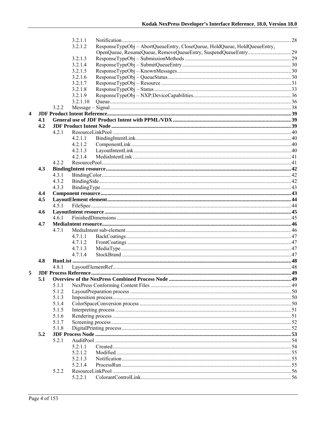|                         |     |       | 3.2.1.1  |                                                                           |  |  |
|-------------------------|-----|-------|----------|---------------------------------------------------------------------------|--|--|
|                         |     |       | 3.2.1.2  | ResponseTypeObj - AbortQueueEntry, CloseQueue, HoldQueue, HoldQueueEntry, |  |  |
|                         |     |       |          |                                                                           |  |  |
|                         |     |       | 3.2.1.3  |                                                                           |  |  |
|                         |     |       | 3.2.1.4  |                                                                           |  |  |
|                         |     |       | 3.2.1.5  |                                                                           |  |  |
|                         |     |       | 3.2.1.6  |                                                                           |  |  |
|                         |     |       | 3.2.1.7  |                                                                           |  |  |
|                         |     |       | 3.2.1.8  |                                                                           |  |  |
|                         |     |       | 3.2.1.9  |                                                                           |  |  |
|                         |     |       | 3.2.1.10 |                                                                           |  |  |
|                         |     | 3.2.2 |          |                                                                           |  |  |
| $\overline{\mathbf{4}}$ |     |       |          |                                                                           |  |  |
|                         | 4.1 |       |          |                                                                           |  |  |
|                         | 4.2 |       |          |                                                                           |  |  |
|                         |     | 4.2.1 |          |                                                                           |  |  |
|                         |     |       | 4.2.1.1  |                                                                           |  |  |
|                         |     |       | 4.2.1.2  |                                                                           |  |  |
|                         |     |       | 4.2.1.3  |                                                                           |  |  |
|                         |     |       | 4.2.1.4  |                                                                           |  |  |
|                         |     | 4.2.2 |          |                                                                           |  |  |
|                         | 4.3 |       |          |                                                                           |  |  |
|                         |     | 4.3.1 |          |                                                                           |  |  |
|                         |     | 4.3.2 |          |                                                                           |  |  |
|                         |     | 4.3.3 |          |                                                                           |  |  |
|                         | 4.4 |       |          |                                                                           |  |  |
|                         | 4.5 |       |          |                                                                           |  |  |
|                         |     | 4.5.1 |          |                                                                           |  |  |
|                         | 4.6 |       |          |                                                                           |  |  |
|                         |     | 4.6.1 |          |                                                                           |  |  |
|                         | 4.7 |       |          |                                                                           |  |  |
|                         |     | 4.7.1 |          |                                                                           |  |  |
|                         |     |       | 4.7.1.1  |                                                                           |  |  |
|                         |     |       | 4.7.1.2  |                                                                           |  |  |
|                         |     |       | 4.7.1.3  |                                                                           |  |  |
|                         |     |       | 4714     |                                                                           |  |  |
|                         | 4.8 |       |          |                                                                           |  |  |
|                         |     | 4.8.1 |          |                                                                           |  |  |
| 5                       |     |       |          |                                                                           |  |  |
|                         | 5.1 |       |          |                                                                           |  |  |
|                         |     | 5.1.1 |          |                                                                           |  |  |
|                         |     | 5.1.2 |          |                                                                           |  |  |
|                         |     | 5.1.3 |          |                                                                           |  |  |
|                         |     |       |          |                                                                           |  |  |
|                         |     | 5.1.4 |          |                                                                           |  |  |
|                         |     | 5.1.5 |          |                                                                           |  |  |
|                         |     | 5.1.6 |          |                                                                           |  |  |
|                         |     | 5.1.7 |          |                                                                           |  |  |
|                         |     | 5.1.8 |          |                                                                           |  |  |
|                         | 5.2 |       |          |                                                                           |  |  |
|                         |     | 5.2.1 |          |                                                                           |  |  |
|                         |     |       | 5.2.1.1  |                                                                           |  |  |
|                         |     |       | 5.2.1.2  |                                                                           |  |  |
|                         |     |       | 5.2.1.3  |                                                                           |  |  |
|                         |     |       | 5.2.1.4  |                                                                           |  |  |
|                         |     | 5.2.2 | 5.2.2.1  |                                                                           |  |  |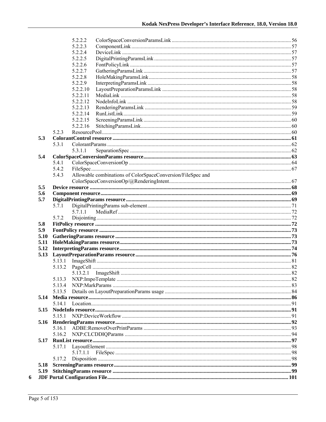|      |        | 5.2.2.2                                                     |  |
|------|--------|-------------------------------------------------------------|--|
|      |        | 5.2.2.3                                                     |  |
|      |        | 5.2.2.4                                                     |  |
|      |        | 5.2.2.5                                                     |  |
|      |        | 5.2.2.6                                                     |  |
|      |        | 5.2.2.7                                                     |  |
|      |        | 5.2.2.8                                                     |  |
|      |        | 5.2.2.9                                                     |  |
|      |        | 5.2.2.10<br>5.2.2.11                                        |  |
|      |        | 5.2.2.12                                                    |  |
|      |        | 5.2.2.13                                                    |  |
|      |        | 5.2.2.14                                                    |  |
|      |        | 5.2.2.15                                                    |  |
|      |        | 5.2.2.16                                                    |  |
|      | 5.2.3  |                                                             |  |
| 5.3  |        |                                                             |  |
|      | 5.3.1  |                                                             |  |
|      |        | 5.3.1.1                                                     |  |
| 5.4  |        |                                                             |  |
|      | 5.4.1  |                                                             |  |
|      | 5.4.2  |                                                             |  |
|      | 5.4.3  | Allowable combinations of ColorSpaceConversion/FileSpec and |  |
|      |        |                                                             |  |
| 5.5  |        |                                                             |  |
| 5.6  |        |                                                             |  |
| 5.7  | 5.7.1  |                                                             |  |
|      |        | 5.7.1.1                                                     |  |
|      | 5.7.2  |                                                             |  |
| 5.8  |        |                                                             |  |
| 5.9  |        |                                                             |  |
| 5.10 |        |                                                             |  |
| 5.11 |        |                                                             |  |
| 5.12 |        |                                                             |  |
| 5.13 |        |                                                             |  |
|      | 5.13.1 |                                                             |  |
|      | 5.13.2 |                                                             |  |
|      |        |                                                             |  |
|      | 5.13.3 |                                                             |  |
|      | 5.13.4 |                                                             |  |
|      | 5.13.5 |                                                             |  |
|      |        |                                                             |  |
|      | 5 14 1 |                                                             |  |
| 5.15 | 5.15.1 |                                                             |  |
| 5.16 |        |                                                             |  |
|      | 5.16.1 |                                                             |  |
|      | 5.16.2 |                                                             |  |
| 5.17 |        |                                                             |  |
|      | 5.17.1 |                                                             |  |
|      |        | 5.17.1.1                                                    |  |
|      | 5.17.2 |                                                             |  |
| 5.18 |        |                                                             |  |
|      |        |                                                             |  |
| 5.19 |        |                                                             |  |

 $\boldsymbol{6}$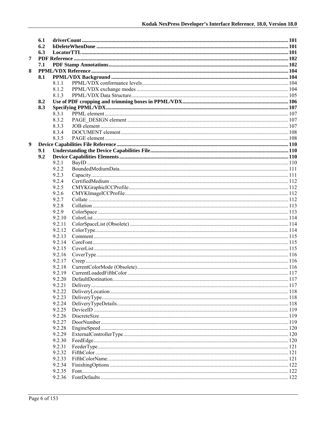| 6.2<br>6.3<br>7<br>7.1<br>8<br>8.1<br>8.1.1<br>8.1.2<br>8.1.3<br>8.2<br>8.3<br>8.3.1<br>8.3.2<br>8.3.3<br>8.3.4<br>8.3.5<br>9<br>9.1<br>9.2<br>9.2.1<br>9.2.2<br>9.2.3<br>9.2.4<br>9.2.5<br>9.2.6<br>9.2.7<br>9.2.8<br>9.2.9<br>9.2.10<br>9.2.11<br>9.2.12<br>9.2.13<br>9.2.14<br>9.2.15<br>9.2.16<br>9.2.17<br>9.2.18<br>9.2.19<br>9.2.20<br>9.2.21<br>9.2.22<br>9.2.23<br>9.2.24<br>9.2.25<br>9.2.26<br>9.2.27<br>9.2.28<br>9.2.29<br>9.2.30<br>9.2.31<br>9.2.32<br>9.2.33<br>9.2.34<br>9.2.35<br>9.2.36 | 6.1 |  |  |
|------------------------------------------------------------------------------------------------------------------------------------------------------------------------------------------------------------------------------------------------------------------------------------------------------------------------------------------------------------------------------------------------------------------------------------------------------------------------------------------------------------|-----|--|--|
|                                                                                                                                                                                                                                                                                                                                                                                                                                                                                                            |     |  |  |
|                                                                                                                                                                                                                                                                                                                                                                                                                                                                                                            |     |  |  |
|                                                                                                                                                                                                                                                                                                                                                                                                                                                                                                            |     |  |  |
|                                                                                                                                                                                                                                                                                                                                                                                                                                                                                                            |     |  |  |
|                                                                                                                                                                                                                                                                                                                                                                                                                                                                                                            |     |  |  |
|                                                                                                                                                                                                                                                                                                                                                                                                                                                                                                            |     |  |  |
|                                                                                                                                                                                                                                                                                                                                                                                                                                                                                                            |     |  |  |
|                                                                                                                                                                                                                                                                                                                                                                                                                                                                                                            |     |  |  |
|                                                                                                                                                                                                                                                                                                                                                                                                                                                                                                            |     |  |  |
|                                                                                                                                                                                                                                                                                                                                                                                                                                                                                                            |     |  |  |
|                                                                                                                                                                                                                                                                                                                                                                                                                                                                                                            |     |  |  |
|                                                                                                                                                                                                                                                                                                                                                                                                                                                                                                            |     |  |  |
|                                                                                                                                                                                                                                                                                                                                                                                                                                                                                                            |     |  |  |
|                                                                                                                                                                                                                                                                                                                                                                                                                                                                                                            |     |  |  |
|                                                                                                                                                                                                                                                                                                                                                                                                                                                                                                            |     |  |  |
|                                                                                                                                                                                                                                                                                                                                                                                                                                                                                                            |     |  |  |
|                                                                                                                                                                                                                                                                                                                                                                                                                                                                                                            |     |  |  |
|                                                                                                                                                                                                                                                                                                                                                                                                                                                                                                            |     |  |  |
|                                                                                                                                                                                                                                                                                                                                                                                                                                                                                                            |     |  |  |
|                                                                                                                                                                                                                                                                                                                                                                                                                                                                                                            |     |  |  |
|                                                                                                                                                                                                                                                                                                                                                                                                                                                                                                            |     |  |  |
|                                                                                                                                                                                                                                                                                                                                                                                                                                                                                                            |     |  |  |
|                                                                                                                                                                                                                                                                                                                                                                                                                                                                                                            |     |  |  |
|                                                                                                                                                                                                                                                                                                                                                                                                                                                                                                            |     |  |  |
|                                                                                                                                                                                                                                                                                                                                                                                                                                                                                                            |     |  |  |
|                                                                                                                                                                                                                                                                                                                                                                                                                                                                                                            |     |  |  |
|                                                                                                                                                                                                                                                                                                                                                                                                                                                                                                            |     |  |  |
|                                                                                                                                                                                                                                                                                                                                                                                                                                                                                                            |     |  |  |
|                                                                                                                                                                                                                                                                                                                                                                                                                                                                                                            |     |  |  |
|                                                                                                                                                                                                                                                                                                                                                                                                                                                                                                            |     |  |  |
|                                                                                                                                                                                                                                                                                                                                                                                                                                                                                                            |     |  |  |
|                                                                                                                                                                                                                                                                                                                                                                                                                                                                                                            |     |  |  |
|                                                                                                                                                                                                                                                                                                                                                                                                                                                                                                            |     |  |  |
|                                                                                                                                                                                                                                                                                                                                                                                                                                                                                                            |     |  |  |
|                                                                                                                                                                                                                                                                                                                                                                                                                                                                                                            |     |  |  |
|                                                                                                                                                                                                                                                                                                                                                                                                                                                                                                            |     |  |  |
|                                                                                                                                                                                                                                                                                                                                                                                                                                                                                                            |     |  |  |
|                                                                                                                                                                                                                                                                                                                                                                                                                                                                                                            |     |  |  |
|                                                                                                                                                                                                                                                                                                                                                                                                                                                                                                            |     |  |  |
|                                                                                                                                                                                                                                                                                                                                                                                                                                                                                                            |     |  |  |
|                                                                                                                                                                                                                                                                                                                                                                                                                                                                                                            |     |  |  |
|                                                                                                                                                                                                                                                                                                                                                                                                                                                                                                            |     |  |  |
|                                                                                                                                                                                                                                                                                                                                                                                                                                                                                                            |     |  |  |
|                                                                                                                                                                                                                                                                                                                                                                                                                                                                                                            |     |  |  |
|                                                                                                                                                                                                                                                                                                                                                                                                                                                                                                            |     |  |  |
|                                                                                                                                                                                                                                                                                                                                                                                                                                                                                                            |     |  |  |
|                                                                                                                                                                                                                                                                                                                                                                                                                                                                                                            |     |  |  |
|                                                                                                                                                                                                                                                                                                                                                                                                                                                                                                            |     |  |  |
|                                                                                                                                                                                                                                                                                                                                                                                                                                                                                                            |     |  |  |
|                                                                                                                                                                                                                                                                                                                                                                                                                                                                                                            |     |  |  |
|                                                                                                                                                                                                                                                                                                                                                                                                                                                                                                            |     |  |  |
|                                                                                                                                                                                                                                                                                                                                                                                                                                                                                                            |     |  |  |
|                                                                                                                                                                                                                                                                                                                                                                                                                                                                                                            |     |  |  |
|                                                                                                                                                                                                                                                                                                                                                                                                                                                                                                            |     |  |  |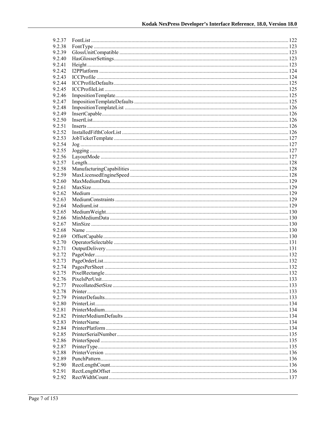| 9.2.37 |  |
|--------|--|
| 9.2.38 |  |
| 9.2.39 |  |
| 9.2.40 |  |
| 9.2.41 |  |
| 9.2.42 |  |
| 9.2.43 |  |
| 9.2.44 |  |
| 9.2.45 |  |
| 9.2.46 |  |
| 9.2.47 |  |
| 9.2.48 |  |
| 9.2.49 |  |
| 9.2.50 |  |
| 9.2.51 |  |
| 9.2.52 |  |
| 9.2.53 |  |
| 9.2.54 |  |
| 9.2.55 |  |
|        |  |
| 9.2.56 |  |
| 9.2.57 |  |
| 9.2.58 |  |
| 9.2.59 |  |
| 9.2.60 |  |
| 9.2.61 |  |
| 9.2.62 |  |
| 9.2.63 |  |
| 9.2.64 |  |
| 9.2.65 |  |
| 9.2.66 |  |
| 9.2.67 |  |
| 9.2.68 |  |
| 9.2.69 |  |
| 9.2.70 |  |
| 9.2.71 |  |
| 9.2.72 |  |
| 9.2.73 |  |
| 9.2.74 |  |
| 9.2.75 |  |
| 9.2.76 |  |
| 9.2.77 |  |
| 9.2.78 |  |
| 9.2.79 |  |
| 9.2.80 |  |
| 9.2.81 |  |
| 9.2.82 |  |
| 9.2.83 |  |
| 9.2.84 |  |
| 9.2.85 |  |
| 9.2.86 |  |
| 9.2.87 |  |
| 9.2.88 |  |
| 9.2.89 |  |
| 9.2.90 |  |
| 9.2.91 |  |
| 9.2.92 |  |
|        |  |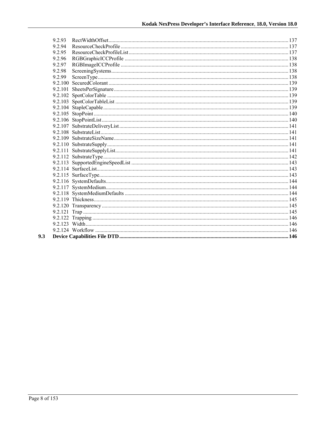| 9.2.93 |  |
|--------|--|
| 9.2.94 |  |
| 9295   |  |
| 9.2.96 |  |
| 9.2.97 |  |
| 9.2.98 |  |
| 9.2.99 |  |
|        |  |
|        |  |
|        |  |
|        |  |
|        |  |
|        |  |
|        |  |
|        |  |
|        |  |
|        |  |
|        |  |
|        |  |
|        |  |
|        |  |
|        |  |
|        |  |
|        |  |
|        |  |
|        |  |
|        |  |
|        |  |
|        |  |
|        |  |
|        |  |
|        |  |
|        |  |

 $9.3$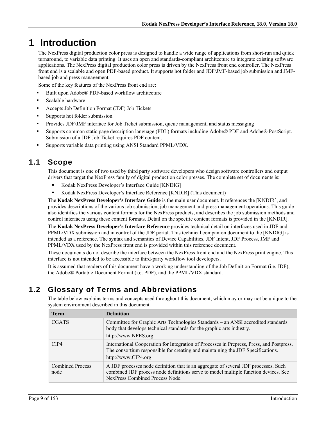# **1 Introduction**

The NexPress digital production color press is designed to handle a wide range of applications from short-run and quick turnaround, to variable data printing. It uses an open and standards-compliant architecture to integrate existing software applications. The NexPress digital production color press is driven by the NexPress front end controller. The NexPress front end is a scalable and open PDF-based product. It supports hot folder and JDF/JMF-based job submission and JMFbased job and press management.

Some of the key features of the NexPress front end are:

- Built upon Adobe® PDF-based workflow architecture
- Scalable hardware
- Accepts Job Definition Format (JDF) Job Tickets
- Supports hot folder submission
- Provides JDF/JMF interface for Job Ticket submission, queue management, and status messaging
- Supports common static page description language (PDL) formats including Adobe® PDF and Adobe® PostScript. Submission of a JDF Job Ticket requires PDF content.
- Supports variable data printing using ANSI Standard PPML/VDX.

## **1.1 Scope**

This document is one of two used by third party software developers who design software controllers and output drivers that target the NexPress family of digital production color presses. The complete set of documents is:

- Kodak NexPress Developer's Interface Guide [KNDIG]
- Kodak NexPress Developer's Interface Reference [KNDIR] (This document)

The **Kodak NexPress Developer's Interface Guide** is the main user document. It references the [KNDIR], and provides descriptions of the various job submission, job management and press management operations. This guide also identifies the various content formats for the NexPress products, and describes the job submission methods and control interfaces using these content formats. Detail on the specific content formats is provided in the [KNDIR].

The **Kodak NexPress Developer's Interface Reference** provides technical detail on interfaces used in JDF and PPML/VDX submission and in control of the JDF portal. This technical companion document to the [KNDIG] is intended as a reference. The syntax and semantics of Device Capabilities, JDF Intent, JDF Process, JMF and PPML/VDX used by the NexPress front end is provided within this reference document.

These documents do not describe the interface between the NexPress front end and the NexPress print engine. This interface is not intended to be accessible to third-party workflow tool developers.

It is assumed that readers of this document have a working understanding of the Job Definition Format (i.e. JDF), the Adobe® Portable Document Format (i.e. PDF), and the PPML/VDX standard.

# **1.2 Glossary of Terms and Abbreviations**

The table below explains terms and concepts used throughout this document, which may or may not be unique to the system environment described in this document.

| <b>Term</b>                     | <b>Definition</b>                                                                                                                                                                                             |
|---------------------------------|---------------------------------------------------------------------------------------------------------------------------------------------------------------------------------------------------------------|
| <b>CGATS</b>                    | Committee for Graphic Arts Technologies Standards – an ANSI accredited standards<br>body that develops technical standards for the graphic arts industry.<br>http://www.NPES.org                              |
| CIP4                            | International Cooperation for Integration of Processes in Prepress, Press, and Postpress.<br>The consortium responsible for creating and maintaining the JDF Specifications.<br>http://www.CIP4.org           |
| <b>Combined Process</b><br>node | A JDF processes node definition that is an aggregate of several JDF processes. Such<br>combined JDF process node definitions serve to model multiple function devices. See<br>NexPress Combined Process Node. |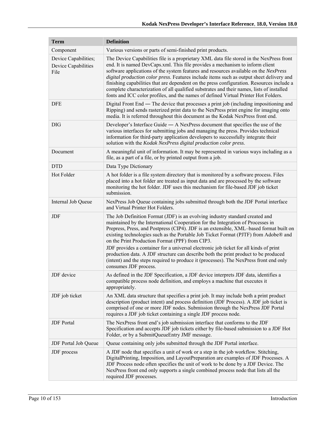| <b>Term</b>                                         | <b>Definition</b>                                                                                                                                                                                                                                                                                                                                                                                                                                                                                                                                                                                                                                                                                      |  |  |  |
|-----------------------------------------------------|--------------------------------------------------------------------------------------------------------------------------------------------------------------------------------------------------------------------------------------------------------------------------------------------------------------------------------------------------------------------------------------------------------------------------------------------------------------------------------------------------------------------------------------------------------------------------------------------------------------------------------------------------------------------------------------------------------|--|--|--|
| Component                                           | Various versions or parts of semi-finished print products.                                                                                                                                                                                                                                                                                                                                                                                                                                                                                                                                                                                                                                             |  |  |  |
| Device Capabilities;<br>Device Capabilities<br>File | The Device Capabilities file is a proprietary XML data file stored in the NexPress front<br>end. It is named DevCaps.xml. This file provides a mechanism to inform client<br>software applications of the system features and resources available on the NexPress<br>digital production color press. Features include items such as output sheet delivery and<br>finishing capabilities that are dependent on the press configuration. Resources include a<br>complete characterization of all qualified substrates and their names, lists of installed<br>fonts and ICC color profiles, and the names of defined Virtual Printer Hot Folders.                                                         |  |  |  |
| <b>DFE</b>                                          | Digital Front End — The device that processes a print job (including impositioning and<br>Ripping) and sends rasterized print data to the NexPress print engine for imaging onto<br>media. It is referred throughout this document as the Kodak NexPress front end.                                                                                                                                                                                                                                                                                                                                                                                                                                    |  |  |  |
| <b>DIG</b>                                          | Developer's Interface Guide $-$ A NexPress document that specifies the use of the<br>various interfaces for submitting jobs and managing the press. Provides technical<br>information for third-party application developers to successfully integrate their<br>solution with the Kodak NexPress digital production color press.                                                                                                                                                                                                                                                                                                                                                                       |  |  |  |
| Document                                            | A meaningful unit of information. It may be represented in various ways including as a<br>file, as a part of a file, or by printed output from a job.                                                                                                                                                                                                                                                                                                                                                                                                                                                                                                                                                  |  |  |  |
| <b>DTD</b>                                          | Data Type Dictionary                                                                                                                                                                                                                                                                                                                                                                                                                                                                                                                                                                                                                                                                                   |  |  |  |
| Hot Folder                                          | A hot folder is a file system directory that is monitored by a software process. Files<br>placed into a hot folder are treated as input data and are processed by the software<br>monitoring the hot folder. JDF uses this mechanism for file-based JDF job ticket<br>submission.                                                                                                                                                                                                                                                                                                                                                                                                                      |  |  |  |
| Internal Job Queue                                  | NexPress Job Queue containing jobs submitted through both the JDF Portal interface<br>and Virtual Printer Hot Folders.                                                                                                                                                                                                                                                                                                                                                                                                                                                                                                                                                                                 |  |  |  |
| <b>JDF</b>                                          | The Job Definition Format (JDF) is an evolving industry standard created and<br>maintained by the International Cooperation for the Integration of Processes in<br>Prepress, Press, and Postpress (CIP4). JDF is an extensible, XML-based format built on<br>existing technologies such as the Portable Job Ticket Format (PJTF) from Adobe® and<br>on the Print Production Format (PPF) from CIP3.<br>JDF provides a container for a universal electronic job ticket for all kinds of print<br>production data. A JDF structure can describe both the print product to be produced<br>(intent) and the steps required to produce it (processes). The NexPress front end only<br>consumes JDF process. |  |  |  |
| <b>JDF</b> device                                   | As defined in the JDF Specification, a JDF device interprets JDF data, identifies a<br>compatible process node definition, and employs a machine that executes it<br>appropriately.                                                                                                                                                                                                                                                                                                                                                                                                                                                                                                                    |  |  |  |
| JDF job ticket                                      | An XML data structure that specifies a print job. It may include both a print product<br>description (product intent) and process definition (JDF Process). A JDF job ticket is<br>comprised of one or more JDF nodes. Submission through the NexPress JDF Portal<br>requires a JDF job ticket containing a single JDF process node.                                                                                                                                                                                                                                                                                                                                                                   |  |  |  |
| <b>JDF</b> Portal                                   | The NexPress front end's job submission interface that conforms to the JDF<br>Specification and accepts JDF job tickets either by file-based submission to a JDF Hot<br>Folder, or by a SubmitQueueEntry JMF message.                                                                                                                                                                                                                                                                                                                                                                                                                                                                                  |  |  |  |
| JDF Portal Job Queue                                | Queue containing only jobs submitted through the JDF Portal interface.                                                                                                                                                                                                                                                                                                                                                                                                                                                                                                                                                                                                                                 |  |  |  |
| JDF process                                         | A JDF node that specifies a unit of work or a step in the job workflow. Stitching,<br>DigitalPrinting, Imposition, and LayoutPreparation are examples of JDF Processes. A<br>JDF Process node often specifies the unit of work to be done by a JDF Device. The<br>NexPress front end only supports a single combined process node that lists all the<br>required JDF processes.                                                                                                                                                                                                                                                                                                                        |  |  |  |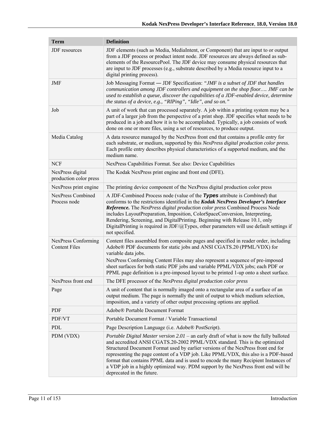| <b>Term</b>                                 | <b>Definition</b>                                                                                                                                                                                                                                                                                                                                                                                                                                                                                                                                                   |  |  |  |
|---------------------------------------------|---------------------------------------------------------------------------------------------------------------------------------------------------------------------------------------------------------------------------------------------------------------------------------------------------------------------------------------------------------------------------------------------------------------------------------------------------------------------------------------------------------------------------------------------------------------------|--|--|--|
| JDF resources                               | JDF elements (such as Media, MediaIntent, or Component) that are input to or output<br>from a JDF process or product intent node. JDF resources are always defined as sub-<br>elements of the ResourcePool. The JDF device may consume physical resources that<br>are input to JDF processes (e.g., substrate described by a Media resource input to a<br>digital printing process).                                                                                                                                                                                |  |  |  |
| JMF                                         | Job Messaging Format — JDF Specification: "JMF is a subset of JDF that handles<br>communication among JDF controllers and equipment on the shop floor JMF can be<br>used to establish a queue, discover the capabilities of a JDF-enabled device, determine<br>the status of a device, e.g., "RIPing", "Idle", and so on."                                                                                                                                                                                                                                          |  |  |  |
| Job                                         | A unit of work that can processed separately. A job within a printing system may be a<br>part of a larger job from the perspective of a print shop. JDF specifies what needs to be<br>produced in a job and how it is to be accomplished. Typically, a job consists of work<br>done on one or more files, using a set of resources, to produce output.                                                                                                                                                                                                              |  |  |  |
| Media Catalog                               | A data resource managed by the NexPress front end that contains a profile entry for<br>each substrate, or medium, supported by this NexPress digital production color press.<br>Each profile entry describes physical characteristics of a supported medium, and the<br>medium name.                                                                                                                                                                                                                                                                                |  |  |  |
| <b>NCF</b>                                  | NexPress Capabilities Format. See also: Device Capabilities                                                                                                                                                                                                                                                                                                                                                                                                                                                                                                         |  |  |  |
| NexPress digital<br>production color press  | The Kodak NexPress print engine and front end (DFE).                                                                                                                                                                                                                                                                                                                                                                                                                                                                                                                |  |  |  |
| NexPress print engine                       | The printing device component of the NexPress digital production color press                                                                                                                                                                                                                                                                                                                                                                                                                                                                                        |  |  |  |
| <b>NexPress Combined</b><br>Process node    | A JDF-Combined Process node (value of the Types attribute is <i>Combined</i> ) that<br>conforms to the restrictions identified in the Kodak NexPress Developer's Interface<br>Reference. The NexPress digital production color press Combined Process Node<br>includes LayoutPreparation, Imposition, ColorSpaceConversion, Interpreting,<br>Rendering, Screening, and DigitalPrinting. Beginning with Release 10.1, only<br>Digital Printing is required in JDF/ $\omega$ Types, other parameters will use default settings if<br>not specified.                   |  |  |  |
| NexPress Conforming<br><b>Content Files</b> | Content files assembled from composite pages and specified in reader order, including<br>Adobe® PDF documents for static jobs and ANSI CGATS.20 (PPML/VDX) for<br>variable data jobs.<br>NexPress Conforming Content Files may also represent a sequence of pre-imposed<br>sheet surfaces for both static PDF jobs and variable PPML/VDX jobs; each PDF or<br>PPML page definition is a pre-imposed layout to be printed 1-up onto a sheet surface.                                                                                                                 |  |  |  |
| NexPress front end                          | The DFE processor of the NexPress digital production color press                                                                                                                                                                                                                                                                                                                                                                                                                                                                                                    |  |  |  |
| Page                                        | A unit of content that is normally imaged onto a rectangular area of a surface of an<br>output medium. The page is normally the unit of output to which medium selection,<br>imposition, and a variety of other output processing options are applied.                                                                                                                                                                                                                                                                                                              |  |  |  |
| <b>PDF</b>                                  | Adobe® Portable Document Format                                                                                                                                                                                                                                                                                                                                                                                                                                                                                                                                     |  |  |  |
| PDF/VT                                      | Portable Document Format / Variable Transactional                                                                                                                                                                                                                                                                                                                                                                                                                                                                                                                   |  |  |  |
| PDL                                         | Page Description Language (i.e. Adobe® PostScript).                                                                                                                                                                                                                                                                                                                                                                                                                                                                                                                 |  |  |  |
| PDM (VDX)                                   | <i>Portable Digital Master version 2.01</i> – an early draft of what is now the fully balloted<br>and accredited ANSI CGATS.20-2002 PPML/VDX standard. This is the optimized<br>Structured Document Format used by earlier versions of the NexPress front end for<br>representing the page content of a VDP job. Like PPML/VDX, this also is a PDF-based<br>format that contains PPML data and is used to encode the many Recipient Instances of<br>a VDP job in a highly optimized way. PDM support by the NexPress front end will be<br>deprecated in the future. |  |  |  |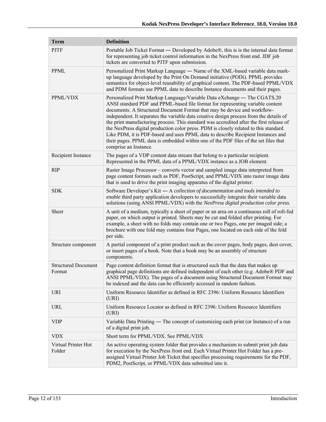| <b>Term</b>                          | <b>Definition</b>                                                                                                                                                                                                                                                                                                                                                                                                                                                                                                                                                                                                                                                                                                           |  |  |  |
|--------------------------------------|-----------------------------------------------------------------------------------------------------------------------------------------------------------------------------------------------------------------------------------------------------------------------------------------------------------------------------------------------------------------------------------------------------------------------------------------------------------------------------------------------------------------------------------------------------------------------------------------------------------------------------------------------------------------------------------------------------------------------------|--|--|--|
| <b>PJTF</b>                          | Portable Job Ticket Format — Developed by Adobe®, this is is the internal data format<br>for representing job ticket control information in the NexPress front end. JDF job<br>tickets are converted to PJTF upon submission.                                                                                                                                                                                                                                                                                                                                                                                                                                                                                               |  |  |  |
| <b>PPML</b>                          | Personalized Print Markup Language - Name of the XML-based variable data mark-<br>up language developed by the Print On Demand initiative (PODi). PPML provides<br>semantics for object-level reusability of graphical content. The PDF-based PPML/VDX<br>and PDM formats use PPML data to describe Instance documents and their pages.                                                                                                                                                                                                                                                                                                                                                                                     |  |  |  |
| PPML/VDX                             | Personalized Print Markup Language/Variable Data eXchange — The CGATS.20<br>ANSI standard PDF and PPML-based file format for representing variable content<br>documents. A Structured Document Format that may be device and workflow-<br>independent. It separates the variable data creative design process from the details of<br>the print manufacturing process. This standard was accredited after the first release of<br>the NexPress digital production color press. PDM is closely related to this standard.<br>Like PDM, it is PDF-based and uses PPML data to describe Recipient Instances and<br>their pages. PPML data is embedded within one of the PDF files of the set files that<br>comprise an Instance. |  |  |  |
| Recipient Instance                   | The pages of a VDP content data stream that belong to a particular recipient.<br>Represented in the PPML data of a PPML/VDX instance as a JOB element.                                                                                                                                                                                                                                                                                                                                                                                                                                                                                                                                                                      |  |  |  |
| <b>RIP</b>                           | Raster Image Processor – converts vector and sampled image data interpreted from<br>page content formats such as PDF, PostScript, and PPML/VDX into raster image data<br>that is used to drive the print imaging apparatus of the digital printer.                                                                                                                                                                                                                                                                                                                                                                                                                                                                          |  |  |  |
| <b>SDK</b>                           | Software Developer's Kit - A collection of documentation and tools intended to<br>enable third party application developers to successfully integrate their variable data<br>solutions (using ANSI PPML/VDX) with the NexPress digital production color press.                                                                                                                                                                                                                                                                                                                                                                                                                                                              |  |  |  |
| Sheet                                | A unit of a medium, typically a sheet of paper or an area on a continuous roll of roll-fed<br>paper, on which output is printed. Sheets may be cut and folded after printing. For<br>example, a sheet with no folds may contain one or two Pages, one per imaged side; a<br>brochure with one fold may contains four Pages, one located on each side of the fold<br>per side.                                                                                                                                                                                                                                                                                                                                               |  |  |  |
| Structure component                  | A partial component of a print product such as the cover pages, body pages, dust cover,<br>or insert pages of a book. Note that a book may be an assembly of structure<br>components.                                                                                                                                                                                                                                                                                                                                                                                                                                                                                                                                       |  |  |  |
| <b>Structured Document</b><br>Format | Page content definition format that is structured such that the data that makes up<br>graphical page definitions are defined independent of each other (e.g. Adobe® PDF and<br>ANSI PPML/VDX). The pages of a document using Structured Document Format may<br>be indexed and the data can be efficiently accessed in random fashion.                                                                                                                                                                                                                                                                                                                                                                                       |  |  |  |
| <b>URI</b>                           | Uniform Resource Identifier as defined in RFC 2396: Uniform Resource Identifiers<br>(URI)                                                                                                                                                                                                                                                                                                                                                                                                                                                                                                                                                                                                                                   |  |  |  |
| URL                                  | Uniform Resource Locator as defined in RFC 2396: Uniform Resource Identifiers<br>(URI)                                                                                                                                                                                                                                                                                                                                                                                                                                                                                                                                                                                                                                      |  |  |  |
| <b>VDP</b>                           | Variable Data Printing — The concept of customizing each print (or Instance) of a run<br>of a digital print job.                                                                                                                                                                                                                                                                                                                                                                                                                                                                                                                                                                                                            |  |  |  |
| <b>VDX</b>                           | Short term for PPML/VDX. See PPML/VDX                                                                                                                                                                                                                                                                                                                                                                                                                                                                                                                                                                                                                                                                                       |  |  |  |
| Virtual Printer Hot<br>Folder        | An active operating system folder that provides a mechanism to submit print job data<br>for execution by the NexPress front end. Each Virtual Printer Hot Folder has a pre-<br>assigned Virtual Printer Job Ticket that specifies processing requirements for the PDF,<br>PDM2, PostScript, or PPML/VDX data submitted into it.                                                                                                                                                                                                                                                                                                                                                                                             |  |  |  |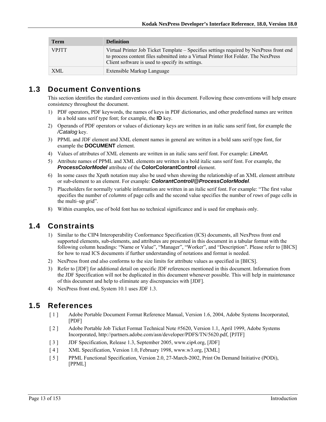| Term         | <b>Definition</b>                                                                                                                                                                                                                 |
|--------------|-----------------------------------------------------------------------------------------------------------------------------------------------------------------------------------------------------------------------------------|
| <b>VPJTT</b> | Virtual Printer Job Ticket Template – Specifies settings required by NexPress front end<br>to process content files submitted into a Virtual Printer Hot Folder. The NexPress<br>Client software is used to specify its settings. |
| <b>XML</b>   | Extensible Markup Language                                                                                                                                                                                                        |

## **1.3 Document Conventions**

This section identifies the standard conventions used in this document. Following these conventions will help ensure consistency throughout the document.

- 1) PDF operators, PDF keywords, the names of keys in PDF dictionaries, and other predefined names are written in a bold sans serif type font; for example, the **ID** key.
- 2) Operands of PDF operators or values of dictionary keys are written in an italic sans serif font, for example the */Catalog* key.
- 3) PPML and JDF element and XML element names in general are written in a bold sans serif type font, for example the **DOCUMENT** element.
- 4) Values of attributes of XML elements are written in an italic sans serif font. For example: *LineArt.*
- 5) Attribute names of PPML and XML elements are written in a bold italic sans serif font. For example, the *ProcessColorModel* attribute of the **ColorColorantControl** element.
- 6) In some cases the Xpath notation may also be used when showing the relationship of an XML element attribute or sub-element to an element. For example: *ColorantControl/@ProcessColorModel*.
- 7) Placeholders for normally variable information are written in an italic serif font. For example: "The first value specifies the number of *columns* of page cells and the second value specifies the number of *rows* of page cells in the multi–up grid".
- 8) Within examples, use of bold font has no technical significance and is used for emphasis only.

# **1.4 Constraints**

- 1) Similar to the CIP4 Interoperability Conformance Specification (ICS) documents, all NexPress front end supported elements, sub-elements, and attributes are presented in this document in a tabular format with the following column headings: "Name or Value", "Manager", "Worker", and "Description". Please refer to [BICS] for how to read ICS documents if further understanding of notations and format is needed.
- 2) NexPress front end also conforms to the size limits for attribute values as specified in [BICS].
- 3) Refer to [JDF] for additional detail on specific JDF references mentioned in this document. Information from the JDF Specification will not be duplicated in this document whenever possible. This will help in maintenance of this document and help to eliminate any discrepancies with [JDF].
- 4) NexPress front end, System 10.1 uses JDF 1.3.

## **1.5 References**

- [ 1 ] Adobe Portable Document Format Reference Manual, Version 1.6, 2004, Adobe Systems Incorporated, [PDF]
- [ 2 ] Adobe Portable Job Ticket Format Technical Note #5620, Version 1.1, April 1999, Adobe Systems Incorporated, http://partners.adobe.com/asn/developer/PDFS/TN/5620.pdf, [PJTF]
- [ 3 ] JDF Specification, Release 1.3, September 2005, www.cip4.org, [JDF]
- [4] XML Specification, Version 1.0, February 1998, www.w3.org, [XML]
- [ 5 ] PPML Functional Specification, Version 2.0, 27-March-2002, Print On Demand Initiative (PODi), [PPML]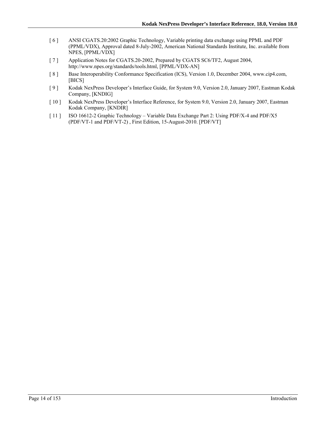- [ 6 ] ANSI CGATS.20:2002 Graphic Technology, Variable printing data exchange using PPML and PDF (PPML/VDX), Approval dated 8-July-2002, American National Standards Institute, Inc. available from NPES, [PPML/VDX]
- [ 7 ] Application Notes for CGATS.20-2002, Prepared by CGATS SC6/TF2, August 2004, http://www.npes.org/standards/tools.html, [PPML/VDX-AN]
- [8] Base Interoperability Conformance Specification (ICS), Version 1.0, December 2004, www.cip4.com, [BICS]
- [ 9 ] Kodak NexPress Developer's Interface Guide, for System 9.0, Version 2.0, January 2007, Eastman Kodak Company, [KNDIG]
- [ 10 ] Kodak NexPress Developer's Interface Reference, for System 9.0, Version 2.0, January 2007, Eastman Kodak Company, [KNDIR]
- [ 11 ] ISO 16612-2 Graphic Technology Variable Data Exchange Part 2: Using PDF/X-4 and PDF/X5 (PDF/VT-1 and PDF/VT-2) , First Edition, 15-August-2010. [PDF/VT]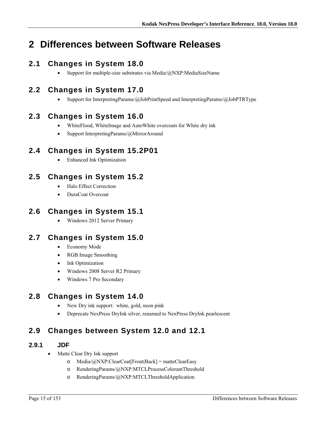# **2 Differences between Software Releases**

# **2.1 Changes in System 18.0**

• Support for multiple-size substrates via Media/ $@NXP$ :MediaSizeName

# **2.2 Changes in System 17.0**

• Support for InterpretingParams/@JobPrintSpeed and InterpretingParams/@JobPTRType

# **2.3 Changes in System 16.0**

- WhiteFlood, WhiteImage and AutoWhite overcoats for White dry ink
- Support InterpretingParams/@MirrorAround

# **2.4 Changes in System 15.2P01**

Enhanced Ink Optimization

# **2.5 Changes in System 15.2**

- Halo Effect Correction
- DuraCoat Overcoat

# **2.6 Changes in System 15.1**

Windows 2012 Server Primary

# **2.7 Changes in System 15.0**

- Economy Mode
- RGB Image Smoothing
- Ink Optimization
- Windows 2008 Server R2 Primary
- Windows 7 Pro Secondary

# **2.8 Changes in System 14.0**

- New Dry ink support: white, gold, neon pink
- Deprecate NexPress DryInk silver, renamed to NexPress DryInk pearlescent

# **2.9 Changes between System 12.0 and 12.1**

### **2.9.1 JDF**

- Matte Clear Dry Ink support
	- o Media/@NXP:ClearCoat[Front|Back] = matteClearEasy
	- o RenderingParams/@NXP:MTCLProcessColorantThreshold
	- o RenderingParams/@NXP:MTCLThresholdApplication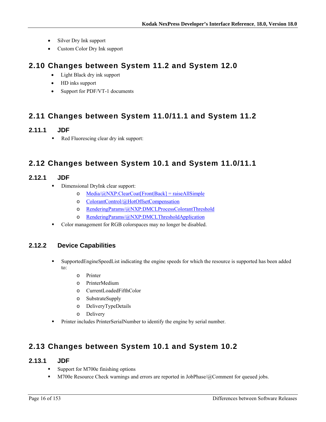- Silver Dry Ink support
- Custom Color Dry Ink support

# **2.10 Changes between System 11.2 and System 12.0**

- Light Black dry ink support
- HD inks support
- Support for PDF/VT-1 documents

# **2.11 Changes between System 11.0/11.1 and System 11.2**

### **2.11.1 JDF**

Red Fluorescing clear dry ink support:

# **2.12 Changes between System 10.1 and System 11.0/11.1**

### **2.12.1 JDF**

- Dimensional DryInk clear support:
	- o Media/@NXP:ClearCoat[Front|Back] = raiseAllSimple
	- o ColorantControl/@HotOffsetCompensation
	- o RenderingParams/@NXP:DMCLProcessColorantThreshold
	- o RenderingParams/@NXP:DMCLThresholdApplication
- Color management for RGB colorspaces may no longer be disabled.

### **2.12.2 Device Capabilities**

- SupportedEngineSpeedList indicating the engine speeds for which the resource is supported has been added to:
	- o Printer
	- o PrinterMedium
	- o CurrentLoadedFifthColor
	- o SubstrateSupply
	- o DeliveryTypeDetails
	- o Delivery
- Printer includes PrinterSerialNumber to identify the engine by serial number.

# **2.13 Changes between System 10.1 and System 10.2**

### **2.13.1 JDF**

- Support for M700e finishing options
- M700e Resource Check warnings and errors are reported in JobPhase/@Comment for queued jobs.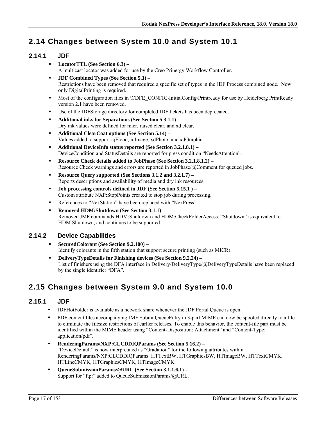# **2.14 Changes between System 10.0 and System 10.1**

### **2.14.1 JDF**

- **LocatorTTL (See Section 6.3)**  A multicast locator was added for use by the Creo Prinergy Workflow Controller.
- **JDF Combined Types (See Section 5.1)**  Restrictions have been removed that required a specific set of types in the JDF Process combined node. Now only DigitalPrinting is required.
- Most of the configuration files in \CDFE\_CONFIG\InitialConfig\Printready for use by Heidelberg PrintReady version 2.1 have been removed.
- Use of the JDFStorage directory for completed JDF tickets has been deprecated.
- **Additional inks for Separations (See Section 5.3.1.1)**  Dry ink values were defined for micr, raised clear, and xd clear.
- **Additional ClearCoat options (See Section 5.14)**  Values added to support iqFlood, iqImage, xdPhoto, and xdGraphic.
- **Additional DeviceInfo status reported (See Section 3.2.1.8.1)**  DeviceCondition and StatusDetails are reported for press condition "NeedsAttention".
- **Resource Check details added to JobPhase (See Section 3.2.1.8.1.2)** Resource Check warnings and errors are reported in JobPhase/@Comment for queued jobs.
- **Resource Query supported (See Sections 3.1.2 and 3.2.1.7)**  Reports descriptions and availability of media and dry ink resources.
- **Job processing controls defined in JDF (See Section 5.15.1 )**  Custom attribute NXP:StopPoints created to stop job during processing.
- References to "NexStation" have been replaced with "NexPress".
- **Removed HDM:Shutdown (See Section 3.1.1)** Removed JMF commands HDM:Shutdown and HDM:CheckFolderAccess. "Shutdown" is equivalent to HDM:Shutdown, and continues to be supported.

### **2.14.2 Device Capabilities**

- **SecuredColorant (See Section 9.2.100)**  Identify colorants in the fifth station that support secure printing (such as MICR).
- **DeliveryTypeDetails for Finishing devices (See Section 9.2.24)**  List of finishers using the DFA interface in Delivery/DeliveryType/@DeliveryTypeDetails have been replaced by the single identifier "DFA".

# **2.15 Changes between System 9.0 and System 10.0**

### **2.15.1 JDF**

- JDFHotFolder is available as a network share whenever the JDF Portal Queue is open.
- PDF content files accompanying JMF SubmitQueueEntry in 3-part MIME can now be spooled directly to a file to eliminate the filesize restrictions of earlier releases. To enable this behavior, the content-file part must be identified within the MIME header using "Content-Disposition: Attachment" and "Content-Type: application/pdf".
- **RenderingParams/NXP:CLCDDIQParams (See Section 5.16.2)**  "DeviceDefault" is now interpretated as "Gradation" for the following attributes within RenderingParams/NXP:CLCDDIQParams: HTTextBW, HTGraphicsBW, HTImageBW, HTTextCMYK, HTLineCMYK, HTGraphicsCMYK, HTImageCMYK.
- **QueueSubmissionParams/@URL (See Section 3.1.1.6.1)**  Support for "ftp:" added to QueueSubmissionParams/@URL.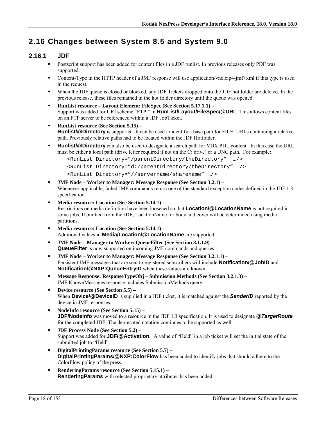# **2.16 Changes between System 8.5 and System 9.0**

### **2.16.1 JDF**

- Postscript support has been added for content files in a JDF runlist. In previous releases only PDF was supported.
- Content-Type in the HTTP header of a JMF response will use application/vnd.cip4-jmf+xml if this type is used in the request.
- When the JDF queue is closed or blocked, any JDF Tickets dropped onto the JDF hot folder are deleted. In the previous release, these files remained in the hot folder directory until the queue was opened.
- **RunList resource Layout Element: FileSpec (See Section 5.17.1.1)**  Support was added for URI scheme "FTP:" in **RunList/Layout/FileSpec/@URL**. This allows content files on an FTP server to be referenced within a JDF JobTicket.
- **RunList resource (See Section 5.15) Runlist/@Directory** is supported. It can be used to identify a base path for FILE: URLs containing a relative path. Previously relative paths had to be located within the JDF Hotfolder.
- **Runlist/@Directory** can also be used to designate a search path for VDX PDL content. In this case the URL must be either a local path (drive letter required if not on the C: drive) or a UNC path. For example:

```
<RunList Directory="/parentDirectory/theDirectory" …/> 
<RunList Directory="d:/parentDirectory/theDirectory" …/> 
<RunList Directory="//servername/sharename" …/>
```
- **JMF Node Worker to Manager: Message Response (See Section 3.2.1)**  Whenever applicable, failed JMF commands return one of the standard exception codes defined in the JDF 1.3 specification.
- **Media resource: Location (See Section 5.14.1)**  Restrictions on media definition have been loosened so that **Location/@LocationName** is not required in some jobs. If omitted from the JDF, LocationName for body and cover will be determined using media partitions.
- **Media resource: Location (See Section 5.14.1)**  Additional values in **Media/Location/@LocationName** are supported.
- **JMF Node Manager to Worker: QueueFilter (See Section 3.1.1.9) QueueFilter** is now supported on incoming JMF commands and queries.
- **JMF Node Worker to Manager: Message Response (See Section 3.2.1.1)**  Persistent JMF messages that are sent to registered subscribers will include **Notification/@JobID** and **Notification/@NXP:QueueEntryID** when these values are known.
- **Message Response: ResponseTypeObj Submission Methods (See Section 3.2.1.3)**  JMF KnownMessages response includes SubmissionMethods query.
- **Device resource (See Section 5.5)**  When **Device/@DeviceID** is supplied in a JDF ticket, it is matched against the **SenderID** reported by the device in JMF responses.
- **NodeInfo resource (See Section 5.15) JDF/NodeInfo** was moved to a resource in the JDF 1.3 specification. It is used to designate **@TargetRoute** for the completed JDF. The deprecated notation continues to be supported as well.
- **JDF Process Node (See Section 5.2)**  Support was added for **JDF/@Activation.** A value of "Held" in a job ticket will set the initial state of the submitted job to "Held".
- **DigitalPrintingParams resource (See Section 5.7) DigitalPrintingParams/@NXP:ColorFlow** has been added to identify jobs that should adhere to the ColorFlow policy of the press.
- **RenderingParams resource (See Section 5.15.1) RenderingParams** with selected proprietary attributes has been added.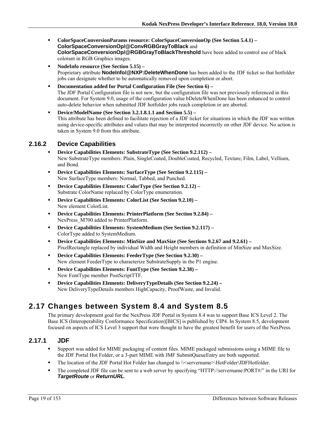- **ColorSpaceConversionParams resource: ColorSpaceConversionOp (See Section 5.4.1) ColorSpaceConversionOp/@ConvRGBGrayToBlack** and **ColorSpaceConversionOp/@RGBGrayToBlackThreshold** have been added to control use of black colorant in RGB Graphics images.
- **NodeInfo resource (See Section 5.15)**  Proprietary attribute **NodeInfo/@NXP:DeleteWhenDone** has been added to the JDF ticket so that hotfolder jobs can designate whether to be automatically removed upon completion or abort.
- **Documentation added for Portal Configuration File (See Section 6)** The JDF Portal Configuration file is not new, but the configuration file was not previously referenced in this document. For System 9.0, usage of the configuration value bDeleteWhenDone has been enhanced to control auto-delete behavior when submitted JDF hotfolder jobs reach completion or are aborted.
- **Device/ModelName (See Section 3.2.1.8.1.1 and Section 5.5)**  This attribute has been defined to facilitate rejection of a JDF ticket for situations in which the JDF was written using device-specific attributes and values that may be interpreted incorrectly on other JDF device. No action is taken in System 9.0 from this attribute.

### **2.16.2 Device Capabilities**

- **Device Capabilities Elements: SubstrateType (See Section 9.2.112)**  New SubstrateType members: Plain, SingleCoated, DoubleCoated, Recycled, Texture, Film, Label, Vellium, and Bond.
- **Device Capabilities Elements: SurfaceType (See Section 9.2.115)**  New SurfaceType members: Normal, Tabbed, and Punched.
- **Device Capabilities Elements: ColorType (See Section 9.2.12)**  Substrate ColorName replaced by ColorType enumeration.
- **Device Capabilities Elements: ColorList (See Section 9.2.10)**  New element ColorList.
- **Device Capabilities Elements: PrinterPlatform (See Section 9.2.84)**  NexPress\_M700 added to PrinterPlatform.
- **Device Capabilities Elements: SystemMedium (See Section 9.2.117)**  ColorType added to SystemMedium.
- **Device Capabilities Elements: MinSize and MaxSize (See Sections 9.2.67 and 9.2.61)** PixelRectangle replaced by individual Width and Height members in definition of MinSize and MaxSize.
- **Device Capabilities Elements: FeederType (See Section 9.2.30)**  New element FeederType to characterize SubstrateSupply in the P1 engine.
- **Device Capabilities Elements: FontType (See Section 9.2.38)**  New FontType member PostScriptTTF.
- **Device Capabilities Elements: DeliveryTypeDetails (See Section 9.2.24)**  New DeliveryTypeDetails members HighCapacity, ProofWaste, and Invalid.

# **2.17 Changes between System 8.4 and System 8.5**

The primary development goal for the NexPress JDF Portal in System 8.4 was to support Base ICS Level 2. The Base ICS (Interoperability Conformance Specification)[BICS] is published by CIP4. In System 8.5, development focused on aspects of ICS Level 3 support that were thought to have the greatest benefit for users of the NexPress.

### **2.17.1 JDF**

- Support was added for MIME packaging of content files. MIME packaged submissions using a MIME file to the JDF Portal Hot Folder, or a 3-part MIME with JMF SubmitQueueEntry are both supported.
- The location of the JDF Portal Hot Folder has changed to \\ \ servername>\HotFolder\JDFHotfolder.
- The completed JDF file can be sent to a web server by specifying "HTTP://servername:PORT#/" in the URI for *TargetRoute* or *ReturnURL*.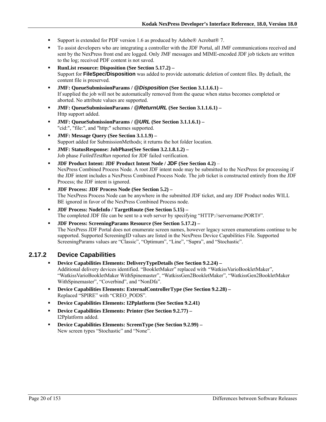- Support is extended for PDF version 1.6 as produced by Adobe® Acrobat® 7.
- To assist developers who are integrating a controller with the JDF Portal, all JMF communications received and sent by the NexPress front end are logged. Only JMF messages and MIME-encoded JDF job tickets are written to the log; received PDF content is not saved.
- **RunList resource: Disposition (See Section 5.17.2)**  Support for **FileSpec/Disposition** was added to provide automatic deletion of content files. By default, the content file is preserved.
- **JMF: QueueSubmissionParams /** *@Disposition* **(See Section 3.1.1.6.1)**  If supplied the job will not be automatically removed from the queue when status becomes completed or aborted. No attribute values are supported.
- **JMF: QueueSubmissionParams /** *@ReturnURL* **(See Section 3.1.1.6.1)**  Http support added.
- **JMF: QueueSubmissionParams /** *@URL* **(See Section 3.1.1.6.1)**  "cid:", "file:", and "http:" schemes supported.
- **JMF: Message Query (See Section 3.1.1.9)**  Support added for SubmissionMethods; it returns the hot folder location.
- **JMF: StatusResponse: JobPhase(See Section 3.2.1.8.1.2)**  Job phase *FailedTestRun* reported for JDF failed verification.
- **JDF Product Intent: JDF Product Intent Node / JDF (See Section 4.2)** NexPress Combined Process Node. A root JDF intent node may be submitted to the NexPress for processing if the JDF intent includes a NexPress Combined Process Node. The job ticket is constructed entirely from the JDF Process; the JDF intent is ignored.
- **JDF Process: JDF Process Node (See Section 5.2)**  The NexPress Process Node can be anywhere in the submitted JDF ticket, and any JDF Product nodes WILL BE ignored in favor of the NexPress Combined Process node.
- **JDF Process: NodeInfo / TargetRoute (See Section 5.15) –** The completed JDF file can be sent to a web server by specifying "HTTP://servername:PORT#".
- **JDF Process: ScreeningParams Resource (See Section 5.17.2)**  The NexPress JDF Portal does not enumerate screen names, however legacy screen enumerations continue to be supported. Supported ScreeningID values are listed in the NexPress Device Capabilities File. Supported ScreeningParams values are "Classic", "Optimum", "Line", "Supra", and "Stochastic".

#### **2.17.2 Device Capabilities**

- **Device Capabilities Elements: DeliveryTypeDetails (See Section 9.2.24)**  Additional delivery devices identified. "BookletMaker" replaced with *"*WatkissVarioBookletMaker", "WatkissVarioBookletMaker WithSpinemaster", "WatkissGen2BookletMaker", "WatkissGen2BookletMaker WithSpinemaster", "Coverbind", and "NonDfa".
- **Device Capabilities Elements: ExternalControllerType (See Section 9.2.28)**  Replaced "SPIRE" with "CREO\_PODS".
- **Device Capabilities Elements: I2Pplatform (See Section 9.2.41)**
- **Device Capabilities Elements: Printer (See Section 9.2.77)**  I2Pplatform added.
- **Device Capabilities Elements: ScreenType (See Section 9.2.99)**  New screen types "Stochastic" and "None".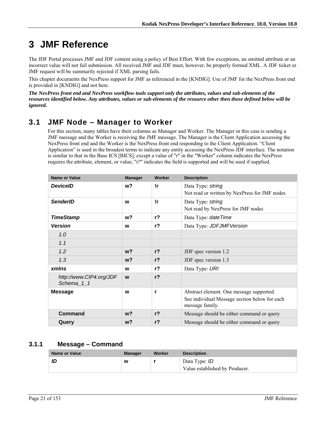# **3 JMF Reference**

The JDF Portal processes JMF and JDF content using a policy of Best Effort. With few exceptions, an omitted attribute or an incorrect value will not fail submission. All received JMF and JDF must, however, be properly formed XML. A JDF ticket or JMF request will be summarily rejected if XML parsing fails.

This chapter documents the NexPress support for JMF as referenced in the [KNDIG]. Use of JMF for the NexPress front end is provided in [KNDIG] and not here.

*The NexPress front end and NexPress workflow tools support only the attributes, values and sub-elements of the resources identified below. Any attributes, values or sub-elements of the resource other then those defined below will be ignored.* 

# **3.1 JMF Node – Manager to Worker**

For this section, many tables have their columns as Manager and Worker. The Manager in this case is sending a JMF message and the Worker is receiving the JMF message. The Manager is the Client Application accessing the NexPress front end and the Worker is the NexPress front end responding to the Client Application. "Client Application" is used in the broadest terms to indicate any entity accessing the NexPress JDF interface. The notation is similar to that in the Base ICS [BICS], except a value of "r" in the "Worker" column indicates the NexPress requires the attribute, element, or value; "r?" indicates the field is supported and will be used if supplied.

| <b>Name or Value</b>                  | <b>Manager</b> | Worker         | <b>Description</b>                                               |
|---------------------------------------|----------------|----------------|------------------------------------------------------------------|
| <b>DeviceID</b>                       | $w$ ?          | !r             | Data Type: string                                                |
|                                       |                |                | Not read or written by NexPress for JMF nodes                    |
| <b>SenderID</b>                       | W              | !r             | Data Type: string                                                |
|                                       |                |                | Not read by NexPress for JMF nodes                               |
| <b>TimeStamp</b>                      | w?             | $r$ ?          | Data Type: date Time                                             |
| <b>Version</b>                        | W              | $r$ ?          | Data Type: JDFJMFVersion                                         |
| 1.0                                   |                |                |                                                                  |
| 1.1                                   |                |                |                                                                  |
| 1.2                                   | w?             | $r$ ?          | JDF spec version 1.2                                             |
| 1.3                                   | w?             | $r$ ?          | JDF spec version 1.3                                             |
| xmlns                                 | W              | $r$ ?          | Data Type: URI                                                   |
| http://www.CIP4.org/JDF<br>Schema 1 1 | W              | r <sub>2</sub> |                                                                  |
| <b>Message</b>                        | W              | r              | Abstract element. One message supported.                         |
|                                       |                |                | See individual Message section below for each<br>message family. |
| <b>Command</b>                        | w?             | r <sub>2</sub> | Message should be either command or query                        |
| Query                                 | w?             | $r$ ?          | Message should be either command or query                        |

### **3.1.1 Message – Command**

| Name or Value | Manager | Worker | <b>Description</b>                                     |
|---------------|---------|--------|--------------------------------------------------------|
| ID            | W       |        | Data Type: <i>ID</i><br>Value established by Producer. |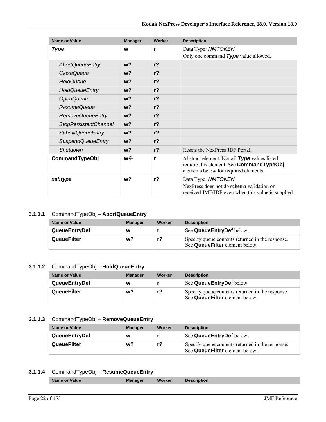| <b>Name or Value</b>         | <b>Manager</b> | Worker         | <b>Description</b>                                                                                                                |
|------------------------------|----------------|----------------|-----------------------------------------------------------------------------------------------------------------------------------|
| <b>Type</b>                  | W              | r              | Data Type: NMTOKEN                                                                                                                |
|                              |                |                | Only one command Type value allowed.                                                                                              |
| <b>AbortQueueEntry</b>       | w <sub>2</sub> | r <sub>2</sub> |                                                                                                                                   |
| <b>CloseQueue</b>            | w <sub>2</sub> | $r$ ?          |                                                                                                                                   |
| HoldQueue                    | $w$ ?          | r <sub>2</sub> |                                                                                                                                   |
| <b>HoldQueueEntry</b>        | w <sub>2</sub> | $r$ ?          |                                                                                                                                   |
| <b>OpenQueue</b>             | w <sub>2</sub> | $r$ ?          |                                                                                                                                   |
| ResumeQueue                  | w <sub>2</sub> | $r$ ?          |                                                                                                                                   |
| <b>RemoveQueueEntry</b>      | $w$ ?          | $r$ ?          |                                                                                                                                   |
| <b>StopPersistentChannel</b> | w <sub>2</sub> | r <sub>2</sub> |                                                                                                                                   |
| <b>SubmitQueueEntry</b>      | w <sub>2</sub> | $r$ ?          |                                                                                                                                   |
| <b>SuspendQueueEntry</b>     | w <sub>2</sub> | $r$ ?          |                                                                                                                                   |
| Shutdown                     | w <sub>2</sub> | r <sub>2</sub> | Resets the NexPress JDF Portal                                                                                                    |
| CommandTypeObj               | w←             | r              | Abstract element. Not all Type values listed<br>require this element. See CommandTypeObj<br>elements below for required elements. |
| xsi:type                     | w <sub>2</sub> | $r$ ?          | Data Type: NMTOKEN                                                                                                                |
|                              |                |                | NexPress does not do schema validation on<br>received JMF/JDF even when this value is supplied.                                   |

### **3.1.1.1** CommandTypeObj – **AbortQueueEntry**

| <b>Name or Value</b> | <b>Manager</b> | Worker | <b>Description</b>                                                                 |
|----------------------|----------------|--------|------------------------------------------------------------------------------------|
| <b>QueueEntryDef</b> | w              |        | See QueueEntryDef below.                                                           |
| QueueFilter          | w?             |        | Specify queue contents returned in the response.<br>See QueueFilter element below. |

#### **3.1.1.2** CommandTypeObj – **HoldQueueEntry**

| Name or Value        | <b>Manager</b> | Worker | <b>Description</b>                                                                 |
|----------------------|----------------|--------|------------------------------------------------------------------------------------|
| <b>QueueEntryDef</b> | W              |        | See QueueEntryDef below.                                                           |
| QueueFilter          | w?             |        | Specify queue contents returned in the response.<br>See QueueFilter element below. |

#### **3.1.1.3** CommandTypeObj – **RemoveQueueEntry**

| Name or Value        | <b>Manager</b> | Worker | <b>Description</b>                                                                 |
|----------------------|----------------|--------|------------------------------------------------------------------------------------|
| <b>QueueEntryDef</b> | W              |        | See QueueEntryDef below.                                                           |
| QueueFilter          | w?             |        | Specify queue contents returned in the response.<br>See QueueFilter element below. |

#### **3.1.1.4** CommandTypeObj – **ResumeQueueEntry**

|--|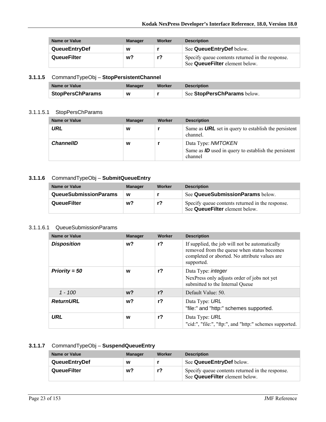| Name or Value        | <b>Manager</b> | Worker | <b>Description</b>                                                                 |
|----------------------|----------------|--------|------------------------------------------------------------------------------------|
| <b>QueueEntryDef</b> | W              |        | See QueueEntryDef below.                                                           |
| QueueFilter          | w?             |        | Specify queue contents returned in the response.<br>See QueueFilter element below. |

### **3.1.1.5** CommandTypeObj – **StopPersistentChannel**

| Name or Value           | <b>Manager</b> | Worker | <b>Description</b>          |
|-------------------------|----------------|--------|-----------------------------|
| <b>StopPersChParams</b> | W              |        | See StopPersChParams below. |

#### 3.1.1.5.1 StopPersChParams

| <b>Name or Value</b> | <b>Manager</b> | Worker | <b>Description</b>                                                                      |
|----------------------|----------------|--------|-----------------------------------------------------------------------------------------|
| URL                  | w              |        | Same as <b>URL</b> set in query to establish the persistent<br>channel.                 |
| <b>ChannellD</b>     | W              |        | Data Type: NMTOKEN<br>Same as $ID$ used in query to establish the persistent<br>channel |

#### **3.1.1.6** CommandTypeObj – **SubmitQueueEntry**

| Name or Value                | <b>Manager</b> | Worker | <b>Description</b>                                                                 |
|------------------------------|----------------|--------|------------------------------------------------------------------------------------|
| <b>QueueSubmissionParams</b> | W              |        | See QueueSubmissionParams below.                                                   |
| QueueFilter                  | w?             | r?     | Specify queue contents returned in the response.<br>See QueueFilter element below. |

#### 3.1.1.6.1 QueueSubmissionParams

| Name or Value      | <b>Manager</b> | Worker         | <b>Description</b>                                                                                                                                          |
|--------------------|----------------|----------------|-------------------------------------------------------------------------------------------------------------------------------------------------------------|
| <b>Disposition</b> | w?             | $r$ ?          | If supplied, the job will not be automatically<br>removed from the queue when status becomes<br>completed or aborted. No attribute values are<br>supported. |
| $Priority = 50$    | W              | $r$ ?          | Data Type: <i>integer</i><br>NexPress only adjusts order of jobs not yet<br>submitted to the Internal Queue                                                 |
| $1 - 100$          | w?             | r <sub>2</sub> | Default Value: 50.                                                                                                                                          |
| <b>ReturnURL</b>   | w?             | $r$ ?          | Data Type: URL<br>"file:" and "http:" schemes supported.                                                                                                    |
| URL                | W              | $r$ ?          | Data Type: URL<br>"cid:", "file:", "ftp:", and "http:" schemes supported.                                                                                   |

### **3.1.1.7** CommandTypeObj – **SuspendQueueEntry**

| Name or Value        | <b>Manager</b> | Worker | <b>Description</b>                                                                 |
|----------------------|----------------|--------|------------------------------------------------------------------------------------|
| <b>QueueEntryDef</b> | W              |        | See QueueEntryDef below.                                                           |
| <b>QueueFilter</b>   | w?             | r?     | Specify queue contents returned in the response.<br>See QueueFilter element below. |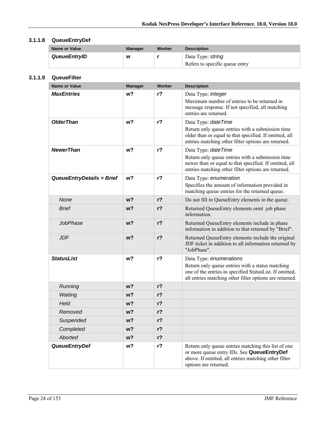### **3.1.1.8 QueueEntryDef**

| Name or Value | <b>Manager</b> | Worker | <b>Description</b>                                  |
|---------------|----------------|--------|-----------------------------------------------------|
| QueueEntryID  | W              |        | Data Type: string<br>Refers to specific queue entry |

#### **3.1.1.9 QueueFilter**

| <b>Name or Value</b>      | <b>Manager</b> | Worker         | <b>Description</b>                                                                                                                                                                                |
|---------------------------|----------------|----------------|---------------------------------------------------------------------------------------------------------------------------------------------------------------------------------------------------|
| <b>MaxEntries</b>         | w <sub>2</sub> | r <sub>2</sub> | Data Type: integer<br>Maximum number of entries to be returned in<br>message response. If not specified, all matching<br>entries are returned.                                                    |
| <b>OlderThan</b>          | w <sub>2</sub> | $r$ ?          | Data Type: date Time<br>Return only queue entries with a submission time<br>older than or equal to that specified. If omitted, all<br>entries matching other filter options are returned.         |
| <b>NewerThan</b>          | w <sub>2</sub> | $r$ ?          | Data Type: dateTime<br>Return only queue entries with a submission time<br>newer than or equal to that specified. If omitted, all<br>entries matching other filter options are returned.          |
| QueueEntryDetails = Brief | w <sub>2</sub> | r <sub>2</sub> | Data Type: enumeration<br>Specifies the amount of information provided in<br>matching queue entries for the returned queue.                                                                       |
| None                      | w <sub>2</sub> | r <sub>2</sub> | Do not fill in QueueEntry elements in the queue.                                                                                                                                                  |
| <b>Brief</b>              | w <sub>2</sub> | r <sub>2</sub> | Returned QueueEntry elements omit job phase<br>information.                                                                                                                                       |
| <b>JobPhase</b>           | $w$ ?          | $r$ ?          | Returned QueueEntry elements include in phase<br>information in addition to that returned by "Brief".                                                                                             |
| <b>JDF</b>                | w <sub>2</sub> | r <sub>2</sub> | Returned QueueEntry elements include the original<br>JDF ticket in addition to all information returned by<br>"JobPhase".                                                                         |
| <b>StatusList</b>         | w <sub>2</sub> | r <sub>2</sub> | Data Type: enumerations<br>Return only queue entries with a status matching<br>one of the entries in specified StatusList. If omitted,<br>all entries matching other filter options are returned. |
| Running                   | $w$ ?          | r <sub>2</sub> |                                                                                                                                                                                                   |
| Waiting                   | w <sub>2</sub> | r <sub>2</sub> |                                                                                                                                                                                                   |
| Held                      | w?             | r <sub>2</sub> |                                                                                                                                                                                                   |
| Removed                   | w?             | $r$ ?          |                                                                                                                                                                                                   |
| Suspended                 | w?             | $r$ ?          |                                                                                                                                                                                                   |
| Completed                 | $w$ ?          | $r$ ?          |                                                                                                                                                                                                   |
| Aborted                   | w <sub>2</sub> | $r$ ?          |                                                                                                                                                                                                   |
| <b>QueueEntryDef</b>      | w?             | $r$ ?          | Return only queue entries matching this list of one<br>or more queue entry IDs. See QueueEntryDef<br>above. If omitted, all entries matching other filter<br>options are returned.                |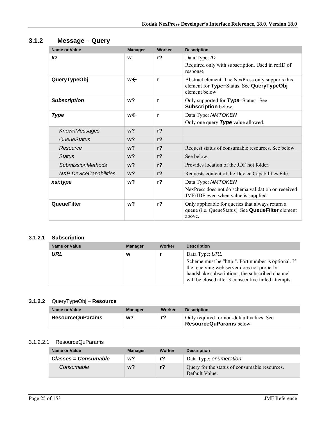| Name or Value            | <b>Manager</b> | Worker         | <b>Description</b>                                                                                              |
|--------------------------|----------------|----------------|-----------------------------------------------------------------------------------------------------------------|
| ID                       | W              | r <sub>2</sub> | Data Type: ID<br>Required only with subscription. Used in refID of<br>response                                  |
| QueryTypeObj             | w←             | r              | Abstract element. The NexPress only supports this<br>element for Type=Status. See QueryTypeObj<br>element below |
| <b>Subscription</b>      | w <sub>2</sub> | r              | Only supported for Type=Status. See<br><b>Subscription below.</b>                                               |
| <b>Type</b>              | w←             | r              | Data Type: NMTOKEN<br>Only one query Type value allowed.                                                        |
| KnownMessages            | w <sub>2</sub> | r <sub>2</sub> |                                                                                                                 |
| QueueStatus              | w <sub>2</sub> | r <sub>2</sub> |                                                                                                                 |
| Resource                 | w <sub>2</sub> | r <sub>2</sub> | Request status of consumable resources. See below.                                                              |
| <b>Status</b>            | w <sub>2</sub> | r <sub>2</sub> | See below.                                                                                                      |
| <b>SubmissionMethods</b> | $w$ ?          | r <sub>2</sub> | Provides location of the JDF hot folder.                                                                        |
| NXP:DeviceCapabilities   | w <sub>2</sub> | r <sub>2</sub> | Requests content of the Device Capabilities File.                                                               |
| xsi:type                 | w <sub>2</sub> | r <sub>2</sub> | Data Type: NMTOKEN                                                                                              |
|                          |                |                | NexPress does not do schema validation on received<br>JMF/JDF even when value is supplied.                      |
| <b>QueueFilter</b>       | w <sub>2</sub> | r <sub>2</sub> | Only applicable for queries that always return a<br>queue (i.e. QueueStatus). See QueueFilter element<br>above. |

## **3.1.2 Message – Query**

### **3.1.2.1 Subscription**

| <b>Name or Value</b> | <b>Manager</b> | Worker | <b>Description</b>                                                                                                                                   |
|----------------------|----------------|--------|------------------------------------------------------------------------------------------------------------------------------------------------------|
| URL                  | w              |        | Data Type: URL<br>Scheme must be "http:". Port number is optional. If                                                                                |
|                      |                |        | the receiving web server does not properly<br>handshake subscriptions, the subscribed channel<br>will be closed after 3 consecutive failed attempts. |

#### **3.1.2.2** QueryTypeObj – **Resource**

| Name or Value           | Manager | Worker | <b>Description</b>                                                          |
|-------------------------|---------|--------|-----------------------------------------------------------------------------|
| <b>ResourceQuParams</b> | w?      | r?     | Only required for non-default values. See<br><b>ResourceQuParams</b> below. |

#### 3.1.2.2.1 ResourceQuParams

| <b>Name or Value</b>        | <b>Manager</b> | Worker | <b>Description</b>                                              |
|-----------------------------|----------------|--------|-----------------------------------------------------------------|
| <b>Classes = Consumable</b> | w?             | r?     | Data Type: enumeration                                          |
| Consumable                  | w?             | $r$ ?  | Query for the status of consumable resources.<br>Default Value. |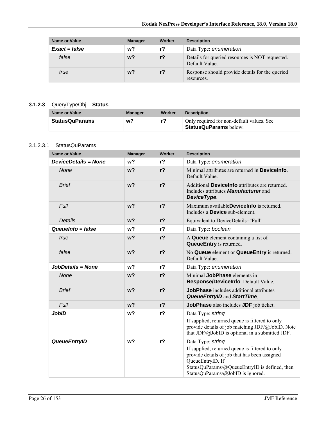| <b>Name or Value</b> | <b>Manager</b> | Worker | <b>Description</b>                                                |
|----------------------|----------------|--------|-------------------------------------------------------------------|
| $Exact = false$      | w?             | r?     | Data Type: enumeration                                            |
| false                | w?             | $r$ ?  | Details for queried resources is NOT requested.<br>Default Value. |
| true                 | w?             | $r$ ?  | Response should provide details for the queried<br>resources.     |

### **3.1.2.3** QueryTypeObj – **Status**

| Name or Value         | Manager | Worker | <b>Description</b>                                                        |
|-----------------------|---------|--------|---------------------------------------------------------------------------|
| <b>StatusQuParams</b> | w?      | r?     | Only required for non-default values. See<br><b>StatusQuParams</b> below. |

#### 3.1.2.3.1 StatusQuParams

| <b>Name or Value</b>        | <b>Manager</b> | Worker         | <b>Description</b>                                                                                                                                                                                                              |
|-----------------------------|----------------|----------------|---------------------------------------------------------------------------------------------------------------------------------------------------------------------------------------------------------------------------------|
| <b>DeviceDetails = None</b> | w?             | r <sub>2</sub> | Data Type: enumeration                                                                                                                                                                                                          |
| <b>None</b>                 | w <sub>2</sub> | $r$ ?          | Minimal attributes are returned in <b>Devicelnfo</b> .<br>Default Value.                                                                                                                                                        |
| <b>Brief</b>                | w <sub>2</sub> | $r$ ?          | Additional DeviceInfo attributes are returned.<br>Includes attributes <b>Manufacturer</b> and<br>DeviceType.                                                                                                                    |
| <b>Full</b>                 | w <sub>2</sub> | $r$ ?          | Maximum availableDeviceInfo is returned.<br>Includes a <b>Device</b> sub-element.                                                                                                                                               |
| <b>Details</b>              | $w$ ?          | r <sub>2</sub> | Equivalent to DeviceDetails="Full"                                                                                                                                                                                              |
| Queuelnfo = false           | w?             | r <sub>2</sub> | Data Type: boolean                                                                                                                                                                                                              |
| true                        | w <sub>2</sub> | $r$ ?          | A Queue element containing a list of<br><b>QueueEntry</b> is returned.                                                                                                                                                          |
| false                       | w <sub>2</sub> | $r$ ?          | No Queue element or QueueEntry is returned.<br>Default Value.                                                                                                                                                                   |
| JobDetails = None           | w <sub>2</sub> | r <sub>2</sub> | Data Type: enumeration                                                                                                                                                                                                          |
| None                        | w <sub>2</sub> | $r$ ?          | Minimal JobPhase elements in<br>Response/DeviceInfo. Default Value.                                                                                                                                                             |
| <b>Brief</b>                | $w$ ?          | r <sub>2</sub> | JobPhase includes additional attributes<br><b>QueueEntryID and StartTime.</b>                                                                                                                                                   |
| <b>Full</b>                 | w <sub>2</sub> | $r$ ?          | JobPhase also includes JDF job ticket.                                                                                                                                                                                          |
| <b>JobID</b>                | w <sub>2</sub> | r <sub>2</sub> | Data Type: string<br>If supplied, returned queue is filtered to only<br>provide details of job matching JDF/@JobID. Note<br>that $JDF/\omega JobID$ is optional in a submitted JDF.                                             |
| <b>QueueEntryID</b>         | w <sub>2</sub> | r <sub>2</sub> | Data Type: string<br>If supplied, returned queue is filtered to only<br>provide details of job that has been assigned<br>QueueEntryID. If<br>StatusQuParams/@QueueEntryID is defined, then<br>StatusQuParams/@JobID is ignored. |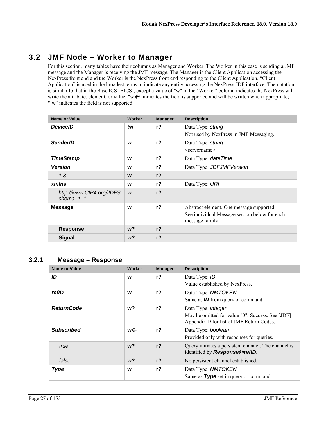# **3.2 JMF Node – Worker to Manager**

For this section, many tables have their columns as Manager and Worker. The Worker in this case is sending a JMF message and the Manager is receiving the JMF message. The Manager is the Client Application accessing the NexPress front end and the Worker is the NexPress front end responding to the Client Application. "Client Application" is used in the broadest terms to indicate any entity accessing the NexPress JDF interface. The notation is similar to that in the Base ICS [BICS], except a value of "w" in the "Worker" column indicates the NexPress will write the attribute, element, or value; "w $\epsilon$ " indicates the field is supported and will be written when appropriate; "!w" indicates the field is not supported.

| <b>Name or Value</b>                    | Worker | <b>Manager</b> | <b>Description</b>                                                                                           |
|-----------------------------------------|--------|----------------|--------------------------------------------------------------------------------------------------------------|
| <b>DeviceID</b>                         | !w     | $r$ ?          | Data Type: string<br>Not used by NexPress in JMF Messaging.                                                  |
| <b>SenderID</b>                         | W      | $r$ ?          | Data Type: string<br><servername></servername>                                                               |
| <b>TimeStamp</b>                        | W      | $r$ ?          | Data Type: date Time                                                                                         |
| <b>Version</b>                          | W      | $r$ ?          | Data Type: JDFJMFVersion                                                                                     |
| 1.3                                     | W      | r <sub>2</sub> |                                                                                                              |
| xmlns                                   | W      | $r$ ?          | Data Type: URI                                                                                               |
| http://www.CIP4.org/JDFS<br>chema $1_1$ | W      | r <sub>2</sub> |                                                                                                              |
| <b>Message</b>                          | W      | $r$ ?          | Abstract element. One message supported.<br>See individual Message section below for each<br>message family. |
| <b>Response</b>                         | $w$ ?  | r <sub>2</sub> |                                                                                                              |
| <b>Signal</b>                           | $w$ ?  | r <sub>2</sub> |                                                                                                              |

### **3.2.1 Message – Response**

| <b>Name or Value</b> | Worker | <b>Manager</b> | <b>Description</b>                                   |
|----------------------|--------|----------------|------------------------------------------------------|
| ID                   | W      | $r$ ?          | Data Type: ID                                        |
|                      |        |                | Value established by NexPress.                       |
| refID                | W      | $r$ ?          | Data Type: NMTOKEN                                   |
|                      |        |                | Same as <b>ID</b> from query or command.             |
| <b>ReturnCode</b>    | w?     | $r$ ?          | Data Type: <i>integer</i>                            |
|                      |        |                | May be omitted for value "0", Success. See [JDF]     |
|                      |        |                | Appendix D for list of JMF Return Codes.             |
| <b>Subscribed</b>    | w←     | $r$ ?          | Data Type: boolean                                   |
|                      |        |                | Provided only with responses for queries.            |
| true                 | $w$ ?  | r <sub>2</sub> | Query initiates a persistent channel. The channel is |
|                      |        |                | identified by Response@refID.                        |
| false                | $w$ ?  | r <sub>2</sub> | No persistent channel established.                   |
| <b>Type</b>          | W      | $r$ ?          | Data Type: NMTOKEN                                   |
|                      |        |                | Same as Type set in query or command.                |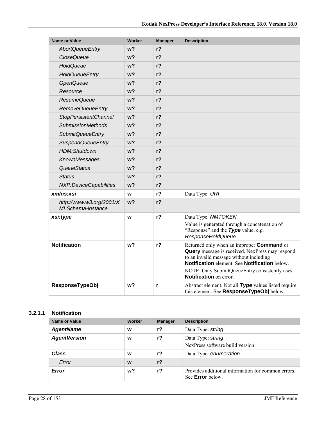| <b>Name or Value</b>                          | <b>Worker</b>  | <b>Manager</b> | <b>Description</b>                                                                                                                                                                                                                                                                       |
|-----------------------------------------------|----------------|----------------|------------------------------------------------------------------------------------------------------------------------------------------------------------------------------------------------------------------------------------------------------------------------------------------|
| <b>AbortQueueEntry</b>                        | w?             | r <sub>2</sub> |                                                                                                                                                                                                                                                                                          |
| <b>CloseQueue</b>                             | w?             | $r$ ?          |                                                                                                                                                                                                                                                                                          |
| HoldQueue                                     | w?             | $r$ ?          |                                                                                                                                                                                                                                                                                          |
| <b>HoldQueueEntry</b>                         | w?             | $r$ ?          |                                                                                                                                                                                                                                                                                          |
| OpenQueue                                     | w?             | r <sub>2</sub> |                                                                                                                                                                                                                                                                                          |
| Resource                                      | w?             | $r$ ?          |                                                                                                                                                                                                                                                                                          |
| <b>ResumeQueue</b>                            | w <sub>2</sub> | $r$ ?          |                                                                                                                                                                                                                                                                                          |
| <b>RemoveQueueEntry</b>                       | w?             | $r$ ?          |                                                                                                                                                                                                                                                                                          |
| <b>StopPersistentChannel</b>                  | w?             | $r$ ?          |                                                                                                                                                                                                                                                                                          |
| <b>SubmissionMethods</b>                      | w?             | $r$ ?          |                                                                                                                                                                                                                                                                                          |
| <b>SubmitQueueEntry</b>                       | w?             | $r$ ?          |                                                                                                                                                                                                                                                                                          |
| <b>SuspendQueueEntry</b>                      | w?             | r <sub>2</sub> |                                                                                                                                                                                                                                                                                          |
| HDM:Shutdown                                  | w?             | r <sub>2</sub> |                                                                                                                                                                                                                                                                                          |
| KnownMessages                                 | w <sub>2</sub> | $r$ ?          |                                                                                                                                                                                                                                                                                          |
| QueueStatus                                   | w?             | $r$ ?          |                                                                                                                                                                                                                                                                                          |
| <b>Status</b>                                 | $w$ ?          | $r$ ?          |                                                                                                                                                                                                                                                                                          |
| NXP:DeviceCapabilities                        | w?             | $r$ ?          |                                                                                                                                                                                                                                                                                          |
| xmlns:xsi                                     | W              | r <sub>2</sub> | Data Type: URI                                                                                                                                                                                                                                                                           |
| http://www.w3.org/2001/X<br>MLSchema-instance | w <sub>2</sub> | r <sub>2</sub> |                                                                                                                                                                                                                                                                                          |
| xsi:type                                      | W              | r?             | Data Type: NMTOKEN                                                                                                                                                                                                                                                                       |
|                                               |                |                | Value is generated through a concatenation of<br>"Response" and the Type value, e.g.<br><b>ResponseHoldQueue</b>                                                                                                                                                                         |
| <b>Notification</b>                           | w?             | $r$ ?          | Returned only when an improper <b>Command</b> or<br><b>Query</b> message is received. NexPress may respond<br>to an invalid message without including<br>Notification element. See Notification below.<br>NOTE: Only SubmitQueueEntry consistently uses<br><b>Notification</b> on error. |
| ResponseTypeObj                               | w?             | r              | Abstract element. Not all Type values listed require<br>this element. See ResponseTypeObj below.                                                                                                                                                                                         |

#### **3.2.1.1 Notification**

| Name or Value       | Worker | <b>Manager</b> | <b>Description</b>                                                            |
|---------------------|--------|----------------|-------------------------------------------------------------------------------|
| <b>AgentName</b>    | W      | $r$ ?          | Data Type: string                                                             |
| <b>AgentVersion</b> | w      | $r$ ?          | Data Type: string<br>NexPress software build version                          |
| Class               | W      | $r$ ?          | Data Type: enumeration                                                        |
| Error               | W      | $r$ ?          |                                                                               |
| Error               | w?     | r?             | Provides additional information for common errors.<br>See <b>Error</b> below. |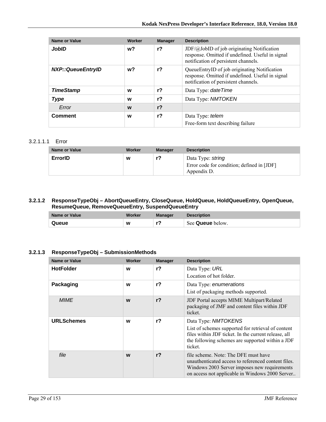| <b>Name or Value</b> | Worker | <b>Manager</b> | <b>Description</b>                                                                                                                              |
|----------------------|--------|----------------|-------------------------------------------------------------------------------------------------------------------------------------------------|
| <b>JobID</b>         | w?     | $r$ ?          | $JDF(\omega JobID)$ of job originating Notification<br>response. Omitted if undefined. Useful in signal<br>notification of persistent channels. |
| NXP::QueueEntryID    | w?     | $r$ ?          | QueueEntryID of job originating Notification<br>response. Omitted if undefined. Useful in signal<br>notification of persistent channels.        |
| <b>TimeStamp</b>     | w      | $r$ ?          | Data Type: date Time                                                                                                                            |
| <b>Type</b>          | W      | r?             | Data Type: NMTOKEN                                                                                                                              |
| Error                | W      | r <sub>2</sub> |                                                                                                                                                 |
| <b>Comment</b>       | W      | $r$ ?          | Data Type: <i>telem</i><br>Free-form text describing failure                                                                                    |

#### 3.2.1.1.1 Error

| Name or Value | Worker | <b>Manager</b> | <b>Description</b>                                                             |
|---------------|--------|----------------|--------------------------------------------------------------------------------|
| ErrorID       | W      | r?             | Data Type: string<br>Error code for condition; defined in [JDF]<br>Appendix D. |

#### **3.2.1.2 ResponseTypeObj – AbortQueueEntry, CloseQueue, HoldQueue, HoldQueueEntry, OpenQueue, ResumeQueue, RemoveQueueEntry, SuspendQueueEntry**

| Name or Value | Worker | Manager | <b>Description</b>      |
|---------------|--------|---------|-------------------------|
| Queue         | W      | --      | See <b>Queue</b> below. |

#### **3.2.1.3 ResponseTypeObj – SubmissionMethods**

| <b>Name or Value</b> | Worker | <b>Manager</b> | <b>Description</b>                                                                                                                                                                               |
|----------------------|--------|----------------|--------------------------------------------------------------------------------------------------------------------------------------------------------------------------------------------------|
| <b>HotFolder</b>     | W      | r <sub>2</sub> | Data Type: URL<br>Location of hot folder.                                                                                                                                                        |
| Packaging            | W      | $r$ ?          | Data Type: enumerations<br>List of packaging methods supported.                                                                                                                                  |
| <b>MIME</b>          | W      | r <sub>2</sub> | <b>JDF Portal accepts MIME Multipart/Related</b><br>packaging of JMF and content files within JDF<br>ticket.                                                                                     |
| <b>URLSchemes</b>    | W      | r?             | Data Type: NMTOKENS<br>List of schemes supported for retrieval of content<br>files within JDF ticket. In the current release, all<br>the following schemes are supported within a JDF<br>ticket. |
| file                 | W      | r <sub>2</sub> | file scheme. Note: The DFE must have<br>unauthenticated access to referenced content files.<br>Windows 2003 Server imposes new requirements<br>on access not applicable in Windows 2000 Server   |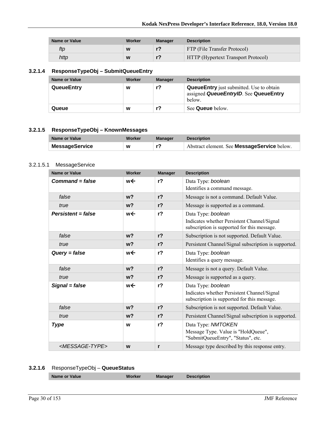| Name or Value | Worker | Manager | <b>Description</b>                         |
|---------------|--------|---------|--------------------------------------------|
| ftp           | W      |         | FTP (File Transfer Protocol)               |
| http          | W      |         | <b>HTTP</b> (Hypertext Transport Protocol) |

### **3.2.1.4 ResponseTypeObj – SubmitQueueEntry**

| Name or Value     | Worker | <b>Manager</b> | <b>Description</b>                                                                                 |
|-------------------|--------|----------------|----------------------------------------------------------------------------------------------------|
| <b>QueueEntry</b> | W      | r?             | <b>QueueEntry</b> just submitted. Use to obtain<br>assigned QueueEntryID. See QueueEntry<br>below. |
| Queue             | w      |                | See <b>Queue</b> below.                                                                            |

#### **3.2.1.5 ResponseTypeObj – KnownMessages**

| Name or Value         | Worker | <b>Manager</b> | <b>Description</b>                                 |
|-----------------------|--------|----------------|----------------------------------------------------|
| <b>MessageService</b> | W      |                | Abstract element. See <b>MessageService</b> below. |

#### 3.2.1.5.1 MessageService

| <b>Name or Value</b>          | <b>Worker</b>  | <b>Manager</b> | <b>Description</b>                                                                         |
|-------------------------------|----------------|----------------|--------------------------------------------------------------------------------------------|
| $Command = false$             | w←             | r <sub>2</sub> | Data Type: boolean                                                                         |
|                               |                |                | Identifies a command message.                                                              |
| false                         | w <sub>2</sub> | r <sub>2</sub> | Message is not a command. Default Value.                                                   |
| true                          | w <sub>2</sub> | r <sub>2</sub> | Message is supported as a command.                                                         |
| $Persistent = false$          | w←             | r <sub>2</sub> | Data Type: boolean                                                                         |
|                               |                |                | Indicates whether Persistent Channel/Signal<br>subscription is supported for this message. |
| false                         | $w$ ?          | r <sub>2</sub> | Subscription is not supported. Default Value.                                              |
| true                          | $w$ ?          | r <sub>2</sub> | Persistent Channel/Signal subscription is supported.                                       |
| $Query = false$               | w←             | r <sub>2</sub> | Data Type: boolean                                                                         |
|                               |                |                | Identifies a query message.                                                                |
| false                         | w <sub>2</sub> | r <sub>2</sub> | Message is not a query. Default Value.                                                     |
| true                          | w <sub>2</sub> | r <sub>2</sub> | Message is supported as a query.                                                           |
| Signal = false                | w←             | r <sub>2</sub> | Data Type: boolean                                                                         |
|                               |                |                | Indicates whether Persistent Channel/Signal<br>subscription is supported for this message. |
| false                         | w <sub>2</sub> | r <sub>2</sub> | Subscription is not supported. Default Value.                                              |
| true                          | $w$ ?          | r <sub>2</sub> | Persistent Channel/Signal subscription is supported.                                       |
| <b>Type</b>                   | W              | r <sub>2</sub> | Data Type: NMTOKEN                                                                         |
|                               |                |                | Message Type. Value is "HoldQueue",<br>"SubmitQueueEntry", "Status", etc.                  |
| <message-type></message-type> | W              | r              | Message type described by this response entry.                                             |

### **3.2.1.6** ResponseTypeObj – **QueueStatus**

| <b>Name or Value</b><br><b>Manager</b><br>Description<br>orker |
|----------------------------------------------------------------|
|----------------------------------------------------------------|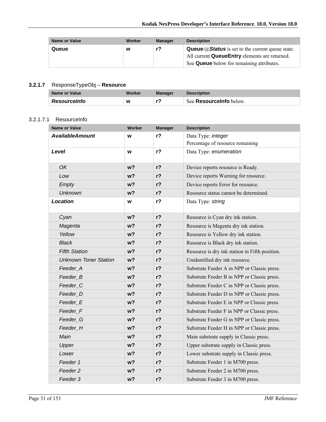| <b>Name or Value</b> | Worker | <b>Manager</b> | <b>Description</b>                                                      |
|----------------------|--------|----------------|-------------------------------------------------------------------------|
| Queue                | W      | r?             | <b>Queue/</b> $\omega$ <b>Status</b> is set to the current queue state. |
|                      |        |                | All current QueueEntry elements are returned.                           |
|                      |        |                | See Queue below for remaining attributes.                               |

### **3.2.1.7** ResponseTypeObj – **Resource**

| Name or Value       | Worker | Manager | <b>Description</b>             |
|---------------------|--------|---------|--------------------------------|
| <b>Resourcelnfo</b> | W      | . .     | See <b>Resourcelnfo</b> below. |

#### 3.2.1.7.1 ResourceInfo

| <b>Name or Value</b>         | <b>Worker</b>  | <b>Manager</b> | <b>Description</b>                             |
|------------------------------|----------------|----------------|------------------------------------------------|
| <b>AvailableAmount</b>       | W              | r <sub>2</sub> | Data Type: integer                             |
|                              |                |                | Percentage of resource remaining               |
| Level                        | W              | r <sub>2</sub> | Data Type: enumeration                         |
| OK                           | w <sub>2</sub> | $r$ ?          | Device reports resource is Ready.              |
| Low                          | w <sub>2</sub> | $r$ ?          | Device reports Warning for resource.           |
| Empty                        | w <sub>2</sub> | $r$ ?          | Device reports Error for resource.             |
| <b>Unknown</b>               | w <sub>2</sub> | $r$ ?          | Resource status cannot be determined.          |
| <b>Location</b>              | W              | $r$ ?          | Data Type: string                              |
| Cyan                         | w <sub>2</sub> | $r$ ?          | Resource is Cyan dry ink station.              |
| Magenta                      | $w$ ?          | $r$ ?          | Resource is Magenta dry ink station.           |
| Yellow                       | w <sub>2</sub> | $r$ ?          | Resource is Yellow dry ink station.            |
| <b>Black</b>                 | w <sub>2</sub> | $r$ ?          | Resource is Black dry ink station.             |
| <b>Fifth Station</b>         | w <sub>2</sub> | $r$ ?          | Resource is dry ink station in Fifth position. |
| <b>Unknown Toner Station</b> | w <sub>2</sub> | $r$ ?          | Unidentified dry ink resource.                 |
| Feeder A                     | w <sub>2</sub> | $r$ ?          | Substrate Feeder A in NPP or Classic press.    |
| Feeder_B                     | w <sub>2</sub> | $r$ ?          | Substrate Feeder B in NPP or Classic press.    |
| Feeder C                     | w <sub>2</sub> | $r$ ?          | Substrate Feeder C in NPP or Classic press.    |
| Feeder D                     | w <sub>2</sub> | $r$ ?          | Substrate Feeder D in NPP or Classic press.    |
| Feeder_E                     | w <sub>2</sub> | $r$ ?          | Substrate Feeder E in NPP or Classic press.    |
| Feeder_F                     | w <sub>2</sub> | $r$ ?          | Substrate Feeder F in NPP or Classic press.    |
| Feeder <sub>_G</sub>         | w <sub>2</sub> | $r$ ?          | Substrate Feeder G in NPP or Classic press.    |
| Feeder H                     | w?             | $r$ ?          | Substrate Feeder H in NPP or Classic press.    |
| Main                         | w <sub>2</sub> | r?             | Main substrate supply in Classic press.        |
| Upper                        | w <sub>2</sub> | $r$ ?          | Upper substrate supply in Classic press.       |
| Lower                        | w <sub>2</sub> | $r$ ?          | Lower substrate supply in Classic press.       |
| Feeder 1                     | w <sub>2</sub> | $r$ ?          | Substrate Feeder 1 in M700 press.              |
| Feeder 2                     | w <sub>2</sub> | $r$ ?          | Substrate Feeder 2 in M700 press.              |
| Feeder 3                     | w <sub>2</sub> | $r$ ?          | Substrate Feeder 3 in M700 press.              |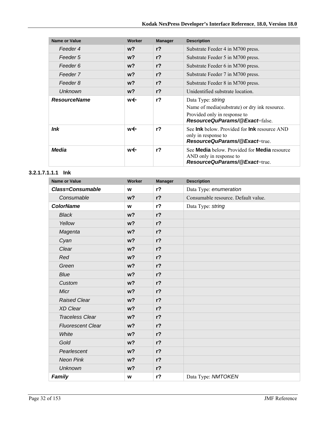| <b>Name or Value</b> | Worker | <b>Manager</b> | <b>Description</b>                                                                                                                          |
|----------------------|--------|----------------|---------------------------------------------------------------------------------------------------------------------------------------------|
| Feeder 4             | $w$ ?  | $r$ ?          | Substrate Feeder 4 in M700 press.                                                                                                           |
| Feeder 5             | $w$ ?  | r <sub>2</sub> | Substrate Feeder 5 in M700 press.                                                                                                           |
| Feeder 6             | $w$ ?  | $r$ ?          | Substrate Feeder 6 in M700 press.                                                                                                           |
| Feeder 7             | $w$ ?  | r <sub>2</sub> | Substrate Feeder 7 in M700 press.                                                                                                           |
| Feeder 8             | $w$ ?  | r <sub>2</sub> | Substrate Feeder 8 in M700 press.                                                                                                           |
| <b>Unknown</b>       | $w$ ?  | $r$ ?          | Unidentified substrate location.                                                                                                            |
| <b>ResourceName</b>  | w←     | r <sub>2</sub> | Data Type: string<br>Name of media(substrate) or dry ink resource.<br>Provided only in response to<br><b>ResourceQuParams/@Exact=false.</b> |
| <b>Ink</b>           | w←     | r <sub>2</sub> | See <b>Ink</b> below. Provided for <b>Ink</b> resource AND<br>only in response to<br>ResourceQuParams/@Exact=true.                          |
| <b>Media</b>         | w←     | r <sub>2</sub> | See <b>Media</b> below. Provided for <b>Media</b> resource<br>AND only in response to<br>ResourceQuParams/@Exact=true                       |

#### **3.2.1.7.1.1.1 Ink**

| <b>Name or Value</b>     | Worker         | <b>Manager</b> | <b>Description</b>                  |
|--------------------------|----------------|----------------|-------------------------------------|
| <b>Class=Consumable</b>  | W              | r <sub>2</sub> | Data Type: enumeration              |
| Consumable               | w <sub>2</sub> | $r$ ?          | Consumable resource. Default value. |
| <b>ColorName</b>         | W              | $r$ ?          | Data Type: string                   |
| <b>Black</b>             | w <sub>2</sub> | $r$ ?          |                                     |
| Yellow                   | w <sub>2</sub> | $r$ ?          |                                     |
| Magenta                  | w <sub>2</sub> | $r$ ?          |                                     |
| Cyan                     | w <sub>2</sub> | $r$ ?          |                                     |
| Clear                    | w <sub>2</sub> | $r$ ?          |                                     |
| Red                      | w <sub>2</sub> | $r$ ?          |                                     |
| Green                    | w <sub>2</sub> | $r$ ?          |                                     |
| Blue                     | w <sub>2</sub> | $r$ ?          |                                     |
| Custom                   | w <sub>2</sub> | $r$ ?          |                                     |
| Micr                     | w <sub>2</sub> | $r$ ?          |                                     |
| <b>Raised Clear</b>      | w <sub>2</sub> | $r$ ?          |                                     |
| <b>XD Clear</b>          | w <sub>2</sub> | $r$ ?          |                                     |
| <b>Traceless Clear</b>   | w <sub>2</sub> | $r$ ?          |                                     |
| <b>Fluorescent Clear</b> | w <sub>2</sub> | $r$ ?          |                                     |
| White                    | w <sub>2</sub> | $r$ ?          |                                     |
| Gold                     | w <sub>2</sub> | $r$ ?          |                                     |
| Pearlescent              | w <sub>2</sub> | $r$ ?          |                                     |
| <b>Neon Pink</b>         | w <sub>2</sub> | $r$ ?          |                                     |
| <b>Unknown</b>           | w <sub>2</sub> | $r$ ?          |                                     |
| Family                   | W              | r <sub>2</sub> | Data Type: NMTOKEN                  |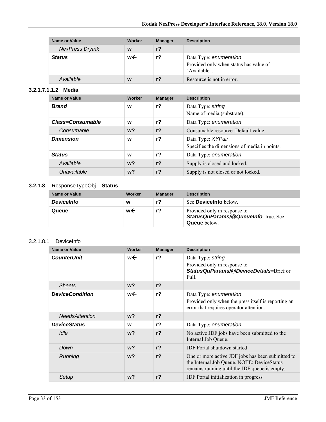| <b>Name or Value</b>   | Worker | <b>Manager</b> | <b>Description</b>                                                               |
|------------------------|--------|----------------|----------------------------------------------------------------------------------|
| <b>NexPress DryInk</b> | W      | $r$ ?          |                                                                                  |
| <b>Status</b>          | w←     | r?             | Data Type: enumeration<br>Provided only when status has value of<br>"Available". |
| Available              | W      | r <sub>2</sub> | Resource is not in error.                                                        |

#### **3.2.1.7.1.1.2 Media**

| <b>Name or Value</b>    | Worker | <b>Manager</b> | <b>Description</b>                                                |
|-------------------------|--------|----------------|-------------------------------------------------------------------|
| <b>Brand</b>            | W      | $r$ ?          | Data Type: string<br>Name of media (substrate).                   |
| <b>Class=Consumable</b> | W      | $r$ ?          | Data Type: enumeration                                            |
| Consumable              | $w$ ?  | $r$ ?          | Consumable resource. Default value.                               |
| <b>Dimension</b>        | W      | $r$ ?          | Data Type: XYPair<br>Specifies the dimensions of media in points. |
| <b>Status</b>           | W      | $r$ ?          | Data Type: enumeration                                            |
| Available               | $w$ ?  | r <sub>2</sub> | Supply is closed and locked.                                      |
| Unavailable             | $w$ ?  | $r$ ?          | Supply is not closed or not locked.                               |

## **3.2.1.8** ResponseTypeObj – **Status**

| Name or Value     | Worker | <b>Manager</b> | <b>Description</b>                                                                         |
|-------------------|--------|----------------|--------------------------------------------------------------------------------------------|
| <b>DeviceInfo</b> | W      | r7             | See <b>Devicelnfo</b> below.                                                               |
| Queue             | w←     |                | Provided only in response to<br>StatusQuParams/@QueueInfo=true. See<br><b>Queue</b> below. |

#### 3.2.1.8.1 DeviceInfo

| Name or Value          | Worker         | <b>Manager</b> | <b>Description</b>                                                                                                                               |
|------------------------|----------------|----------------|--------------------------------------------------------------------------------------------------------------------------------------------------|
| <b>CounterUnit</b>     | w←             | r <sub>2</sub> | Data Type: string<br>Provided only in response to<br>Status QuParams/@DeviceDetails=Brief or<br>Full.                                            |
| <b>Sheets</b>          | $w$ ?          | r <sub>2</sub> |                                                                                                                                                  |
| <b>DeviceCondition</b> | w←             | r <sub>2</sub> | Data Type: enumeration<br>Provided only when the press itself is reporting an<br>error that requires operator attention.                         |
| <b>NeedsAttention</b>  | $w$ ?          | r <sup>2</sup> |                                                                                                                                                  |
| <b>DeviceStatus</b>    | W              | r <sub>2</sub> | Data Type: enumeration                                                                                                                           |
| Idle                   | $w$ ?          | r <sub>2</sub> | No active JDF jobs have been submitted to the<br>Internal Job Queue.                                                                             |
| Down                   | w <sub>2</sub> | r <sub>2</sub> | <b>JDF</b> Portal shutdown started                                                                                                               |
| Running                | w?             | r <sub>2</sub> | One or more active JDF jobs has been submitted to<br>the Internal Job Queue. NOTE: DeviceStatus<br>remains running until the JDF queue is empty. |
| Setup                  | w?             | r <sub>2</sub> | JDF Portal initialization in progress                                                                                                            |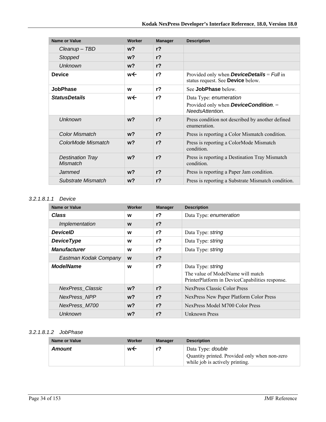| <b>Name or Value</b>                | Worker | <b>Manager</b> | <b>Description</b>                                                                                 |
|-------------------------------------|--------|----------------|----------------------------------------------------------------------------------------------------|
| Cleanup - TBD                       | $w$ ?  | r <sub>2</sub> |                                                                                                    |
| <b>Stopped</b>                      | $w$ ?  | r <sup>2</sup> |                                                                                                    |
| <b>Unknown</b>                      | $w$ ?  | r <sub>2</sub> |                                                                                                    |
| <b>Device</b>                       | w←     | r <sub>2</sub> | Provided only when <b>DeviceDetails</b> = $Full$ in<br>status request. See Device below.           |
| <b>JobPhase</b>                     | W      | r <sup>2</sup> | See JobPhase below.                                                                                |
| <b>StatusDetails</b>                | w←     | r <sup>2</sup> | Data Type: enumeration<br>Provided only when <b>DeviceCondition</b> . $=$<br><b>NeedsAttention</b> |
| Unknown                             | $w$ ?  | r <sub>2</sub> | Press condition not described by another defined<br>enumeration.                                   |
| <b>Color Mismatch</b>               | $w$ ?  | r <sub>2</sub> | Press is reporting a Color Mismatch condition.                                                     |
| ColorMode Mismatch                  | $w$ ?  | r <sub>2</sub> | Press is reporting a ColorMode Mismatch<br>condition.                                              |
| <b>Destination Tray</b><br>Mismatch | $w$ ?  | r <sub>2</sub> | Press is reporting a Destination Tray Mismatch<br>condition.                                       |
| Jammed                              | $w$ ?  | r <sub>2</sub> | Press is reporting a Paper Jam condition.                                                          |
| Substrate Mismatch                  | w?     | r <sub>2</sub> | Press is reporting a Substrate Mismatch condition.                                                 |

#### *3.2.1.8.1.1 Device*

| <b>Name or Value</b>    | Worker | <b>Manager</b> | <b>Description</b>                                                                                        |
|-------------------------|--------|----------------|-----------------------------------------------------------------------------------------------------------|
| <b>Class</b>            | W      | r <sub>2</sub> | Data Type: enumeration                                                                                    |
| Implementation          | W      | r <sub>2</sub> |                                                                                                           |
| <b>DeviceID</b>         | W      | $r$ ?          | Data Type: string                                                                                         |
| <b>DeviceType</b>       | W      | $r$ ?          | Data Type: string                                                                                         |
| <b>Manufacturer</b>     | W      | r <sub>2</sub> | Data Type: string                                                                                         |
| Eastman Kodak Company   | W      | $r$ ?          |                                                                                                           |
| <b>ModelName</b>        | W      | $r$ ?          | Data Type: string<br>The value of ModelName will match<br>PrinterPlatform in DeviceCapabilities response. |
| <b>NexPress Classic</b> | $w$ ?  | r <sub>2</sub> | NexPress Classic Color Press                                                                              |
| NexPress NPP            | $w$ ?  | r <sub>2</sub> | NexPress New Paper Platform Color Press                                                                   |
| NexPress_M700           | $w$ ?  | r <sub>2</sub> | NexPress Model M700 Color Press                                                                           |
| Unknown                 | $w$ ?  | r <sub>2</sub> | Unknown Press                                                                                             |

### *3.2.1.8.1.2 JobPhase*

| <b>Name or Value</b> | Worker | <b>Manager</b> | <b>Description</b>                                                                                           |
|----------------------|--------|----------------|--------------------------------------------------------------------------------------------------------------|
| Amount               | w←     |                | Data Type: <i>double</i><br>Quantity printed. Provided only when non-zero<br>while job is actively printing. |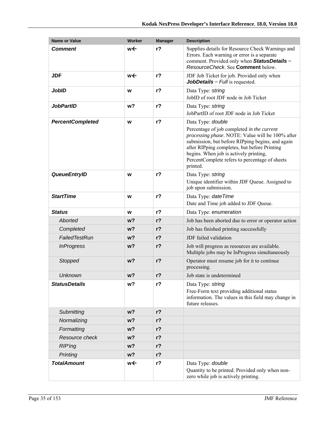| <b>Name or Value</b>    | <b>Worker</b>  | <b>Manager</b> | <b>Description</b>                                                                                                                                                                                                                                                                                                              |
|-------------------------|----------------|----------------|---------------------------------------------------------------------------------------------------------------------------------------------------------------------------------------------------------------------------------------------------------------------------------------------------------------------------------|
| <b>Comment</b>          | w←             | $r$ ?          | Supplies details for Resource Check Warnings and<br>Errors. Each warning or error is a separate<br>comment. Provided only when StatusDetails =<br>ResourceCheck. See Comment below.                                                                                                                                             |
| <b>JDF</b>              | w←             | $r$ ?          | JDF Job Ticket for job. Provided only when<br><b>JobDetails</b> = Full is requested.                                                                                                                                                                                                                                            |
| <b>JobID</b>            | W              | r <sub>2</sub> | Data Type: string<br>JobID of root JDF node in Job Ticket                                                                                                                                                                                                                                                                       |
| <b>JobPartID</b>        | w <sub>2</sub> | $r$ ?          | Data Type: string<br>JobPartID of root JDF node in Job Ticket                                                                                                                                                                                                                                                                   |
| <b>PercentCompleted</b> | W              | $r$ ?          | Data Type: double<br>Percentage of job completed in the current<br>processing phase. NOTE: Value will be 100% after<br>submission, but before RIPping begins; and again<br>after RIPping completes, but before Printing<br>begins. When job is actively printing,<br>PercentComplete refers to percentage of sheets<br>printed. |
| <b>QueueEntryID</b>     | W              | $r$ ?          | Data Type: string<br>Unique identifier within JDF Queue. Assigned to<br>job upon submission.                                                                                                                                                                                                                                    |
| <b>StartTime</b>        | W              | $r$ ?          | Data Type: dateTime<br>Date and Time job added to JDF Queue.                                                                                                                                                                                                                                                                    |
| <b>Status</b>           | W              | r <sub>2</sub> | Data Type: enumeration                                                                                                                                                                                                                                                                                                          |
| Aborted                 | w?             | $r$ ?          | Job has been aborted due to error or operator action                                                                                                                                                                                                                                                                            |
| Completed               | w?             | $r$ ?          | Job has finished printing successfully                                                                                                                                                                                                                                                                                          |
| FailedTestRun           | w?             | $r$ ?          | JDF failed validation                                                                                                                                                                                                                                                                                                           |
| <b>InProgress</b>       | $w$ ?          | $r$ ?          | Job will progress as resources are available.<br>Multiple jobs may be InProgress simultaneously                                                                                                                                                                                                                                 |
| <b>Stopped</b>          | $w$ ?          | $r$ ?          | Operator must resume job for it to continue<br>processing.                                                                                                                                                                                                                                                                      |
| Unknown                 | $w$ ?          | $r$ ?          | Job state is undetermined                                                                                                                                                                                                                                                                                                       |
| <b>StatusDetails</b>    | w?             | $r$ ?          | Data Type: string<br>Free-Form text providing additional status<br>information. The values in this field may change in<br>future releases.                                                                                                                                                                                      |
| Submitting              | $w$ ?          | $r$ ?          |                                                                                                                                                                                                                                                                                                                                 |
| Normalizing             | w?             | $r$ ?          |                                                                                                                                                                                                                                                                                                                                 |
| Formatting              | w?             | $r$ ?          |                                                                                                                                                                                                                                                                                                                                 |
| Resource check          | w?             | $r$ ?          |                                                                                                                                                                                                                                                                                                                                 |
| <b>RIP'ing</b>          | w <sub>2</sub> | $r$ ?          |                                                                                                                                                                                                                                                                                                                                 |
| Printing                | w?             | $r$ ?          |                                                                                                                                                                                                                                                                                                                                 |
| <b>TotalAmount</b>      | w←             | $r$ ?          | Data Type: double<br>Quantity to be printed. Provided only when non-<br>zero while job is actively printing.                                                                                                                                                                                                                    |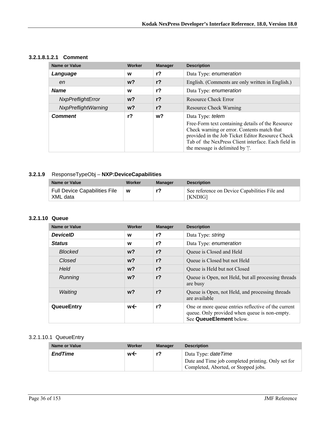|  | 3.2.1.8.1.2.1 Comment |
|--|-----------------------|
|  |                       |

| <b>Name or Value</b>       | Worker         | <b>Manager</b> | <b>Description</b>                                                                                                                                                                                                                                                |
|----------------------------|----------------|----------------|-------------------------------------------------------------------------------------------------------------------------------------------------------------------------------------------------------------------------------------------------------------------|
| Language                   | W              | $r$ ?          | Data Type: enumeration                                                                                                                                                                                                                                            |
| en                         | $w$ ?          | r <sub>2</sub> | English. (Comments are only written in English.)                                                                                                                                                                                                                  |
| <b>Name</b>                | W              | $r$ ?          | Data Type: enumeration                                                                                                                                                                                                                                            |
| NxpPreflightError          | $w$ ?          | $r$ ?          | Resource Check Error                                                                                                                                                                                                                                              |
| <b>NxpPreflightWarning</b> | w?             | r <sub>2</sub> | Resource Check Warning                                                                                                                                                                                                                                            |
| <b>Comment</b>             | r <sub>2</sub> | $w$ ?          | Data Type: telem<br>Free-Form text containing details of the Resource<br>Check warning or error. Contents match that<br>provided in the Job Ticket Editor Resource Check<br>Tab of the NexPress Client interface. Each field in<br>the message is delimited by ". |

### **3.2.1.9** ResponseTypeObj – **NXP:DeviceCapabilities**

| Name or Value                             | Worker | Manager | <b>Description</b>                                       |
|-------------------------------------------|--------|---------|----------------------------------------------------------|
| Full Device Capabilities File<br>XML data | W      |         | See reference on Device Capabilities File and<br>[KNDIG] |

#### **3.2.1.10 Queue**

| <b>Name or Value</b> | Worker         | <b>Manager</b> | <b>Description</b>                                                                                                              |
|----------------------|----------------|----------------|---------------------------------------------------------------------------------------------------------------------------------|
| <b>DeviceID</b>      | w              | r <sub>2</sub> | Data Type: string                                                                                                               |
| <b>Status</b>        | W              | $r$ ?          | Data Type: enumeration                                                                                                          |
| <b>Blocked</b>       | $w$ ?          | r <sub>2</sub> | Queue is Closed and Held                                                                                                        |
| Closed               | w <sub>2</sub> | r <sub>2</sub> | Queue is Closed but not Held                                                                                                    |
| Held                 | $w$ ?          | r <sub>2</sub> | Queue is Held but not Closed                                                                                                    |
| Running              | $w$ ?          | r <sub>2</sub> | Queue is Open, not Held, but all processing threads<br>are busy                                                                 |
| Waiting              | $w$ ?          | r <sub>2</sub> | Queue is Open, not Held, and processing threads<br>are available                                                                |
| QueueEntry           | w←             | r <sub>2</sub> | One or more queue entries reflective of the current<br>queue. Only provided when queue is non-empty.<br>See QueueElement below. |

# 3.2.1.10.1 QueueEntry

| Name or Value  | Worker | <b>Manager</b> | <b>Description</b>                                                                                                       |
|----------------|--------|----------------|--------------------------------------------------------------------------------------------------------------------------|
| <b>EndTime</b> | w←     |                | Data Type: <i>dateTime</i><br>Date and Time job completed printing. Only set for<br>Completed, Aborted, or Stopped jobs. |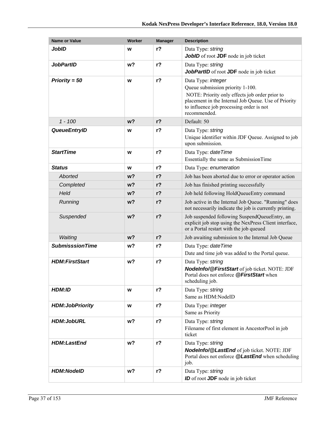| <b>Name or Value</b>    | Worker         | <b>Manager</b> | <b>Description</b>                                                                                                                                                                                                           |
|-------------------------|----------------|----------------|------------------------------------------------------------------------------------------------------------------------------------------------------------------------------------------------------------------------------|
| <b>JobID</b>            | W              | $r$ ?          | Data Type: string<br>JobID of root JDF node in job ticket                                                                                                                                                                    |
| <b>JobPartID</b>        | w?             | $r$ ?          | Data Type: string<br>JobPartID of root JDF node in job ticket                                                                                                                                                                |
| Priority = $50$         | W              | $r$ ?          | Data Type: integer<br>Queue submission priority 1-100.<br>NOTE: Priority only effects job order prior to<br>placement in the Internal Job Queue. Use of Priority<br>to influence job processing order is not<br>recommended. |
| $1 - 100$               | w <sub>2</sub> | $r$ ?          | Default: 50                                                                                                                                                                                                                  |
| <b>QueueEntryID</b>     | W              | $r$ ?          | Data Type: string<br>Unique identifier within JDF Queue. Assigned to job<br>upon submission.                                                                                                                                 |
| <b>StartTime</b>        | W              | $r$ ?          | Data Type: date Time<br>Essentially the same as SubmissionTime                                                                                                                                                               |
| <b>Status</b>           | W              | $r$ ?          | Data Type: enumeration                                                                                                                                                                                                       |
| Aborted                 | $w$ ?          | $r$ ?          | Job has been aborted due to error or operator action                                                                                                                                                                         |
| Completed               | w <sub>2</sub> | $r$ ?          | Job has finished printing successfully                                                                                                                                                                                       |
| Held                    | $w$ ?          | $r$ ?          | Job held following HoldQueueEntry command                                                                                                                                                                                    |
| Running                 | w?             | $r$ ?          | Job active in the Internal Job Queue. "Running" does<br>not necessarily indicate the job is currently printing.                                                                                                              |
| Suspended               | $w$ ?          | $r$ ?          | Job suspended following SuspendQueueEntry, an<br>explicit job stop using the NexPress Client interface,<br>or a Portal restart with the job queued                                                                           |
| Waiting                 | w <sub>2</sub> | $r$ ?          | Job awaiting submission to the Internal Job Queue                                                                                                                                                                            |
| <b>SubmisssionTime</b>  | w?             | $r$ ?          | Data Type: date Time<br>Date and time job was added to the Portal queue.                                                                                                                                                     |
| <b>HDM:FirstStart</b>   | w?             | $r$ ?          | Data Type: string<br>Nodelnfo/@FirstStart of job ticket. NOTE: JDF<br>Portal does not enforce @FirstStart when<br>scheduling job.                                                                                            |
| HDM:ID                  | W              | $r$ ?          | Data Type: string<br>Same as HDM:NodeID                                                                                                                                                                                      |
| <b>HDM: JobPriority</b> | W              | $r$ ?          | Data Type: <i>integer</i><br>Same as Priority                                                                                                                                                                                |
| <b>HDM:JobURL</b>       | w?             | $r$ ?          | Data Type: string<br>Filename of first element in AncestorPool in job<br>ticket                                                                                                                                              |
| <b>HDM:LastEnd</b>      | w?             | $r$ ?          | Data Type: string<br>Nodelnfo/@LastEnd of job ticket. NOTE: JDF<br>Portal does not enforce @LastEnd when scheduling<br>job.                                                                                                  |
| <b>HDM:NodelD</b>       | w?             | $r$ ?          | Data Type: string<br><b>ID</b> of root <b>JDF</b> node in job ticket                                                                                                                                                         |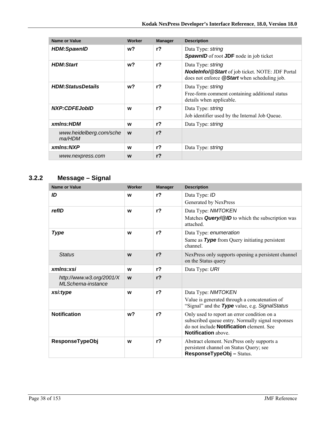| <b>Name or Value</b>              | Worker         | <b>Manager</b> | <b>Description</b>                                                                                                                 |
|-----------------------------------|----------------|----------------|------------------------------------------------------------------------------------------------------------------------------------|
| <b>HDM:SpawnID</b>                | w?             | r <sub>2</sub> | Data Type: string<br><b>SpawnID</b> of root <b>JDF</b> node in job ticket                                                          |
| <b>HDM:Start</b>                  | w?             | $r$ ?          | Data Type: string<br><b>Nodelnfo/@Start</b> of job ticket. NOTE: JDF Portal<br>does not enforce <b>@Start</b> when scheduling job. |
| <b>HDM:StatusDetails</b>          | w <sub>2</sub> | r <sub>2</sub> | Data Type: string<br>Free-form comment containing additional status<br>details when applicable.                                    |
| <b>NXP:CDFEJobID</b>              | W              | r <sub>2</sub> | Data Type: string<br>Job identifier used by the Internal Job Queue.                                                                |
| xmlns:HDM                         | W              | $r$ ?          | Data Type: string                                                                                                                  |
| www.heidelberg.com/sche<br>ma/HDM | W              | $r$ ?          |                                                                                                                                    |
| xmlns:NXP                         | W              | $r$ ?          | Data Type: string                                                                                                                  |
| www.nexpress.com                  | W              | r <sub>2</sub> |                                                                                                                                    |

### **3.2.2 Message – Signal**

| <b>Name or Value</b>                           | <b>Worker</b>  | <b>Manager</b> | <b>Description</b>                                                                                                                 |
|------------------------------------------------|----------------|----------------|------------------------------------------------------------------------------------------------------------------------------------|
| ID                                             | W              | r <sub>2</sub> | Data Type: ID                                                                                                                      |
|                                                |                |                | Generated by NexPress                                                                                                              |
| refID                                          | W              | $r$ ?          | Data Type: NMTOKEN                                                                                                                 |
|                                                |                |                | Matches Query/@ID to which the subscription was<br>attached.                                                                       |
| <b>Type</b>                                    | W              | $r$ ?          | Data Type: enumeration                                                                                                             |
|                                                |                |                | Same as Type from Query initiating persistent<br>channel.                                                                          |
| <b>Status</b>                                  | W              | r <sub>2</sub> | NexPress only supports opening a persistent channel<br>on the Status query                                                         |
| xmlns:xsi                                      | W              | r <sub>2</sub> | Data Type: URI                                                                                                                     |
| http://www.w3.org/2001/X<br>ML Schema-instance | W              | r <sub>2</sub> |                                                                                                                                    |
| xsi:type                                       | W              | r <sub>2</sub> | Data Type: NMTOKEN                                                                                                                 |
|                                                |                |                | Value is generated through a concatenation of<br>"Signal" and the Type value, e.g. SignalStatus                                    |
| <b>Notification</b>                            | w <sub>2</sub> | r <sub>2</sub> | Only used to report an error condition on a                                                                                        |
|                                                |                |                | subscribed queue entry. Normally signal responses<br>do not include <b>Notification</b> element. See<br><b>Notification</b> above. |
| <b>ResponseTypeObj</b>                         | W              | r <sub>2</sub> | Abstract element. NexPress only supports a                                                                                         |
|                                                |                |                | persistent channel on Status Query; see<br>ResponseTypeObj-Status.                                                                 |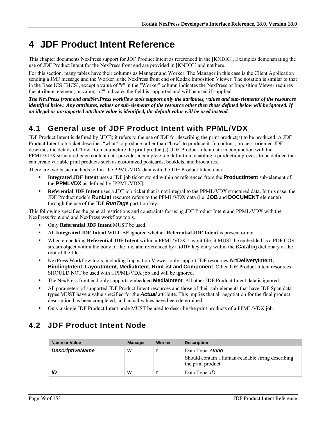# **4 JDF Product Intent Reference**

This chapter documents NexPress support for JDF Product Intent as referenced in the [KNDIG]. Examples demonstrating the use of JDF Product Intent for the NexPress front end are provided in [KNDIG] and not here.

For this section, many tables have their columns as Manager and Worker. The Manager in this case is the Client Application sending a JMF message and the Worker is the NexPress front end or Kodak Imposition Viewer. The notation is similar to that in the Base ICS [BICS], except a value of "r" in the "Worker" column indicates the NexPress or Imposition Viewer requires the attribute, element, or value; "r?" indicates the field is supported and will be used if supplied.

*The NexPress front end andNexPress workflow tools support only the attributes, values and sub-elements of the resources identified below. Any attributes, values or sub-elements of the resource other then those defined below will be ignored. If an illegal or unsupported attribute value is identified, the default value will be used instead.* 

# **4.1 General use of JDF Product Intent with PPML/VDX**

JDF Product Intent is defined by [JDF]; it refers to the use of JDF for describing the print product(s) to be produced. A JDF Product Intent job ticket describes "what" to produce rather than "how" to produce it. In contrast, process-oriented JDF describes the details of "how" to manufacture the print product(s). JDF Product Intent data in conjunction with the PPML/VDX structured page content data provides a complete job definition, enabling a production process to be defined that can create variable print products such as customized postcards, booklets, and brochures.

There are two basic methods to link the PPML/VDX data with the JDF Product Intent data:

- **Integrated JDF Intent** uses a JDF job ticket stored within or referenced from the **ProductIntent** sub-element of the **PPMLVDX** as defined by [PPML/VDX].
- **Referential JDF Intent** uses a JDF job ticket that is not integral to the PPML/VDX structured data. In this case, the JDF Product node's **RunList** resource refers to the PPML/VDX data (i.e. **JOB** and **DOCUMENT** elements) through the use of the JDF *RunTags* partition key.

This following specifies the general restrictions and constraints for using JDF Product Intent and PPML/VDX with the NexPress front end and NexPress workflow tools.

- Only **Referential JDF Intent** MUST be used.
- All **Integrated JDF Intent** WILL BE ignored whether **Referential JDF Intent** is present or not.
- When embedding **Referential JDF Intent** within a PPML/VDX-Layout file, it MUST be embedded as a PDF COS stream object within the body of the file, and referenced by a **/JDF** key entry within the **/Catalog** dictionary at the root of the file.
- NexPress Workflow tools, including Imposition Viewer, only support JDF resources **ArtDeliveryIntent, BindingIntent**, **LayoutIntent**, **MediaIntent, RunList** and **Component**. Other JDF Product Intent resources SHOULD NOT be used with a PPML/VDX job and will be ignored.
- The NexPress front end only supports embedded **MediaIntent**. All other JDF Product Intent data is ignored.
- All parameters of supported JDF Product Intent resources and those of their sub-elements that have JDF Span data types MUST have a value specified for the *Actual* attribute. This implies that all negotiation for the final product description has been completed, and actual values have been determined.
- Only a single JDF Product Intent node MUST be used to describe the print products of a PPML/VDX job.

# **4.2 JDF Product Intent Node**

| Name or Value          | <b>Manager</b> | Worker | <b>Description</b>                                                                          |
|------------------------|----------------|--------|---------------------------------------------------------------------------------------------|
| <b>DescriptiveName</b> | w              |        | Data Type: string<br>Should contain a human-readable string describing<br>the print product |
| ID                     | W              |        | Data Type: ID                                                                               |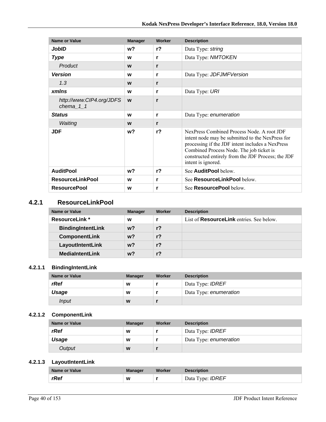| <b>Name or Value</b>                    | <b>Manager</b> | Worker         | <b>Description</b>                                                                                                                                                                                                                                                        |
|-----------------------------------------|----------------|----------------|---------------------------------------------------------------------------------------------------------------------------------------------------------------------------------------------------------------------------------------------------------------------------|
| JobID                                   | w?             | $r$ ?          | Data Type: string                                                                                                                                                                                                                                                         |
| <b>Type</b>                             | W              | r              | Data Type: NMTOKEN                                                                                                                                                                                                                                                        |
| Product                                 | W              | r              |                                                                                                                                                                                                                                                                           |
| <b>Version</b>                          | W              | r              | Data Type: JDFJMFVersion                                                                                                                                                                                                                                                  |
| 1.3                                     | W              | r              |                                                                                                                                                                                                                                                                           |
| xmlns                                   | W              | r              | Data Type: URI                                                                                                                                                                                                                                                            |
| http://www.CIP4.org/JDFS<br>chema $1$ 1 | W              | r              |                                                                                                                                                                                                                                                                           |
| <b>Status</b>                           | W              | r              | Data Type: enumeration                                                                                                                                                                                                                                                    |
| Waiting                                 | W              | r              |                                                                                                                                                                                                                                                                           |
| <b>JDF</b>                              | w?             | r <sub>2</sub> | NexPress Combined Process Node A root JDF<br>intent node may be submitted to the NexPress for<br>processing if the JDF intent includes a NexPress<br>Combined Process Node. The job ticket is<br>constructed entirely from the JDF Process; the JDF<br>intent is ignored. |
| <b>AuditPool</b>                        | w?             | r <sub>2</sub> | See AuditPool below.                                                                                                                                                                                                                                                      |
| <b>ResourceLinkPool</b>                 | W              | r              | See ResourceLinkPool below.                                                                                                                                                                                                                                               |
| <b>ResourcePool</b>                     | W              | r              | See <b>ResourcePool</b> below                                                                                                                                                                                                                                             |

### **4.2.1 ResourceLinkPool**

| Name or Value            | <b>Manager</b> | Worker         | <b>Description</b>                              |
|--------------------------|----------------|----------------|-------------------------------------------------|
| <b>ResourceLink</b> *    | W              |                | List of <b>ResourceLink</b> entries. See below. |
| <b>BindingIntentLink</b> | $w$ ?          | r <sub>2</sub> |                                                 |
| <b>ComponentLink</b>     | w?             | r <sub>2</sub> |                                                 |
| LayoutIntentLink         | w?             | $r$ ?          |                                                 |
| <b>MediaIntentLink</b>   | w?             | r?             |                                                 |

#### **4.2.1.1 BindingIntentLink**

| <b>Name or Value</b> | <b>Manager</b> | Worker | <b>Description</b>      |
|----------------------|----------------|--------|-------------------------|
| rRef                 | W              |        | Data Type: <b>IDREF</b> |
| Usage                | W              |        | Data Type: enumeration  |
| Input                | W              |        |                         |

### **4.2.1.2 ComponentLink**

| <b>Name or Value</b> | <b>Manager</b> | Worker | <b>Description</b>      |
|----------------------|----------------|--------|-------------------------|
| rRef                 | W              |        | Data Type: <i>IDREF</i> |
| Usage                | W              |        | Data Type: enumeration  |
| Output               | W              |        |                         |

#### **4.2.1.3 LayoutIntentLink**

| Name or Value | <b>Manager</b> | Worker | <b>Description</b>      |
|---------------|----------------|--------|-------------------------|
| rRef          | W              |        | Data Type: <b>IDREF</b> |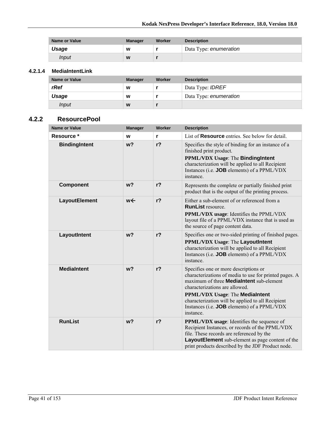| <b>Name or Value</b> | <b>Manager</b> | Worker | <b>Description</b>     |
|----------------------|----------------|--------|------------------------|
| Usage                | W              |        | Data Type: enumeration |
| Input                | W              |        |                        |

#### **4.2.1.4 MediaIntentLink**

| <b>Name or Value</b> | <b>Manager</b> | <b>Worker</b> | <b>Description</b>      |
|----------------------|----------------|---------------|-------------------------|
| rRef                 | W              |               | Data Type: <b>IDREF</b> |
| Usage                | W              |               | Data Type: enumeration  |
| <i>Input</i>         | W              |               |                         |

#### **4.2.2 ResourcePool**

| <b>Name or Value</b> | <b>Manager</b> | Worker         | <b>Description</b>                                                                                                                                                                                                                                                                                                                                     |
|----------------------|----------------|----------------|--------------------------------------------------------------------------------------------------------------------------------------------------------------------------------------------------------------------------------------------------------------------------------------------------------------------------------------------------------|
| Resource *           | W              | r              | List of <b>Resource</b> entries. See below for detail.                                                                                                                                                                                                                                                                                                 |
| <b>BindingIntent</b> | w <sub>2</sub> | $r$ ?          | Specifies the style of binding for an instance of a<br>finished print product.<br><b>PPML/VDX Usage: The BindingIntent</b><br>characterization will be applied to all Recipient<br>Instances (i.e. JOB elements) of a PPML/VDX<br>instance.                                                                                                            |
| <b>Component</b>     | w <sub>2</sub> | r <sub>2</sub> | Represents the complete or partially finished print<br>product that is the output of the printing process.                                                                                                                                                                                                                                             |
| LayoutElement        | w←             | $r$ ?          | Either a sub-element of or referenced from a<br><b>RunList resource</b><br>PPML/VDX usage: Identifies the PPML/VDX<br>layout file of a PPML/VDX instance that is used as<br>the source of page content data.                                                                                                                                           |
| LayoutIntent         | w <sub>2</sub> | $r$ ?          | Specifies one or two-sided printing of finished pages.<br>PPML/VDX Usage: The LayoutIntent<br>characterization will be applied to all Recipient<br>Instances (i.e. <b>JOB</b> elements) of a PPML/VDX<br>instance                                                                                                                                      |
| <b>MediaIntent</b>   | w <sub>2</sub> | $r$ ?          | Specifies one or more descriptions or<br>characterizations of media to use for printed pages. A<br>maximum of three <b>MediaIntent</b> sub-element<br>characterizations are allowed.<br><b>PPML/VDX Usage: The MediaIntent</b><br>characterization will be applied to all Recipient<br>Instances (i.e. <b>JOB</b> elements) of a PPML/VDX<br>instance. |
| <b>RunList</b>       | w <sub>2</sub> | r <sub>2</sub> | <b>PPML/VDX</b> usage: Identifies the sequence of<br>Recipient Instances, or records of the PPML/VDX<br>file. These records are referenced by the<br>LayoutElement sub-element as page content of the<br>print products described by the JDF Product node.                                                                                             |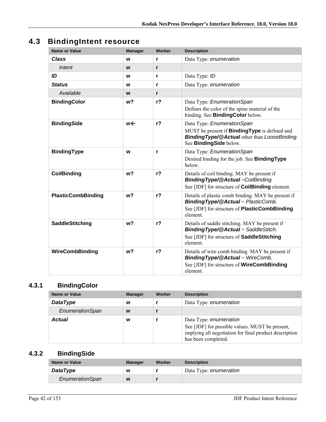# **4.3 BindingIntent resource**

| <b>Name or Value</b>      | <b>Manager</b> | <b>Worker</b>  | <b>Description</b>                                                                                                                                                 |
|---------------------------|----------------|----------------|--------------------------------------------------------------------------------------------------------------------------------------------------------------------|
| <b>Class</b>              | W              | r              | Data Type: enumeration                                                                                                                                             |
| <b>Intent</b>             | W              | r              |                                                                                                                                                                    |
| ID                        | W              | r              | Data Type: ID                                                                                                                                                      |
| <b>Status</b>             | W              | r              | Data Type: enumeration                                                                                                                                             |
| Available                 | W              | r              |                                                                                                                                                                    |
| <b>BindingColor</b>       | w <sub>2</sub> | r <sub>2</sub> | Data Type: EnumerationSpan<br>Defines the color of the spine material of the<br>binding. See BindingColor below.                                                   |
| <b>BindingSide</b>        | w←             | r <sub>2</sub> | Data Type: EnumerationSpan<br>MUST be present if <b>BindingType</b> is defined and<br>Binding Type/@Actual other than LooseBinding.<br>See BindingSide below.      |
| <b>BindingType</b>        | W              | r              | Data Type: EnumerationSpan<br>Desired binding for the job. See <b>BindingType</b><br>below.                                                                        |
| <b>CoilBinding</b>        | w <sub>2</sub> | r <sub>2</sub> | Details of coil binding. MAY be present if<br><b>BindingType/@Actual=CoilBinding.</b><br>See [JDF] for structure of <b>CoilBinding</b> element.                    |
| <b>PlasticCombBinding</b> | w <sub>2</sub> | $r$ ?          | Details of plastic comb binding. MAY be present if<br><b>BindingType/@Actual</b> = PlasticComb.<br>See [JDF] for structure of <b>PlasticCombBinding</b><br>element |
| <b>SaddleStitching</b>    | w <sub>2</sub> | r <sub>2</sub> | Details of saddle stitching. MAY be present if<br><b>BindingType/@Actual</b> = SaddleStitch.<br>See [JDF] for structure of <b>SaddleStitching</b><br>element.      |
| <b>WireCombBinding</b>    | w <sub>2</sub> | r <sub>2</sub> | Details of wire comb binding. MAY be present if<br><b>BindingType/@Actual</b> = WireComb.<br>See [JDF] for structure of <b>WireCombBinding</b><br>element.         |

### **4.3.1 BindingColor**

| <b>Name or Value</b> | <b>Manager</b> | Worker | <b>Description</b>                                                                                                                                         |
|----------------------|----------------|--------|------------------------------------------------------------------------------------------------------------------------------------------------------------|
| <b>DataType</b>      | W              |        | Data Type: enumeration                                                                                                                                     |
| EnumerationSpan      | W              |        |                                                                                                                                                            |
| Actual               | w              |        | Data Type: enumeration<br>See [JDF] for possible values. MUST be present,<br>implying all negotiation for final product description<br>has been completed. |

### **4.3.2 BindingSide**

| Name or Value   | <b>Manager</b> | Worker | <b>Description</b>     |
|-----------------|----------------|--------|------------------------|
| <b>DataType</b> | W              |        | Data Type: enumeration |
| EnumerationSpan | W              |        |                        |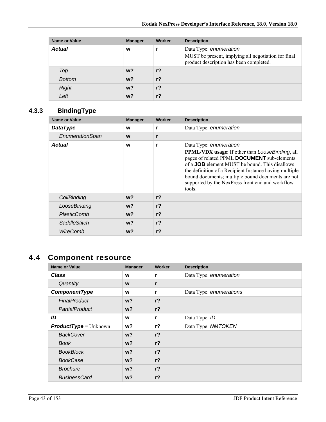| <b>Name or Value</b> | <b>Manager</b> | <b>Worker</b>  | <b>Description</b>                                                                                                       |
|----------------------|----------------|----------------|--------------------------------------------------------------------------------------------------------------------------|
| <b>Actual</b>        | W              |                | Data Type: enumeration<br>MUST be present, implying all negotiation for final<br>product description has been completed. |
| Top                  | $w$ ?          | $r$ ?          |                                                                                                                          |
| <b>Bottom</b>        | $w$ ?          | r <sub>2</sub> |                                                                                                                          |
| <b>Right</b>         | $w$ ?          | r <sub>2</sub> |                                                                                                                          |
| Left                 | w?             | r?             |                                                                                                                          |

### **4.3.3 BindingType**

| <b>Name or Value</b> | <b>Manager</b> | Worker         | <b>Description</b>                                                                                                                                                                                                                                                                                                                                                            |
|----------------------|----------------|----------------|-------------------------------------------------------------------------------------------------------------------------------------------------------------------------------------------------------------------------------------------------------------------------------------------------------------------------------------------------------------------------------|
| <b>DataType</b>      | W              |                | Data Type: enumeration                                                                                                                                                                                                                                                                                                                                                        |
| EnumerationSpan      | W              | r              |                                                                                                                                                                                                                                                                                                                                                                               |
| <b>Actual</b>        | W              | r              | Data Type: enumeration<br><b>PPML/VDX</b> usage: If other than <i>LooseBinding</i> , all<br>pages of related PPML DOCUMENT sub-elements<br>of a <b>JOB</b> element MUST be bound. This disallows<br>the definition of a Recipient Instance having multiple<br>bound documents; multiple bound documents are not<br>supported by the NexPress front end and workflow<br>tools. |
| CoilBinding          | w?             | r <sub>2</sub> |                                                                                                                                                                                                                                                                                                                                                                               |
| LooseBinding         | w?             | r <sub>2</sub> |                                                                                                                                                                                                                                                                                                                                                                               |
| PlasticComb          | $w$ ?          | r <sub>2</sub> |                                                                                                                                                                                                                                                                                                                                                                               |
| <b>SaddleStitch</b>  | w?             | r <sub>2</sub> |                                                                                                                                                                                                                                                                                                                                                                               |
| WireComb             | w?             | r <sub>2</sub> |                                                                                                                                                                                                                                                                                                                                                                               |

# **4.4 Component resource**

| <b>Name or Value</b>           | <b>Manager</b> | Worker         | <b>Description</b>      |
|--------------------------------|----------------|----------------|-------------------------|
| <b>Class</b>                   | W              | r              | Data Type: enumeration  |
| Quantity                       | W              | r              |                         |
| ComponentType                  | W              | r              | Data Type: enumerations |
| <b>FinalProduct</b>            | $w$ ?          | $r$ ?          |                         |
| PartialProduct                 | $w$ ?          | $r$ ?          |                         |
| ID                             | W              | r              | Data Type: ID           |
| <b>ProductType</b> = $Unknown$ | w?             | $r$ ?          | Data Type: NMTOKEN      |
| <b>BackCover</b>               | w?             | $r$ ?          |                         |
| <b>Book</b>                    | w?             | $r$ ?          |                         |
| <b>BookBlock</b>               | $w$ ?          | $r$ ?          |                         |
| <b>BookCase</b>                | w?             | $r$ ?          |                         |
| <b>Brochure</b>                | $w$ ?          | r <sub>2</sub> |                         |
| <b>BusinessCard</b>            | w?             | $r$ ?          |                         |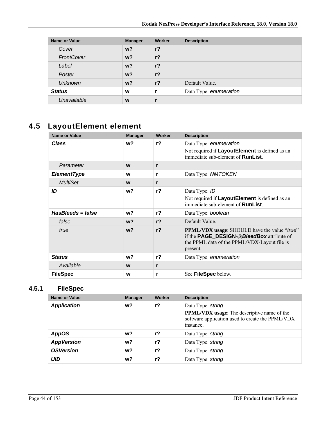| <b>Name or Value</b> | <b>Manager</b> | Worker         | <b>Description</b>     |
|----------------------|----------------|----------------|------------------------|
| Cover                | $w$ ?          | $r$ ?          |                        |
| FrontCover           | $w$ ?          | r <sub>2</sub> |                        |
| Label                | $w$ ?          | r <sub>2</sub> |                        |
| Poster               | $w$ ?          | $r$ ?          |                        |
| <b>Unknown</b>       | $w$ ?          | r <sub>2</sub> | Default Value.         |
| <b>Status</b>        | W              |                | Data Type: enumeration |
| Unavailable          | W              |                |                        |

# **4.5 LayoutElement element**

| Name or Value       | <b>Manager</b> | Worker         | <b>Description</b>                                                                                                                                                  |
|---------------------|----------------|----------------|---------------------------------------------------------------------------------------------------------------------------------------------------------------------|
| <b>Class</b>        | w?             | $r$ ?          | Data Type: enumeration<br>Not required if LayoutElement is defined as an<br>immediate sub-element of <b>RunList</b> .                                               |
| Parameter           | W              | r              |                                                                                                                                                                     |
| <b>ElementType</b>  | W              | r              | Data Type: NMTOKEN                                                                                                                                                  |
| <b>MultiSet</b>     | W              | r              |                                                                                                                                                                     |
| ID                  | w?             | r <sub>2</sub> | Data Type: ID<br>Not required if LayoutElement is defined as an<br>immediate sub-element of <b>RunList</b> .                                                        |
| $HasBleads = false$ | w?             | $r$ ?          | Data Type: boolean                                                                                                                                                  |
| false               | $w$ ?          | $r$ ?          | Default Value.                                                                                                                                                      |
| true                | $w$ ?          | $r$ ?          | <b>PPML/VDX</b> usage: SHOULD have the value "true"<br>if the <b>PAGE_DESIGN/@BleedBox</b> attribute of<br>the PPML data of the PPML/VDX-Layout file is<br>present. |
| <b>Status</b>       | w?             | r <sub>2</sub> | Data Type: enumeration                                                                                                                                              |
| Available           | W              | r              |                                                                                                                                                                     |
| <b>FileSpec</b>     | W              | r              | See FileSpec below.                                                                                                                                                 |

### **4.5.1 FileSpec**

| Name or Value      | <b>Manager</b> | Worker | <b>Description</b>                                                                                                                       |
|--------------------|----------------|--------|------------------------------------------------------------------------------------------------------------------------------------------|
| <b>Application</b> | w?             | $r$ ?  | Data Type: string<br><b>PPML/VDX</b> usage: The descriptive name of the<br>software application used to create the PPML/VDX<br>instance. |
| <b>AppOS</b>       | w?             | $r$ ?  | Data Type: string                                                                                                                        |
| <b>AppVersion</b>  | w?             | $r$ ?  | Data Type: string                                                                                                                        |
| <b>OSVersion</b>   | w?             | $r$ ?  | Data Type: string                                                                                                                        |
| UID                | w?             | $r$ ?  | Data Type: string                                                                                                                        |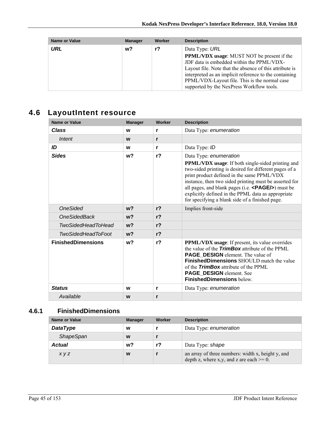| <b>Name or Value</b> | <b>Manager</b> | Worker | <b>Description</b>                                                                                                                                                                                                                                                                                                |
|----------------------|----------------|--------|-------------------------------------------------------------------------------------------------------------------------------------------------------------------------------------------------------------------------------------------------------------------------------------------------------------------|
| URL                  | $w$ ?          | r?     | Data Type: URL                                                                                                                                                                                                                                                                                                    |
|                      |                |        | <b>PPML/VDX</b> usage: MUST NOT be present if the<br>JDF data is embedded within the PPML/VDX-<br>Layout file. Note that the absence of this attribute is<br>interpreted as an implicit reference to the containing<br>PPML/VDX-Layout file. This is the normal case<br>supported by the NexPress Workflow tools. |

# **4.6 LayoutIntent resource**

| <b>Name or Value</b>      | <b>Manager</b> | Worker         | <b>Description</b>                                                                                                                                                                                                                                                                                                                                                                                                          |
|---------------------------|----------------|----------------|-----------------------------------------------------------------------------------------------------------------------------------------------------------------------------------------------------------------------------------------------------------------------------------------------------------------------------------------------------------------------------------------------------------------------------|
| <b>Class</b>              | W              | r              | Data Type: enumeration                                                                                                                                                                                                                                                                                                                                                                                                      |
| Intent                    | W              | r              |                                                                                                                                                                                                                                                                                                                                                                                                                             |
| ID                        | W              | r              | Data Type: ID                                                                                                                                                                                                                                                                                                                                                                                                               |
| <b>Sides</b>              | w <sub>2</sub> | r <sub>2</sub> | Data Type: enumeration<br><b>PPML/VDX</b> usage: If both single-sided printing and<br>two-sided printing is desired for different pages of a<br>print product defined in the same PPML/VDX<br>instance, then two sided printing must be asserted for<br>all pages, and blank pages (i.e. $\langle$ PAGE/s) must be<br>explicitly defined in the PPML data as appropriate<br>for specifying a blank side of a finished page. |
| <b>OneSided</b>           | $w$ ?          | r <sub>2</sub> | Implies front-side                                                                                                                                                                                                                                                                                                                                                                                                          |
| <b>OneSidedBack</b>       | w <sub>2</sub> | r <sub>2</sub> |                                                                                                                                                                                                                                                                                                                                                                                                                             |
| <b>TwoSidedHeadToHead</b> | w <sub>2</sub> | r <sub>2</sub> |                                                                                                                                                                                                                                                                                                                                                                                                                             |
| <b>TwoSidedHeadToFoot</b> | w <sub>2</sub> | r <sub>2</sub> |                                                                                                                                                                                                                                                                                                                                                                                                                             |
| <b>FinishedDimensions</b> | w <sub>2</sub> | r <sub>2</sub> | <b>PPML/VDX</b> usage: If present, its value overrides<br>the value of the <b>TrimBox</b> attribute of the PPML<br><b>PAGE_DESIGN</b> element. The value of<br><b>FinishedDimensions</b> SHOULD match the value<br>of the <b>TrimBox</b> attribute of the PPML<br>PAGE_DESIGN element. See<br><b>FinishedDimensions below.</b>                                                                                              |
| <b>Status</b>             | W              | r              | Data Type: enumeration                                                                                                                                                                                                                                                                                                                                                                                                      |
| Available                 | W              | r              |                                                                                                                                                                                                                                                                                                                                                                                                                             |

### **4.6.1 FinishedDimensions**

| Name or Value    | <b>Manager</b> | Worker | <b>Description</b>                                                                               |
|------------------|----------------|--------|--------------------------------------------------------------------------------------------------|
| <b>DataType</b>  | W              |        | Data Type: enumeration                                                                           |
| <b>ShapeSpan</b> | W              |        |                                                                                                  |
| <b>Actual</b>    | w?             | r?     | Data Type: shape                                                                                 |
| <i>xyz</i>       | W              |        | an array of three numbers: width x, height y, and<br>depth z, where x,y, and z are each $>= 0$ . |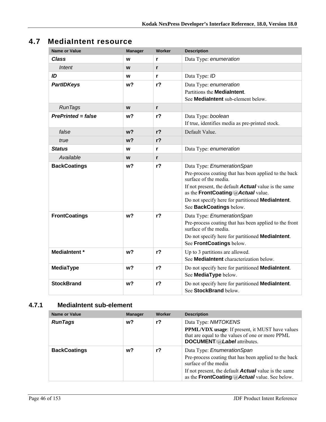## **4.7 MediaIntent resource**

| <b>Name or Value</b>      | <b>Manager</b> | <b>Worker</b>  | <b>Description</b>                                                                                                                                                                                                                                                                               |
|---------------------------|----------------|----------------|--------------------------------------------------------------------------------------------------------------------------------------------------------------------------------------------------------------------------------------------------------------------------------------------------|
| Class                     | W              | r              | Data Type: enumeration                                                                                                                                                                                                                                                                           |
| Intent                    | W              | r              |                                                                                                                                                                                                                                                                                                  |
| ID                        | W              | r              | Data Type: ID                                                                                                                                                                                                                                                                                    |
| <b>PartIDKeys</b>         | w?             | $r$ ?          | Data Type: enumeration<br>Partitions the <b>MediaIntent</b> .<br>See MediaIntent sub-element below.                                                                                                                                                                                              |
| <b>RunTags</b>            | W              | r              |                                                                                                                                                                                                                                                                                                  |
| <b>PrePrinted = false</b> | w <sub>2</sub> | r <sub>2</sub> | Data Type: boolean<br>If true, identifies media as pre-printed stock.                                                                                                                                                                                                                            |
| false                     | w <sub>2</sub> | $r$ ?          | Default Value.                                                                                                                                                                                                                                                                                   |
| true                      | w <sub>2</sub> | $r$ ?          |                                                                                                                                                                                                                                                                                                  |
| <b>Status</b>             | W              | r              | Data Type: enumeration                                                                                                                                                                                                                                                                           |
| Available                 | W              | r              |                                                                                                                                                                                                                                                                                                  |
| <b>BackCoatings</b>       | w?             | $r$ ?          | Data Type: EnumerationSpan<br>Pre-process coating that has been applied to the back<br>surface of the media.<br>If not present, the default <b>Actual</b> value is the same<br>as the FrontCoating/@Actual value.<br>Do not specify here for partitioned MediaIntent.<br>See BackCoatings below. |
| <b>FrontCoatings</b>      | w <sub>2</sub> | $r$ ?          | Data Type: EnumerationSpan<br>Pre-process coating that has been applied to the front<br>surface of the media.<br>Do not specify here for partitioned MediaIntent.<br>See FrontCoatings below.                                                                                                    |
| <b>MediaIntent</b> *      | w <sub>2</sub> | r <sub>2</sub> | Up to 3 partitions are allowed.<br>See <b>MediaIntent</b> characterization below.                                                                                                                                                                                                                |
| <b>MediaType</b>          | w?             | $r$ ?          | Do not specify here for partitioned MediaIntent.<br>See MediaType below.                                                                                                                                                                                                                         |
| <b>StockBrand</b>         | w <sub>2</sub> | $r$ ?          | Do not specify here for partitioned MediaIntent.<br>See StockBrand below.                                                                                                                                                                                                                        |

### **4.7.1 MediaIntent sub-element**

| Name or Value       | <b>Manager</b> | Worker | <b>Description</b>                                                                                                                                                                                                          |
|---------------------|----------------|--------|-----------------------------------------------------------------------------------------------------------------------------------------------------------------------------------------------------------------------------|
| <b>RunTags</b>      | w?             | r?     | Data Type: NMTOKENS<br><b>PPML/VDX</b> usage: If present, it MUST have values<br>that are equal to the values of one or more PPML<br>DOCUMENT/@Label attributes.                                                            |
| <b>BackCoatings</b> | w?             | r?     | Data Type: EnumerationSpan<br>Pre-process coating that has been applied to the back<br>surface of the media<br>If not present, the default <b>Actual</b> value is the same<br>as the FrontCoating/@Actual value. See below. |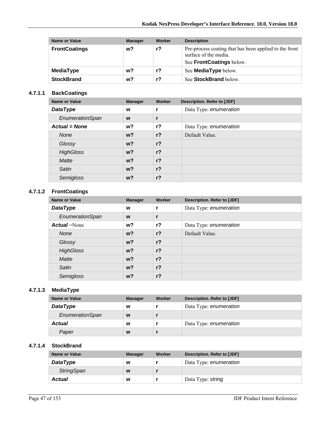| Name or Value        | <b>Manager</b> | Worker | <b>Description</b>                                                                                          |
|----------------------|----------------|--------|-------------------------------------------------------------------------------------------------------------|
| <b>FrontCoatings</b> | w?             | $r$ ?  | Pre-process coating that has been applied to the front<br>surface of the media.<br>See FrontCoatings below. |
| MediaType            | w?             | r?     | See <b>MediaType</b> below.                                                                                 |
| <b>StockBrand</b>    | w?             | r?     | See StockBrand below.                                                                                       |

#### **4.7.1.1 BackCoatings**

| Name or Value        | <b>Manager</b> | <b>Worker</b>  | Description. Refer to [JDF] |
|----------------------|----------------|----------------|-----------------------------|
| <b>DataType</b>      | W              |                | Data Type: enumeration      |
| EnumerationSpan      | W              | r              |                             |
| <b>Actual = None</b> | w?             | $r$ ?          | Data Type: enumeration      |
| <b>None</b>          | $w$ ?          | $r$ ?          | Default Value.              |
| Glossy               | $w$ ?          | $r$ ?          |                             |
| <b>HighGloss</b>     | $w$ ?          | $r$ ?          |                             |
| Matte                | $w$ ?          | r <sub>2</sub> |                             |
| Satin                | $w$ ?          | r <sub>2</sub> |                             |
| Semigloss            | $w$ ?          | $r$ ?          |                             |

#### **4.7.1.2 FrontCoatings**

| <b>Name or Value</b> | <b>Manager</b> | Worker         | Description. Refer to [JDF] |
|----------------------|----------------|----------------|-----------------------------|
| <b>DataType</b>      | W              | r              | Data Type: enumeration      |
| EnumerationSpan      | W              | r              |                             |
| <b>Actual</b> =None  | w?             | $r$ ?          | Data Type: enumeration      |
| <b>None</b>          | $w$ ?          | r <sub>2</sub> | Default Value.              |
| Glossy               | $w$ ?          | r <sub>2</sub> |                             |
| <b>HighGloss</b>     | $w$ ?          | $r$ ?          |                             |
| Matte                | $w$ ?          | r <sub>2</sub> |                             |
| Satin                | $w$ ?          | r <sub>2</sub> |                             |
| Semigloss            | w?             | r <sub>2</sub> |                             |

#### **4.7.1.3 MediaType**

| Name or Value   | <b>Manager</b> | Worker | Description. Refer to [JDF] |
|-----------------|----------------|--------|-----------------------------|
| <b>DataType</b> | W              |        | Data Type: enumeration      |
| EnumerationSpan | W              |        |                             |
| <b>Actual</b>   | W              |        | Data Type: enumeration      |
| Paper           | W              |        |                             |

#### **4.7.1.4 StockBrand**

| Name or Value   | <b>Manager</b> | Worker | Description. Refer to [JDF] |
|-----------------|----------------|--------|-----------------------------|
| <b>DataType</b> | W              |        | Data Type: enumeration      |
| StringSpan      | W              |        |                             |
| Actual          | w              |        | Data Type: string           |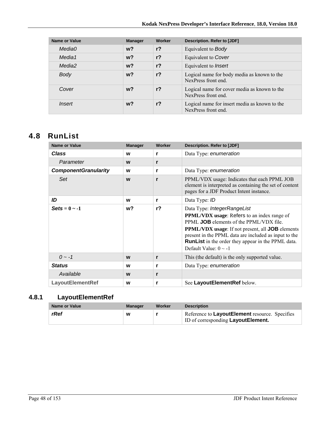| <b>Name or Value</b> | <b>Manager</b> | Worker         | Description. Refer to [JDF]                                          |
|----------------------|----------------|----------------|----------------------------------------------------------------------|
| Media0               | $w$ ?          | $r$ ?          | Equivalent to <b>Body</b>                                            |
| Media 1              | $w$ ?          | r <sub>2</sub> | Equivalent to Cover                                                  |
| Media2               | $w$ ?          | r <sub>2</sub> | Equivalent to <i>Insert</i>                                          |
| Body                 | $w$ ?          | $r$ ?          | Logical name for body media as known to the<br>NexPress front end.   |
| Cover                | $w$ ?          | r <sub>2</sub> | Logical name for cover media as known to the<br>NexPress front end.  |
| <i>Insert</i>        | $w$ ?          | r <sub>2</sub> | Logical name for insert media as known to the<br>NexPress front end. |

# **4.8 RunList**

| <b>Name or Value</b>        | <b>Manager</b> | Worker         | <b>Description. Refer to [JDF]</b>                                                                                                                                                                                                                                                                                                                        |
|-----------------------------|----------------|----------------|-----------------------------------------------------------------------------------------------------------------------------------------------------------------------------------------------------------------------------------------------------------------------------------------------------------------------------------------------------------|
| <b>Class</b>                | W              | r              | Data Type: enumeration                                                                                                                                                                                                                                                                                                                                    |
| Parameter                   | W              | r              |                                                                                                                                                                                                                                                                                                                                                           |
| <b>ComponentGranularity</b> | W              | r              | Data Type: enumeration                                                                                                                                                                                                                                                                                                                                    |
| Set                         | W              | r              | PPML/VDX usage: Indicates that each PPML JOB<br>element is interpreted as containing the set of content<br>pages for a JDF Product Intent instance.                                                                                                                                                                                                       |
| ID                          | W              | r              | Data Type: ID                                                                                                                                                                                                                                                                                                                                             |
| $\text{Sets} = 0 \sim -1$   | w?             | r <sub>2</sub> | Data Type: IntegerRangeList<br><b>PPML/VDX</b> usage: Refers to an index range of<br>PPML <b>JOB</b> elements of the PPML/VDX file.<br><b>PPML/VDX</b> usage: If not present, all <b>JOB</b> elements<br>present in the PPML data are included as input to the<br><b>RunList</b> in the order they appear in the PPML data.<br>Default Value: $0 \sim -1$ |
| $0 - -1$                    | W              | r              | This (the default) is the only supported value.                                                                                                                                                                                                                                                                                                           |
| <b>Status</b>               | W              | r              | Data Type: enumeration                                                                                                                                                                                                                                                                                                                                    |
| Available                   | W              | r              |                                                                                                                                                                                                                                                                                                                                                           |
| <b>LayoutElementRef</b>     | W              | r              | See LayoutElementRef below.                                                                                                                                                                                                                                                                                                                               |

### **4.8.1 LayoutElementRef**

| Name or Value | <b>Manager</b> | Worker | <b>Description</b>                                                                    |
|---------------|----------------|--------|---------------------------------------------------------------------------------------|
| rRef          | W              |        | Reference to LayoutElement resource. Specifies<br>ID of corresponding Layout Element. |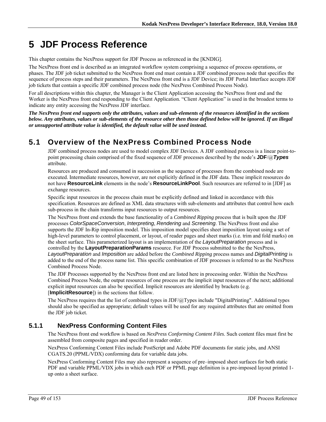# **5 JDF Process Reference**

This chapter contains the NexPress support for JDF Process as referenced in the [KNDIG].

The NexPress front end is described as an integrated workflow system comprising a sequence of process operations, or phases. The JDF job ticket submitted to the NexPress front end must contain a JDF combined process node that specifies the sequence of process steps and their parameters. The NexPress front end is a JDF Device; its JDF Portal Interface accepts JDF job tickets that contain a specific JDF combined process node (the NexPress Combined Process Node).

For all descriptions within this chapter, the Manager is the Client Application accessing the NexPress front end and the Worker is the NexPress front end responding to the Client Application. "Client Application" is used in the broadest terms to indicate any entity accessing the NexPress JDF interface.

*The NexPress front end supports only the attributes, values and sub-elements of the resources identified in the sections below. Any attributes, values or sub-elements of the resource other then those defined below will be ignored. If an illegal or unsupported attribute value is identified, the default value will be used instead.* 

### **5.1 Overview of the NexPress Combined Process Node**

JDF combined process nodes are used to model complex JDF Devices. A JDF combined process is a linear point-topoint processing chain comprised of the fixed sequence of JDF processes described by the node's **JDF**/@*Types* attribute.

Resources are produced and consumed in succession as the sequence of processes from the combined node are executed. Intermediate resources, however, are not explicitly defined in the JDF data. These implicit resources do not have **ResourceLink** elements in the node's **ResourceLinkPool**. Such resources are referred to in [JDF] as exchange resources.

Specific input resources in the process chain must be explicitly defined and linked in accordance with this specification. Resources are defined as XML data structures with sub-elements and attributes that control how each sub-process in the chain transforms input resources to output resources.

The NexPress front end extends the base functionality of a *Combined Ripping* process that is built upon the JDF processes *ColorSpaceConversion*, *Interpreting*, *Rendering* and *Screening*. The NexPress front end also supports the JDF In-Rip imposition model. This imposition model specifies sheet imposition layout using a set of high-level parameters to control placement, or layout, of reader pages and sheet marks (i.e. trim and fold marks) on the sheet surface. This parameterized layout is an implementation of the *LayoutPreparation* process and is controlled by the **LayoutPreparationParams** resource. For JDF Process submitted to the the NexPress, *LayoutPreparation* and *Imposition* are added before the *Combined Ripping* process names and *DigitalPrinting* is added to the end of the process name list. This specific combination of JDF processes is referred to as the NexPress Combined Process Node.

The JDF Processes supported by the NexPress front end are listed here in processing order. Within the NexPress Combined Process Node, the output resources of one process are the implicit input resources of the next; additional explicit input resources can also be specified. Implicit resources are identified by brackets (e.g. [**ImplicitResource**]) in the sections that follow.

The NexPress requires that the list of combined types in JDF/ $@T$ ypes include "DigitalPrinting". Additional types should also be specified as appropriate; default values will be used for any required attributes that are omitted from the JDF job ticket.

### **5.1.1 NexPress Conforming Content Files**

The NexPress front end workflow is based on *NexPress Conforming Content Files*. Such content files must first be assembled from composite pages and specified in reader order.

NexPress Conforming Content Files include PostScript and Adobe PDF documents for static jobs, and ANSI CGATS.20 (PPML/VDX) conforming data for variable data jobs.

NexPress Conforming Content Files may also represent a sequence of pre–imposed sheet surfaces for both static PDF and variable PPML/VDX jobs in which each PDF or PPML page definition is a pre-imposed layout printed 1 up onto a sheet surface.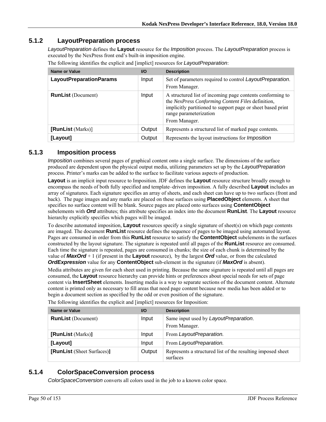### **5.1.2 LayoutPreparation process**

*LayoutPreparation* defines the **Layout** resource for the *Imposition* process. The *LayoutPreparation* process is executed by the NexPress front end's built-in imposition engine.

| Name or Value                  | $UO$   | <b>Description</b>                                                                                                                                                                                                       |
|--------------------------------|--------|--------------------------------------------------------------------------------------------------------------------------------------------------------------------------------------------------------------------------|
| <b>LayoutPreparationParams</b> | Input  | Set of parameters required to control LayoutPreparation.<br>From Manager.                                                                                                                                                |
| <b>RunList</b> (Document)      | Input  | A structured list of incoming page contents conforming to<br>the NexPress Conforming Content Files definition,<br>implicitly partitioned to support page or sheet based print<br>range parameterization<br>From Manager. |
| [RunList (Marks)]              | Output | Represents a structured list of marked page contents.                                                                                                                                                                    |
| [Layout]                       | Output | Represents the layout instructions for <i>Imposition</i>                                                                                                                                                                 |

The following identifies the explicit and [implict] resources for *LayoutPreparation*:

#### **5.1.3 Imposition process**

*Imposition* combines several pages of graphical content onto a single surface. The dimensions of the surface produced are dependent upon the physical output media, utilizing parameters set up by the *LayoutPreparation* process. Printer's marks can be added to the surface to facilitate various aspects of production.

**Layout** is an implicit input resource to Imposition. JDF defines the **Layout** resource structure broadly enough to encompass the needs of both fully specified and template–driven imposition. A fully described **Layout** includes an array of signatures. Each signature specifies an array of sheets, and each sheet can have up to two surfaces (front and back). The page images and any marks are placed on these surfaces using **PlacedObject** elements. A sheet that specifies no surface content will be blank. Source pages are placed onto surfaces using **ContentObject** subelements with *Ord* attributes; this attribute specifies an index into the document **RunList**. The **Layout** resource hierarchy explicitly specifies which pages will be imaged.

To describe automated imposition, **Layout** resources specify a single signature of sheet(s) on which page contents are imaged. The document **RunList** resource defines the sequence of pages to be imaged using automated layout. Pages are consumed in order from this **RunList** resource to satisfy the **ContentObject** subelements in the surfaces constructed by the layout signature. The signature is repeated until all pages of the **RunList** resource are consumed. Each time the signature is repeated, pages are consumed in chunks; the size of each chunk is determined by the value of *MaxOrd* + 1 (if present in the **Layout** resource), by the largest *Ord* value, or from the calculated *OrdExpression* value for any **ContentObject** sub-element in the signature (if *MaxOrd* is absent).

Media attributes are given for each sheet used in printing. Because the same signature is repeated until all pages are consumed, the **Layout** resource hierarchy can provide hints or preferences about special needs for sets of page content via **InsertSheet** elements. Inserting media is a way to separate sections of the document content. Alternate content is printed only as necessary to fill areas that need page content because new media has been added or to begin a document section as specified by the odd or even position of the signature.

| Name or Value              | <b>VO</b> | <b>Description</b>                                                      |
|----------------------------|-----------|-------------------------------------------------------------------------|
| <b>RunList</b> (Document)  | Input     | Same input used by LayoutPreparation.<br>From Manager.                  |
| [RunList (Marks)]          | Input     | From LayoutPreparation.                                                 |
| [Layout]                   | Input     | From LayoutPreparation.                                                 |
| [RunList (Sheet Surfaces)] | Output    | Represents a structured list of the resulting imposed sheet<br>surfaces |

The following identifies the explicit and [implict] resources for Imposition:

#### **5.1.4 ColorSpaceConversion process**

*ColorSpaceConversion* converts all colors used in the job to a known color space.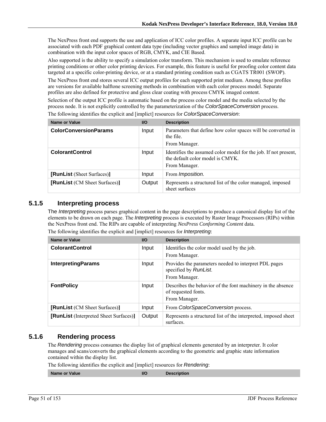The NexPress front end supports the use and application of ICC color profiles. A separate input ICC profile can be associated with each PDF graphical content data type (including vector graphics and sampled image data) in combination with the input color spaces of RGB, CMYK, and CIE Based.

Also supported is the ability to specify a simulation color transform. This mechanism is used to emulate reference printing conditions or other color printing devices. For example, this feature is useful for proofing color content data targeted at a specific color-printing device, or at a standard printing condition such as CGATS TR001 (SWOP).

The NexPress front end stores several ICC output profiles for each supported print medium. Among these profiles are versions for available halftone screening methods in combination with each color process model. Separate profiles are also defined for protective and gloss clear coating with process CMYK imaged content.

Selection of the output ICC profile is automatic based on the process color model and the media selected by the process node. It is not explicitly controlled by the parameterization of the *ColorSpaceConversion* process.

| Name or Value                        | $UO$   | <b>Description</b>                                                                                                   |
|--------------------------------------|--------|----------------------------------------------------------------------------------------------------------------------|
| <b>ColorConversionParams</b>         | Input  | Parameters that define how color spaces will be converted in<br>the file.<br>From Manager.                           |
| <b>ColorantControl</b>               | Input  | Identifies the assumed color model for the job. If not present,<br>the default color model is CMYK.<br>From Manager. |
| [RunList (Sheet Surfaces)]           | Input  | From <i>Imposition</i> .                                                                                             |
| <b>[RunList</b> (CM Sheet Surfaces)] | Output | Represents a structured list of the color managed, imposed<br>sheet surfaces                                         |

The following identifies the explicit and [implict] resources for *ColorSpaceConversion*:

#### **5.1.5 Interpreting process**

The *Interpreting* process parses graphical content in the page descriptions to produce a canonical display list of the elements to be drawn on each page. The *Interpreting* process is executed by Raster Image Processors (RIPs) within the NexPress front end. The RIPs are capable of interpreting *NexPress Conforming Content* data.

| <b>Name or Value</b>                   | $UO$   | <b>Description</b>                                                                                  |  |  |  |
|----------------------------------------|--------|-----------------------------------------------------------------------------------------------------|--|--|--|
| <b>ColorantControl</b>                 | Input  | Identifies the color model used by the job.                                                         |  |  |  |
|                                        |        | From Manager.                                                                                       |  |  |  |
| <b>InterpretingParams</b>              | Input  | Provides the parameters needed to interpret PDL pages<br>specified by RunList.                      |  |  |  |
|                                        |        | From Manager.                                                                                       |  |  |  |
| <b>FontPolicy</b>                      | Input  | Describes the behavior of the font machinery in the absence<br>of requested fonts.<br>From Manager. |  |  |  |
| [RunList (CM Sheet Surfaces)]          | Input  | From ColorSpaceConversion process.                                                                  |  |  |  |
| [RunList (Interpreted Sheet Surfaces)] | Output | Represents a structured list of the interpreted, imposed sheet<br>surfaces.                         |  |  |  |

The following identifies the explicit and [implict] resources for *Interpreting*:

#### **5.1.6 Rendering process**

The *Rendering* process consumes the display list of graphical elements generated by an interpreter. It color manages and scans/converts the graphical elements according to the geometric and graphic state information contained within the display list.

The following identifies the explicit and [implict] resources for *Rendering*:

**Name or Value III CONSUMINATION CONSUMING THE IVO Description**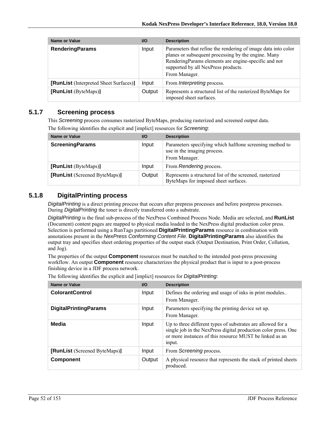| Name or Value                          | $U$    | <b>Description</b>                                                                                                                                                                                                                   |
|----------------------------------------|--------|--------------------------------------------------------------------------------------------------------------------------------------------------------------------------------------------------------------------------------------|
| <b>RenderingParams</b>                 | Input  | Parameters that refine the rendering of image data into color<br>planes or subsequent processing by the engine. Many<br>RenderingParams elements are engine-specific and not<br>supported by all NexPress products.<br>From Manager. |
| [RunList (Interpreted Sheet Surfaces)] | Input  | From <i>Interpreting</i> process.                                                                                                                                                                                                    |
| [RunList (ByteMaps)]                   | Output | Represents a structured list of the rasterized ByteMaps for<br>imposed sheet surfaces.                                                                                                                                               |

### **5.1.7 Screening process**

This *Screening* process consumes rasterized ByteMaps, producing rasterized and screened output data. The following identifies the explicit and [implict] resources for *Screening*:

| <b>Name or Value</b>          | <b>VO</b> | <b>Description</b>                                                                                       |
|-------------------------------|-----------|----------------------------------------------------------------------------------------------------------|
| <b>ScreeningParams</b>        | Input     | Parameters specifying which halftone screening method to<br>use in the imaging process.<br>From Manager. |
| [RunList (ByteMaps)]          | Input     | From Rendering process.                                                                                  |
| [RunList (Screened ByteMaps)] | Output    | Represents a structured list of the screened, rasterized<br>ByteMaps for imposed sheet surfaces.         |

### **5.1.8 DigitalPrinting process**

*DigitalPrinting* is a direct printing process that occurs after prepress processes and before postpress processes. During *DigitalPrinting* the toner is directly transferred onto a substrate.

*DigitalPrinting* is the final sub-process of the NexPress Combined Process Node. Media are selected, and **RunList** (Document) content pages are mapped to physical media loaded in the NexPress digital production color press. Selection is performed using a RunTags partitioned **DigitalPrintingParams** resource in combination with annotations present in the *NexPress Conforming Content File*. **DigitalPrintingParams** also identifies the output tray and specifies sheet ordering properties of the output stack (Output Destination, Print Order, Collation, and Jog).

The properties of the output **Component** resources must be matched to the intended post-press processing workflow. An output **Component** resource characterizes the physical product that is input to a post-process finishing device in a JDF process network.

| Name or Value                 | $UO$   | <b>Description</b>                                                                                                                                                                                 |
|-------------------------------|--------|----------------------------------------------------------------------------------------------------------------------------------------------------------------------------------------------------|
| <b>ColorantControl</b>        | Input  | Defines the ordering and usage of inks in print modules<br>From Manager.                                                                                                                           |
| <b>DigitalPrintingParams</b>  | Input  | Parameters specifying the printing device set up.<br>From Manager.                                                                                                                                 |
| <b>Media</b>                  | Input  | Up to three different types of substrates are allowed for a<br>single job in the NexPress digital production color press. One<br>or more instances of this resource MUST be linked as an<br>input. |
| [RunList (Screened ByteMaps)] | Input  | From Screening process.                                                                                                                                                                            |
| <b>Component</b>              | Output | A physical resource that represents the stack of printed sheets<br>produced.                                                                                                                       |

The following identifies the explicit and [implict] resources for *DigitalPrinting*: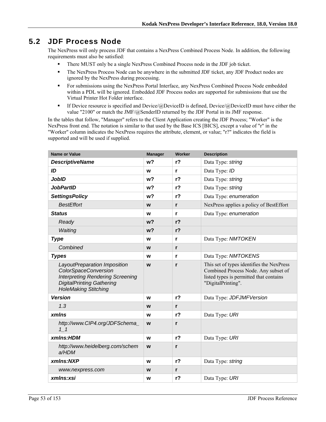### **5.2 JDF Process Node**

The NexPress will only process JDF that contains a NexPress Combined Process Node. In addition, the following requirements must also be satisfied:

- There MUST only be a single NexPress Combined Process node in the JDF job ticket.
- The NexPress Process Node can be anywhere in the submitted JDF ticket, any JDF Product nodes are ignored by the NexPress during processing.
- For submissions using the NexPress Portal Interface, any NexPress Combined Process Node embedded within a PDL will be ignored. Embedded JDF Process nodes are supported for submissions that use the Virtual Printer Hot Folder interface.
- **If Device resource is specified and Device/@DeviceID is defined, Device/@DeviceID must have either the** value "2100" or match the JMF/@SenderID returned by the JDF Portal in its JMF response.

In the tables that follow, "Manager" refers to the Client Application creating the JDF Process; "Worker" is the NexPress front end. The notation is similar to that used by the Base ICS [BICS], except a value of "r" in the "Worker" column indicates the NexPress requires the attribute, element, or value; "r?" indicates the field is supported and will be used if supplied.

| <b>Name or Value</b>                                                                                                                                                      | <b>Manager</b> | <b>Worker</b>  | <b>Description</b>                                                                                                                                 |
|---------------------------------------------------------------------------------------------------------------------------------------------------------------------------|----------------|----------------|----------------------------------------------------------------------------------------------------------------------------------------------------|
| <b>DescriptiveName</b>                                                                                                                                                    | w <sub>2</sub> | r <sub>2</sub> | Data Type: string                                                                                                                                  |
| ID                                                                                                                                                                        | W              | r              | Data Type: ID                                                                                                                                      |
| <b>JobID</b>                                                                                                                                                              | w?             | r <sub>2</sub> | Data Type: string                                                                                                                                  |
| <b>JobPartID</b>                                                                                                                                                          | w?             | r <sub>2</sub> | Data Type: string                                                                                                                                  |
| <b>SettingsPolicy</b>                                                                                                                                                     | w <sub>2</sub> | r <sub>2</sub> | Data Type: enumeration                                                                                                                             |
| <b>BestEffort</b>                                                                                                                                                         | W              | $\mathbf{r}$   | NexPress applies a policy of BestEffort                                                                                                            |
| <b>Status</b>                                                                                                                                                             | W              | r              | Data Type: enumeration                                                                                                                             |
| Ready                                                                                                                                                                     | w <sub>2</sub> | r <sub>2</sub> |                                                                                                                                                    |
| Waiting                                                                                                                                                                   | w <sub>2</sub> | $r$ ?          |                                                                                                                                                    |
| <b>Type</b>                                                                                                                                                               | W              | r              | Data Type: NMTOKEN                                                                                                                                 |
| Combined                                                                                                                                                                  | W              | $\mathsf{r}$   |                                                                                                                                                    |
| <b>Types</b>                                                                                                                                                              | W              | r              | Data Type: NMTOKENS                                                                                                                                |
| LayoutPreparation Imposition<br><b>ColorSpaceConversion</b><br><b>Interpreting Rendering Screening</b><br><b>DigitalPrinting Gathering</b><br><b>HoleMaking Stitching</b> | W              | $\mathbf{r}$   | This set of types identifies the NexPress<br>Combined Process Node. Any subset of<br>listed types is permitted that contains<br>"DigitalPrinting". |
| <b>Version</b>                                                                                                                                                            | w              | r <sub>2</sub> | Data Type: JDFJMFVersion                                                                                                                           |
| 1.3                                                                                                                                                                       | W              | $\mathsf{r}$   |                                                                                                                                                    |
| xmlns                                                                                                                                                                     | W              | r <sub>2</sub> | Data Type: URI                                                                                                                                     |
| http://www.CIP4.org/JDFSchema<br>11                                                                                                                                       | W              | $\mathsf{r}$   |                                                                                                                                                    |
| xmlns:HDM                                                                                                                                                                 | W              | $r$ ?          | Data Type: URI                                                                                                                                     |
| http://www.heidelberg.com/schem<br>a/HDM                                                                                                                                  | W              | $\mathsf{r}$   |                                                                                                                                                    |
| xmlns:NXP                                                                                                                                                                 | W              | r <sub>2</sub> | Data Type: string                                                                                                                                  |
| www.nexpress.com                                                                                                                                                          | W              | $\mathbf{r}$   |                                                                                                                                                    |
| xmlns:xsi                                                                                                                                                                 | w              | r?             | Data Type: URI                                                                                                                                     |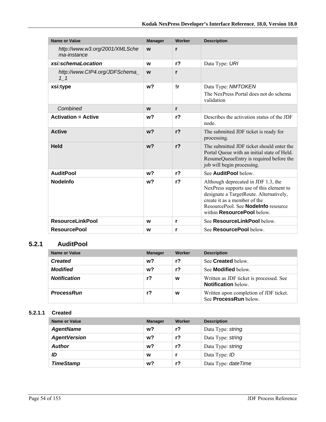| <b>Name or Value</b>                          | <b>Manager</b> | Worker         | <b>Description</b>                                                                                                                                                                                                                     |
|-----------------------------------------------|----------------|----------------|----------------------------------------------------------------------------------------------------------------------------------------------------------------------------------------------------------------------------------------|
| http://www.w3.org/2001/XMLSche<br>ma-instance | W              | r              |                                                                                                                                                                                                                                        |
| xsi:schemaLocation                            | W              | r <sub>2</sub> | Data Type: URI                                                                                                                                                                                                                         |
| http://www.CIP4.org/JDFSchema_<br>11          | W              | r              |                                                                                                                                                                                                                                        |
| xsi:type                                      | w <sub>2</sub> | !r             | Data Type: NMTOKEN<br>The Nex Press Portal does not do schema<br>validation                                                                                                                                                            |
| Combined                                      | W              | r              |                                                                                                                                                                                                                                        |
| <b>Activation = Active</b>                    | w?             | r <sub>2</sub> | Describes the activation status of the JDF<br>node.                                                                                                                                                                                    |
| <b>Active</b>                                 | w <sub>2</sub> | r <sub>2</sub> | The submitted JDF ticket is ready for<br>processing.                                                                                                                                                                                   |
| <b>Held</b>                                   | w <sub>2</sub> | r <sub>2</sub> | The submitted JDF ticket should enter the<br>Portal Queue with an initial state of Held.<br>ResumeQueueEntry is required before the<br>job will begin processing.                                                                      |
| <b>AuditPool</b>                              | w <sub>2</sub> | r <sub>2</sub> | See <b>AuditPool</b> below                                                                                                                                                                                                             |
| <b>Nodelnfo</b>                               | w <sub>2</sub> | r <sub>2</sub> | Although deprecated in JDF 1.3, the<br>NexPress supports use of this element to<br>designate a TargetRoute. Alternatively,<br>create it as a member of the<br>ResourcePool. See <b>Nodelnfo</b> resource<br>within ResourcePool below. |
| <b>ResourceLinkPool</b>                       | W              | r              | See ResourceLinkPool below.                                                                                                                                                                                                            |
| <b>ResourcePool</b>                           | w              | r              | See ResourcePool below.                                                                                                                                                                                                                |

### **5.2.1 AuditPool**

| Name or Value       | <b>Manager</b> | Worker         | <b>Description</b>                                                     |
|---------------------|----------------|----------------|------------------------------------------------------------------------|
| <b>Created</b>      | w?             | r <sub>2</sub> | See <b>Created</b> below.                                              |
| <b>Modified</b>     | w?             | r?             | See <b>Modified</b> below.                                             |
| <b>Notification</b> | r?             | W              | Written as JDF ticket is processed. See<br><b>Notification</b> below.  |
| <b>ProcessRun</b>   | r?             | W              | Written upon completion of JDF ticket.<br>See <b>ProcessRun</b> below. |

### **5.2.1.1 Created**

| <b>Name or Value</b> | <b>Manager</b> | Worker | <b>Description</b>   |
|----------------------|----------------|--------|----------------------|
| <b>AgentName</b>     | w?             | $r$ ?  | Data Type: string    |
| <b>AgentVersion</b>  | w?             | $r$ ?  | Data Type: string    |
| <b>Author</b>        | w?             | $r$ ?  | Data Type: string    |
| ID                   | W              |        | Data Type: ID        |
| <b>TimeStamp</b>     | w?             | r?     | Data Type: date Time |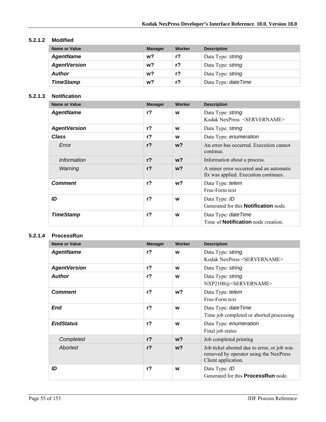#### **5.2.1.2 Modified**

| Name or Value       | <b>Manager</b> | Worker         | <b>Description</b>   |
|---------------------|----------------|----------------|----------------------|
| <b>AgentName</b>    | w?             | r?             | Data Type: string    |
| <b>AgentVersion</b> | w?             | r <sub>2</sub> | Data Type: string    |
| <b>Author</b>       | w?             | r?             | Data Type: string    |
| <b>TimeStamp</b>    | w?             | r?             | Data Type: date Time |

#### **5.2.1.3 Notification**

| <b>Name or Value</b> | <b>Manager</b> | Worker         | <b>Description</b>                                                               |
|----------------------|----------------|----------------|----------------------------------------------------------------------------------|
| <b>AgentName</b>     | r <sub>2</sub> | W              | Data Type: string<br>Kodak NexPress <servername></servername>                    |
| <b>AgentVersion</b>  | r <sub>2</sub> | w              | Data Type: string                                                                |
| Class                | $r$ ?          | W              | Data Type: enumeration                                                           |
| Error                | r <sub>2</sub> | w <sub>2</sub> | An error has occurred. Execution cannot<br>continue.                             |
| Information          | r <sub>2</sub> | $w$ ?          | Information about a process.                                                     |
| Warning              | r <sub>2</sub> | w <sub>2</sub> | A minor error occurred and an automatic<br>fix was applied. Execution continues. |
| <b>Comment</b>       | r <sub>2</sub> | w?             | Data Type: telem<br>Free-Form text                                               |
| ID                   | $r$ ?          | W              | Data Type: ID<br>Generated for this <b>Notification</b> node.                    |
| <b>TimeStamp</b>     | $r$ ?          | W              | Data Type: <i>dateTime</i><br>Time of <b>Notification</b> node creation.         |

#### **5.2.1.4 ProcessRun**

| Name or Value       | <b>Manager</b> | Worker         | <b>Description</b>                                                                                           |
|---------------------|----------------|----------------|--------------------------------------------------------------------------------------------------------------|
| <b>AgentName</b>    | $r$ ?          | W              | Data Type: string<br>Kodak NexPress <servername></servername>                                                |
| <b>AgentVersion</b> | r <sub>2</sub> | W              | Data Type: string                                                                                            |
| <b>Author</b>       | r <sub>2</sub> | W              | Data Type: string<br>NXP2100@ <servername></servername>                                                      |
| <b>Comment</b>      | $r$ ?          | w?             | Data Type: telem<br>Free-Form text                                                                           |
| <b>End</b>          | r <sub>2</sub> | W              | Data Type: date Time<br>Time job completed or aborted processing                                             |
| <b>EndStatus</b>    | $r$ ?          | W              | Data Type: enumeration<br>Final job status                                                                   |
| Completed           | r <sub>2</sub> | $w$ ?          | Job completed printing                                                                                       |
| Aborted             | $r$ ?          | w <sub>2</sub> | Job ticket aborted due to error, or job was<br>removed by operator using the NexPress<br>Client application. |
| ID                  | $r$ ?          | W              | Data Type: ID<br>Generated for this <b>ProcessRun</b> node.                                                  |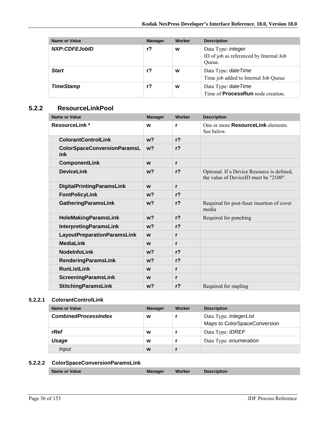| Name or Value    | <b>Manager</b> | Worker | <b>Description</b>                                                             |
|------------------|----------------|--------|--------------------------------------------------------------------------------|
| NXP:CDFEJobID    | r?             | W      | Data Type: <i>integer</i><br>ID of job as referenced by Internal Job<br>Oueue. |
| <b>Start</b>     | r?             | W      | Data Type: date Time<br>Time job added to Internal Job Queue                   |
| <b>TimeStamp</b> | r?             | W      | Data Type: date Time<br>Time of <b>ProcessRun</b> node creation.               |

#### **5.2.2 ResourceLinkPool**

| <b>Name or Value</b>                      | <b>Manager</b> | Worker         | <b>Description</b>                                                                  |
|-------------------------------------------|----------------|----------------|-------------------------------------------------------------------------------------|
| <b>ResourceLink</b> *                     | W              | r              | One or more <b>ResourceLink</b> elements.<br>See below.                             |
| <b>ColorantControlLink</b>                | $w$ ?          | r <sub>2</sub> |                                                                                     |
| <b>ColorSpaceConversionParamsL</b><br>ink | w <sub>2</sub> | r <sub>2</sub> |                                                                                     |
| ComponentLink                             | W              | r              |                                                                                     |
| <b>DeviceLink</b>                         | $w$ ?          | r <sub>2</sub> | Optional. If a Device Resource is defined,<br>the value of DeviceID must be "2100". |
| <b>DigitalPrintingParamsLink</b>          | W              | $\mathbf{r}$   |                                                                                     |
| <b>FontPolicyLink</b>                     | $w$ ?          | r <sub>2</sub> |                                                                                     |
| <b>GatheringParamsLink</b>                | w <sub>2</sub> | r <sub>2</sub> | Required for post-fuser insertion of cover<br>media                                 |
| <b>HoleMakingParamsLink</b>               | $w$ ?          | r <sub>2</sub> | Required for punching                                                               |
| <b>InterpretingParamsLink</b>             | $w$ ?          | r <sub>2</sub> |                                                                                     |
| <b>LayoutPreparationParamsLink</b>        | W              | r              |                                                                                     |
| <b>MediaLink</b>                          | W              | r              |                                                                                     |
| <b>NodeInfoLink</b>                       | $w$ ?          | r <sub>2</sub> |                                                                                     |
| <b>RenderingParamsLink</b>                | w <sub>2</sub> | r <sub>2</sub> |                                                                                     |
| <b>RunListLink</b>                        | W              | r              |                                                                                     |
| <b>ScreeningParamsLink</b>                | W              | r              |                                                                                     |
| <b>StitchingParamsLink</b>                | $w$ ?          | r <sub>2</sub> | Required for stapling                                                               |

#### **5.2.2.1 ColorantControlLink**

| Name or Value               | <b>Manager</b> | Worker | <b>Description</b>           |
|-----------------------------|----------------|--------|------------------------------|
| <b>CombinedProcessIndex</b> | W              |        | Data Type: IntegerList       |
|                             |                |        | Maps to ColorSpaceConversion |
| rRef                        | W              |        | Data Type: <b>IDREF</b>      |
| Usage                       | W              |        | Data Type: enumeration       |
| Input                       | W              |        |                              |

### **5.2.2.2 ColorSpaceConversionParamsLink**

|--|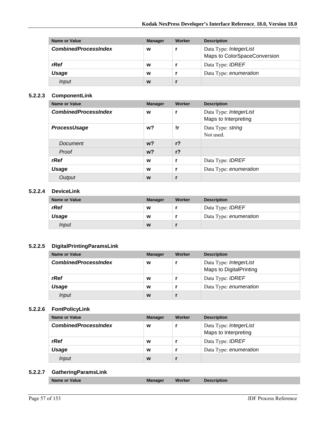| Name or Value               | <b>Manager</b> | Worker | <b>Description</b>                                     |
|-----------------------------|----------------|--------|--------------------------------------------------------|
| <b>CombinedProcessIndex</b> | W              |        | Data Type: IntegerList<br>Maps to ColorSpaceConversion |
| rRef                        | W              |        | Data Type: <b>IDREF</b>                                |
| Usage                       | W              |        | Data Type: enumeration                                 |
| Input                       | W              |        |                                                        |

#### **5.2.2.3 ComponentLink**

| <b>Name or Value</b>        | <b>Manager</b> | Worker         | <b>Description</b>                             |
|-----------------------------|----------------|----------------|------------------------------------------------|
| <b>CombinedProcessIndex</b> | W              | r              | Data Type: IntegerList<br>Maps to Interpreting |
| ProcessUsage                | w?             | !r             | Data Type: string<br>Not used.                 |
| Document                    | w <sup>2</sup> | r <sub>2</sub> |                                                |
| Proof                       | w <sup>2</sup> | r <sub>2</sub> |                                                |
| rRef                        | W              | r              | Data Type: <b>IDREF</b>                        |
| <b>Usage</b>                | W              |                | Data Type: enumeration                         |
| Output                      | W              |                |                                                |

#### **5.2.2.4 DeviceLink**

| <b>Name or Value</b> | <b>Manager</b> | Worker | <b>Description</b>      |
|----------------------|----------------|--------|-------------------------|
| rRef                 | W              |        | Data Type: <i>IDREF</i> |
| Usage                | w              |        | Data Type: enumeration  |
| Input                | W              |        |                         |

### **5.2.2.5 DigitalPrintingParamsLink**

| Name or Value               | <b>Manager</b> | Worker | <b>Description</b>      |
|-----------------------------|----------------|--------|-------------------------|
| <b>CombinedProcessIndex</b> | W              |        | Data Type: IntegerList  |
|                             |                |        | Maps to DigitalPrinting |
| rRef                        | W              |        | Data Type: <b>IDREF</b> |
| Usage                       | W              |        | Data Type: enumeration  |
| Input                       | W              |        |                         |

#### **5.2.2.6 FontPolicyLink**

| Name or Value               | <b>Manager</b> | Worker | <b>Description</b>                             |
|-----------------------------|----------------|--------|------------------------------------------------|
| <b>CombinedProcessIndex</b> | W              |        | Data Type: IntegerList<br>Maps to Interpreting |
| rRef                        | W              |        | Data Type: <i>IDREF</i>                        |
| Usage                       | W              |        | Data Type: enumeration                         |
| Input                       | W              |        |                                                |

#### **5.2.2.7 GatheringParamsLink**

|--|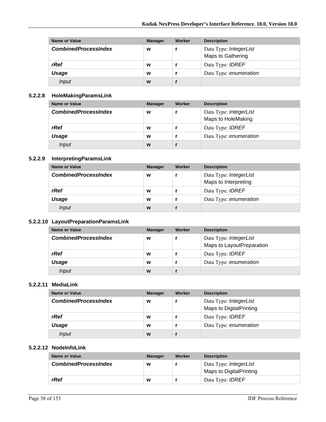| Name or Value               | <b>Manager</b> | Worker | <b>Description</b>                          |
|-----------------------------|----------------|--------|---------------------------------------------|
| <b>CombinedProcessIndex</b> | W              |        | Data Type: IntegerList<br>Maps to Gathering |
| rRef                        | W              |        | Data Type: <b>IDREF</b>                     |
| Usage                       | W              |        | Data Type: enumeration                      |
| Input                       | W              |        |                                             |

#### **5.2.2.8 HoleMakingParamsLink**

| Name or Value               | <b>Manager</b> | Worker | <b>Description</b>                           |
|-----------------------------|----------------|--------|----------------------------------------------|
| <b>CombinedProcessIndex</b> | W              |        | Data Type: IntegerList<br>Maps to HoleMaking |
| rRef                        | W              |        | Data Type: <b>IDREF</b>                      |
| Usage                       | W              |        | Data Type: enumeration                       |
| Input                       | W              |        |                                              |

#### **5.2.2.9 InterpretingParamsLink**

| Name or Value               | <b>Manager</b> | Worker | <b>Description</b>      |
|-----------------------------|----------------|--------|-------------------------|
| <b>CombinedProcessIndex</b> | W              |        | Data Type: IntegerList  |
|                             |                |        | Maps to Interpreting    |
| rRef                        | W              |        | Data Type: <b>IDREF</b> |
| Usage                       | W              |        | Data Type: enumeration  |
| <i>Input</i>                | W              |        |                         |

#### **5.2.2.10 LayoutPreparationParamsLink**

| Name or Value               | <b>Manager</b> | Worker | <b>Description</b>        |
|-----------------------------|----------------|--------|---------------------------|
| <b>CombinedProcessIndex</b> | W              |        | Data Type: IntegerList    |
|                             |                |        | Maps to LayoutPreparation |
| rRef                        | w              |        | Data Type: <b>IDREF</b>   |
| Usage                       | W              |        | Data Type: enumeration    |
| Input                       | W              |        |                           |

#### **5.2.2.11 MediaLink**

| Name or Value               | <b>Manager</b> | Worker | <b>Description</b>                                |
|-----------------------------|----------------|--------|---------------------------------------------------|
| <b>CombinedProcessIndex</b> | W              |        | Data Type: IntegerList<br>Maps to DigitalPrinting |
|                             |                |        |                                                   |
| rRef                        | W              |        | Data Type: <b>IDREF</b>                           |
| Usage                       | W              |        | Data Type: enumeration                            |
| Input                       | W              |        |                                                   |

#### **5.2.2.12 NodeInfoLink**

| Name or Value               | <b>Manager</b> | Worker | <b>Description</b>                                       |
|-----------------------------|----------------|--------|----------------------------------------------------------|
| <b>CombinedProcessIndex</b> | w              |        | Data Type: <i>IntegerList</i><br>Maps to DigitalPrinting |
| rRef                        | w              |        | Data Type: <b>IDREF</b>                                  |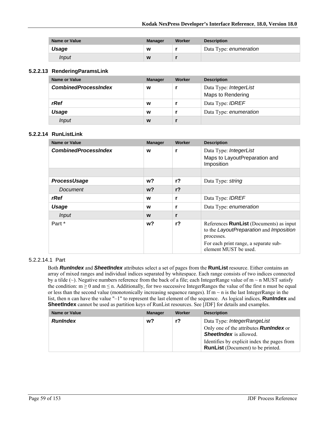| <b>Name or Value</b> | <b>Manager</b> | Worker | <b>Description</b>     |
|----------------------|----------------|--------|------------------------|
| Usage                | W              |        | Data Type: enumeration |
| Input                | W              |        |                        |

#### **5.2.2.13 RenderingParamsLink**

| Name or Value               | <b>Manager</b> | Worker | <b>Description</b>                          |
|-----------------------------|----------------|--------|---------------------------------------------|
| <b>CombinedProcessIndex</b> | W              |        | Data Type: IntegerList<br>Maps to Rendering |
| rRef                        | W              |        | Data Type: <b>IDREF</b>                     |
| Usage                       | W              |        | Data Type: enumeration                      |
| <i>Input</i>                | W              |        |                                             |

#### **5.2.2.14 RunListLink**

| <b>Name or Value</b>        | <b>Manager</b> | Worker         | <b>Description</b>                                                                                                                                                        |
|-----------------------------|----------------|----------------|---------------------------------------------------------------------------------------------------------------------------------------------------------------------------|
| <b>CombinedProcessIndex</b> | W              | r              | Data Type: IntegerList<br>Maps to LayoutPreparation and<br>Imposition                                                                                                     |
|                             |                |                |                                                                                                                                                                           |
| <b>ProcessUsage</b>         | w?             | r <sub>2</sub> | Data Type: string                                                                                                                                                         |
| Document                    | $w$ ?          | r <sub>2</sub> |                                                                                                                                                                           |
| rRef                        | W              | r              | Data Type: <b>IDREF</b>                                                                                                                                                   |
| Usage                       | w              | r              | Data Type: enumeration                                                                                                                                                    |
| <b>Input</b>                | W              | r              |                                                                                                                                                                           |
| Part *                      | w?             | $r$ ?          | References <b>RunList</b> (Documents) as input<br>to the LayoutPreparation and Imposition<br>processes.<br>For each print range, a separate sub-<br>element MUST be used. |

#### 5.2.2.14.1 Part

Both *RunIndex* and *SheetIndex* attributes select a set of pages from the **RunList** resource. Either contains an array of mixed ranges and individual indices separated by whitespace. Each range consists of two indices connected by a tilde ( $\sim$ ). Negative numbers reference from the back of a file; each IntegerRange value of m  $\sim$  n MUST satisfy the condition:  $m \ge 0$  and  $m \le n$ . Additionally, for two successive IntegerRanges the value of the first n must be equal or less than the second value (monotonically increasing sequence ranges). If  $m \sim n$  is the last IntegerRange in the list, then n can have the value "-1" to represent the last element of the sequence. As logical indices, **RunIndex** and **SheetIndex** cannot be used as partition keys of RunList resources. See [JDF] for details and examples.

| <b>Name or Value</b> | <b>Manager</b> | Worker | <b>Description</b>                                                                                            |
|----------------------|----------------|--------|---------------------------------------------------------------------------------------------------------------|
| <b>RunIndex</b>      | w?             | r?     | Data Type: IntegerRangeList<br>Only one of the attributes <b>Runlndex</b> or<br><b>SheetIndex</b> is allowed. |
|                      |                |        | Identifies by explicit index the pages from<br><b>RunList</b> (Document) to be printed.                       |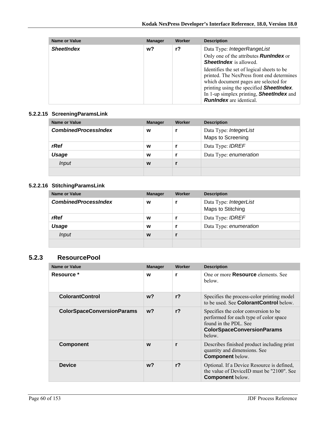| Name or Value     | <b>Manager</b> | Worker | <b>Description</b>                                                                                                                                                                                                                                                         |
|-------------------|----------------|--------|----------------------------------------------------------------------------------------------------------------------------------------------------------------------------------------------------------------------------------------------------------------------------|
| <b>SheetIndex</b> | w?             | $r$ ?  | Data Type: IntegerRangeList<br>Only one of the attributes <b>Runlndex</b> or<br><b>SheetIndex</b> is allowed.                                                                                                                                                              |
|                   |                |        | Identifies the set of logical sheets to be<br>printed. The NexPress front end determines<br>which document pages are selected for<br>printing using the specified <b>SheetIndex</b> .<br>In 1-up simplex printing, <b>SheetIndex</b> and<br><b>RunIndex</b> are identical. |

#### **5.2.2.15 ScreeningParamsLink**

| Name or Value               | <b>Manager</b> | Worker | <b>Description</b>                          |
|-----------------------------|----------------|--------|---------------------------------------------|
| <b>CombinedProcessIndex</b> | W              |        | Data Type: IntegerList<br>Maps to Screening |
| rRef                        | W              |        | Data Type: <b>IDREF</b>                     |
| Usage                       | W              |        | Data Type: enumeration                      |
| <i>Input</i>                | W              |        |                                             |
|                             |                |        |                                             |

### **5.2.2.16 StitchingParamsLink**

| <b>Name or Value</b>        | <b>Manager</b> | Worker | <b>Description</b>                          |
|-----------------------------|----------------|--------|---------------------------------------------|
| <b>CombinedProcessIndex</b> | W              |        | Data Type: IntegerList<br>Maps to Stitching |
| rRef                        | W              |        | Data Type: <b>IDREF</b>                     |
| Usage                       | W              |        | Data Type: enumeration                      |
| <i>Input</i>                | W              |        |                                             |
|                             |                |        |                                             |

### **5.2.3 ResourcePool**

| <b>Name or Value</b>              | <b>Manager</b> | Worker         | <b>Description</b>                                                                                                                                      |
|-----------------------------------|----------------|----------------|---------------------------------------------------------------------------------------------------------------------------------------------------------|
| Resource *                        | w              | r              | One or more <b>Resource</b> elements See<br>below.                                                                                                      |
| <b>ColorantControl</b>            | $w$ ?          | r <sub>2</sub> | Specifies the process-color printing model<br>to be used. See <b>ColorantControl</b> below.                                                             |
| <b>ColorSpaceConversionParams</b> | w <sub>2</sub> | r <sub>2</sub> | Specifies the color conversion to be.<br>performed for each type of color space<br>found in the PDL. See<br><b>ColorSpaceConversionParams</b><br>below. |
| <b>Component</b>                  | W              | r              | Describes finished product including print<br>quantity and dimensions. See<br><b>Component</b> below.                                                   |
| <b>Device</b>                     | $w$ ?          | r <sub>2</sub> | Optional. If a Device Resource is defined,<br>the value of DeviceID must be "2100". See<br><b>Component</b> below.                                      |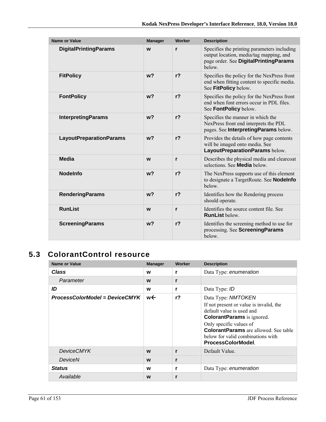| <b>Name or Value</b>           | <b>Manager</b> | Worker         | <b>Description</b>                                                                                                                       |
|--------------------------------|----------------|----------------|------------------------------------------------------------------------------------------------------------------------------------------|
| <b>DigitalPrintingParams</b>   | W              | r              | Specifies the printing parameters including<br>output location, media/tag mapping, and<br>page order. See DigitalPrintingParams<br>helow |
| <b>FitPolicy</b>               | w <sub>2</sub> | r <sub>2</sub> | Specifies the policy for the NexPress front<br>end when fitting content to specific media.<br>See FitPolicy below.                       |
| <b>FontPolicy</b>              | $w$ ?          | $r$ ?          | Specifies the policy for the NexPress front<br>end when font errors occur in PDL files.<br>See FontPolicy below.                         |
| <b>InterpretingParams</b>      | w <sub>2</sub> | r <sub>2</sub> | Specifies the manner in which the<br>NexPress front end interprets the PDL<br>pages. See Interpreting Params below.                      |
| <b>LayoutPreparationParams</b> | w <sub>2</sub> | $r$ ?          | Provides the details of how page contents<br>will be imaged onto media. See<br>LayoutPreparationParams below.                            |
| Media                          | W              | r              | Describes the physical media and clearcoat<br>selections. See <b>Media</b> below.                                                        |
| <b>Nodelnfo</b>                | $w$ ?          | $r$ ?          | The NexPress supports use of this element<br>to designate a TargetRoute. See Nodelnfo<br>below.                                          |
| <b>RenderingParams</b>         | w <sub>2</sub> | r <sub>2</sub> | Identifies how the Rendering process<br>should operate.                                                                                  |
| <b>RunList</b>                 | W              | r              | Identifies the source content file. See<br><b>RunList below.</b>                                                                         |
| <b>ScreeningParams</b>         | w <sub>2</sub> | r <sub>2</sub> | Identifies the screening method to use for<br>processing. See ScreeningParams<br>below.                                                  |

# **5.3 ColorantControl resource**

| <b>Name or Value</b>           | <b>Manager</b> | Worker | <b>Description</b>                                                                                                                                                                                                                                                   |
|--------------------------------|----------------|--------|----------------------------------------------------------------------------------------------------------------------------------------------------------------------------------------------------------------------------------------------------------------------|
| Class                          | w              | r      | Data Type: enumeration                                                                                                                                                                                                                                               |
| Parameter                      | W              | r      |                                                                                                                                                                                                                                                                      |
| ID                             | W              | r      | Data Type: ID                                                                                                                                                                                                                                                        |
| ProcessColorModel = DeviceCMYK | w←             | $r$ ?  | Data Type: NMTOKEN<br>If not present or value is invalid, the<br>default value is used and<br><b>ColorantParams</b> is ignored.<br>Only specific values of<br><b>ColorantParams</b> are allowed. See table<br>below for valid combinations with<br>ProcessColorModel |
| <b>DeviceCMYK</b>              | W              | r      | Default Value.                                                                                                                                                                                                                                                       |
| DeviceN                        | W              | r      |                                                                                                                                                                                                                                                                      |
| <b>Status</b>                  | w              | r      | Data Type: enumeration                                                                                                                                                                                                                                               |
| Available                      | W              | r      |                                                                                                                                                                                                                                                                      |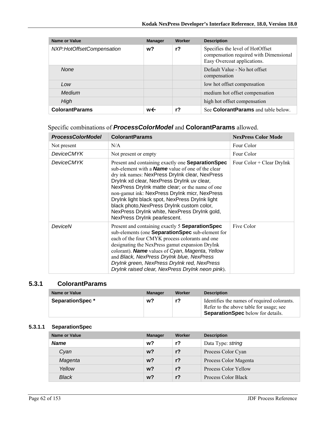| Name or Value             | <b>Manager</b> | Worker | <b>Description</b>                                                                                        |
|---------------------------|----------------|--------|-----------------------------------------------------------------------------------------------------------|
| NXP:HotOffsetCompensation | w?             | r?     | Specifies the level of HotOffset<br>compensation required with Dimensional<br>Easy Overcoat applications. |
| None                      |                |        | Default Value - No hot offset<br>compensation                                                             |
| Low                       |                |        | low hot offset compensation                                                                               |
| Medium                    |                |        | medium hot offset compensation                                                                            |
| High                      |                |        | high hot offset compensation                                                                              |
| <b>ColorantParams</b>     | w←             | r?     | See <b>ColorantParams</b> and table below.                                                                |

### Specific combinations of *ProcessColorModel* and **ColorantParams** allowed.

| <b>ProcessColorModel</b> | <b>ColorantParams</b>                                                                                                                                                                                                                                                                                                                                                                                                                                                                                     | <b>NexPress Color Mode</b> |
|--------------------------|-----------------------------------------------------------------------------------------------------------------------------------------------------------------------------------------------------------------------------------------------------------------------------------------------------------------------------------------------------------------------------------------------------------------------------------------------------------------------------------------------------------|----------------------------|
| Not present              | N/A                                                                                                                                                                                                                                                                                                                                                                                                                                                                                                       | Four Color                 |
| <b>DeviceCMYK</b>        | Not present or empty                                                                                                                                                                                                                                                                                                                                                                                                                                                                                      | Four Color                 |
| <b>DeviceCMYK</b>        | Present and containing exactly one <b>Separation Spec</b><br>sub-element with a <b>Name</b> value of one of the clear<br>dry ink names: NexPress DryInk clear, NexPress<br>Drylnk xd clear, NexPress Drylnk uv clear,<br>NexPress Drylnk matte clear; or the name of one<br>non-gamut ink: NexPress DryInk micr, NexPress<br>DryInk light black spot, NexPress DryInk light<br>black photo, NexPress DryInk custom color,<br>NexPress DryInk white, NexPress DryInk gold,<br>NexPress DryInk pearlescent. | Four Color + Clear DryInk  |
| DeviceN                  | Present and containing exactly 5 <b>Separation Spec</b><br>sub-elements (one <b>Separation Spec</b> sub-element for<br>each of the four CMYK process colorants and one<br>designating the NexPress gamut expansion DryInk<br>colorant). Name values of Cyan, Magenta, Yellow<br>and Black, NexPress DryInk blue, NexPress<br>DryInk green, NexPress DryInk red, NexPress<br>DryInk raised clear, NexPress DryInk neon pink).                                                                              | Five Color                 |

#### **5.3.1 ColorantParams**

| <b>Name or Value</b>   | <b>Manager</b> | Worker | <b>Description</b>                                                                                                                 |
|------------------------|----------------|--------|------------------------------------------------------------------------------------------------------------------------------------|
| <b>SeparationSpec*</b> | w?             | r?     | Identifies the names of required colorants.<br>Refer to the above table for usage; see<br><b>SeparationSpec</b> below for details. |

#### **5.3.1.1 SeparationSpec**

| <b>Name or Value</b> | <b>Manager</b> | Worker         | <b>Description</b>    |
|----------------------|----------------|----------------|-----------------------|
| <b>Name</b>          | w <sub>2</sub> | $r$ ?          | Data Type: string     |
| Cyan                 | w <sub>2</sub> | $r$ ?          | Process Color Cyan    |
| Magenta              | w <sub>2</sub> | $r$ ?          | Process Color Magenta |
| Yellow               | w <sub>2</sub> | r <sub>2</sub> | Process Color Yellow  |
| Black                | w?             | r?             | Process Color Black   |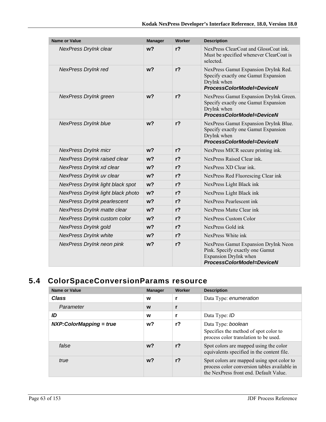| Name or Value                      | <b>Manager</b> | <b>Worker</b>  | <b>Description</b>                                                                                                            |
|------------------------------------|----------------|----------------|-------------------------------------------------------------------------------------------------------------------------------|
| NexPress DryInk clear              | w <sub>2</sub> | r <sub>2</sub> | NexPress ClearCoat and GlossCoat ink.<br>Must be specified whenever ClearCoat is<br>selected.                                 |
| <b>NexPress DryInk red</b>         | w <sub>2</sub> | $r$ ?          | NexPress Gamut Expansion DryInk Red.<br>Specify exactly one Gamut Expansion<br>DryInk when<br>ProcessColorModel=DeviceN       |
| NexPress DryInk green              | w <sub>2</sub> | $r$ ?          | NexPress Gamut Expansion DryInk Green.<br>Specify exactly one Gamut Expansion<br>DryInk when<br>ProcessColorModel=DeviceN     |
| <b>NexPress DryInk blue</b>        | w <sup>2</sup> | $r$ ?          | NexPress Gamut Expansion DryInk Blue.<br>Specify exactly one Gamut Expansion<br>DryInk when<br>ProcessColorModel=DeviceN      |
| <b>NexPress DryInk micr</b>        | w <sub>2</sub> | $r$ ?          | NexPress MICR secure printing ink.                                                                                            |
| NexPress DryInk raised clear       | $w$ ?          | $r$ ?          | NexPress Raised Clear ink.                                                                                                    |
| NexPress DryInk xd clear           | w <sub>2</sub> | $r$ ?          | NexPress XD Clear ink.                                                                                                        |
| NexPress DryInk uv clear           | w <sub>2</sub> | r <sub>2</sub> | NexPress Red Fluorescing Clear ink                                                                                            |
| NexPress DryInk light black spot   | w <sub>2</sub> | $r$ ?          | NexPress Light Black ink                                                                                                      |
| NexPress DryInk light black photo  | w <sub>2</sub> | r <sub>2</sub> | NexPress Light Black ink                                                                                                      |
| <b>NexPress DryInk pearlescent</b> | w <sub>2</sub> | $r$ ?          | NexPress Pearlescent ink                                                                                                      |
| NexPress DryInk matte clear        | w <sub>2</sub> | $r$ ?          | NexPress Matte Clear ink                                                                                                      |
| NexPress DryInk custom color       | w <sub>2</sub> | r <sub>2</sub> | NexPress Custom Color                                                                                                         |
| NexPress DryInk gold               | w <sub>2</sub> | $r$ ?          | NexPress Gold ink                                                                                                             |
| <b>NexPress DryInk white</b>       | $w$ ?          | $r$ ?          | NexPress White ink                                                                                                            |
| NexPress DryInk neon pink          | w <sub>2</sub> | $r$ ?          | NexPress Gamut Expansion DryInk Neon<br>Pink. Specify exactly one Gamut<br>Expansion DryInk when<br>ProcessColorModel=DeviceN |

# **5.4 ColorSpaceConversionParams resource**

| <b>Name or Value</b>      | <b>Manager</b> | Worker         | <b>Description</b>                                                                                                                   |
|---------------------------|----------------|----------------|--------------------------------------------------------------------------------------------------------------------------------------|
| <b>Class</b>              | W              |                | Data Type: enumeration                                                                                                               |
| Parameter                 | W              |                |                                                                                                                                      |
| ID                        | W              |                | Data Type: ID                                                                                                                        |
| $NXP:ColorMapping = true$ | w?             | $r$ ?          | Data Type: boolean<br>Specifies the method of spot color to<br>process color translation to be used.                                 |
| false                     | $w$ ?          | r <sub>2</sub> | Spot colors are mapped using the color<br>equivalents specified in the content file.                                                 |
| true                      | w <sub>2</sub> | r <sub>2</sub> | Spot colors are mapped using spot color to<br>process color conversion tables available in<br>the NexPress front end. Default Value. |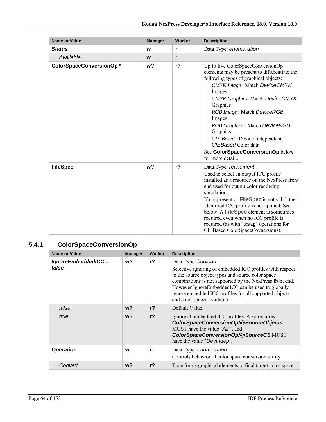| <b>Name or Value</b>    | <b>Manager</b> | Worker | <b>Description</b>                                                                                                                                                                                                                                                                                                                                                                                                                            |
|-------------------------|----------------|--------|-----------------------------------------------------------------------------------------------------------------------------------------------------------------------------------------------------------------------------------------------------------------------------------------------------------------------------------------------------------------------------------------------------------------------------------------------|
| <b>Status</b>           | W              | r      | Data Type: enumeration                                                                                                                                                                                                                                                                                                                                                                                                                        |
| Available               | W              | r      |                                                                                                                                                                                                                                                                                                                                                                                                                                               |
| ColorSpaceConversionOp* | w <sub>2</sub> | $r$ ?  | Up to five ColorSpaceConversionOp<br>elements may be present to differentiate the<br>following types of graphical objects:<br><b>CMYK Image: Match DeviceCMYK</b><br>Images<br><b>CMYK Graphics: Match DeviceCMYK</b><br>Graphics<br>RGB Image: Match DeviceRGB<br>Images<br>RGB Graphics: Match DeviceRGB<br>Graphics<br><i>CIE Based</i> : Device Independent<br>CIEBased Color data<br>See ColorSpaceConversionOp below<br>for more detail |
| <b>FileSpec</b>         | w <sub>2</sub> | $r$ ?  | Data Type: refelement<br>Used to select an output ICC profile<br>installed as a resource on the NexPress front<br>end used for output color rendering<br>simulation.<br>If not present or <b>FileSpec</b> is not valid, the<br>identified ICC profile is not applied. See<br>below. A FileSpec element is sometimes<br>required even when no ICC profile is<br>required (as with "untag" operations for<br>CIEBased ColorSpaceCovnersions).   |

# **5.4.1 ColorSpaceConversionOp**

| <b>Name or Value</b>         | <b>Manager</b> | Worker         | <b>Description</b>                                                                                                                                                                                                                                                                                                                            |
|------------------------------|----------------|----------------|-----------------------------------------------------------------------------------------------------------------------------------------------------------------------------------------------------------------------------------------------------------------------------------------------------------------------------------------------|
| IgnoreEmbeddedICC =<br>false | w?             | r <sub>2</sub> | Data Type: boolean<br>Selective ignoring of embedded ICC profiles with respect<br>to the source object types and source color space<br>combinations is not supported by the NexPress front end.<br>However IgnoreEmbeddedICC can be used to globally<br>ignore embedded ICC profiles for all supported objects<br>and color spaces available. |
| false                        | w?             | r <sub>2</sub> | Default Value.                                                                                                                                                                                                                                                                                                                                |
| true                         | $w$ ?          | r <sub>2</sub> | Ignore all embedded ICC profiles. Also requires<br>ColorSpaceConversionOp/@SourceObjects<br>MUST have the value "All", and<br>ColorSpaceConversionOp/@SourceCS MUST<br>have the value "DevIndep".                                                                                                                                             |
| <b>Operation</b>             | W              | r              | Data Type: enumeration<br>Controls behavior of color space conversion utility                                                                                                                                                                                                                                                                 |
| Convert                      | w?             | r <sub>2</sub> | Transforms graphical elements to final target color space.                                                                                                                                                                                                                                                                                    |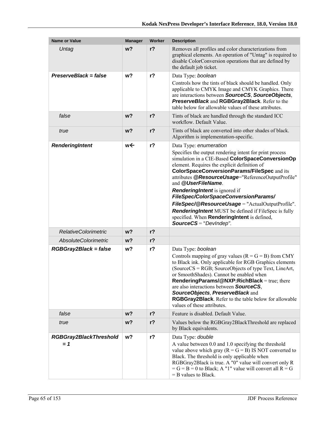| <b>Name or Value</b>                   | <b>Manager</b> | Worker         | <b>Description</b>                                                                                                                                                                                                                                                                                                                                                                                                                                                                                                                                                                                             |
|----------------------------------------|----------------|----------------|----------------------------------------------------------------------------------------------------------------------------------------------------------------------------------------------------------------------------------------------------------------------------------------------------------------------------------------------------------------------------------------------------------------------------------------------------------------------------------------------------------------------------------------------------------------------------------------------------------------|
| Untag                                  | w <sub>2</sub> | r <sub>2</sub> | Removes all profiles and color characterizations from<br>graphical elements. An operation of "Untag" is required to<br>disable ColorConversion operations that are defined by<br>the default job ticket.                                                                                                                                                                                                                                                                                                                                                                                                       |
| PreserveBlack = false                  | w <sub>2</sub> | $r$ ?          | Data Type: boolean<br>Controls how the tints of black should be handled. Only<br>applicable to CMYK Image and CMYK Graphics. There<br>are interactions between SourceCS, SourceObjects,<br>PreserveBlack and RGBGray2Black. Refer to the<br>table below for allowable values of these attributes                                                                                                                                                                                                                                                                                                               |
| false                                  | w <sub>2</sub> | $r$ ?          | Tints of black are handled through the standard ICC<br>workflow. Default Value.                                                                                                                                                                                                                                                                                                                                                                                                                                                                                                                                |
| true                                   | w <sub>2</sub> | r <sub>2</sub> | Tints of black are converted into other shades of black.<br>Algorithm is implementation-specific.                                                                                                                                                                                                                                                                                                                                                                                                                                                                                                              |
| RenderingIntent                        | w←             | $r$ ?          | Data Type: enumeration<br>Specifies the output rendering intent for print process<br>simulation in a CIE-Based ColorSpaceConversionOp<br>element. Requires the explicit definition of<br><b>ColorSpaceConversionParams/FileSpec and its</b><br>attributes @ResourceUsage="ReferenceOutputProfile"<br>and @UserFileName.<br><b>RenderingIntent</b> is ignored if<br>FileSpec/ColorSpaceConversionParams/<br>FileSpec/@ResourceUsage = "ActualOutputProfile".<br><b>Rendering Intent</b> MUST be defined if FileSpec is fully<br>specified. When RenderingIntent is defined,<br><b>SourceCS</b> = " $DevIndep".$ |
| <b>RelativeColorimetric</b>            | w <sub>2</sub> | r <sub>2</sub> |                                                                                                                                                                                                                                                                                                                                                                                                                                                                                                                                                                                                                |
| <b>AbsoluteColorimetric</b>            | w <sub>2</sub> | $r$ ?          |                                                                                                                                                                                                                                                                                                                                                                                                                                                                                                                                                                                                                |
| RGBGray2Black = false                  | w?             | $r$ ?          | Data Type: boolean<br>Controls mapping of gray values $(R = G = B)$ from CMY<br>to Black ink. Only applicable for RGB Graphics elements<br>(SourceCS = RGB; SourceObjects of type Text, LineArt,<br>or SmoothShades). Cannot be enabled when<br>RenderingParams/@NXP:RichBlack = true; there<br>are also interactions between <b>SourceCS</b> ,<br>SourceObjects, PreserveBlack and<br>RGBGray2Black. Refer to the table below for allowable<br>values of these attributes.                                                                                                                                    |
| false                                  | w?             | $r$ ?          | Feature is disabled. Default Value.                                                                                                                                                                                                                                                                                                                                                                                                                                                                                                                                                                            |
| true                                   | w?             | $r$ ?          | Values below the RGBGray2BlackThreshold are replaced<br>by Black equivalents.                                                                                                                                                                                                                                                                                                                                                                                                                                                                                                                                  |
| <b>RGBGray2BlackThreshold</b><br>$= 1$ | w <sub>2</sub> | $r$ ?          | Data Type: double<br>A value between 0.0 and 1.0 specifying the threshold<br>value above which gray ( $R = G = B$ ) IS NOT converted to<br>Black. The threshold is only applicable when<br>RGBGray2Black is true. A "0" value will convert only R<br>$=G = B = 0$ to Black; A "1" value will convert all $R = G$<br>$=$ B values to Black.                                                                                                                                                                                                                                                                     |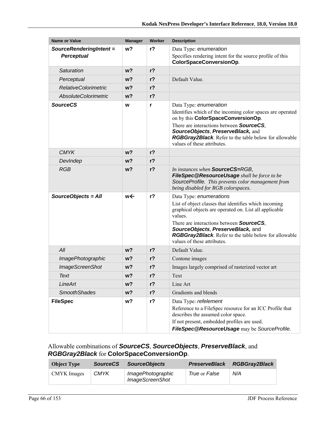| <b>Name or Value</b>        | <b>Manager</b> | Worker         | <b>Description</b>                                                                                                                                                                                                                                                                                                                     |
|-----------------------------|----------------|----------------|----------------------------------------------------------------------------------------------------------------------------------------------------------------------------------------------------------------------------------------------------------------------------------------------------------------------------------------|
| SourceRenderingIntent =     | w <sub>2</sub> | $r$ ?          | Data Type: enumeration                                                                                                                                                                                                                                                                                                                 |
| <b>Perceptual</b>           |                |                | Specifies rendering intent for the source profile of this<br>ColorSpaceConversionOp.                                                                                                                                                                                                                                                   |
| Saturation                  | w <sub>2</sub> | $r$ ?          |                                                                                                                                                                                                                                                                                                                                        |
| Perceptual                  | w <sub>2</sub> | $r$ ?          | Default Value.                                                                                                                                                                                                                                                                                                                         |
| <b>RelativeColorimetric</b> | w <sub>2</sub> | $r$ ?          |                                                                                                                                                                                                                                                                                                                                        |
| <b>AbsoluteColorimetric</b> | w <sub>2</sub> | $r$ ?          |                                                                                                                                                                                                                                                                                                                                        |
| <b>SourceCS</b>             | W              | r              | Data Type: enumeration<br>Identifies which of the incoming color spaces are operated<br>on by this ColorSpaceConversionOp.<br>There are interactions between <b>SourceCS</b> ,<br>SourceObjects, PreserveBlack, and<br>RGBGray2Black. Refer to the table below for allowable<br>values of these attributes.                            |
| <b>CMYK</b>                 | w <sub>2</sub> | r <sub>2</sub> |                                                                                                                                                                                                                                                                                                                                        |
| DevIndep                    | w <sub>2</sub> | $r$ ?          |                                                                                                                                                                                                                                                                                                                                        |
| <b>RGB</b>                  | w <sub>2</sub> | $r$ ?          | In instances when SourceCS=RGB,<br>FileSpec@ResourceUsage shall be force to be<br>SourceProfile. This prevents color management from<br>being disabled for RGB colorspaces.                                                                                                                                                            |
| SourceObjects = All         | w←             | r <sub>2</sub> | Data Type: enumerations<br>List of object classes that identifies which incoming<br>graphical objects are operated on. List all applicable<br>values.<br>There are interactions between <b>SourceCS</b> ,<br>SourceObjects, PreserveBlack, and<br>RGBGray2Black. Refer to the table below for allowable<br>values of these attributes. |
| All                         | w <sub>2</sub> | $r$ ?          | Default Value.                                                                                                                                                                                                                                                                                                                         |
| <b>ImagePhotographic</b>    | w <sub>2</sub> | $r$ ?          | Contone images                                                                                                                                                                                                                                                                                                                         |
| <b>ImageScreenShot</b>      | w?             | $r$ ?          | Images largely comprised of rasterized vector art                                                                                                                                                                                                                                                                                      |
| Text                        | w?             | $r$ ?          | Text                                                                                                                                                                                                                                                                                                                                   |
| LineArt                     | w?             | $r$ ?          | Line Art                                                                                                                                                                                                                                                                                                                               |
| <b>SmoothShades</b>         | w?             | $r$ ?          | Gradients and blends                                                                                                                                                                                                                                                                                                                   |
| <b>FileSpec</b>             | w?             | $r$ ?          | Data Type: refelement<br>Reference to a FileSpec resource for an ICC Profile that<br>describes the assumed color space.<br>If not present, embedded profiles are used.<br>FileSpec@ResourceUsage may be SourceProfile.                                                                                                                 |

### Allowable combinations of *SourceCS*, *SourceObjects*, *PreserveBlack*, and *RGBGray2Black* for **ColorSpaceConversionOp**.

| <b>Object Type</b> | <b>SourceCS</b> | <b>SourceObjects</b>                               | <b>PreserveBlack</b> | <b>RGBGray2Black</b> |
|--------------------|-----------------|----------------------------------------------------|----------------------|----------------------|
| CMYK Images        | <b>CMYK</b>     | <i>ImagePhotographic</i><br><b>ImageScreenShot</b> | True or False        | N/A                  |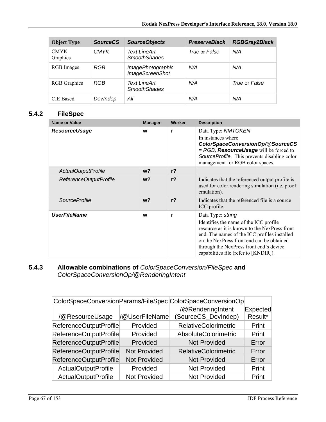| <b>Object Type</b>      | <b>SourceCS</b> | <b>SourceObjects</b>                        | <b>PreserveBlack</b> | <b>RGBGray2Black</b> |
|-------------------------|-----------------|---------------------------------------------|----------------------|----------------------|
| <b>CMYK</b><br>Graphics | <b>CMYK</b>     | Text LineArt<br><b>SmoothShades</b>         | True or False        | N/A                  |
| RGB Images              | RGB             | ImagePhotographic<br><b>ImageScreenShot</b> | N/A                  | N/A                  |
| <b>RGB</b> Graphics     | RGB             | Text LineArt<br><b>SmoothShades</b>         | N/A                  | True or False        |
| <b>CIE</b> Based        | Devindep        | All                                         | N/A                  | N/A                  |

### **5.4.2 FileSpec**

| <b>Name or Value</b>   | <b>Manager</b> | Worker         | <b>Description</b>                                                                                                                                                                                                                                                                            |
|------------------------|----------------|----------------|-----------------------------------------------------------------------------------------------------------------------------------------------------------------------------------------------------------------------------------------------------------------------------------------------|
| <b>ResourceUsage</b>   | W              | r              | Data Type: NMTOKEN<br>In instances where<br>ColorSpaceConversionOp/@SourceCS<br>$=$ RGB, <b>ResourceUsage</b> will be forced to<br>SourceProfile. This prevents disabling color<br>management for RGB color spaces.                                                                           |
| ActualOutputProfile    | $w$ ?          | r <sub>2</sub> |                                                                                                                                                                                                                                                                                               |
| ReferenceOutputProfile | w <sub>2</sub> | r <sub>2</sub> | Indicates that the referenced output profile is<br>used for color rendering simulation (i.e. proof<br>emulation).                                                                                                                                                                             |
| <i>SourceProfile</i>   | $w$ ?          | r <sub>2</sub> | Indicates that the referenced file is a source.<br>ICC profile.                                                                                                                                                                                                                               |
| <b>UserFileName</b>    | W              | r              | Data Type: string<br>Identifies the name of the ICC profile<br>resource as it is known to the NexPress front<br>end. The names of the ICC profiles installed<br>on the NexPress front end can be obtained<br>through the NexPress front end's device<br>capabilities file (refer to [KNDIR]). |

#### **5.4.3 Allowable combinations of** *ColorSpaceConversion/FileSpec* **and**  *ColorSpaceConversionOp/@RenderingIntent*

|                            |                     | ColorSpaceConversionParams/FileSpec ColorSpaceConversionOp |          |
|----------------------------|---------------------|------------------------------------------------------------|----------|
|                            |                     | /@RenderingIntent                                          | Expected |
| /@ResourceUsage            | /@UserFileName      | (SourceCS_DevIndep)                                        | Result*  |
| ReferenceOutputProfile     | Provided            | <b>RelativeColorimetric</b>                                | Print    |
| ReferenceOutputProfile     | Provided            | AbsoluteColorimetric                                       | Print    |
| ReferenceOutputProfile     | Provided            | <b>Not Provided</b>                                        | Error    |
| ReferenceOutputProfile     | <b>Not Provided</b> | <b>RelativeColorimetric</b>                                | Error    |
| ReferenceOutputProfile     | <b>Not Provided</b> | <b>Not Provided</b>                                        | Error    |
| <b>ActualOutputProfile</b> | Provided            | Not Provided                                               | Print    |
| ActualOutputProfile        | <b>Not Provided</b> | <b>Not Provided</b>                                        | Print    |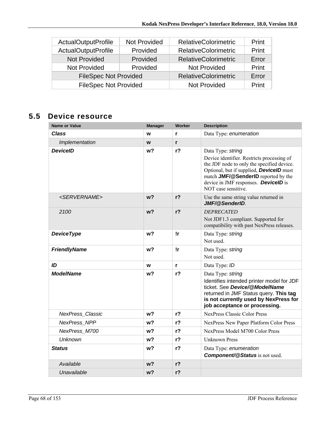| <b>ActualOutputProfile</b>   | Not Provided | <b>RelativeColorimetric</b> | Print |
|------------------------------|--------------|-----------------------------|-------|
| <b>ActualOutputProfile</b>   | Provided     | <b>RelativeColorimetric</b> | Print |
| <b>Not Provided</b>          | Provided     | <b>RelativeColorimetric</b> | Error |
| <b>Not Provided</b>          | Provided     | Not Provided                | Print |
| <b>FileSpec Not Provided</b> |              | <b>RelativeColorimetric</b> | Error |
| <b>FileSpec Not Provided</b> |              | <b>Not Provided</b>         | Print |

# **5.5 Device resource**

| Name or Value             | <b>Manager</b> | Worker         | <b>Description</b>                                                                                                                                                                                                                                                     |
|---------------------------|----------------|----------------|------------------------------------------------------------------------------------------------------------------------------------------------------------------------------------------------------------------------------------------------------------------------|
| <b>Class</b>              | W              | r              | Data Type: enumeration                                                                                                                                                                                                                                                 |
| Implementation            | W              | r              |                                                                                                                                                                                                                                                                        |
| <b>DeviceID</b>           | w?             | r <sub>2</sub> | Data Type: string<br>Device identifier. Restricts processing of<br>the JDF node to only the specified device.<br>Optional, but if supplied, <b>DevicelD</b> must<br>match JMF/@SenderID reported by the<br>device in JMF responses. DeviceID is<br>NOT case sensitive. |
| <servername></servername> | w <sub>2</sub> | r <sub>2</sub> | Use the same string value returned in<br>JMF/@SenderID.                                                                                                                                                                                                                |
| 2100                      | w <sub>2</sub> | $r$ ?          | <b>DEPRECATED</b><br>Not JDF1.3 compliant. Supported for<br>compatibility with past NexPress releases.                                                                                                                                                                 |
| <b>DeviceType</b>         | w?             | !r             | Data Type: string<br>Not used.                                                                                                                                                                                                                                         |
| <b>FriendlyName</b>       | w <sub>2</sub> | !r             | Data Type: string<br>Not used.                                                                                                                                                                                                                                         |
| ID                        | W              | r              | Data Type: ID                                                                                                                                                                                                                                                          |
| <b>ModelName</b>          | w?             | r?             | Data Type: string<br>Identifies intended printer model for JDF<br>ticket. See Device/@ModelName<br>returned in JMF Status query. This tag<br>is not currently used by NexPress for<br>job acceptance or processing.                                                    |
| <b>NexPress Classic</b>   | w?             | $r$ ?          | <b>NexPress Classic Color Press</b>                                                                                                                                                                                                                                    |
| <b>NexPress NPP</b>       | w?             | $r$ ?          | NexPress New Paper Platform Color Press                                                                                                                                                                                                                                |
| NexPress M700             | w?             | r <sub>2</sub> | NexPress Model M700 Color Press                                                                                                                                                                                                                                        |
| Unknown                   | w?             | r <sub>2</sub> | <b>Unknown Press</b>                                                                                                                                                                                                                                                   |
| <b>Status</b>             | w?             | $r$ ?          | Data Type: enumeration<br><b>Component/@Status</b> is not used.                                                                                                                                                                                                        |
| Available                 | w?             | $r$ ?          |                                                                                                                                                                                                                                                                        |
| Unavailable               | w <sub>2</sub> | $r$ ?          |                                                                                                                                                                                                                                                                        |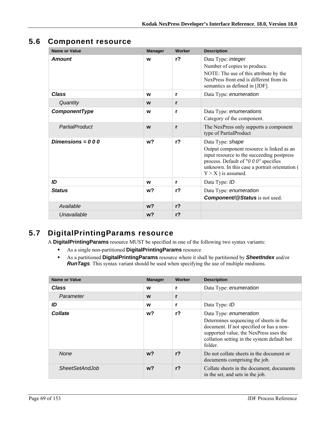### **5.6 Component resource**

| <b>Name or Value</b> | <b>Manager</b> | Worker         | <b>Description</b>                                                                                                                                                                                                              |
|----------------------|----------------|----------------|---------------------------------------------------------------------------------------------------------------------------------------------------------------------------------------------------------------------------------|
| <b>Amount</b>        | W              | r <sub>2</sub> | Data Type: integer<br>Number of copies to produce.<br>NOTE: The use of this attribute by the<br>NexPress front end is different from its<br>semantics as defined in [JDF].                                                      |
| <b>Class</b>         | W              | r              | Data Type: enumeration                                                                                                                                                                                                          |
| Quantity             | W              | r              |                                                                                                                                                                                                                                 |
| ComponentType        | W              | r              | Data Type: enumerations<br>Category of the component.                                                                                                                                                                           |
| PartialProduct       | W              | r              | The NexPress only supports a component<br>type of PartialProduct                                                                                                                                                                |
| Dimensions = $000$   | w?             | $r$ ?          | Data Type: shape<br>Output component resource is linked as an<br>input resource to the succeeding postpress<br>process. Default of "0 0 0" specifies<br>unknown. In this case a portrait orientation (<br>$Y > X$ ) is assumed. |
| ID                   | W              | r              | Data Type: ID                                                                                                                                                                                                                   |
| <b>Status</b>        | w?             | $r$ ?          | Data Type: enumeration<br><b>Component/@Status</b> is not used.                                                                                                                                                                 |
| Available            | w <sub>2</sub> | $r$ ?          |                                                                                                                                                                                                                                 |
| Unavailable          | w <sub>2</sub> | $r$ ?          |                                                                                                                                                                                                                                 |

# **5.7 DigitalPrintingParams resource**

A **DigitalPrintingParams** resource MUST be specified in one of the following two syntax variants:

- As a single non-partitioned **DigitalPrintingParams** resource
- As a partitioned **DigitalPrintingParams** resource where it shall be partitioned by *SheetIndex* and/or *RunTags*. This syntax variant should be used when specifying the use of multiple mediums.

| <b>Name or Value</b>  | <b>Manager</b> | Worker         | <b>Description</b>                                                                                                                                                                                               |
|-----------------------|----------------|----------------|------------------------------------------------------------------------------------------------------------------------------------------------------------------------------------------------------------------|
| <b>Class</b>          | W              |                | Data Type: enumeration                                                                                                                                                                                           |
| Parameter             | W              | r              |                                                                                                                                                                                                                  |
| ID                    | W              | r              | Data Type: ID                                                                                                                                                                                                    |
| <b>Collate</b>        | w?             | $r$ ?          | Data Type: enumeration<br>Determines sequencing of sheets in the<br>document. If not specified or has a non-<br>supported value, the NexPress uses the<br>collation setting in the system default hot<br>folder. |
| <b>None</b>           | $w$ ?          | r <sub>2</sub> | Do not collate sheets in the document or<br>documents comprising the job.                                                                                                                                        |
| <b>SheetSetAndJob</b> | $w$ ?          | r <sub>2</sub> | Collate sheets in the document, documents<br>in the set, and sets in the job.                                                                                                                                    |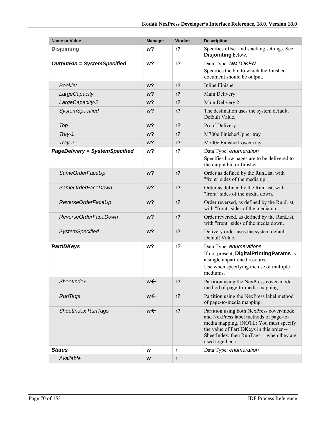| <b>Name or Value</b>               | <b>Manager</b> | Worker         | <b>Description</b>                                                                                                                                                                                                                       |
|------------------------------------|----------------|----------------|------------------------------------------------------------------------------------------------------------------------------------------------------------------------------------------------------------------------------------------|
| <b>Disjointing</b>                 | w?             | $r$ ?          | Specifies offset and stacking settings. See<br>Disjointing below.                                                                                                                                                                        |
| <b>OutputBin = SystemSpecified</b> | w?             | $r$ ?          | Data Type: NMTOKEN<br>Specifies the bin to which the finished<br>document should be output.                                                                                                                                              |
| <b>Booklet</b>                     | $w$ ?          | $r$ ?          | <b>Inline Finisher</b>                                                                                                                                                                                                                   |
| LargeCapacity                      | w?             | $r$ ?          | Main Delivery                                                                                                                                                                                                                            |
| LargeCapacity-2                    | w <sub>2</sub> | $r$ ?          | Main Delivery 2                                                                                                                                                                                                                          |
| <b>SystemSpecified</b>             | w?             | $r$ ?          | The destination uses the system default.<br>Default Value.                                                                                                                                                                               |
| Top                                | w <sub>2</sub> | $r$ ?          | Proof Delivery                                                                                                                                                                                                                           |
| Tray-1                             | w <sub>2</sub> | $r$ ?          | M700e FinisherUpper tray                                                                                                                                                                                                                 |
| Tray-2                             | w?             | $r$ ?          | M700e FinisherLower tray                                                                                                                                                                                                                 |
| PageDelivery = SystemSpecified     | w?             | $r$ ?          | Data Type: enumeration<br>Specifies how pages are to be delivered to<br>the output bin or finisher.                                                                                                                                      |
| SameOrderFaceUp                    | w <sub>2</sub> | $r$ ?          | Order as defined by the RunList, with<br>"front" sides of the media up.                                                                                                                                                                  |
| SameOrderFaceDown                  | w <sub>2</sub> | r <sub>2</sub> | Order as defined by the RunList, with<br>"front" sides of the media down.                                                                                                                                                                |
| ReverseOrderFaceUp                 | w <sub>2</sub> | $r$ ?          | Order reversed, as defined by the RunList,<br>with "front" sides of the media up.                                                                                                                                                        |
| ReverseOrderFaceDown               | $w$ ?          | $r$ ?          | Order reversed, as defined by the RunList,<br>with "front" sides of the media down.                                                                                                                                                      |
| <b>SystemSpecified</b>             | w <sub>2</sub> | $r$ ?          | Delivery order uses the system default.<br>Default Value.                                                                                                                                                                                |
| <b>PartIDKeys</b>                  | w <sub>2</sub> | $r$ ?          | Data Type: enumerations<br>If not present, DigitalPrintingParams is<br>a single unpartioned resource.<br>Use when specifying the use of multiple<br>mediums.                                                                             |
| <b>SheetIndex</b>                  | we             | $r$ ?          | Partition using the NexPress cover-mode<br>method of page-to-media mapping.                                                                                                                                                              |
| <b>RunTags</b>                     | w←             | $r$ ?          | Partition using the NexPress label method<br>of page-to-media mapping.                                                                                                                                                                   |
| <b>SheetIndex RunTags</b>          | w←             | $r$ ?          | Partition using both NexPress cover-mode<br>and NexPress label methods of page-to-<br>media mapping. (NOTE: You must specify<br>the value of PartIDKeys in this order --<br>SheetIndex, then RunTags -- when they are<br>used together.) |
| <b>Status</b>                      | W              | r              | Data Type: enumeration                                                                                                                                                                                                                   |
| Available                          | W              | $\mathbf{r}$   |                                                                                                                                                                                                                                          |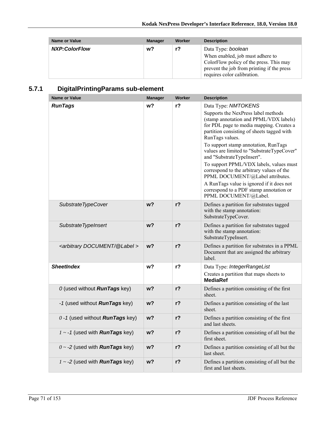| <b>Name or Value</b> | <b>Manager</b> | Worker         | <b>Description</b>                                                                                                                                                             |
|----------------------|----------------|----------------|--------------------------------------------------------------------------------------------------------------------------------------------------------------------------------|
| <b>NXP:ColorFlow</b> | w?             | r <sub>2</sub> | Data Type: boolean<br>When enabled, job must adhere to<br>ColorFlow policy of the press. This may<br>prevent the job from printing if the press<br>requires color calibration. |

# **5.7.1 DigitalPrintingParams sub-element**

| <b>Name or Value</b>                          | <b>Manager</b> | <b>Worker</b>  | <b>Description</b>                                                                                                                                                                                                                                                                                                                                                                                                                                                                                                                                                                 |
|-----------------------------------------------|----------------|----------------|------------------------------------------------------------------------------------------------------------------------------------------------------------------------------------------------------------------------------------------------------------------------------------------------------------------------------------------------------------------------------------------------------------------------------------------------------------------------------------------------------------------------------------------------------------------------------------|
| <b>RunTags</b>                                | w?             | $r$ ?          | Data Type: NMTOKENS<br>Supports the NexPress label methods<br>(stamp annotation and PPML/VDX labels)<br>for PDL page to media mapping. Creates a<br>partition consisting of sheets tagged with<br>RunTags values.<br>To support stamp annotation, RunTags<br>values are limited to "SubstrateTypeCover"<br>and "SubstrateTypeInsert".<br>To support PPML/VDX labels, values must<br>correspond to the arbitrary values of the<br>PPML DOCUMENT/@Label attributes.<br>A RunTags value is ignored if it does not<br>correspond to a PDF stamp annotation or<br>PPML DOCUMENT/@Label. |
| SubstrateTypeCover                            | w <sub>2</sub> | $r$ ?          | Defines a partition for substrates tagged<br>with the stamp annotation:<br>SubstrateTypeCover.                                                                                                                                                                                                                                                                                                                                                                                                                                                                                     |
| SubstrateTypeInsert                           | w?             | $r$ ?          | Defines a partition for substrates tagged<br>with the stamp annotation:<br>SubstrateTypeInsert.                                                                                                                                                                                                                                                                                                                                                                                                                                                                                    |
| <arbitrary @label="" document=""></arbitrary> | w <sub>2</sub> | r <sub>2</sub> | Defines a partition for substrates in a PPML<br>Document that are assigned the arbitrary<br>label.                                                                                                                                                                                                                                                                                                                                                                                                                                                                                 |
| <b>SheetIndex</b>                             | w?             | $r$ ?          | Data Type: IntegerRangeList<br>Creates a partition that maps sheets to<br><b>MediaRef</b>                                                                                                                                                                                                                                                                                                                                                                                                                                                                                          |
| 0 (used without <b>RunTags</b> key)           | w <sub>2</sub> | r?             | Defines a partition consisting of the first<br>sheet.                                                                                                                                                                                                                                                                                                                                                                                                                                                                                                                              |
| -1 (used without <b>RunTags</b> key)          | w?             | r?             | Defines a partition consisting of the last<br>sheet.                                                                                                                                                                                                                                                                                                                                                                                                                                                                                                                               |
| $0 - 1$ (used without <b>RunTags</b> key)     | w?             | $r$ ?          | Defines a partition consisting of the first<br>and last sheets.                                                                                                                                                                                                                                                                                                                                                                                                                                                                                                                    |
| $1 - 1$ (used with <b>RunTags</b> key)        | w?             | $r$ ?          | Defines a partition consisting of all but the<br>first sheet.                                                                                                                                                                                                                                                                                                                                                                                                                                                                                                                      |
| $0 \sim -2$ (used with <b>RunTags</b> key)    | w?             | $r$ ?          | Defines a partition consisting of all but the<br>last sheet.                                                                                                                                                                                                                                                                                                                                                                                                                                                                                                                       |
| $1 \sim -2$ (used with <b>RunTags</b> key)    | w?             | r?             | Defines a partition consisting of all but the<br>first and last sheets.                                                                                                                                                                                                                                                                                                                                                                                                                                                                                                            |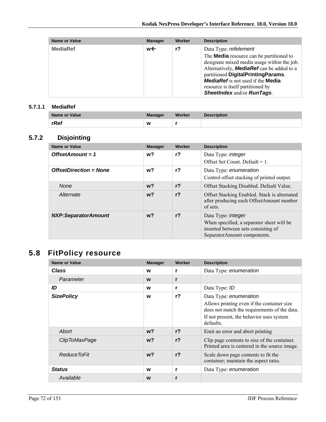| <b>Name or Value</b> | <b>Manager</b> | Worker | <b>Description</b>                                                                                                                                                                                                                                                                                                                      |
|----------------------|----------------|--------|-----------------------------------------------------------------------------------------------------------------------------------------------------------------------------------------------------------------------------------------------------------------------------------------------------------------------------------------|
| <b>MediaRef</b>      | w←             | $r$ ?  | Data Type: refelement<br>The <b>Media</b> resource can be partitioned to<br>designate mixed media usage within the job.<br>Alternatively, <b>MediaRef</b> can be added to a<br>partitioned DigitalPrintingParams.<br><b>MediaRef</b> is not used if the <b>Media</b><br>resource is itself partitioned by<br>SheetIndex and/or RunTags. |

#### **5.7.1.1 MediaRef**

| Name or Value | <b>Manager</b> | <b>Worker</b> | <b>Description</b> |
|---------------|----------------|---------------|--------------------|
| rRef          | W              |               |                    |

### **5.7.2 Disjointing**

| <b>Name or Value</b>          | <b>Manager</b> | Worker         | <b>Description</b>                                                                                                                           |
|-------------------------------|----------------|----------------|----------------------------------------------------------------------------------------------------------------------------------------------|
| OffsetAmount = $1$            | w?             | $r$ ?          | Data Type: integer<br>Offset Set Count. Default = $1$ .                                                                                      |
| <b>OffsetDirection = None</b> | $w$ ?          | $r$ ?          | Data Type: enumeration<br>Control offset stacking of printed output.                                                                         |
| <b>None</b>                   | w?             | r <sub>2</sub> | Offset Stacking Disabled. Default Value.                                                                                                     |
| Alternate                     | $w$ ?          | r <sub>2</sub> | Offset Stacking Enabled. Stack is alternated<br>after producing each OffsetAmount number<br>of sets.                                         |
| <b>NXP:SeparatorAmount</b>    | w?             | r <sub>2</sub> | Data Type: <i>integer</i><br>When specified, a separator sheet will be<br>inserted between sets consisting of<br>SeparatorAmount components. |

# **5.8 FitPolicy resource**

| <b>Name or Value</b> | <b>Manager</b> | Worker         | <b>Description</b>                                                                                                                                                            |
|----------------------|----------------|----------------|-------------------------------------------------------------------------------------------------------------------------------------------------------------------------------|
| <b>Class</b>         | W              | r              | Data Type: enumeration                                                                                                                                                        |
| Parameter            | W              | r              |                                                                                                                                                                               |
| ID                   | W              | r              | Data Type: ID                                                                                                                                                                 |
| <b>SizePolicy</b>    | W              | r <sub>2</sub> | Data Type: enumeration<br>Allows printing even if the container size<br>does not match the requirements of the data.<br>If not present, the behavior uses system<br>defaults. |
| Abort                | $w$ ?          | r <sub>2</sub> | Emit an error and abort printing                                                                                                                                              |
| ClipToMaxPage        | $w$ ?          | r <sub>2</sub> | Clip page contents to size of the container.<br>Printed area is centered in the source image.                                                                                 |
| Reduce ToFit         | $w$ ?          | r <sub>2</sub> | Scale down page contents to fit the<br>container; maintain the aspect ratio.                                                                                                  |
| <b>Status</b>        | W              | r              | Data Type: enumeration                                                                                                                                                        |
| Available            | W              | r              |                                                                                                                                                                               |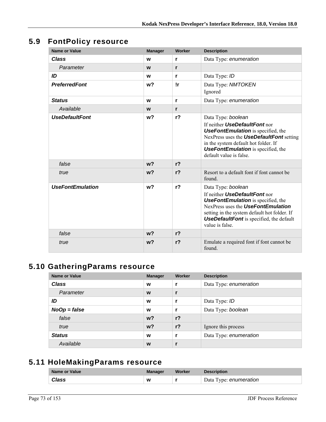## **5.9 FontPolicy resource**

| <b>Name or Value</b>    | <b>Manager</b> | Worker         | <b>Description</b>                                                                                                                                                                                                                                                  |
|-------------------------|----------------|----------------|---------------------------------------------------------------------------------------------------------------------------------------------------------------------------------------------------------------------------------------------------------------------|
| <b>Class</b>            | W              | r              | Data Type: enumeration                                                                                                                                                                                                                                              |
| Parameter               | W              | r              |                                                                                                                                                                                                                                                                     |
| ID                      | W              | r              | Data Type: ID                                                                                                                                                                                                                                                       |
| <b>PreferredFont</b>    | w?             | !r             | Data Type: NMTOKEN<br>Ignored                                                                                                                                                                                                                                       |
| <b>Status</b>           | W              | $\mathbf{r}$   | Data Type: enumeration                                                                                                                                                                                                                                              |
| Available               | W              | r              |                                                                                                                                                                                                                                                                     |
| <b>UseDefaultFont</b>   | w <sub>2</sub> | r <sub>2</sub> | Data Type: boolean<br>If neither UseDefaultFont nor<br><b>UseFontEmulation</b> is specified, the<br>NexPress uses the <b>UseDefaultFont</b> setting<br>in the system default hot folder. If<br><b>UseFontEmulation</b> is specified, the<br>default value is false. |
| false                   | $w$ ?          | r <sub>2</sub> |                                                                                                                                                                                                                                                                     |
| true                    | w <sub>2</sub> | r <sub>2</sub> | Resort to a default font if font cannot be<br>found.                                                                                                                                                                                                                |
| <b>UseFontEmulation</b> | w <sub>2</sub> | r <sub>2</sub> | Data Type: boolean<br>If neither UseDefaultFont nor<br><b>UseFontEmulation</b> is specified, the<br>NexPress uses the UseFontEmulation<br>setting in the system default hot folder. If<br><b>UseDefaultFont</b> is specified, the default<br>value is false.        |
| false                   | w <sub>2</sub> | r <sub>2</sub> |                                                                                                                                                                                                                                                                     |
| true                    | w?             | r <sub>2</sub> | Emulate a required font if font cannot be<br>found.                                                                                                                                                                                                                 |

## **5.10 GatheringParams resource**

| Name or Value  | <b>Manager</b> | Worker         | <b>Description</b>     |
|----------------|----------------|----------------|------------------------|
| <b>Class</b>   | W              | r.             | Data Type: enumeration |
| Parameter      | W              | $\mathbf{r}$   |                        |
| ID             | W              |                | Data Type: ID          |
| $NoOp = false$ | W              |                | Data Type: boolean     |
| false          | w <sub>2</sub> | r <sub>2</sub> |                        |
| true           | $w$ ?          | r <sub>2</sub> | Ignore this process    |
| <b>Status</b>  | W              |                | Data Type: enumeration |
| Available      | W              |                |                        |

## **5.11 HoleMakingParams resource**

| Name or Value | <b>Manager</b> | Worker | <b>Description</b>     |
|---------------|----------------|--------|------------------------|
| <b>Class</b>  | W              |        | Data Type: enumeration |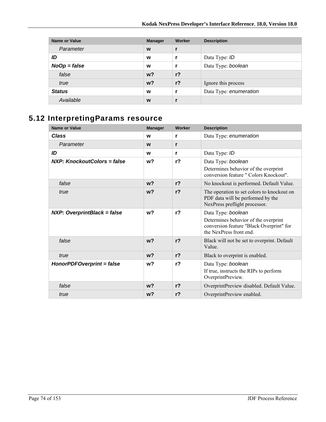| <b>Name or Value</b> | <b>Manager</b> | Worker         | <b>Description</b>     |
|----------------------|----------------|----------------|------------------------|
| Parameter            | W              |                |                        |
| ID                   | W              |                | Data Type: ID          |
| $NoOp = false$       | W              |                | Data Type: boolean     |
| false                | w <sup>2</sup> | r <sub>2</sub> |                        |
| true                 | w <sup>2</sup> | r <sub>2</sub> | Ignore this process    |
| <b>Status</b>        | W              |                | Data Type: enumeration |
| Available            | W              |                |                        |

## **5.12 InterpretingParams resource**

| <b>Name or Value</b>               | <b>Manager</b> | Worker         | <b>Description</b>                                                                                                               |
|------------------------------------|----------------|----------------|----------------------------------------------------------------------------------------------------------------------------------|
| <b>Class</b>                       | W              | r              | Data Type: enumeration                                                                                                           |
| Parameter                          | W              | r              |                                                                                                                                  |
| ID                                 | W              | r              | Data Type: ID                                                                                                                    |
| NXP: KnockoutColors = false        | w <sup>2</sup> | $r$ ?          | Data Type: boolean                                                                                                               |
|                                    |                |                | Determines behavior of the overprint<br>conversion feature " Colors Knockout".                                                   |
| false                              | $w$ ?          | r <sub>2</sub> | No knockout is performed. Default Value.                                                                                         |
| true                               | $w$ ?          | r <sub>2</sub> | The operation to set colors to knockout on<br>PDF data will be performed by the<br>NexPress preflight processor.                 |
| <b>NXP: OverprintBlack = false</b> | w <sub>2</sub> | r <sub>2</sub> | Data Type: boolean<br>Determines behavior of the overprint<br>conversion feature "Black Overprint" for<br>the NexPress front end |
| false                              | W <sup>2</sup> | r <sub>2</sub> | Black will not be set to overprint. Default<br>Value.                                                                            |
| true                               | w <sub>2</sub> | $r$ ?          | Black to overprint is enabled.                                                                                                   |
| HonorPDFOverprint = false          | w <sub>2</sub> | r <sub>2</sub> | Data Type: boolean<br>If true, instructs the RIPs to perform<br>OverprintPreview.                                                |
| false                              | w <sub>2</sub> | $r$ ?          | OverprintPreview disabled. Default Value.                                                                                        |
| true                               | w <sub>2</sub> | $r$ ?          | OverprintPreview enabled.                                                                                                        |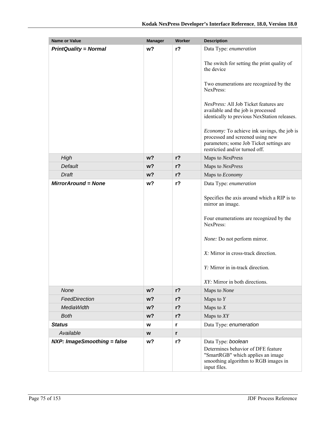| <b>Name or Value</b>               | <b>Manager</b> | Worker         | <b>Description</b>                                                                                                                                                                                                                                                   |
|------------------------------------|----------------|----------------|----------------------------------------------------------------------------------------------------------------------------------------------------------------------------------------------------------------------------------------------------------------------|
| <b>PrintQuality = Normal</b>       | w <sub>2</sub> | $r$ ?          | Data Type: enumeration                                                                                                                                                                                                                                               |
|                                    |                |                | The switch for setting the print quality of<br>the device                                                                                                                                                                                                            |
|                                    |                |                | Two enumerations are recognized by the<br>NexPress:                                                                                                                                                                                                                  |
|                                    |                |                | <i>NexPress:</i> All Job Ticket features are<br>available and the job is processed<br>identically to previous NexStation releases.                                                                                                                                   |
|                                    |                |                | Economy: To achieve ink savings, the job is<br>processed and screened using new<br>parameters; some Job Ticket settings are<br>restrictied and/or turned off.                                                                                                        |
| High                               | $w$ ?          | r <sub>2</sub> | Maps to NexPress                                                                                                                                                                                                                                                     |
| Default                            | $w$ ?          | $r$ ?          | Maps to NexPress                                                                                                                                                                                                                                                     |
| <b>Draft</b>                       | $w$ ?          | $r$ ?          | Maps to Economy                                                                                                                                                                                                                                                      |
| <b>MirrorAround = None</b>         | w?             | $r$ ?          | Data Type: enumeration                                                                                                                                                                                                                                               |
|                                    |                |                | Specifies the axis around which a RIP is to<br>mirror an image.<br>Four enumerations are recognized by the<br>NexPress:<br>None: Do not perform mirror.<br>X: Mirror in cross-track direction.<br>Y: Mirror in in-track direction.<br>XY: Mirror in both directions. |
| None                               | $w$ ?          | $r$ ?          | Maps to None                                                                                                                                                                                                                                                         |
| FeedDirection                      | $w$ ?          | $r$ ?          | Maps to $Y$                                                                                                                                                                                                                                                          |
| <b>MediaWidth</b>                  | $w$ ?          | $r$ ?          | Maps to $X$                                                                                                                                                                                                                                                          |
| <b>Both</b>                        | $w$ ?          | $r$ ?          | Maps to $XY$                                                                                                                                                                                                                                                         |
| <b>Status</b>                      | W              | r              | Data Type: enumeration                                                                                                                                                                                                                                               |
| Available                          | W              | r              |                                                                                                                                                                                                                                                                      |
| <b>NXP: ImageSmoothing = false</b> | w?             | $r$ ?          | Data Type: boolean<br>Determines behavior of DFE feature<br>"SmartRGB" which applies an image<br>smoothing algorithm to RGB images in<br>input files.                                                                                                                |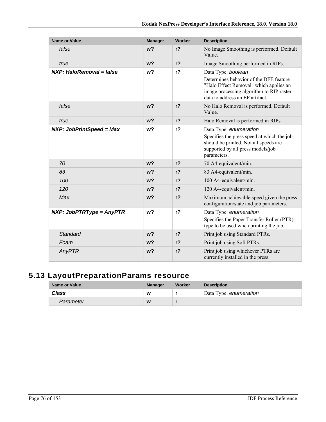| <b>Name or Value</b>            | <b>Manager</b> | Worker         | <b>Description</b>                                                                                                                                                                    |
|---------------------------------|----------------|----------------|---------------------------------------------------------------------------------------------------------------------------------------------------------------------------------------|
| false                           | w <sub>2</sub> | $r$ ?          | No Image Smoothing is performed. Default<br>Value                                                                                                                                     |
| true                            | w <sub>2</sub> | $r$ ?          | Image Smoothing performed in RIPs.                                                                                                                                                    |
| NXP: HaloRemoval = false        | w <sub>2</sub> | r <sub>2</sub> | Data Type: boolean<br>Determines behavior of the DFE feature<br>"Halo Effect Removal" which applies an<br>image processing algorithm to RIP raster<br>data to address an EP artifact. |
| false                           | w <sub>2</sub> | $r$ ?          | No Halo Removal is performed. Default<br>Value.                                                                                                                                       |
| true                            | w <sub>2</sub> | $r$ ?          | Halo Removal is performed in RIPs.                                                                                                                                                    |
| <b>NXP: JobPrintSpeed = Max</b> | w?             | r <sub>2</sub> | Data Type: enumeration<br>Specifies the press speed at which the job<br>should be printed. Not all speeds are<br>supported by all press models/job<br>parameters.                     |
| 70                              | w <sub>2</sub> | $r$ ?          | 70 A4-equivalent/min.                                                                                                                                                                 |
| 83                              | w <sub>2</sub> | r <sub>2</sub> | 83 A4-equivalent/min.                                                                                                                                                                 |
| 100                             | w <sub>2</sub> | $r$ ?          | 100 A4-equivalent/min.                                                                                                                                                                |
| 120                             | w <sub>2</sub> | $r$ ?          | 120 A4-equivalent/min.                                                                                                                                                                |
| Max                             | $w$ ?          | $r$ ?          | Maximum achievable speed given the press<br>configuration/state and job parameters.                                                                                                   |
| $NXP: JobPTRType = AnyPTR$      | w <sub>2</sub> | r <sub>2</sub> | Data Type: enumeration<br>Specifies the Paper Transfer Roller (PTR)<br>type to be used when printing the job.                                                                         |
| <b>Standard</b>                 | w <sub>2</sub> | $r$ ?          | Print job using Standard PTRs.                                                                                                                                                        |
| Foam                            | w?             | r <sub>2</sub> | Print job using Soft PTRs.                                                                                                                                                            |
| AnyPTR                          | w <sub>2</sub> | $r$ ?          | Print job using whichever PTRs are<br>currently installed in the press.                                                                                                               |

## **5.13 LayoutPreparationParams resource**

| Name or Value | <b>Manager</b> | Worker | <b>Description</b>     |
|---------------|----------------|--------|------------------------|
| Class         | W              |        | Data Type: enumeration |
| Parameter     | W              |        |                        |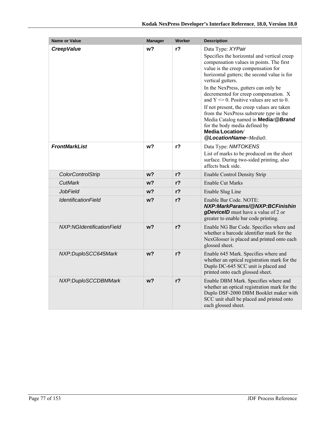| <b>Name or Value</b>       | <b>Manager</b> | <b>Worker</b>  | <b>Description</b>                                                                                                                                                                                                                                                                                                                                                                                                                                                                                                                                                     |
|----------------------------|----------------|----------------|------------------------------------------------------------------------------------------------------------------------------------------------------------------------------------------------------------------------------------------------------------------------------------------------------------------------------------------------------------------------------------------------------------------------------------------------------------------------------------------------------------------------------------------------------------------------|
| <b>CreepValue</b>          | w?             | $r$ ?          | Data Type: XYPair<br>Specifies the horizontal and vertical creep<br>compensation values in points. The first<br>value is the creep compensation for<br>horizontal gutters; the second value is for<br>vertical gutters.<br>In the NexPress, gutters can only be<br>decremented for creep compensation. X<br>and $Y \le 0$ . Positive values are set to 0.<br>If not present, the creep values are taken<br>from the NexPress substrate type in the<br>Media Catalog named in Media/@Brand<br>for the body media defined by<br>Media/Location/<br>@LocationName=Media0. |
| <b>FrontMarkList</b>       | w?             | r <sub>2</sub> | Data Type: NMTOKENS<br>List of marks to be produced on the sheet<br>surface. During two-sided printing, also<br>affects back side.                                                                                                                                                                                                                                                                                                                                                                                                                                     |
| <b>ColorControlStrip</b>   | w <sub>2</sub> | r <sub>2</sub> | <b>Enable Control Density Strip</b>                                                                                                                                                                                                                                                                                                                                                                                                                                                                                                                                    |
| CutMark                    | w?             | r?             | <b>Enable Cut Marks</b>                                                                                                                                                                                                                                                                                                                                                                                                                                                                                                                                                |
| <b>JobField</b>            | w?             | $r$ ?          | Enable Slug Line                                                                                                                                                                                                                                                                                                                                                                                                                                                                                                                                                       |
| <b>IdentificationField</b> | w <sub>2</sub> | $r$ ?          | Enable Bar Code. NOTE:<br>NXP:MarkParams/@NXP:BCFinishin<br>gDevicelD must have a value of 2 or<br>greater to enable bar code printing.                                                                                                                                                                                                                                                                                                                                                                                                                                |
| NXP:NGIdentificationField  | w?             | $r$ ?          | Enable NG Bar Code. Specifies where and<br>whether a barcode identifier mark for the<br>NexGlosser is placed and printed onto each<br>glossed sheet.                                                                                                                                                                                                                                                                                                                                                                                                                   |
| NXP:DuploSCC645Mark        | w?             | $r$ ?          | Enable 645 Mark. Specifies where and<br>whether an optical registration mark for the<br>Duplo DC-645 SCC unit is placed and<br>printed onto each glossed sheet.                                                                                                                                                                                                                                                                                                                                                                                                        |
| NXP:DuploSCCDBMMark        | w?             | r <sub>2</sub> | Enable DBM Mark. Specifies where and<br>whether an optical registration mark for the<br>Duplo DSF-2000 DBM Booklet maker with<br>SCC unit shall be placed and printed onto<br>each glossed sheet.                                                                                                                                                                                                                                                                                                                                                                      |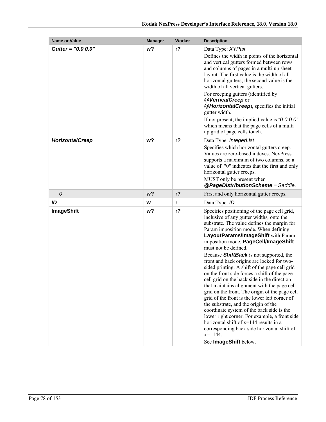| <b>Name or Value</b>   | <b>Manager</b> | Worker | <b>Description</b>                                                                                                                                                                                                                                                                                                                                                                                                                                                                                                                                                                                                                                                                                                                                                                                                                                                                                                                                                |
|------------------------|----------------|--------|-------------------------------------------------------------------------------------------------------------------------------------------------------------------------------------------------------------------------------------------------------------------------------------------------------------------------------------------------------------------------------------------------------------------------------------------------------------------------------------------------------------------------------------------------------------------------------------------------------------------------------------------------------------------------------------------------------------------------------------------------------------------------------------------------------------------------------------------------------------------------------------------------------------------------------------------------------------------|
| Gutter = $"0.0 0.0"$   | w?             | $r$ ?  | Data Type: XYPair<br>Defines the width in points of the horizontal<br>and vertical gutters formed between rows<br>and columns of pages in a multi-up sheet<br>layout. The first value is the width of all<br>horizontal gutters; the second value is the<br>width of all vertical gutters.<br>For creeping gutters (identified by<br>@VerticalCreep or<br>@HorizontalCreep), specifies the initial<br>gutter width.<br>If not present, the implied value is " $0.00$ "<br>which means that the page cells of a multi-<br>up grid of page cells touch.                                                                                                                                                                                                                                                                                                                                                                                                             |
| <b>HorizontalCreep</b> | w?             | $r$ ?  | Data Type: IntegerList<br>Specifies which horizontal gutters creep.<br>Values are zero-based indexes. NexPress<br>supports a maximum of two columns, so a<br>value of "0" indicates that the first and only<br>horizontal gutter creeps.<br>MUST only be present when<br>@PageDistributionScheme = Saddle.                                                                                                                                                                                                                                                                                                                                                                                                                                                                                                                                                                                                                                                        |
| 0                      | w <sub>2</sub> | $r$ ?  | First and only horizontal gutter creeps.                                                                                                                                                                                                                                                                                                                                                                                                                                                                                                                                                                                                                                                                                                                                                                                                                                                                                                                          |
| ID                     | W              | r      | Data Type: ID                                                                                                                                                                                                                                                                                                                                                                                                                                                                                                                                                                                                                                                                                                                                                                                                                                                                                                                                                     |
| <b>ImageShift</b>      | w?             | $r$ ?  | Specifies positioning of the page cell grid,<br>inclusive of any gutter widths, onto the<br>substrate. The value defines the margin for<br>Param imposition mode. When defining<br>LayoutParams/ImageShift with Param<br>imposition mode, PageCell/ImageShift<br>must not be defined.<br>Because <b>ShiftBack</b> is not supported, the<br>front and back origins are locked for two-<br>sided printing. A shift of the page cell grid<br>on the front side forces a shift of the page<br>cell grid on the back side in the direction<br>that maintains alignment with the page cell<br>grid on the front. The origin of the page cell<br>grid of the front is the lower left corner of<br>the substrate, and the origin of the<br>coordinate system of the back side is the<br>lower right corner. For example, a front side<br>horizontal shift of $x=144$ results in a<br>corresponding back side horizontal shift of<br>$x = -144$ .<br>See ImageShift below. |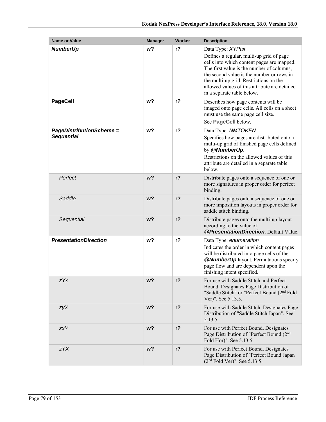| <b>Name or Value</b>                                 | <b>Manager</b> | Worker | <b>Description</b>                                                                                                                                                                                                                                                                                                             |
|------------------------------------------------------|----------------|--------|--------------------------------------------------------------------------------------------------------------------------------------------------------------------------------------------------------------------------------------------------------------------------------------------------------------------------------|
| <b>NumberUp</b>                                      | w?             | $r$ ?  | Data Type: XYPair<br>Defines a regular, multi-up grid of page<br>cells into which content pages are mapped.<br>The first value is the number of columns,<br>the second value is the number or rows in<br>the multi-up grid. Restrictions on the<br>allowed values of this attribute are detailed<br>in a separate table below. |
| <b>PageCell</b>                                      | w?             | $r$ ?  | Describes how page contents will be<br>imaged onto page cells. All cells on a sheet<br>must use the same page cell size.<br>See PageCell below.                                                                                                                                                                                |
| <b>PageDistributionScheme =</b><br><b>Sequential</b> | w?             | $r$ ?  | Data Type: NMTOKEN<br>Specifies how pages are distributed onto a<br>multi-up grid of finished page cells defined<br>by @NumberUp.<br>Restrictions on the allowed values of this<br>attribute are detailed in a separate table<br>below.                                                                                        |
| Perfect                                              | w <sub>2</sub> | $r$ ?  | Distribute pages onto a sequence of one or<br>more signatures in proper order for perfect<br>binding.                                                                                                                                                                                                                          |
| Saddle                                               | $w$ ?          | $r$ ?  | Distribute pages onto a sequence of one or<br>more imposition layouts in proper order for<br>saddle stitch binding.                                                                                                                                                                                                            |
| Sequential                                           | w <sub>2</sub> | $r$ ?  | Distribute pages onto the multi-up layout<br>according to the value of<br>@PresentationDirection. Default Value.                                                                                                                                                                                                               |
| <b>PresentationDirection</b>                         | w?             | $r$ ?  | Data Type: enumeration<br>Indicates the order in which content pages<br>will be distributed into page cells of the<br><b>@NumberUp</b> layout. Permutations specify<br>page flow and are dependent upon the<br>finishing intent specified.                                                                                     |
| zYx                                                  | w?             | $r$ ?  | For use with Saddle Stitch and Perfect<br>Bound. Designates Page Distribution of<br>"Saddle Stitch" or "Perfect Bound (2 <sup>nd</sup> Fold<br>Ver)". See 5.13.5.                                                                                                                                                              |
| zyX                                                  | w?             | $r$ ?  | For use with Saddle Stitch. Designates Page<br>Distribution of "Saddle Stitch Japan". See<br>5.13.5.                                                                                                                                                                                                                           |
| <b>zxY</b>                                           | $w$ ?          | $r$ ?  | For use with Perfect Bound. Designates<br>Page Distribution of "Perfect Bound (2 <sup>nd</sup><br>Fold Hor)". See 5.13.5.                                                                                                                                                                                                      |
| zYX                                                  | w?             | $r$ ?  | For use with Perfect Bound. Designates<br>Page Distribution of "Perfect Bound Japan<br>$(2nd$ Fold Ver)". See 5.13.5.                                                                                                                                                                                                          |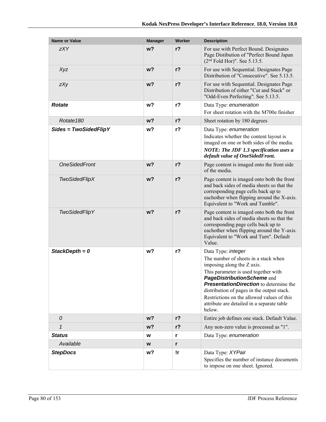| <b>Name or Value</b>    | <b>Manager</b> | Worker         | <b>Description</b>                                                                                                                                                                                                                                                                                                                                                  |
|-------------------------|----------------|----------------|---------------------------------------------------------------------------------------------------------------------------------------------------------------------------------------------------------------------------------------------------------------------------------------------------------------------------------------------------------------------|
| <b>zXY</b>              | w <sub>2</sub> | $r$ ?          | For use with Perfect Bound. Designates<br>Page Distibution of "Perfect Bound Japan<br>$(2nd$ Fold Hor)". See 5.13.5.                                                                                                                                                                                                                                                |
| Xyz                     | $w$ ?          | $r$ ?          | For use with Sequential. Designates Page<br>Distribution of "Consecutive". See 5.13.5.                                                                                                                                                                                                                                                                              |
| zXy                     | w <sub>2</sub> | $r$ ?          | For use with Sequential. Designates Page<br>Distribution of either "Cut and Stack" or<br>"Odd-Even Perfecting". See 5.13.5.                                                                                                                                                                                                                                         |
| <b>Rotate</b>           | w?             | $r$ ?          | Data Type: enumeration<br>For sheet rotation with the M700e finisher                                                                                                                                                                                                                                                                                                |
| Rotate <sub>180</sub>   | $w$ ?          | $r$ ?          | Sheet rotation by 180 degrees                                                                                                                                                                                                                                                                                                                                       |
| $Sides = TwoSidedFlipY$ | w?             | r <sub>2</sub> | Data Type: enumeration<br>Indicates whether the content layout is<br>imaged on one or both sides of the media.<br>NOTE: The JDF 1.3 specification uses a<br>default value of OneSidedFront.                                                                                                                                                                         |
| <b>OneSidedFront</b>    | w <sub>2</sub> | $r$ ?          | Page content is imaged onto the front side<br>of the media.                                                                                                                                                                                                                                                                                                         |
| <b>TwoSidedFlipX</b>    | $w$ ?          | $r$ ?          | Page content is imaged onto both the front<br>and back sides of media sheets so that the<br>corresponding page cells back up to<br>eachother when flipping around the X-axis.<br>Equivalent to "Work and Tumble".                                                                                                                                                   |
| <b>TwoSidedFlipY</b>    | w <sub>2</sub> | $r$ ?          | Page content is imaged onto both the front<br>and back sides of media sheets so that the<br>corresponding page cells back up to<br>eachother when flipping around the Y-axis.<br>Equivalent to "Work and Turn". Default<br>Value.                                                                                                                                   |
| StackDepth = $0$        | w?             | $r$ ?          | Data Type: integer<br>The number of sheets in a stack when<br>imposing along the Z axis.<br>This parameter is used together with<br>PageDistributionScheme and<br><b>PresentationDirection</b> to determine the<br>distribution of pages in the output stack.<br>Restrictions on the allowed values of this<br>attribute are detailed in a separate table<br>below. |
| 0                       | $w$ ?          | $r$ ?          | Entire job defines one stack. Default Value.                                                                                                                                                                                                                                                                                                                        |
| $\mathbf{1}$            | $w$ ?          | $r$ ?          | Any non-zero value is processed as "1".                                                                                                                                                                                                                                                                                                                             |
| <b>Status</b>           | W              | r              | Data Type: enumeration                                                                                                                                                                                                                                                                                                                                              |
| Available               | W              | r              |                                                                                                                                                                                                                                                                                                                                                                     |
| <b>StepDocs</b>         | w?             | !r             | Data Type: XYPair<br>Specifies the number of instance documents<br>to impose on one sheet. Ignored.                                                                                                                                                                                                                                                                 |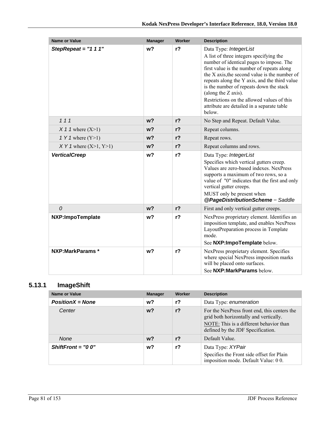| <b>Name or Value</b>      | <b>Manager</b> | Worker         | <b>Description</b>                                                                                                                                                                                                                                                                                                                                                                                                                    |
|---------------------------|----------------|----------------|---------------------------------------------------------------------------------------------------------------------------------------------------------------------------------------------------------------------------------------------------------------------------------------------------------------------------------------------------------------------------------------------------------------------------------------|
| StepRepeat = $"1 1 1"$    | w?             | $r$ ?          | Data Type: IntegerList<br>A list of three integers specifying the<br>number of identical pages to impose. The<br>first value is the number of repeats along<br>the X axis, the second value is the number of<br>repeats along the Y axis, and the third value<br>is the number of repeats down the stack<br>(along the Z axis).<br>Restrictions on the allowed values of this<br>attribute are detailed in a separate table<br>below. |
| 111                       | w <sub>2</sub> | r <sub>2</sub> | No Step and Repeat. Default Value.                                                                                                                                                                                                                                                                                                                                                                                                    |
| $X$ 1 1 where $(X>1)$     | w <sub>2</sub> | r <sub>2</sub> | Repeat columns.                                                                                                                                                                                                                                                                                                                                                                                                                       |
| 1 Y 1 where $(Y>1)$       | w <sub>2</sub> | r <sub>2</sub> | Repeat rows.                                                                                                                                                                                                                                                                                                                                                                                                                          |
| $XY 1$ where $(X>1, Y>1)$ | w <sub>2</sub> | $r$ ?          | Repeat columns and rows.                                                                                                                                                                                                                                                                                                                                                                                                              |
| <b>VerticalCreep</b>      | w?             | $r$ ?          | Data Type: IntegerList<br>Specifies which vertical gutters creep.<br>Values are zero-based indexes. NexPress<br>supports a maximum of two rows, so a<br>value of "0" indicates that the first and only<br>vertical gutter creeps.<br>MUST only be present when<br>@PageDistributionScheme = Saddle                                                                                                                                    |
| $\mathcal{O}$             | w <sub>2</sub> | r <sub>2</sub> | First and only vertical gutter creeps.                                                                                                                                                                                                                                                                                                                                                                                                |
| NXP:ImpoTemplate          | w?             | $r$ ?          | NexPress proprietary element. Identifies an<br>imposition template, and enables NexPress<br>LayoutPreparation process in Template<br>mode.<br>See NXP: ImpoTemplate below.                                                                                                                                                                                                                                                            |
| NXP:MarkParams *          | w <sub>2</sub> | $r$ ?          | NexPress proprietary element. Specifies<br>where special NexPress imposition marks<br>will be placed onto surfaces.<br>See NXP: MarkParams below.                                                                                                                                                                                                                                                                                     |

### **5.13.1 ImageShift**

| <b>Name or Value</b> | <b>Manager</b> | Worker | <b>Description</b>                                                                                                                                                     |
|----------------------|----------------|--------|------------------------------------------------------------------------------------------------------------------------------------------------------------------------|
| $PositionX = None$   | w?             | $r$ ?  | Data Type: enumeration                                                                                                                                                 |
| Center               | $w$ ?          | $r$ ?  | For the NexPress front end, this centers the<br>grid both horizontally and vertically.<br>NOTE: This is a different behavior than<br>defined by the JDF Specification. |
| None                 | w?             | $r$ ?  | Default Value.                                                                                                                                                         |
| $ShiftFront = "0 0"$ | w?             | $r$ ?  | Data Type: XYPair<br>Specifies the Front side offset for Plain<br>imposition mode. Default Value: 00.                                                                  |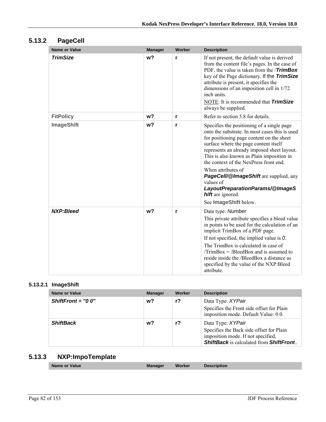### **5.13.2 PageCell**

| <b>Name or Value</b> | <b>Manager</b> | Worker | <b>Description</b>                                                                                                                                                                                                                                                                                                                                                                                                                                                                                   |
|----------------------|----------------|--------|------------------------------------------------------------------------------------------------------------------------------------------------------------------------------------------------------------------------------------------------------------------------------------------------------------------------------------------------------------------------------------------------------------------------------------------------------------------------------------------------------|
| <b>TrimSize</b>      | w <sub>2</sub> | r      | If not present, the default value is derived<br>from the content file's pages. In the case of<br>PDF, the value is taken from the / <b>TrimBox</b><br>key of the Page dictionary. If the TrimSize<br>attribute is present, it specifies the<br>dimensions of an imposition cell in 1/72<br>inch units.<br>NOTE: It is recommended that <b>TrimSize</b><br>always be supplied.                                                                                                                        |
| <b>FitPolicy</b>     | w <sub>2</sub> | r      | Refer to section 5.8 for details.                                                                                                                                                                                                                                                                                                                                                                                                                                                                    |
| <b>ImageShift</b>    | w <sub>2</sub> | r      | Specifies the positioning of a single page<br>onto the substrate. In most cases this is used<br>for positioning page content on the sheet<br>surface where the page content itself<br>represents an already imposed sheet layout.<br>This is also known as Plain imposition in<br>the context of the NexPress front end.<br>When attributes of<br><b>PageCell/@ImageShift</b> are supplied, any<br>values of<br>LayoutPreparationParams/@ImageS<br><b>hift</b> are ignored.<br>See ImageShift below. |
| <b>NXP:Bleed</b>     | w <sub>2</sub> | r      | Data type: Number<br>This private attribute specifies a bleed value<br>in points to be used for the calculation of an<br>implicit TrimBox of a PDF page.<br>If not specified, the implied value is $O$ .<br>The TrimBox is calculated in case of<br>$TrimBox = /BleedBox$ and is assumed to<br>reside inside the /BleedBox a distance as<br>specified by the value of the NXP:Bleed<br>attribute.                                                                                                    |

### **5.13.2.1 ImageShift**

| Name or Value        | <b>Manager</b> | Worker | <b>Description</b>                                                                                                                                           |
|----------------------|----------------|--------|--------------------------------------------------------------------------------------------------------------------------------------------------------------|
| ShiftFront = $"0 0"$ | $w$ ?          | $r$ ?  | Data Type: XYPair<br>Specifies the Front side offset for Plain<br>imposition mode. Default Value: 00.                                                        |
| <b>ShiftBack</b>     | w?             | r?     | Data Type: XYPair<br>Specifies the Back side offset for Plain<br>imposition mode. If not specified,<br><b>ShiftBack</b> is calculated from <b>ShiftFront</b> |

### **5.13.3 NXP:ImpoTemplate**

| Name or Value | <b>Manager</b> | <b>Worker</b> | <b>Description</b> |  |
|---------------|----------------|---------------|--------------------|--|
|               |                |               |                    |  |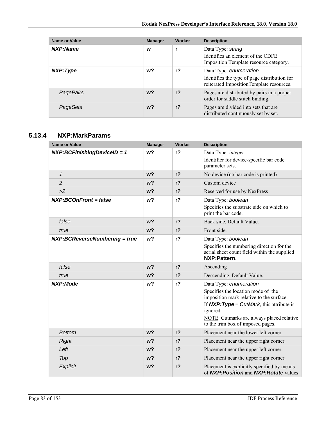| <b>Name or Value</b> | <b>Manager</b> | Worker | <b>Description</b>                                                                                                 |
|----------------------|----------------|--------|--------------------------------------------------------------------------------------------------------------------|
| NXP:Name             | W              |        | Data Type: string<br>Identifies an element of the CDFE<br>Imposition Template resource category.                   |
| NXP:Type             | w?             | $r$ ?  | Data Type: enumeration<br>Identifies the type of page distribution for<br>reiterated ImpositionTemplate resources. |
| <b>PagePairs</b>     | $w$ ?          | $r$ ?  | Pages are distributed by pairs in a proper<br>order for saddle stitch binding.                                     |
| PageSets             | $w$ ?          | $r$ ?  | Pages are divided into sets that are<br>distributed continuously set by set.                                       |

### **5.13.4 NXP:MarkParams**

| <b>Name or Value</b>          | <b>Manager</b> | <b>Worker</b>  | <b>Description</b>                                                                                                                                                                                                                                    |
|-------------------------------|----------------|----------------|-------------------------------------------------------------------------------------------------------------------------------------------------------------------------------------------------------------------------------------------------------|
| NXP:BCFinishingDeviceID = 1   | w <sub>2</sub> | $r$ ?          | Data Type: integer<br>Identifier for device-specific bar code<br>parameter sets.                                                                                                                                                                      |
| $\mathbf{1}$                  | w <sub>2</sub> | $r$ ?          | No device (no bar code is printed)                                                                                                                                                                                                                    |
| $\overline{c}$                | $w$ ?          | $r$ ?          | Custom device                                                                                                                                                                                                                                         |
| >2                            | $w$ ?          | $r$ ?          | Reserved for use by NexPress                                                                                                                                                                                                                          |
| NXP:BCOnFront = false         | $w$ ?          | $r$ ?          | Data Type: boolean<br>Specifies the substrate side on which to<br>print the bar code.                                                                                                                                                                 |
| false                         | w <sub>2</sub> | $r$ ?          | Back side. Default Value.                                                                                                                                                                                                                             |
| true                          | $w$ ?          | $r$ ?          | Front side.                                                                                                                                                                                                                                           |
| NXP:BCReverseNumbering = true | w <sup>2</sup> | $r$ ?          | Data Type: boolean<br>Specifies the numbering direction for the<br>serial sheet count field within the supplied<br>NXP:Pattern                                                                                                                        |
| false                         | w <sub>2</sub> | $r$ ?          | Ascending                                                                                                                                                                                                                                             |
| true                          | $w$ ?          | $r$ ?          | Descending. Default Value.                                                                                                                                                                                                                            |
| <b>NXP:Mode</b>               | w?             | $r$ ?          | Data Type: enumeration<br>Specifies the location mode of the<br>imposition mark relative to the surface.<br>If $NXP:Type = CutMark$ , this attribute is<br>ignored.<br>NOTE: Cutmarks are always placed relative<br>to the trim box of imposed pages. |
| <b>Bottom</b>                 | w <sub>2</sub> | $r$ ?          | Placement near the lower left corner.                                                                                                                                                                                                                 |
| <b>Right</b>                  | w <sub>2</sub> | $r$ ?          | Placement near the upper right corner.                                                                                                                                                                                                                |
| Left                          | $w$ ?          | r <sub>2</sub> | Placement near the upper left corner.                                                                                                                                                                                                                 |
| Top                           | w <sub>2</sub> | $r$ ?          | Placement near the upper right corner.                                                                                                                                                                                                                |
| Explicit                      | w <sub>2</sub> | $r$ ?          | Placement is explicitly specified by means<br>of NXP: Position and NXP: Rotate values                                                                                                                                                                 |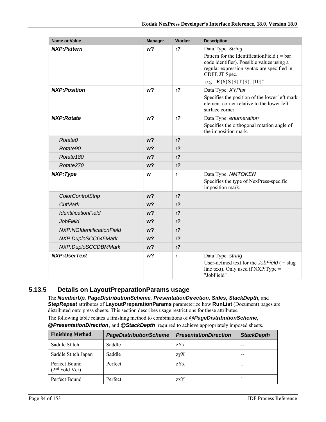| Name or Value              | <b>Manager</b> | Worker         | <b>Description</b>                                                                                                                                                                                        |
|----------------------------|----------------|----------------|-----------------------------------------------------------------------------------------------------------------------------------------------------------------------------------------------------------|
| <b>NXP:Pattern</b>         | w <sub>2</sub> | r <sub>2</sub> | Data Type: String<br>Pattern for the IdentificationField ( = bar<br>code identifier). Possible values using a<br>regular expression syntax are specified in<br>CDFE JT Spec.<br>e.g. "R{6}S{3}T{3}J{10}". |
| <b>NXP:Position</b>        | w <sub>2</sub> | $r$ ?          | Data Type: XYPair<br>Specifies the position of the lower left mark<br>element corner relative to the lower left<br>surface corner.                                                                        |
| <b>NXP:Rotate</b>          | w <sub>2</sub> | r <sub>2</sub> | Data Type: enumeration<br>Specifies the orthogonal rotation angle of<br>the imposition mark.                                                                                                              |
| Rotate0                    | w <sub>2</sub> | r <sub>2</sub> |                                                                                                                                                                                                           |
| Rotate90                   | w <sub>2</sub> | r <sub>2</sub> |                                                                                                                                                                                                           |
| Rotate <sub>180</sub>      | w <sub>2</sub> | $r$ ?          |                                                                                                                                                                                                           |
| Rotate270                  | w <sub>2</sub> | r <sub>2</sub> |                                                                                                                                                                                                           |
| NXP:Type                   | W              | r              | Data Type: NMTOKEN<br>Specifies the type of NexPress-specific<br>imposition mark.                                                                                                                         |
| <b>ColorControlStrip</b>   | w <sub>2</sub> | r <sub>2</sub> |                                                                                                                                                                                                           |
| <b>CutMark</b>             | $w$ ?          | r <sub>2</sub> |                                                                                                                                                                                                           |
| <b>IdentificationField</b> | $w$ ?          | r <sub>2</sub> |                                                                                                                                                                                                           |
| <b>JobField</b>            | w <sub>2</sub> | $r$ ?          |                                                                                                                                                                                                           |
| NXP:NGIdentificationField  | w <sub>2</sub> | $r$ ?          |                                                                                                                                                                                                           |
| NXP:DuploSCC645Mark        | w <sub>2</sub> | $r$ ?          |                                                                                                                                                                                                           |
| NXP:DuploSCCDBMMark        | w <sub>2</sub> | $r$ ?          |                                                                                                                                                                                                           |
| <b>NXP:UserText</b>        | w <sub>2</sub> | r              | Data Type: string<br>User-defined text for the JobField $( =$ slug<br>line text). Only used if $NXP:Type =$<br>"JobField"                                                                                 |

### **5.13.5 Details on LayoutPreparationParams usage**

The *NumberUp, PageDistributionScheme, PresentationDirection, Sides, StackDepth,* and *StepRepeat* attributes of **LayoutPreparationParams** parameterize how **RunList** (Document) pages are distributed onto press sheets. This section describes usage restrictions for these attributes.

The following table relates a finishing method to combinations of *@PageDistributionScheme,* 

|  | <b>@PresentationDirection</b> , and <b>@StackDepth</b> required to achieve appropriately imposed sheets. |
|--|----------------------------------------------------------------------------------------------------------|
|--|----------------------------------------------------------------------------------------------------------|

| <b>Finishing Method</b>           | <b>PageDistributionScheme</b> | <b>PresentationDirection</b> | <b>StackDepth</b> |
|-----------------------------------|-------------------------------|------------------------------|-------------------|
| Saddle Stitch                     | Saddle                        | zYx                          |                   |
| Saddle Stitch Japan               | Saddle                        | zyX                          |                   |
| Perfect Bound<br>$(2nd$ Fold Ver) | Perfect                       | zYx                          |                   |
| Perfect Bound                     | Perfect                       | zxY                          |                   |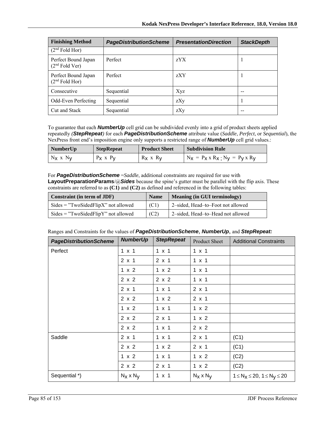| <b>Finishing Method</b>                 | <b>PageDistributionScheme</b> | <b>PresentationDirection</b> | <b>StackDepth</b> |
|-----------------------------------------|-------------------------------|------------------------------|-------------------|
| $(2nd$ Fold Hor)                        |                               |                              |                   |
| Perfect Bound Japan<br>$(2nd$ Fold Ver) | Perfect                       | zYX                          |                   |
| Perfect Bound Japan<br>$(2nd$ Fold Hor) | Perfect                       | zXY                          |                   |
| Consecutive                             | Sequential                    | Xyz                          |                   |
| <b>Odd-Even Perfecting</b>              | Sequential                    | zXy                          |                   |
| Cut and Stack                           | Sequential                    | zXy                          |                   |

To guarantee that each *NumberUp* cell grid can be subdivided evenly into a grid of product sheets applied repeatedly *(StepRepeat)* for each *PageDistributionScheme* attribute value (*Saddle*, *Perfect*, or *Sequential*), the NexPress front end's imposition engine only supports a restricted range of *NumberUp* cell grid values.:

| NumberUp      | <b>StepRepeat</b> | <b>Product Sheet</b> | <b>Subdivision Rule</b>                         |
|---------------|-------------------|----------------------|-------------------------------------------------|
| $N_X$ x $N_V$ | $P_X$ x $P_V$     | $R_X$ x $R_V$        | $N_X = P_X \times R_X$ ; $N_V = P_V \times R_V$ |

For **PageDistributionScheme** = Saddle, additional constraints are required for use with **LayoutPreparationParams**/@*Sides* because the spine's gutter must be parallel with the flip axis. These constraints are referred to as **(C1)** and **(C2)** as defined and referenced in the following tables:

| Constraint (in term of JDF)           | <b>Name</b> | <b>Meaning (in GUI terminology)</b> |
|---------------------------------------|-------------|-------------------------------------|
| $Sides = "TwoSidedFlipX"$ not allowed | (C1)        | 2-sided, Head-to-Foot not allowed   |
| $Sides = "TwoSidedFlipY"$ not allowed | (C2)        | 2-sided, Head-to-Head not allowed   |

|  | Ranges and Constraints for the values of PageDistributionScheme, NumberUp, and StepRepeat: |  |
|--|--------------------------------------------------------------------------------------------|--|
|--|--------------------------------------------------------------------------------------------|--|

| <b>PageDistributionScheme</b> | <b>NumberUp</b>  | <b>StepRepeat</b> | <b>Product Sheet</b> | <b>Additional Constraints</b>               |
|-------------------------------|------------------|-------------------|----------------------|---------------------------------------------|
| Perfect                       | $1 \times 1$     | $1 \times 1$      | $1 \times 1$         |                                             |
|                               | $2 \times 1$     | $2 \times 1$      | $1 \times 1$         |                                             |
|                               | 1 x 2            | 1 x 2             | $1 \times 1$         |                                             |
|                               | 2 x 2            | 2 x 2             | $1 \times 1$         |                                             |
|                               | $2 \times 1$     | $1 \times 1$      | $2 \times 1$         |                                             |
|                               | 2 x 2            | 1 x 2             | $2 \times 1$         |                                             |
|                               | $1 \times 2$     | $1 \times 1$      | 1 x 2                |                                             |
|                               | 2 x 2            | $2 \times 1$      | 1 x 2                |                                             |
|                               | $2 \times 2$     | $1 \times 1$      | $2 \times 2$         |                                             |
| Saddle                        | $2 \times 1$     | $1 \times 1$      | $2 \times 1$         | (C1)                                        |
|                               | 2 x 2            | 1 x 2             | $2 \times 1$         | (C1)                                        |
|                               | 1 x 2            | $1 \times 1$      | 1 x 2                | (C2)                                        |
|                               | $2 \times 2$     | $2 \times 1$      | 1 x 2                | (C2)                                        |
| Sequential *)                 | $N_X \times N_V$ | $1 \times 1$      | $N_X \times N_V$     | $1 \leq N_X \leq 20$ , $1 \leq N_V \leq 20$ |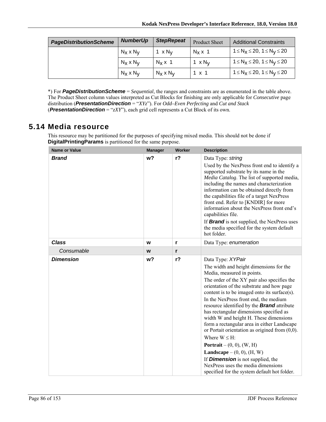| <b>PageDistributionScheme</b> | <b>NumberUp</b>  | <b>StepRepeat</b> | <b>Product Sheet</b>      | <b>Additional Constraints</b>           |
|-------------------------------|------------------|-------------------|---------------------------|-----------------------------------------|
|                               | $N_X \times N_V$ | $1 \times N_V$    | $N_x \times 1$            | $1 \le N_X \le 20$ , $1 \le N_V \le 20$ |
|                               | $N_X \times N_V$ | $N_x \times 1$    | 1 $\times$ N <sub>V</sub> | $1 \le N_X \le 20$ , $1 \le N_V \le 20$ |
|                               | $N_X \times N_V$ | $N_X \times N_V$  | $1 \times 1$              | $1 \le N_X \le 20$ , $1 \le N_V \le 20$ |

\*) For *PageDistributionScheme* = *Sequential*, the ranges and constraints are as enumerated in the table above. The Product Sheet column values interpreted as Cut Blocks for finishing are only applicable for *Consecutive* page distribution (*PresentationDirection* = "*XYz*"). For *Odd–Even Perfecting* and *Cut and Stack* (*PresentationDirection* = "*zXY*"), each grid cell represents a Cut Block of its own.

### **5.14 Media resource**

This resource may be partitioned for the purposes of specifying mixed media. This should not be done if **DigitalPrintingParams** is partitioned for the same purpose.

| <b>Name or Value</b> | <b>Manager</b> | Worker | <b>Description</b>                                                                                                                                                                                                                                                                                                                                                                                                                                                                                                                                                                                                                                                                                                                                                       |
|----------------------|----------------|--------|--------------------------------------------------------------------------------------------------------------------------------------------------------------------------------------------------------------------------------------------------------------------------------------------------------------------------------------------------------------------------------------------------------------------------------------------------------------------------------------------------------------------------------------------------------------------------------------------------------------------------------------------------------------------------------------------------------------------------------------------------------------------------|
| <b>Brand</b>         | w?             | $r$ ?  | Data Type: string<br>Used by the NexPress front end to identify a<br>supported substrate by its name in the<br>Media Catalog. The list of supported media,<br>including the names and characterization<br>information can be obtained directly from<br>the capabilities file of a target NexPress<br>front end. Refer to [KNDIR] for more<br>information about the NexPress front end's<br>capabilities file.<br>If <b>Brand</b> is not supplied, the NexPress uses<br>the media specified for the system default<br>hot folder.                                                                                                                                                                                                                                         |
| <b>Class</b>         | W              | r      | Data Type: enumeration                                                                                                                                                                                                                                                                                                                                                                                                                                                                                                                                                                                                                                                                                                                                                   |
| Consumable           | W              | r      |                                                                                                                                                                                                                                                                                                                                                                                                                                                                                                                                                                                                                                                                                                                                                                          |
| <b>Dimension</b>     | w <sub>2</sub> | $r$ ?  | Data Type: XYPair<br>The width and height dimensions for the<br>Media, measured in points.<br>The order of the XY pair also specifies the<br>orientation of the substrate and how page<br>content is to be imaged onto its surface(s).<br>In the NexPress front end, the medium<br>resource identified by the <b>Brand</b> attribute<br>has rectangular dimensions specified as<br>width W and height H. These dimensions<br>form a rectangular area in either Landscape<br>or Portait orientation as origined from $(0,0)$ .<br>Where $W \leq H$ :<br><b>Portrait</b> – $(0, 0)$ , $(W, H)$<br><b>Landscape</b> – $(0, 0)$ , $(H, W)$<br>If <b>Dimension</b> is not supplied, the<br>NexPress uses the media dimensions<br>specified for the system default hot folder. |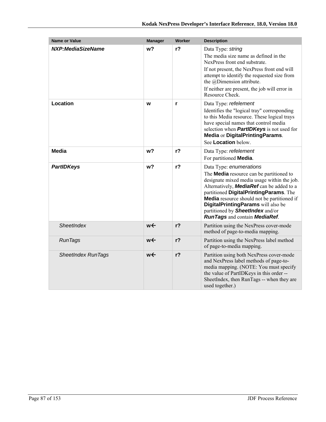| <b>Name or Value</b>      | <b>Manager</b> | Worker         | <b>Description</b>                                                                                                                                                                                                                                                                                                                                                                                     |
|---------------------------|----------------|----------------|--------------------------------------------------------------------------------------------------------------------------------------------------------------------------------------------------------------------------------------------------------------------------------------------------------------------------------------------------------------------------------------------------------|
| NXP:MediaSizeName         | w?             | $r$ ?          | Data Type: string<br>The media size name as defined in the<br>NexPress front end substrate.<br>If not present, the NexPress front end will<br>attempt to identify the requested size from<br>the @Dimension attribute.<br>If neither are present, the job will error in<br>Resource Check.                                                                                                             |
| Location                  | W              | r              | Data Type: refelement<br>Identifies the "logical tray" corresponding<br>to this Media resource. These logical trays<br>have special names that control media<br>selection when <b>PartIDKeys</b> is not used for<br>Media or DigitalPrintingParams.<br>See Location below.                                                                                                                             |
| <b>Media</b>              | w <sub>2</sub> | r <sub>2</sub> | Data Type: refelement<br>For partitioned Media.                                                                                                                                                                                                                                                                                                                                                        |
| <b>PartIDKeys</b>         | w?             | $r$ ?          | Data Type: enumerations<br>The <b>Media</b> resource can be partitioned to<br>designate mixed media usage within the job.<br>Alternatively, <b>MediaRef</b> can be added to a<br>partitioned DigitalPrintingParams. The<br><b>Media</b> resource should not be partitioned if<br>DigitalPrintingParams will also be<br>partitioned by <b>SheetIndex</b> and/or<br><b>RunTags and contain MediaRef.</b> |
| SheetIndex                | $w \leftarrow$ | $r$ ?          | Partition using the NexPress cover-mode<br>method of page-to-media mapping.                                                                                                                                                                                                                                                                                                                            |
| <b>RunTags</b>            | w←             | $r$ ?          | Partition using the NexPress label method<br>of page-to-media mapping.                                                                                                                                                                                                                                                                                                                                 |
| <b>SheetIndex RunTags</b> | w←             | r <sub>2</sub> | Partition using both NexPress cover-mode<br>and NexPress label methods of page-to-<br>media mapping. (NOTE: You must specify<br>the value of PartIDKeys in this order --<br>SheetIndex, then RunTags -- when they are<br>used together.)                                                                                                                                                               |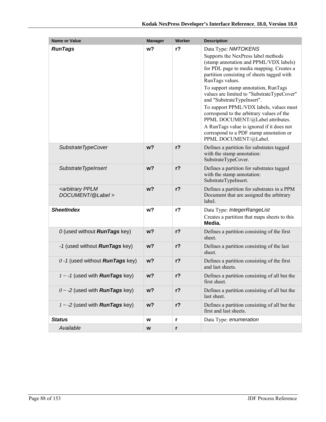| <b>Name or Value</b>                                   | <b>Manager</b> | Worker | <b>Description</b>                                                                                                                                                                                                                                                                                                                                                                                                                                                                                                                                                                 |
|--------------------------------------------------------|----------------|--------|------------------------------------------------------------------------------------------------------------------------------------------------------------------------------------------------------------------------------------------------------------------------------------------------------------------------------------------------------------------------------------------------------------------------------------------------------------------------------------------------------------------------------------------------------------------------------------|
| <b>RunTags</b>                                         | w?             | $r$ ?  | Data Type: NMTOKENS<br>Supports the NexPress label methods<br>(stamp annotation and PPML/VDX labels)<br>for PDL page to media mapping. Creates a<br>partition consisting of sheets tagged with<br>RunTags values.<br>To support stamp annotation, RunTags<br>values are limited to "SubstrateTypeCover"<br>and "SubstrateTypeInsert".<br>To support PPML/VDX labels, values must<br>correspond to the arbitrary values of the<br>PPML DOCUMENT/@Label attributes.<br>A RunTags value is ignored if it does not<br>correspond to a PDF stamp annotation or<br>PPML DOCUMENT/@Label. |
| SubstrateTypeCover                                     | w <sub>2</sub> | $r$ ?  | Defines a partition for substrates tagged<br>with the stamp annotation:<br>SubstrateTypeCover.                                                                                                                                                                                                                                                                                                                                                                                                                                                                                     |
| Substrate TypeInsert                                   | $w$ ?          | $r$ ?  | Defines a partition for substrates tagged<br>with the stamp annotation:<br>SubstrateTypeInsert.                                                                                                                                                                                                                                                                                                                                                                                                                                                                                    |
| <arbitrary pplm<br="">DOCUMENT/@Label &gt;</arbitrary> | w <sub>2</sub> | $r$ ?  | Defines a partition for substrates in a PPM<br>Document that are assigned the arbitrary<br>label.                                                                                                                                                                                                                                                                                                                                                                                                                                                                                  |
| <b>SheetIndex</b>                                      | w?             | $r$ ?  | Data Type: IntegerRangeList<br>Creates a partition that maps sheets to this<br>Media.                                                                                                                                                                                                                                                                                                                                                                                                                                                                                              |
| 0 (used without <b>RunTags</b> key)                    | w <sub>2</sub> | $r$ ?  | Defines a partition consisting of the first<br>sheet.                                                                                                                                                                                                                                                                                                                                                                                                                                                                                                                              |
| -1 (used without <b>RunTags</b> key)                   | $w$ ?          | $r$ ?  | Defines a partition consisting of the last<br>sheet.                                                                                                                                                                                                                                                                                                                                                                                                                                                                                                                               |
| $0 - 1$ (used without <b>RunTags</b> key)              | $w$ ?          | $r$ ?  | Defines a partition consisting of the first<br>and last sheets.                                                                                                                                                                                                                                                                                                                                                                                                                                                                                                                    |
| $1 - 1$ (used with <b>RunTags</b> key)                 | w?             | $r$ ?  | Defines a partition consisting of all but the<br>first sheet.                                                                                                                                                                                                                                                                                                                                                                                                                                                                                                                      |
| $0 \sim -2$ (used with <b>RunTags</b> key)             | w?             | $r$ ?  | Defines a partition consisting of all but the<br>last sheet.                                                                                                                                                                                                                                                                                                                                                                                                                                                                                                                       |
| $1 - 2$ (used with <b>RunTags</b> key)                 | $w$ ?          | $r$ ?  | Defines a partition consisting of all but the<br>first and last sheets.                                                                                                                                                                                                                                                                                                                                                                                                                                                                                                            |
| <b>Status</b>                                          | W              | r      | Data Type: enumeration                                                                                                                                                                                                                                                                                                                                                                                                                                                                                                                                                             |
| Available                                              | W              | r      |                                                                                                                                                                                                                                                                                                                                                                                                                                                                                                                                                                                    |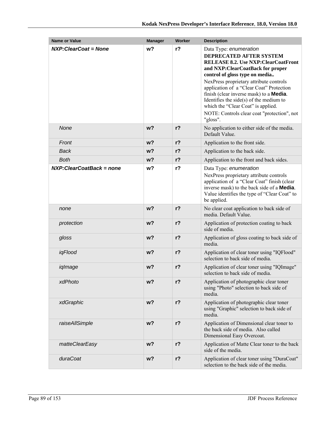| Name or Value               | <b>Manager</b> | Worker         | <b>Description</b>                                                                                                                                                                                                                                                                                                                                                                                                                                               |
|-----------------------------|----------------|----------------|------------------------------------------------------------------------------------------------------------------------------------------------------------------------------------------------------------------------------------------------------------------------------------------------------------------------------------------------------------------------------------------------------------------------------------------------------------------|
| NXP: Clear Coat = None      | w?             | r <sub>2</sub> | Data Type: enumeration<br>DEPRECATED AFTER SYSTEM<br><b>RELEASE 8.2. Use NXP: Clear CoatFront</b><br>and NXP:ClearCoatBack for proper<br>control of gloss type on media<br>NexPress proprietary attribute controls<br>application of a "Clear Coat" Protection<br>finish (clear inverse mask) to a <b>Media</b> .<br>Identifies the side $(s)$ of the medium to<br>which the "Clear Coat" is applied.<br>NOTE: Controls clear coat "protection", not<br>"gloss". |
| None                        | w?             | $r$ ?          | No application to either side of the media.<br>Default Value.                                                                                                                                                                                                                                                                                                                                                                                                    |
| Front                       | $w$ ?          | $r$ ?          | Application to the front side.                                                                                                                                                                                                                                                                                                                                                                                                                                   |
| <b>Back</b>                 | $w$ ?          | $r$ ?          | Application to the back side.                                                                                                                                                                                                                                                                                                                                                                                                                                    |
| <b>Both</b>                 | w <sup>2</sup> | $r$ ?          | Application to the front and back sides.                                                                                                                                                                                                                                                                                                                                                                                                                         |
| NXP: Clear Coat Back = none | w?             | $r$ ?          | Data Type: enumeration<br>NexPress proprietary attribute controls<br>application of a "Clear Coat" finish (clear<br>inverse mask) to the back side of a <b>Media</b> .<br>Value identifies the type of "Clear Coat" to<br>be applied.                                                                                                                                                                                                                            |
| none                        | w <sub>2</sub> | $r$ ?          | No clear coat application to back side of<br>media. Default Value.                                                                                                                                                                                                                                                                                                                                                                                               |
| protection                  | w?             | $r$ ?          | Application of protection coating to back<br>side of media.                                                                                                                                                                                                                                                                                                                                                                                                      |
| gloss                       | w <sub>2</sub> | $r$ ?          | Application of gloss coating to back side of<br>media.                                                                                                                                                                                                                                                                                                                                                                                                           |
| iqFlood                     | $w$ ?          | $r$ ?          | Application of clear toner using "IQFlood"<br>selection to back side of media.                                                                                                                                                                                                                                                                                                                                                                                   |
| iqImage                     | w?             | $r$ ?          | Application of clear toner using "IQImage"<br>selection to back side of media.                                                                                                                                                                                                                                                                                                                                                                                   |
| xdPhoto                     | w?             | $r$ ?          | Application of photographic clear toner<br>using "Photo" selection to back side of<br>media.                                                                                                                                                                                                                                                                                                                                                                     |
| xdGraphic                   | $w$ ?          | $r$ ?          | Application of photographic clear toner<br>using "Graphic" selection to back side of<br>media.                                                                                                                                                                                                                                                                                                                                                                   |
| raiseAllSimple              | w?             | $r$ ?          | Application of Dimensional clear toner to<br>the back side of media. Also called<br>Dimensional Easy Overcoat.                                                                                                                                                                                                                                                                                                                                                   |
| matteClearEasy              | $w$ ?          | $r$ ?          | Application of Matte Clear toner to the back<br>side of the media.                                                                                                                                                                                                                                                                                                                                                                                               |
| duraCoat                    | w?             | r <sub>2</sub> | Application of clear toner using "DuraCoat"<br>selection to the back side of the media.                                                                                                                                                                                                                                                                                                                                                                          |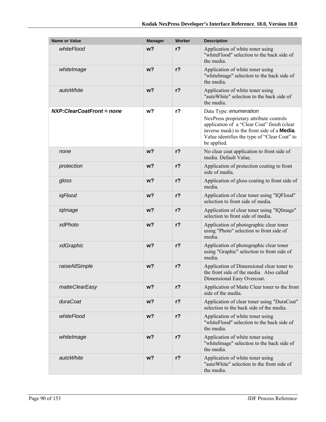| <b>Name or Value</b>      | <b>Manager</b> | Worker         | <b>Description</b>                                                                                                                                                                                                                     |
|---------------------------|----------------|----------------|----------------------------------------------------------------------------------------------------------------------------------------------------------------------------------------------------------------------------------------|
| whiteFlood                | w <sub>2</sub> | $r$ ?          | Application of white toner using<br>"whiteFlood" selection to the back side of<br>the media.                                                                                                                                           |
| whitelmage                | w <sub>2</sub> | $r$ ?          | Application of white toner using<br>"whiteImage" selection to the back side of<br>the media.                                                                                                                                           |
| autoWhite                 | w <sub>2</sub> | $r$ ?          | Application of white toner using<br>"autoWhite" selection to the back side of<br>the media.                                                                                                                                            |
| NXP:ClearCoatFront = none | w?             | r <sub>2</sub> | Data Type: enumeration<br>NexPress proprietary attribute controls<br>application of a "Clear Coat" finish (clear<br>inverse mask) to the front side of a <b>Media</b> .<br>Value identifies the type of "Clear Coat" to<br>be applied. |
| none                      | w <sub>2</sub> | $r$ ?          | No clear coat application to front side of<br>media. Default Value.                                                                                                                                                                    |
| protection                | w <sub>2</sub> | $r$ ?          | Application of protection coating to front<br>side of media.                                                                                                                                                                           |
| gloss                     | w <sub>2</sub> | $r$ ?          | Application of gloss coating to front side of<br>media.                                                                                                                                                                                |
| iqFlood                   | w <sub>2</sub> | $r$ ?          | Application of clear toner using "IQFlood"<br>selection to front side of media.                                                                                                                                                        |
| iqImage                   | w <sub>2</sub> | $r$ ?          | Application of clear toner using "IQImage"<br>selection to front side of media.                                                                                                                                                        |
| xdPhoto                   | w <sub>2</sub> | $r$ ?          | Application of photographic clear toner<br>using "Photo" selection to front side of<br>media.                                                                                                                                          |
| xdGraphic                 | w?             | $r$ ?          | Application of photographic clear toner<br>using "Graphic" selection to front side of<br>media.                                                                                                                                        |
| raiseAllSimple            | w?             | $r$ ?          | Application of Dimensional clear toner to<br>the front side of the media. Also called<br>Dimensional Easy Overcoat.                                                                                                                    |
| matteClearEasy            | w <sub>2</sub> | $r$ ?          | Application of Matte Clear toner to the front<br>side of the media.                                                                                                                                                                    |
| duraCoat                  | w <sub>2</sub> | $r$ ?          | Application of clear toner using "DuraCoat"<br>selection to the back side of the media.                                                                                                                                                |
| whiteFlood                | w <sub>2</sub> | $r$ ?          | Application of white toner using<br>"whiteFlood" selection to the back side of<br>the media.                                                                                                                                           |
| whiteImage                | w <sub>2</sub> | $r$ ?          | Application of white toner using<br>"whiteImage" selection to the back side of<br>the media.                                                                                                                                           |
| autoWhite                 | w?             | r <sub>2</sub> | Application of white toner using<br>"autoWhite" selection to the front side of<br>the media.                                                                                                                                           |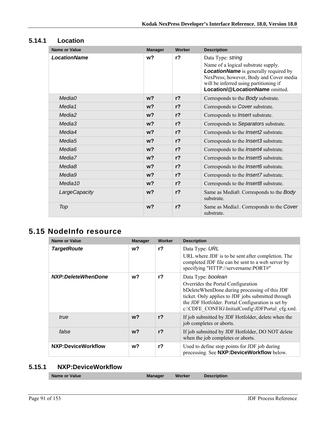| <b>Name or Value</b> | <b>Manager</b> | Worker         | <b>Description</b>                                                                                                                                                                                                               |
|----------------------|----------------|----------------|----------------------------------------------------------------------------------------------------------------------------------------------------------------------------------------------------------------------------------|
| <b>LocationName</b>  | w <sub>2</sub> | r <sub>2</sub> | Data Type: string<br>Name of a logical substrate supply.<br><b>LocationName</b> is generally required by<br>NexPress; however, Body and Cover media<br>will be inferred using partitioning if<br>Location/@LocationName omitted. |
| Media0               | w <sub>2</sub> | $r$ ?          | Corresponds to the Body substrate.                                                                                                                                                                                               |
| Media1               | w <sub>2</sub> | $r$ ?          | Corresponds to Cover substrate.                                                                                                                                                                                                  |
| Media <sub>2</sub>   | $w$ ?          | $r$ ?          | Corresponds to Insert substrate.                                                                                                                                                                                                 |
| Media3               | $w$ ?          | $r$ ?          | Corresponds to Separators substrate.                                                                                                                                                                                             |
| Media4               | w <sub>2</sub> | $r$ ?          | Corresponds to the <i>Insert2</i> substrate.                                                                                                                                                                                     |
| Media <sub>5</sub>   | w <sub>2</sub> | $r$ ?          | Corresponds to the <i>Insert3</i> substrate.                                                                                                                                                                                     |
| Media <sub>6</sub>   | w <sub>2</sub> | r <sub>2</sub> | Corresponds to the <i>Insert4</i> substrate.                                                                                                                                                                                     |
| Media7               | w <sub>2</sub> | r <sub>2</sub> | Corresponds to the <i>Insert5</i> substrate.                                                                                                                                                                                     |
| Media <sub>8</sub>   | w <sub>2</sub> | $r$ ?          | Corresponds to the <i>Insert6</i> substrate.                                                                                                                                                                                     |
| Media9               | w <sub>2</sub> | r <sub>2</sub> | Corresponds to the <i>Insert7</i> substrate.                                                                                                                                                                                     |
| Media <sub>10</sub>  | w <sub>2</sub> | r <sub>2</sub> | Corresponds to the <i>Insert8</i> substrate.                                                                                                                                                                                     |
| LargeCapacity        | w <sub>2</sub> | $r$ ?          | Same as Media0. Corresponds to the Body<br>substrate.                                                                                                                                                                            |
| Top                  | w <sub>2</sub> | $r$ ?          | Same as Media1. Corresponds to the Cover<br>substrate.                                                                                                                                                                           |

### **5.14.1 Location**

## **5.15 NodeInfo resource**

| <b>Name or Value</b> | <b>Manager</b> | Worker         | <b>Description</b>                                                                                                                                                                                                                                                      |
|----------------------|----------------|----------------|-------------------------------------------------------------------------------------------------------------------------------------------------------------------------------------------------------------------------------------------------------------------------|
| <b>TargetRoute</b>   | w?             | r <sub>2</sub> | Data Type: URL<br>URL where JDF is to be sent after completion. The<br>completed JDF file can be sent to a web server by<br>specifying "HTTP://servername:PORT#"                                                                                                        |
| NXP:DeleteWhenDone   | w?             | r <sub>2</sub> | Data Type: boolean<br>Overrides the Portal Configuration<br>bDeleteWhenDone during processing of this JDF<br>ticket. Only applies to JDF jobs submitted through<br>the JDF Hotfolder. Portal Configuration is set by<br>c:\CDFE_CONFIG\InitialConfig\JDFPortal_cfg.xml. |
| true                 | w?             | r <sub>2</sub> | If job submitted by JDF Hotfolder, delete when the<br>job completes or aborts.                                                                                                                                                                                          |
| false                | w?             | r <sub>2</sub> | If job submitted by JDF Hotfolder, DO NOT delete<br>when the job completes or aborts.                                                                                                                                                                                   |
| NXP:DeviceWorkflow   | w?             | r <sub>2</sub> | Used to define stop points for JDF job during<br>processing. See NXP:DeviceWorkflow below.                                                                                                                                                                              |

### **5.15.1 NXP:DeviceWorkflow**

| Name or Value | <b>Manager</b> | Worker | <b>Description</b> |
|---------------|----------------|--------|--------------------|
|               |                |        |                    |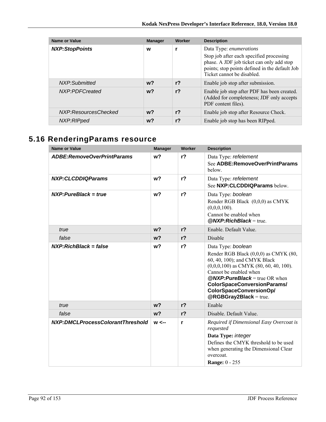| <b>Name or Value</b>  | <b>Manager</b> | Worker         | <b>Description</b>                                                                                                                                                                                     |
|-----------------------|----------------|----------------|--------------------------------------------------------------------------------------------------------------------------------------------------------------------------------------------------------|
| <b>NXP:StopPoints</b> | W              |                | Data Type: <i>enumerations</i><br>Stop job after each specified processing<br>phase. A JDF job ticket can only add stop<br>points; stop points defined in the default Job<br>Ticket cannot be disabled |
| NXP:Submitted         | $w$ ?          | r <sub>2</sub> | Enable job stop after submission.                                                                                                                                                                      |
| NXP:PDFCreated        | w <sub>2</sub> | r <sub>2</sub> | Enable job stop after PDF has been created.<br>(Added for completeness; JDF only accepts<br>PDF content files).                                                                                        |
| NXP:ResourcesChecked  | $w$ ?          | r <sub>2</sub> | Enable job stop after Resource Check.                                                                                                                                                                  |
| NXP:RIPped            | $w$ ?          | $r$ ?          | Enable job stop has been RIPped.                                                                                                                                                                       |

## **5.16 RenderingParams resource**

| <b>Name or Value</b>              | <b>Manager</b> | Worker         | <b>Description</b>                                                                                                                                                                                                                                                                              |
|-----------------------------------|----------------|----------------|-------------------------------------------------------------------------------------------------------------------------------------------------------------------------------------------------------------------------------------------------------------------------------------------------|
| <b>ADBE:RemoveOverPrintParams</b> | w <sub>2</sub> | r <sub>2</sub> | Data Type: refelement<br>See ADBE: Remove Over Print Params<br>below.                                                                                                                                                                                                                           |
| NXP:CLCDDIQParams                 | w <sub>2</sub> | r <sub>2</sub> | Data Type: refelement<br>See NXP:CLCDDIQParams below.                                                                                                                                                                                                                                           |
| $NXP: PureBlack = true$           | w <sub>2</sub> | $r$ ?          | Data Type: boolean<br>Render RGB Black (0,0,0) as CMYK<br>$(0,0,0,100)$ .<br>Cannot be enabled when<br>$@NXP:RichBlack = true.$                                                                                                                                                                 |
| true                              | w <sub>2</sub> | r <sub>2</sub> | Enable. Default Value.                                                                                                                                                                                                                                                                          |
| false                             | w <sub>2</sub> | r <sub>2</sub> | Disable                                                                                                                                                                                                                                                                                         |
| $NXP: RichBlack = false$          | w?             | r <sub>2</sub> | Data Type: boolean<br>Render RGB Black (0,0,0) as CMYK (80,<br>60, 40, 100); and CMYK Black<br>$(0,0,0,100)$ as CMYK $(80, 60, 40, 100)$ .<br>Cannot be enabled when<br>$@NXP: Pure Black = true OR when$<br>ColorSpaceConversionParams/<br>ColorSpaceConversionOp/<br>$@RGBGray2Black = true.$ |
| true                              | w <sub>2</sub> | r <sub>2</sub> | Enable                                                                                                                                                                                                                                                                                          |
| false                             | w <sub>2</sub> | r <sub>2</sub> | Disable. Default Value.                                                                                                                                                                                                                                                                         |
| NXP:DMCLProcessColorantThreshold  | $w \leftarrow$ | r              | Required if Dimensional Easy Overcoat is<br>requested<br>Data Type: integer<br>Defines the CMYK threshold to be used<br>when generating the Dimensional Clear<br>overcoat.<br><b>Range: 0 - 255</b>                                                                                             |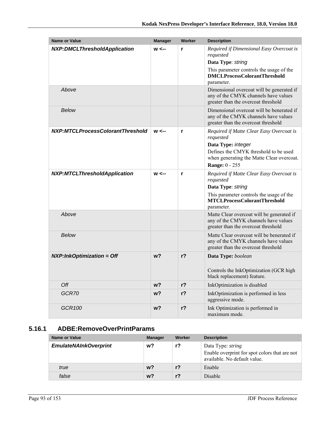| <b>Name or Value</b>                | <b>Manager</b> | Worker | <b>Description</b>                                                                                                                                                                         |
|-------------------------------------|----------------|--------|--------------------------------------------------------------------------------------------------------------------------------------------------------------------------------------------|
| <b>NXP:DMCLThresholdApplication</b> | $w \leftarrow$ | r      | Required if Dimensional Easy Overcoat is<br>requested<br>Data Type: string                                                                                                                 |
|                                     |                |        | This parameter controls the usage of the<br><b>DMCLProcessColorantThreshold</b><br>parameter.                                                                                              |
| Above                               |                |        | Dimensional overcoat will be generated if<br>any of the CMYK channels have values<br>greater than the overcoat threshold                                                                   |
| <b>Below</b>                        |                |        | Dimensional overcoat will be benerated if<br>any of the CMYK channels have values<br>greater than the overcoat threshold                                                                   |
| NXP:MTCLProcessColorantThreshold    | $w \leftarrow$ | r      | Required if Matte Clear Easy Overcoat is<br>requested<br>Data Type: integer<br>Defines the CMYK threshold to be used<br>when generating the Matte Clear overcoat.<br><b>Range: 0 - 255</b> |
| <b>NXP:MTCLThresholdApplication</b> | $w \leftarrow$ | r      | Required if Matte Clear Easy Overcoat is<br>requested<br>Data Type: string<br>This parameter controls the usage of the<br><b>MTCLProcessColorantThreshold</b><br>parameter.                |
| Above                               |                |        | Matte Clear overcoat will be generated if<br>any of the CMYK channels have values<br>greater than the overcoat threshold                                                                   |
| <b>Below</b>                        |                |        | Matte Clear overcoat will be benerated if<br>any of the CMYK channels have values<br>greater than the overcoat threshold                                                                   |
| $NXP: InkOptimization = Off$        | w <sub>2</sub> | $r$ ?  | Data Type: boolean<br>Controls the InkOptimization (GCR high<br>black replacement) feature.                                                                                                |
| Off                                 | w <sub>2</sub> | $r$ ?  | InkOptimization is disabled                                                                                                                                                                |
| GCR70                               | w <sub>2</sub> | $r$ ?  | InkOptimization is performed in less<br>aggressive mode.                                                                                                                                   |
| GCR100                              | w <sub>2</sub> | $r$ ?  | Ink Optimization is performed in<br>maximum mode.                                                                                                                                          |

### **5.16.1 ADBE:RemoveOverPrintParams**

| Name or Value                | <b>Manager</b> | Worker         | <b>Description</b>                                                                                        |
|------------------------------|----------------|----------------|-----------------------------------------------------------------------------------------------------------|
| <b>EmulateNAInkOverprint</b> | w?             | r?             | Data Type: <i>string</i><br>Enable overprint for spot colors that are not<br>available. No default value. |
| true                         | w?             | r <sub>2</sub> | Enable                                                                                                    |
| false                        | w?             | r <sub>2</sub> | Disable                                                                                                   |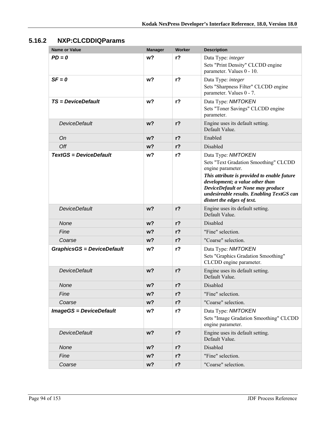### **5.16.2 NXP:CLCDDIQParams**

| <b>Name or Value</b>              | <b>Manager</b> | Worker         | <b>Description</b>                                                      |
|-----------------------------------|----------------|----------------|-------------------------------------------------------------------------|
| $PD = 0$                          | w <sub>2</sub> | $r$ ?          | Data Type: integer                                                      |
|                                   |                |                | Sets "Print Density" CLCDD engine                                       |
|                                   |                |                | parameter. Values 0 - 10.                                               |
| $SF = 0$                          | w <sub>2</sub> | $r$ ?          | Data Type: integer<br>Sets "Sharpness Filter" CLCDD engine              |
|                                   |                |                | parameter. Values 0 - 7.                                                |
| TS = DeviceDefault                | w?             | $r$ ?          | Data Type: NMTOKEN                                                      |
|                                   |                |                | Sets "Toner Savings" CLCDD engine                                       |
|                                   |                |                | parameter.                                                              |
| <b>DeviceDefault</b>              | w <sub>2</sub> | $r$ ?          | Engine uses its default setting.<br>Default Value.                      |
| On                                | $w$ ?          | $r$ ?          | Enabled                                                                 |
| Off                               | $w$ ?          | $r$ ?          | Disabled                                                                |
| <b>TextGS = DeviceDefault</b>     | w?             | $r$ ?          | Data Type: NMTOKEN                                                      |
|                                   |                |                | Sets "Text Gradation Smoothing" CLCDD                                   |
|                                   |                |                | engine parameter.<br>This attribute is provided to enable future        |
|                                   |                |                | development; a value other than                                         |
|                                   |                |                | DeviceDefault or None may produce                                       |
|                                   |                |                | undesireable results. Enabling TextGS can<br>distort the edges of text. |
| <b>DeviceDefault</b>              | w <sub>2</sub> | r <sub>2</sub> | Engine uses its default setting.                                        |
|                                   |                |                | Default Value.                                                          |
| <b>None</b>                       | $w$ ?          | $r$ ?          | Disabled                                                                |
| Fine                              | $w$ ?          | $r$ ?          | "Fine" selection.                                                       |
| Coarse                            | $w$ ?          | $r$ ?          | "Coarse" selection.                                                     |
| <b>GraphicsGS = DeviceDefault</b> | w?             | $r$ ?          | Data Type: NMTOKEN                                                      |
|                                   |                |                | Sets "Graphics Gradation Smoothing"<br>CLCDD engine parameter.          |
| <b>DeviceDefault</b>              | $w$ ?          | $r$ ?          | Engine uses its default setting.                                        |
|                                   |                |                | Default Value.                                                          |
| None                              | w?             | r <sub>2</sub> | Disabled                                                                |
| Fine                              | $w$ ?          | $r$ ?          | "Fine" selection.                                                       |
| Coarse                            | w?             | $r$ ?          | "Coarse" selection.                                                     |
| <b>ImageGS = DeviceDefault</b>    | w?             | r <sub>2</sub> | Data Type: NMTOKEN                                                      |
|                                   |                |                | Sets "Image Gradation Smoothing" CLCDD                                  |
|                                   |                |                | engine parameter.                                                       |
| <b>DeviceDefault</b>              | w?             | $r$ ?          | Engine uses its default setting.<br>Default Value.                      |
| None                              | $w$ ?          | $r$ ?          | Disabled                                                                |
| Fine                              | $w$ ?          | $r$ ?          | "Fine" selection.                                                       |
| Coarse                            | $w$ ?          | $r$ ?          | "Coarse" selection.                                                     |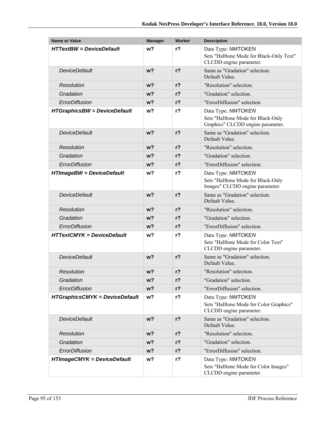| <b>Name or Value</b>                  | <b>Manager</b> | Worker         | <b>Description</b>                                                                            |
|---------------------------------------|----------------|----------------|-----------------------------------------------------------------------------------------------|
| <b>HTTextBW</b> = DeviceDefault       | w?             | $r$ ?          | Data Type: NMTOKEN                                                                            |
|                                       |                |                | Sets "Halftone Mode for Black-Only Text"<br>CLCDD engine parameter.                           |
| <b>DeviceDefault</b>                  | w <sub>2</sub> | $r$ ?          | Same as "Gradation" selection.<br>Default Value.                                              |
| Resolution                            | $w$ ?          | r <sub>2</sub> | "Resolution" selection.                                                                       |
| Gradation                             | $w$ ?          | r <sub>2</sub> | "Gradation" selection.                                                                        |
| ErrorDiffusion                        | w?             | $r$ ?          | "ErrorDiffusion" selection.                                                                   |
| <b>HTGraphicsBW = DeviceDefault</b>   | w?             | $r$ ?          | Data Type: NMTOKEN<br>Sets "Halftone Mode for Black-Only<br>Graphics" CLCDD engine parameter. |
| <b>DeviceDefault</b>                  | $w$ ?          | $r$ ?          | Same as "Gradation" selection.<br>Default Value.                                              |
| Resolution                            | $w$ ?          | $r$ ?          | "Resolution" selection.                                                                       |
| Gradation                             | w <sub>2</sub> | r <sub>2</sub> | "Gradation" selection.                                                                        |
| ErrorDiffusion                        | $w$ ?          | r <sub>2</sub> | "ErrorDiffusion" selection.                                                                   |
| <b>HTImageBW = DeviceDefault</b>      | w?             | r <sub>2</sub> | Data Type: NMTOKEN<br>Sets "Halftone Mode for Black-Only<br>Images" CLCDD engine parameter.   |
| <b>DeviceDefault</b>                  | w <sub>2</sub> | $r$ ?          | Same as "Gradation" selection.<br>Default Value.                                              |
| <b>Resolution</b>                     | $w$ ?          | r <sub>2</sub> | "Resolution" selection.                                                                       |
| Gradation                             | w?             | $r$ ?          | "Gradation" selection.                                                                        |
| ErrorDiffusion                        | $w$ ?          | $r$ ?          | "ErrorDiffusion" selection.                                                                   |
| <b>HTTextCMYK = DeviceDefault</b>     | w?             | $r$ ?          | Data Type: NMTOKEN<br>Sets "Halftone Mode for Color Text"<br>CLCDD engine parameter.          |
| <b>DeviceDefault</b>                  | w <sub>2</sub> | r <sub>2</sub> | Same as "Gradation" selection.<br>Default Value.                                              |
| Resolution                            | $w$ ?          | $r$ ?          | "Resolution" selection.                                                                       |
| Gradation                             | $w$ ?          | $r$ ?          | "Gradation" selection.                                                                        |
| ErrorDiffusion                        | $w$ ?          | $r$ ?          | "ErrorDiffusion" selection.                                                                   |
| <b>HTGraphicsCMYK = DeviceDefault</b> | w?             | $r$ ?          | Data Type: NMTOKEN                                                                            |
|                                       |                |                | Sets "Halftone Mode for Color Graphics"<br>CLCDD engine parameter.                            |
| <b>DeviceDefault</b>                  | $w$ ?          | $r$ ?          | Same as "Gradation" selection.<br>Default Value.                                              |
| Resolution                            | $w$ ?          | $r$ ?          | "Resolution" selection.                                                                       |
| Gradation                             | $w$ ?          | $r$ ?          | "Gradation" selection.                                                                        |
| ErrorDiffusion                        | $w$ ?          | $r$ ?          | "ErrorDiffusion" selection.                                                                   |
| <b>HTImageCMYK = DeviceDefault</b>    | w?             | $r$ ?          | Data Type: NMTOKEN<br>Sets "Halftone Mode for Color Images"<br>CLCDD engine parameter.        |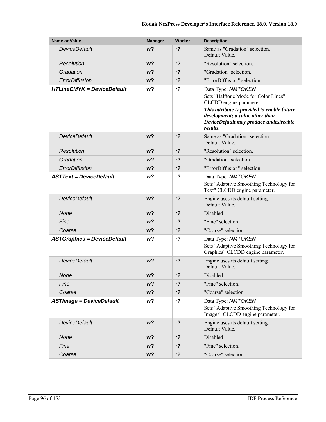| <b>Name or Value</b>               | <b>Manager</b> | Worker         | <b>Description</b>                                                                                                                                                                                                            |
|------------------------------------|----------------|----------------|-------------------------------------------------------------------------------------------------------------------------------------------------------------------------------------------------------------------------------|
| <b>DeviceDefault</b>               | $w$ ?          | r <sub>2</sub> | Same as "Gradation" selection.<br>Default Value.                                                                                                                                                                              |
| Resolution                         | $w$ ?          | r <sub>2</sub> | "Resolution" selection.                                                                                                                                                                                                       |
| Gradation                          | w <sub>2</sub> | r <sub>2</sub> | "Gradation" selection.                                                                                                                                                                                                        |
| ErrorDiffusion                     | w <sub>2</sub> | r <sub>2</sub> | "ErrorDiffusion" selection.                                                                                                                                                                                                   |
| <b>HTLineCMYK = DeviceDefault</b>  | w?             | $r$ ?          | Data Type: NMTOKEN<br>Sets "Halftone Mode for Color Lines"<br>CLCDD engine parameter.<br>This attribute is provided to enable future<br>development; a value other than<br>DeviceDefault may produce undesireable<br>results. |
| <b>DeviceDefault</b>               | $w$ ?          | r <sub>2</sub> | Same as "Gradation" selection.<br>Default Value.                                                                                                                                                                              |
| <b>Resolution</b>                  | $w$ ?          | r <sub>2</sub> | "Resolution" selection.                                                                                                                                                                                                       |
| Gradation                          | w?             | r <sub>2</sub> | "Gradation" selection.                                                                                                                                                                                                        |
| ErrorDiffusion                     | $w$ ?          | r <sub>2</sub> | "ErrorDiffusion" selection.                                                                                                                                                                                                   |
| <b>ASTText = DeviceDefault</b>     | w?             | $r$ ?          | Data Type: NMTOKEN<br>Sets "Adaptive Smoothing Technology for<br>Text" CLCDD engine parameter.                                                                                                                                |
| <b>DeviceDefault</b>               | w <sub>2</sub> | $r$ ?          | Engine uses its default setting.<br>Default Value.                                                                                                                                                                            |
| None                               | $w$ ?          | r <sub>2</sub> | Disabled                                                                                                                                                                                                                      |
| Fine                               | w?             | r <sub>2</sub> | "Fine" selection.                                                                                                                                                                                                             |
| Coarse                             | $w$ ?          | $r$ ?          | "Coarse" selection.                                                                                                                                                                                                           |
| <b>ASTGraphics = DeviceDefault</b> | w?             | $r$ ?          | Data Type: NMTOKEN<br>Sets "Adaptive Smoothing Technology for<br>Graphics" CLCDD engine parameter.                                                                                                                            |
| <b>DeviceDefault</b>               | w <sub>2</sub> | $r$ ?          | Engine uses its default setting.<br>Default Value.                                                                                                                                                                            |
| None                               | w?             | r <sub>2</sub> | Disabled                                                                                                                                                                                                                      |
| Fine                               | w?             | $r$ ?          | "Fine" selection.                                                                                                                                                                                                             |
| Coarse                             | $w$ ?          | $r$ ?          | "Coarse" selection.                                                                                                                                                                                                           |
| <b>ASTImage = DeviceDefault</b>    | w?             | r <sub>2</sub> | Data Type: NMTOKEN<br>Sets "Adaptive Smoothing Technology for<br>Images" CLCDD engine parameter.                                                                                                                              |
| <b>DeviceDefault</b>               | $w$ ?          | $r$ ?          | Engine uses its default setting.<br>Default Value.                                                                                                                                                                            |
| None                               | $w$ ?          | $r$ ?          | Disabled                                                                                                                                                                                                                      |
| Fine                               | $w$ ?          | $r$ ?          | "Fine" selection.                                                                                                                                                                                                             |
| Coarse                             | $w$ ?          | $r$ ?          | "Coarse" selection.                                                                                                                                                                                                           |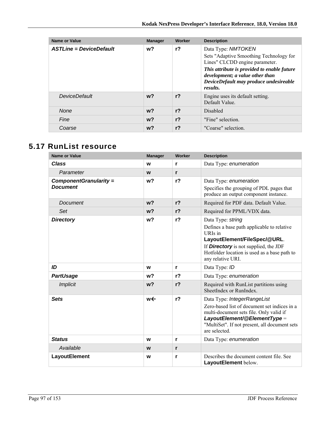| Name or Value                  | <b>Manager</b> | Worker         | <b>Description</b>                                                                                                                                                                                                                      |
|--------------------------------|----------------|----------------|-----------------------------------------------------------------------------------------------------------------------------------------------------------------------------------------------------------------------------------------|
| <b>ASTLine = DeviceDefault</b> | w?             | r?             | Data Type: NMTOKEN<br>Sets "Adaptive Smoothing Technology for<br>Lines" CLCDD engine parameter.<br>This attribute is provided to enable future<br>development; a value other than<br>DeviceDefault may produce undesireable<br>results. |
| DeviceDefault                  | $w$ ?          | r <sub>2</sub> | Engine uses its default setting.<br>Default Value.                                                                                                                                                                                      |
| <b>None</b>                    | $w$ ?          | r <sub>2</sub> | <b>Disabled</b>                                                                                                                                                                                                                         |
| Fine                           | $w$ ?          | r <sub>2</sub> | "Fine" selection.                                                                                                                                                                                                                       |
| Coarse                         | $w$ ?          | r <sub>2</sub> | "Coarse" selection.                                                                                                                                                                                                                     |

## **5.17 RunList resource**

| <b>Name or Value</b>                      | <b>Manager</b> | Worker         | <b>Description</b>                                                                                                                                                                                                              |
|-------------------------------------------|----------------|----------------|---------------------------------------------------------------------------------------------------------------------------------------------------------------------------------------------------------------------------------|
| <b>Class</b>                              | W              | r              | Data Type: enumeration                                                                                                                                                                                                          |
| Parameter                                 | W              | r              |                                                                                                                                                                                                                                 |
| ComponentGranularity =<br><b>Document</b> | w <sub>2</sub> | r <sub>2</sub> | Data Type: enumeration<br>Specifies the grouping of PDL pages that<br>produce an output component instance.                                                                                                                     |
| <b>Document</b>                           | w <sub>2</sub> | r <sub>2</sub> | Required for PDF data. Default Value.                                                                                                                                                                                           |
| Set                                       | w <sub>2</sub> | $r$ ?          | Required for PPML/VDX data.                                                                                                                                                                                                     |
| <b>Directory</b>                          | w <sub>2</sub> | $r$ ?          | Data Type: string<br>Defines a base path applicable to relative<br>URIs in<br>LayoutElement/FileSpec/@URL.<br>If <b>Directory</b> is not supplied, the JDF<br>Hotfolder location is used as a base path to<br>any relative URI. |
| ID                                        | W              | r              | Data Type: ID                                                                                                                                                                                                                   |
| <b>PartUsage</b>                          | w?             | $r$ ?          | Data Type: enumeration                                                                                                                                                                                                          |
| <b>Implicit</b>                           | w <sub>2</sub> | r <sub>2</sub> | Required with RunList partitions using<br>SheetIndex or RunIndex.                                                                                                                                                               |
| <b>Sets</b>                               | w←             | r <sub>2</sub> | Data Type: IntegerRangeList<br>Zero-based list of document set indices in a<br>multi-document sets file. Only valid if<br>LayoutElement/@ElementType =<br>"MultiSet". If not present, all document sets<br>are selected.        |
| <b>Status</b>                             | W              | r              | Data Type: enumeration                                                                                                                                                                                                          |
| Available                                 | W              | r              |                                                                                                                                                                                                                                 |
| <b>LayoutElement</b>                      | W              | r              | Describes the document content file. See<br>LayoutElement below.                                                                                                                                                                |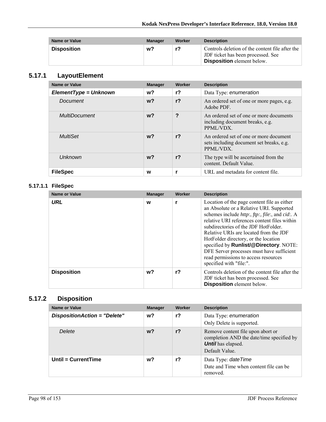| <b>Name or Value</b> | <b>Manager</b> | Worker | <b>Description</b>                                                                                                  |
|----------------------|----------------|--------|---------------------------------------------------------------------------------------------------------------------|
| <b>Disposition</b>   | w?             | r?     | Controls deletion of the content file after the<br>JDF ticket has been processed. See<br>Disposition element below. |

### **5.17.1 LayoutElement**

| Name or Value           | <b>Manager</b> | Worker         | <b>Description</b>                                                                              |
|-------------------------|----------------|----------------|-------------------------------------------------------------------------------------------------|
| $ElementType = Unknown$ | w?             | r?             | Data Type: enumeration                                                                          |
| Document                | $w$ ?          | r <sub>2</sub> | An ordered set of one or more pages, e.g.<br>Adobe PDF.                                         |
| <b>MultiDocument</b>    | $w$ ?          | ?              | An ordered set of one or more documents<br>including document breaks, e.g.<br>PPML/VDX.         |
| MultiSet                | $w$ ?          | $r$ ?          | An ordered set of one or more document<br>sets including document set breaks, e.g.<br>PPML/VDX. |
| Unknown                 | $w$ ?          | r <sub>2</sub> | The type will be ascertained from the<br>content. Default Value.                                |
| <b>FileSpec</b>         | w              |                | URL and metadata for content file.                                                              |

#### **5.17.1.1 FileSpec**

| <b>Name or Value</b> | <b>Manager</b> | Worker         | <b>Description</b>                                                                                                                                                                                                                                                                                                                                                                                                                                                                            |
|----------------------|----------------|----------------|-----------------------------------------------------------------------------------------------------------------------------------------------------------------------------------------------------------------------------------------------------------------------------------------------------------------------------------------------------------------------------------------------------------------------------------------------------------------------------------------------|
| <b>URL</b>           | W              |                | Location of the page content file as either<br>an Absolute or a Relative URI. Supported<br>schemes include <i>http:, ftp:, file:, and cid:. A</i><br>relative URI references content files within<br>subdirectories of the JDF HotFolder.<br>Relative URIs are located from the JDF<br>HotFolder directory, or the location<br>specified by <b>Runlist/@Directory</b> . NOTE:<br>DFE Server processes must have sufficient<br>read permissions to access resources<br>specified with "file:". |
| <b>Disposition</b>   | w?             | r <sub>2</sub> | Controls deletion of the content file after the<br>JDF ticket has been processed. See<br><b>Disposition</b> element below.                                                                                                                                                                                                                                                                                                                                                                    |

### **5.17.2 Disposition**

| <b>Name or Value</b>         | <b>Manager</b> | Worker | <b>Description</b>                                                                                                            |
|------------------------------|----------------|--------|-------------------------------------------------------------------------------------------------------------------------------|
| DispositionAction = "Delete" | w?             | r?     | Data Type: enumeration<br>Only Delete is supported.                                                                           |
| Delete                       | $w$ ?          | $r$ ?  | Remove content file upon abort or<br>completion AND the date/time specified by<br><b>Until</b> has elapsed.<br>Default Value. |
| Until = $CurrentTime$        | w?             | $r$ ?  | Data Type: date Time<br>Date and Time when content file can be<br>removed.                                                    |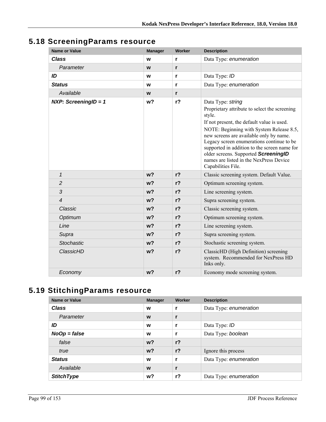| <b>Name or Value</b>   | <b>Manager</b> | <b>Worker</b>  | <b>Description</b>                                                                                                                                                                                                                                                                                                                                                                                                      |
|------------------------|----------------|----------------|-------------------------------------------------------------------------------------------------------------------------------------------------------------------------------------------------------------------------------------------------------------------------------------------------------------------------------------------------------------------------------------------------------------------------|
| <b>Class</b>           | W              | r              | Data Type: enumeration                                                                                                                                                                                                                                                                                                                                                                                                  |
| Parameter              | W              | $\mathbf{r}$   |                                                                                                                                                                                                                                                                                                                                                                                                                         |
| ID                     | W              | $\mathbf{r}$   | Data Type: ID                                                                                                                                                                                                                                                                                                                                                                                                           |
| <b>Status</b>          | W              | r              | Data Type: enumeration                                                                                                                                                                                                                                                                                                                                                                                                  |
| Available              | W              | r              |                                                                                                                                                                                                                                                                                                                                                                                                                         |
| NXP: ScreeningID = $1$ | w <sub>2</sub> | $r$ ?          | Data Type: string<br>Proprietary attribute to select the screening<br>style.<br>If not present, the default value is used.<br>NOTE: Beginning with System Release 8.5,<br>new screens are available only by name.<br>Legacy screen enumerations continue to be<br>supported in addition to the screen name for<br>older screens. Supported ScreeningID<br>names are listed in the NexPress Device<br>Capabilities File. |
| $\mathbf{1}$           | w <sub>2</sub> | r <sub>2</sub> | Classic screening system. Default Value.                                                                                                                                                                                                                                                                                                                                                                                |
| $\overline{c}$         | w <sub>2</sub> | $r$ ?          | Optimum screening system.                                                                                                                                                                                                                                                                                                                                                                                               |
| 3                      | w <sub>2</sub> | $r$ ?          | Line screening system.                                                                                                                                                                                                                                                                                                                                                                                                  |
| $\overline{4}$         | w <sub>2</sub> | $r$ ?          | Supra screening system.                                                                                                                                                                                                                                                                                                                                                                                                 |
| Classic                | w <sub>2</sub> | $r$ ?          | Classic screening system.                                                                                                                                                                                                                                                                                                                                                                                               |
| Optimum                | w <sub>2</sub> | $r$ ?          | Optimum screening system.                                                                                                                                                                                                                                                                                                                                                                                               |
| Line                   | w <sub>2</sub> | $r$ ?          | Line screening system.                                                                                                                                                                                                                                                                                                                                                                                                  |
| Supra                  | w <sub>2</sub> | $r$ ?          | Supra screening system.                                                                                                                                                                                                                                                                                                                                                                                                 |
| <b>Stochastic</b>      | w <sub>2</sub> | $r$ ?          | Stochastic screening system.                                                                                                                                                                                                                                                                                                                                                                                            |
| ClassicHD              | w?             | $r$ ?          | ClassicHD (High Definition) screening<br>system. Recommended for NexPress HD<br>Inks only.                                                                                                                                                                                                                                                                                                                              |
| Economy                | w <sub>2</sub> | $r$ ?          | Economy mode screening system.                                                                                                                                                                                                                                                                                                                                                                                          |

## **5.19 StitchingParams resource**

| <b>Name or Value</b> | <b>Manager</b> | Worker         | <b>Description</b>     |
|----------------------|----------------|----------------|------------------------|
| <b>Class</b>         | W              | r              | Data Type: enumeration |
| Parameter            | W              | r              |                        |
| ID                   | W              | r              | Data Type: ID          |
| $NoOp = false$       | W              | r              | Data Type: boolean     |
| false                | w <sup>2</sup> | r <sub>2</sub> |                        |
| true                 | $w$ ?          | $r$ ?          | Ignore this process    |
| <b>Status</b>        | W              | r              | Data Type: enumeration |
| Available            | W              | r              |                        |
| <b>StitchType</b>    | w?             | r?             | Data Type: enumeration |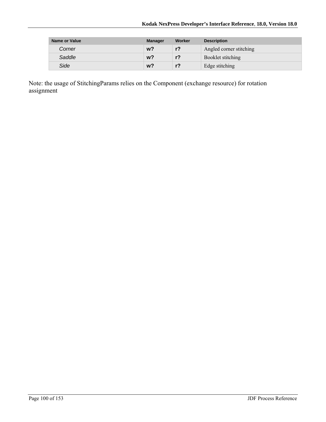| Name or Value | <b>Manager</b> | Worker | <b>Description</b>      |
|---------------|----------------|--------|-------------------------|
| Corner        | $w$ ?          | $r$ ?  | Angled corner stitching |
| Saddle        | $w$ ?          | $r$ ?  | Booklet stitching       |
| Side          | w?             | $r$ ?  | Edge stitching          |

Note: the usage of StitchingParams relies on the Component (exchange resource) for rotation assignment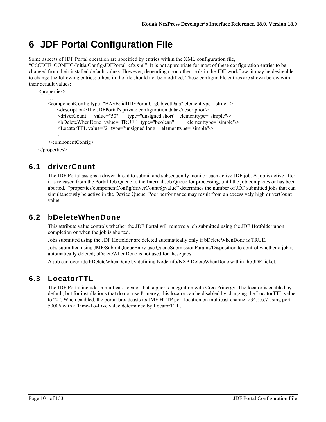# **6 JDF Portal Configuration File**

Some aspects of JDF Portal operation are specified by entries within the XML configuration file, "C:\CDFE\_CONFIG\InitialConfig\JDFPortal\_cfg.xml". It is not appropriate for most of these configuration entries to be changed from their installed default values. However, depending upon other tools in the JDF workflow, it may be desireable to change the following entries; others in the file should not be modified. These configurable entries are shown below with their default values:

```
<properties> 
… 
    <componentConfig type="BASE::idlJDFPortalCfgObjectData" elementtype="struct"> 
       <description>The JDFPortal's private configuration data</description> 
       <driverCount value="50" type="unsigned short" elementtype="simple"/> 
       <bDeleteWhenDone value="TRUE" type="boolean" elementtype="simple"/> 
      <LocatorTTL value="2" type="unsigned long" elementtype="simple"/> 
       … 
    </componentConfig>
```
</properties>

## **6.1 driverCount**

The JDF Portal assigns a driver thread to submit and subsequently monitor each active JDF job. A job is active after it is released from the Portal Job Queue to the Internal Job Queue for processing, until the job completes or has been aborted. "properties/componentConfig/driverCount/@value" determines the number of JDF submitted jobs that can simultaneously be active in the Device Queue. Poor performance may result from an excessively high driverCount value.

## **6.2 bDeleteWhenDone**

This attribute value controls whether the JDF Portal will remove a job submitted using the JDF Hotfolder upon completion or when the job is aborted.

Jobs submitted using the JDF Hotfolder are deleted automatically only if bDeleteWhenDone is TRUE.

Jobs submitted using JMF/SubmitQueueEntry use QueueSubmissionParams/Disposition to control whether a job is automatically deleted; bDeleteWhenDone is not used for these jobs.

A job can override bDeleteWhenDone by defining NodeInfo/NXP:DeleteWhenDone within the JDF ticket.

## **6.3 LocatorTTL**

The JDF Portal includes a multicast locator that supports integration with Creo Prinergy. The locator is enabled by default, but for installations that do not use Prinergy, this locator can be disabled by changing the LocatorTTL value to "0". When enabled, the portal broadcasts its JMF HTTP port location on multicast channel 234.5.6.7 using port 50006 with a Time-To-Live value determined by LocatorTTL.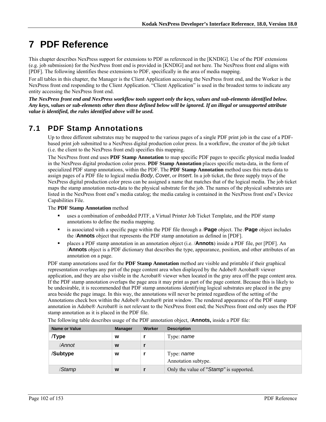# **7 PDF Reference**

This chapter describes NexPress support for extensions to PDF as referenced in the [KNDIG]. Use of the PDF extensions (e.g. job submission) for the NexPress front end is provided in [KNDIG] and not here. The NexPress front end aligns with [PDF]. The following identifies these extensions to PDF, specifically in the area of media mapping.

For all tables in this chapter, the Manager is the Client Application accessing the NexPress front end, and the Worker is the NexPress front end responding to the Client Application. "Client Application" is used in the broadest terms to indicate any entity accessing the NexPress front end.

*The NexPress front end and NexPress workflow tools support only the keys, values and sub-elements identified below. Any keys, values or sub-elements other then those defined below will be ignored. If an illegal or unsupported attribute value is identified, the rules identified above will be used.* 

## **7.1 PDF Stamp Annotations**

Up to three different substrates may be mapped to the various pages of a single PDF print job in the case of a PDFbased print job submitted to a NexPress digital production color press. In a workflow, the creator of the job ticket (i.e. the client to the NexPress front end) specifies this mapping.

The NexPress front end uses **PDF Stamp Annotation** to map specific PDF pages to specific physical media loaded in the NexPress digital production color press. **PDF Stamp Annotation** places specific meta-data, in the form of specialized PDF stamp annotations, within the PDF. The **PDF Stamp Annotation** method uses this meta-data to assign pages of a PDF file to logical media *Body*, *Cover*, or *Insert*. In a job ticket, the three supply trays of the NexPress digital production color press can be assigned a name that matches that of the logical media. The job ticket maps the stamp annotation meta-data to the physical substrate for the job. The names of the physical substrates are listed in the NexPress front end's media catalog; the media catalog is contained in the NexPress front end's Device Capabilities File.

The **PDF Stamp Annotation** method

- uses a combination of embedded PJTF, a Virtual Printer Job Ticket Template, and the PDF stamp annotations to define the media mapping.
- is associated with a specific page within the PDF file through a /**Page** object. The /**Page** object includes the /**Annots** object that represents the PDF stamp annotation as defined in [PDF].
- places a PDF stamp annotation in an annotation object (i.e. /**Annots**) inside a PDF file, per [PDF]. An /**Annots** object is a PDF dictionary that describes the type, appearance, position, and other attributes of an annotation on a page.

PDF stamp annotations used for the **PDF Stamp Annotation** method are visible and printable if their graphical representation overlaps any part of the page content area when displayed by the Adobe® Acrobat® viewer application, and they are also visible in the Acrobat® viewer when located in the gray area off the page content area. If the PDF stamp annotation overlaps the page area it may print as part of the page content. Because this is likely to be undesirable, it is recommended that PDF stamp annotations identifying logical substrates are placed in the gray area beside the page image. In this way, the annotations will never be printed regardless of the setting of the Annotations check box within the Adobe® Acrobat® print window. The rendered appearance of the PDF stamp annotation in Adobe® Acrobat® is not relevant to the NexPress front end; the NexPress front end only uses the PDF stamp annotation as it is placed in the PDF file.

| <b>Name or Value</b> | <b>Manager</b> | Worker | <b>Description</b>                      |
|----------------------|----------------|--------|-----------------------------------------|
| Type/                | W              |        | Type: name                              |
| /Annot               | W              |        |                                         |
| /Subtype             | W              |        | Type: name<br>Annotation subtype.       |
| /Stamp               | W              |        | Only the value of "Stamp" is supported. |

The following table describes usage of the PDF annotation object, /**Annots,** inside a PDF file: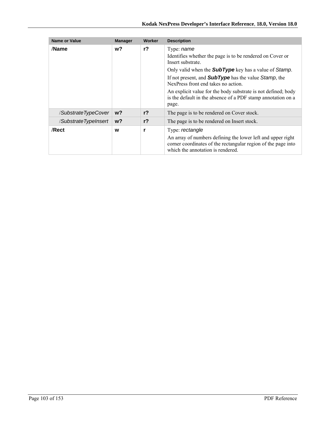| <b>Name or Value</b> | <b>Manager</b> | <b>Worker</b> | <b>Description</b>                                                                                                                                                                                                                                                                |
|----------------------|----------------|---------------|-----------------------------------------------------------------------------------------------------------------------------------------------------------------------------------------------------------------------------------------------------------------------------------|
| /Name                | w?             | $r$ ?         | Type: <i>name</i><br>Identifies whether the page is to be rendered on Cover or<br>Insert substrate.<br>Only valid when the <b>SubType</b> key has a value of <b>Stamp</b> .<br>If not present, and <b>SubType</b> has the value Stamp, the<br>Nex Press front end takes no action |
|                      |                |               | An explicit value for the body substrate is not defined; body<br>is the default in the absence of a PDF stamp annotation on a<br>page.                                                                                                                                            |
| /SubstrateTypeCover  | $w$ ?          | $r$ ?         | The page is to be rendered on Cover stock.                                                                                                                                                                                                                                        |
| /SubstrateTypeInsert | $w$ ?          | $r$ ?         | The page is to be rendered on Insert stock.                                                                                                                                                                                                                                       |
| /Rect                | w              | r             | Type: rectangle<br>An array of numbers defining the lower left and upper right<br>corner coordinates of the rectangular region of the page into<br>which the annotation is rendered.                                                                                              |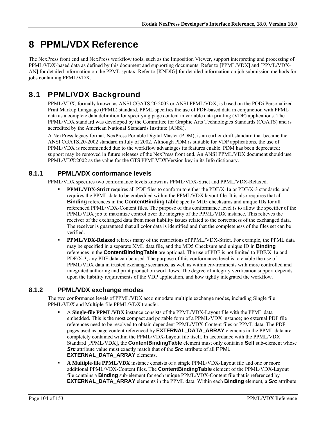# **8 PPML/VDX Reference**

The NexPress front end and NexPress workflow tools, such as the Imposition Viewer, support interpreting and processing of PPML/VDX-based data as defined by this document and supporting documents. Refer to [PPML/VDX] and [PPML/VDX-AN] for detailed information on the PPML syntax. Refer to [KNDIG] for detailed information on job submission methods for jobs containing PPML/VDX.

## **8.1 PPML/VDX Background**

PPML/VDX, formally known as ANSI CGATS.20:2002 or ANSI PPML/VDX, is based on the PODi Personalized Print Markup Language (PPML) standard. PPML specifies the use of PDF-based data in conjunction with PPML data as a complete data definition for specifying page content in variable data printing (VDP) applications. The PPML/VDX standard was developed by the Committee for Graphic Arts Technologies Standards (CGATS) and is accredited by the American National Standards Institute (ANSI).

A NexPress legacy format, NexPress Portable Digital Master (PDM), is an earlier draft standard that became the ANSI CGATS.20-2002 standard in July of 2002. Although PDM is suitable for VDP applications, the use of PPML/VDX is recommended due to the workflow advantages its features enable. PDM has been deprecated; support may be removed in future releases of the NexPress front end. An ANSI PPML/VDX document should use PPML/VDX:2002 as the value for the GTS PPMLVDXVersion key in its Info dictionary.

### **8.1.1 PPML/VDX conformance levels**

PPML/VDX specifies two conformance levels known as PPML/VDX-Strict and PPML/VDX-Relaxed.

- **PPML/VDX-Strict** requires all PDF files to conform to either the PDF/X-1a or PDF/X-3 standards, and requires the PPML data to be embedded within the PPML/VDX layout file. It is also requires that all **Binding** references in the **ContentBindingTable** specify MD5 checksums and unique IDs for all referenced PPML/VDX-Content files. The purpose of this conformance level is to allow the specifier of the PPML/VDX job to maximize control over the integrity of the PPML/VDX instance. This relieves the receiver of the exchanged data from most liability issues related to the correctness of the exchanged data. The receiver is guaranteed that all color data is identified and that the completeness of the files set can be verified.
- **PPML/VDX-Relaxed** relaxes many of the restrictions of PPML/VDX-Strict. For example, the PPML data may be specified in a separate XML data file, and the MD5 Checksum and unique ID in **Binding** references in the **ContentBindingTable** are optional. The use of PDF is not limited to PDF/X-1a and PDF/X-3; any PDF data can be used. The purpose of this conformance level is to enable the use of PPML/VDX data in trusted exchange scenarios, as well as within environments with more controlled and integrated authoring and print production workflows. The degree of integrity verification support depends upon the liability requirements of the VDP application, and how tightly integrated the workflow.

### **8.1.2 PPML/VDX exchange modes**

The two conformance levels of PPML/VDX accommodate multiple exchange modes, including Single file PPML/VDX and Multiple-file PPML/VDX transfer.

- A **Single-file PPML/VDX** instance consists of the PPML/VDX-Layout file with the PPML data embedded. This is the most compact and portable form of a PPML/VDX instance; no external PDF file references need to be resolved to obtain dependent PPML/VDX-Content files or PPML data. The PDF pages used as page content referenced by **EXTERNAL\_DATA\_ARRAY** elements in the PPML data are completely contained within the PPML/VDX-Layout file itself. In accordance with the PPML/VDX Standard [PPML/VDX], the **ContentBindingTable** element must only contain a **Self** sub-element whose *Src* attribute value must exactly match that of the *Src* attribute of all PPML **EXTERNAL\_DATA\_ARRAY** elements.
- **A Multiple-file PPML/VDX** instance consists of a single PPML/VDX-Layout file and one or more additional PPML/VDX-Content files. The **ContentBindingTable** element of the PPML/VDX-Layout file contains a **Binding** sub-element for each unique PPML/VDX-Content file that is referenced by **EXTERNAL\_DATA\_ARRAY** elements in the PPML data. Within each **Binding** element, a *Src* attribute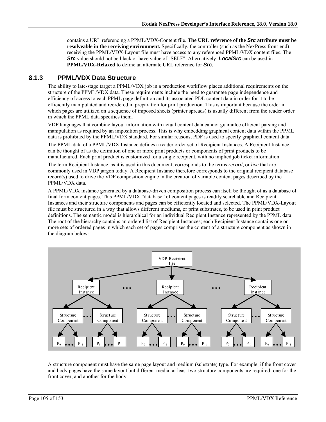contains a URL referencing a PPML/VDX-Content file. **The URL reference of the** *Src* **attribute must be resolveable in the receiving environment.** Specifically, the controller (such as the NexPress front-end) receiving the PPML/VDX-Layout file must have access to any referenced PPML/VDX content files. The *Src* value should not be black or have value of "SELF". Alternatively, *LocalSrc* can be used in **PPML/VDX-Relaxed** to define an alternate URL reference for *Src*.

#### **8.1.3 PPML/VDX Data Structure**

The ability to late-stage target a PPML/VDX job in a production workflow places additional requirements on the structure of the PPML/VDX data. These requirements include the need to guarantee page independence and efficiency of access to each PPML page definition and its associated PDL content data in order for it to be efficiently manipulated and reordered in preparation for print production. This is important because the order in which pages are utilized on a sequence of imposed sheets (printer spreads) is usually different from the reader order in which the PPML data specifies them.

VDP languages that combine layout information with actual content data cannot guarantee efficient parsing and manipulation as required by an imposition process. This is why embedding graphical content data within the PPML data is prohibited by the PPML/VDX standard. For similar reasons, PDF is used to specify graphical content data.

The PPML data of a PPML/VDX Instance defines a reader order set of Recipient Instances. A Recipient Instance can be thought of as the definition of one or more print products or components of print products to be manufactured. Each print product is customized for a single recipient, with no implied job ticket information

The term Recipient Instance, as it is used in this document, corresponds to the terms *record*, or *live* that are commonly used in VDP jargon today. A Recipient Instance therefore corresponds to the original recipient database record(s) used to drive the VDP composition engine in the creation of variable content pages described by the PPML/VDX data.

A PPML/VDX instance generated by a database-driven composition process can itself be thought of as a database of final form content pages. This PPML/VDX "database" of content pages is readily searchable and Recipient Instances and their structure components and pages can be efficiently located and selected. The PPML/VDX-Layout file must be structured in a way that allows different mediums, or print substrates, to be used in print product definitions. The semantic model is hierarchical for an individual Recipient Instance represented by the PPML data. The root of the hierarchy contains an ordered list of Recipient Instances; each Recipient Instance contains one or more sets of ordered pages in which each set of pages comprises the content of a structure component as shown in the diagram below:



A structure component must have the same page layout and medium (substrate) type. For example, if the front cover and body pages have the same layout but different media, at least two structure components are required: one for the front cover, and another for the body.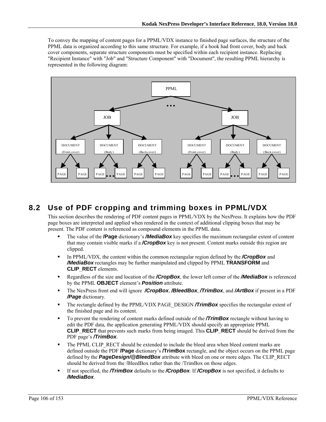To convey the mapping of content pages for a PPML/VDX instance to finished page surfaces, the structure of the PPML data is organized according to this same structure. For example, if a book had front cover, body and back cover components, separate structure components must be specified within each recipient instance. Replacing "Recipient Instance" with "Job" and "Structure Component" with "Document", the resulting PPML hierarchy is represented in the following diagram:



## **8.2 Use of PDF cropping and trimming boxes in PPML/VDX**

This section describes the rendering of PDF content pages in PPML/VDX by the NexPress. It explains how the PDF page boxes are interpreted and applied when rendered in the context of additional clipping boxes that may be present. The PDF content is referenced as compound elements in the PPML data.

- The value of the **/Page** dictionary's */MediaBox* key specifies the maximum rectangular extent of content that may contain visible marks if a */CropBox* key is not present. Content marks outside this region are clipped.
- In PPML/VDX, the content within the common rectangular region defined by the **/CropBox** and */MediaBox* rectangles may be further manipulated and clipped by PPML **TRANSFORM** and **CLIP\_RECT** elements.
- Regardless of the size and location of the */CropBox*, the lower left corner of the */MediaBox* is referenced by the PPML **OBJECT** element's *Position* attribute.
- The NexPress front end will ignore */CropBox*, */BleedBox*, */TrimBox*, and */ArtBox* if present in a PDF */Page* dictionary.
- The rectangle defined by the PPML/VDX PAGE\_DESIGN **/TrimBox** specifies the rectangular extent of the finished page and its content.
- To prevent the rendering of content marks defined outside of the **/TrimBox** rectangle without having to edit the PDF data, the application generating PPML/VDX should specify an appropriate PPML **CLIP\_RECT** that prevents such marks from being imaged. This **CLIP\_RECT** should be derived from the PDF page's */TrimBox*.
- The PPML CLIP\_RECT should be extended to include the bleed area when bleed content marks are defined outside the PDF **/Page** dictionary's **/TrimBox** rectangle, and the object occurs on the PPML page defined by the *PageDesign/@BleedBox* attribute with bleed on one or more edges. The CLIP\_RECT should be derived from the /BleedBox rather than the /TrimBox on those edges.
- If not specified, the */TrimBox* defaults to the */CropBox*. If */CropBox* is not specified, it defaults to */MediaBox*.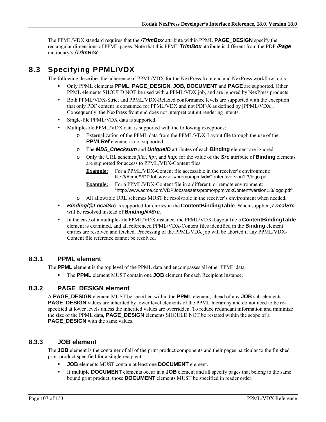The PPML/VDX standard requires that the */TrimBox* attribute within PPML **PAGE\_DESIGN** specify the rectangular dimensions of PPML pages. Note that this PPML *TrimBox* attribute is different from the PDF */Page* dictionary's */TrimBox*.

### **8.3 Specifying PPML/VDX**

The following describes the adherence of PPML/VDX for the NexPress front end and NexPress workflow tools:

- Only PPML elements **PPML**, **PAGE\_DESIGN**, **JOB**, **DOCUMENT** and **PAGE** are supported. Other PPML elements SHOULD NOT be used with a PPML/VDX job, and are ignored by NexPress products.
- Both PPML/VDX-Strict and PPML/VDX-Relaxed conformance levels are supported with the exception that only PDF content is consumed for PPML/VDX and not PDF/X as defined by [PPML/VDX]. Consequently, the NexPress front end does not interpret output rendering intents.
- **Single-file PPML/VDX data is supported.**
- Multiple-file PPML/VDX data is supported with the following exceptions:
	- o Externalization of the PPML data from the PPML/VDX-Layout file through the use of the **PPMLRef** element is not supported.
	- o The *MD5\_Checksum* and *UniqueID* attributes of each **Binding** element are ignored.
	- o Only the URL schemes *file:, ftp:,* and *http:* for the value of the *Src* attribute of **Binding** elements are supported for access to PPML/VDX-Content files.

**Example:** For a PPML/VDX-Content file accessable in the receiver's environment: file:///Acme/VDPJobs/assets/promo/ppmlvdxContent/version1.3/logo.pdf

**Example:** For a PPML/VDX-Content file in a different, or remote environment: "http://www.acme.com/VDPJobs/assets/promo/ppmlvdxContent/version1.3/logo.pdf".

- o All allowable URL schemes MUST be resolvable in the receiver's environment when needed.
- *Binding/@LocalSrc* is supported for entries in the **ContentBindingTable**. When supplied, *LocalSrc* will be resolved instead of *Binding/@Src*.
- In the case of a multiple-file PPML/VDX instance, the PPML/VDX-Layout file's **ContentBindingTable** element is examined, and all referenced PPML/VDX-Content files identified in the **Binding** element entries are resolved and fetched. Processing of the PPML/VDX job will be aborted if any PPML/VDX-Content file reference cannot be resolved.

### **8.3.1 PPML element**

The **PPML** element is the top level of the PPML data and encompasses all other PPML data.

The **PPML** element MUST contain one **JOB** element for each Recipient Instance.

#### **8.3.2 PAGE\_DESIGN element**

A **PAGE\_DESIGN** element MUST be specified within the **PPML** element, ahead of any **JOB** sub-elements. **PAGE\_DESIGN** values are inherited by lower level elements of the PPML hierarchy and do not need to be respecified at lower levels unless the inherited values are overridden. To reduce redundant information and minimize the size of the PPML data, **PAGE\_DESIGN** elements SHOULD NOT be restated within the scope of a **PAGE DESIGN** with the same values.

#### **8.3.3 JOB element**

The **JOB** element is the container of all of the print product components and their pages particular to the finished print product specified for a single recipient.

- **JOB** elements MUST contain at least one **DOCUMENT** element.
- If multiple **DOCUMENT** elements occur in a **JOB** element and all specify pages that belong to the same bound print product, those **DOCUMENT** elements MUST be specified in reader order.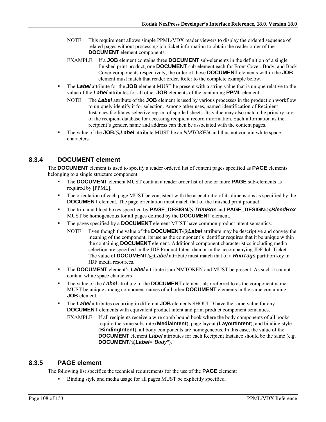- NOTE: This requirement allows simple PPML/VDX reader viewers to display the ordered sequence of related pages without processing job ticket information to obtain the reader order of the **DOCUMENT** element components.
- EXAMPLE: If a **JOB** element contains three **DOCUMENT** sub-elements in the definition of a single finished print product, one **DOCUMENT** sub-element each for Front Cover, Body, and Back Cover components respectively, the order of those **DOCUMENT** elements within the **JOB** element must match that reader order. Refer to the complete example below.
- The *Label* attribute for the **JOB** element MUST be present with a string value that is unique relative to the value of the *Label* attributes for all other **JOB** elements of the containing **PPML** element.
	- NOTE: The *Label* attribute of the **JOB** element is used by various processes in the production workflow to uniquely identify it for selection. Among other uses, named identification of Recipient Instances facilitates selective reprint of spoiled sheets. Its value may also match the primary key of the recipient database for accessing recipient record information. Such information as the recipient's gender, name and address can then be associated with the content pages.
- The value of the **JOB**/@*Label* attribute MUST be an *NMTOKEN* and thus not contain white space characters.

### **8.3.4 DOCUMENT element**

The **DOCUMENT** element is used to specify a reader ordered list of content pages specified as **PAGE** elements belonging to a single structure component.

- The **DOCUMENT** element MUST contain a reader order list of one or more **PAGE** sub-elements as required by [PPML].
- The orientation of each page MUST be consistent with the aspect ratio of its dimensions as specified by the **DOCUMENT** element. The page orientation must match that of the finished print product.
- The trim and bleed boxes specified by **PAGE\_DESIGN**/@*TrimBox* and **PAGE\_DESIGN**/@*BleedBox* MUST be homogeneous for all pages defined by the **DOCUMENT** element.
- The pages specified by a **DOCUMENT** element MUST have common product intent semantics.
	- NOTE: Even though the value of the **DOCUMENT**/@*Label* attribute may be descriptive and convey the meaning of the component, its use as the component's identifier requires that it be unique within the containing **DOCUMENT** element. Additional component characteristics including media selection are specified in the JDF Product Intent data or in the accompanying JDF Job Ticket. The value of **DOCUMENT**/@*Label* attribute must match that of a *RunTags* partition key in JDF media resources.
- The **DOCUMENT** element's *Label* attribute is an NMTOKEN and MUST be present. As such it cannot contain white space characters
- The value of the *Label* attribute of the **DOCUMENT** element, also referred to as the component name, MUST be unique among component names of all other **DOCUMENT** elements in the same containing **JOB** element.
- **The** *Label* attributes occurring in different **JOB** elements SHOULD have the same value for any **DOCUMENT** elements with equivalent product intent and print product component semantics.
	- EXAMPLE: If all recipients receive a wire comb bound book where the body components of all books require the same substrate (**MediaIntent**), page layout (**LayoutIntent**), and binding style (**BindingIntent**), all body components are homogeneous. In this case, the value of the **DOCUMENT** element **Label** attributes for each Recipient Instance should be the same (e.g. **DOCUMENT**/@*Label*="*Body*").

#### **8.3.5 PAGE element**

The following list specifies the technical requirements for the use of the **PAGE** element:

Binding style and media usage for all pages MUST be explicitly specified.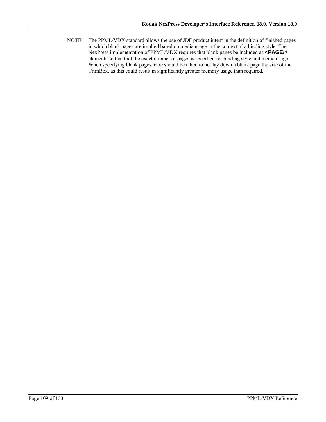NOTE: The PPML/VDX standard allows the use of JDF product intent in the definition of finished pages in which blank pages are implied based on media usage in the context of a binding style. The NexPress implementation of PPML/VDX requires that blank pages be included as **<PAGE/>** elements so that that the exact number of pages is specified for binding style and media usage. When specifying blank pages, care should be taken to not lay down a blank page the size of the TrimBox, as this could result in significantly greater memory usage than required.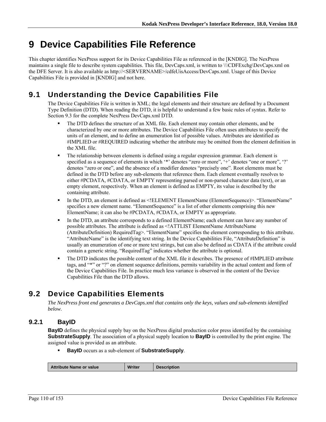# **9 Device Capabilities File Reference**

This chapter identifies NexPress support for its Device Capabilities File as referenced in the [KNDIG]. The NexPress maintains a single file to describe system capabilities. This file, DevCaps.xml, is written to \\\CDFExchg\DevCaps.xml on the DFE Server. It is also available as http://<SERVERNAME>/cdfeUisAccess/DevCaps.xml. Usage of this Device Capabilities File is provided in [KNDIG] and not here.

# **9.1 Understanding the Device Capabilities File**

The Device Capabilities File is written in XML; the legal elements and their structure are defined by a Document Type Definition (DTD). When reading the DTD, it is helpful to understand a few basic rules of syntax. Refer to Section 9.3 for the complete NexPress DevCaps.xml DTD.

- The DTD defines the structure of an XML file. Each element may contain other elements, and be characterized by one or more attributes. The Device Capabilities File often uses attributes to specify the units of an element, and to define an enumeration list of possible values. Attributes are identified as #IMPLIED or #REQUIRED indicating whether the attribute may be omitted from the element definition in the XML file.
- The relationship between elements is defined using a regular expression grammar. Each element is specified as a sequence of elements in which '\*' denotes "zero or more", '+' denotes "one or more", '?' denotes "zero or one", and the absence of a modifier denotes "precisely one". Root elements must be defined in the DTD before any sub-elements that reference them. Each element eventually resolves to either #PCDATA, #CDATA, or EMPTY representing parsed or non-parsed character data (text), or an empty element, respectively. When an element is defined as EMPTY, its value is described by the containing attribute.
- In the DTD, an element is defined as <!ELEMENT ElementName (ElementSequence)>. "ElementName" specifies a new element name. "ElementSequence" is a list of other elements comprising this new ElementName; it can also be #PCDATA, #CDATA, or EMPTY as appropriate.
- In the DTD, an attribute corresponds to a defined ElementName; each element can have any number of possible attributes. The attribute is defined as <!ATTLIST ElementName AttributeName (AttributeDefinition) RequiredTag>. "ElementName" specifies the element corresponding to this attribute. "AttributeName" is the identifying text string. In the Device Capabilities File, "AttributeDefinition" is usually an enumeration of one or more text strings, but can also be defined as CDATA if the attribute could contain a generic string. "RequiredTag" indicates whether the attribute is optional.
- The DTD indicates the possible content of the XML file it describes. The presence of #IMPLIED attribute tags, and "\*" or "?" on element sequence definitions, permits variability in the actual content and form of the Device Capabilities File. In practice much less variance is observed in the content of the Device Capabilities File than the DTD allows.

# **9.2 Device Capabilities Elements**

*The NexPress front end generates a DevCaps.xml that contains only the keys, values and sub-elements identified below.* 

# **9.2.1 BayID**

**BayID** defines the physical supply bay on the NexPress digital production color press identified by the containing **SubstrateSupply**. The association of a physical supply location to **BayID** is controlled by the print engine. The assigned value is provided as an attribute.

**BayID** occurs as a sub-element of **SubstrateSupply**.

| – Attı<br>value<br>. ibute<br>Name or | <b>Writer</b> | .<br><b>Description</b> |
|---------------------------------------|---------------|-------------------------|
|                                       |               |                         |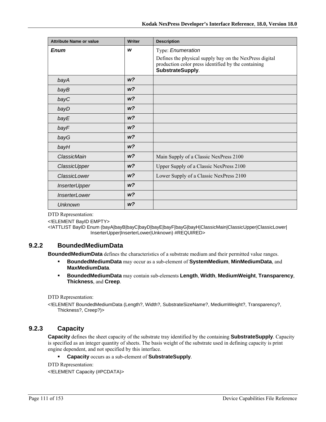| <b>Attribute Name or value</b> | Writer         | <b>Description</b>                                                                                                                 |
|--------------------------------|----------------|------------------------------------------------------------------------------------------------------------------------------------|
| <b>Enum</b>                    | W              | Type: Enumeration                                                                                                                  |
|                                |                | Defines the physical supply bay on the NexPress digital<br>production color press identified by the containing<br>SubstrateSupply. |
| bayA                           | W <sup>2</sup> |                                                                                                                                    |
| bayB                           | W <sup>2</sup> |                                                                                                                                    |
| bayC                           | w <sub>2</sub> |                                                                                                                                    |
| bayD                           | W <sup>2</sup> |                                                                                                                                    |
| bayE                           | W <sup>2</sup> |                                                                                                                                    |
| bayF                           | W <sup>2</sup> |                                                                                                                                    |
| bayG                           | W <sup>2</sup> |                                                                                                                                    |
| bayH                           | W <sup>2</sup> |                                                                                                                                    |
| ClassicMain                    | W <sup>2</sup> | Main Supply of a Classic NexPress 2100                                                                                             |
| ClassicUpper                   | W <sup>2</sup> | Upper Supply of a Classic NexPress 2100                                                                                            |
| ClassicLower                   | W <sup>2</sup> | Lower Supply of a Classic NexPress 2100                                                                                            |
| <b>InserterUpper</b>           | W <sup>2</sup> |                                                                                                                                    |
| <i><b>InserterLower</b></i>    | W <sup>2</sup> |                                                                                                                                    |
| <b>Unknown</b>                 | W <sup>2</sup> |                                                                                                                                    |

<!ELEMENT BayID EMPTY>

<!ATTLIST BayID Enum (bayA|bayB|bayC|bayD|bayE|bayF|bayG|bayH|ClassicMain|ClassicUpper|ClassicLower| InserterUpper|InserterLower|Unknown) #REQUIRED>

## **9.2.2 BoundedMediumData**

**BoundedMediumData** defines the characteristics of a substrate medium and their permitted value ranges.

- **BoundedMediumData** may occur as a sub-element of **SystemMedium**, **MinMediumData**, and **MaxMediumData**.
- **BoundedMediumData** may contain sub-elements **Length**, **Width**, **MediumWeight**, **Transparency**, **Thickness**, and **Creep**.

DTD Representation:

<!ELEMENT BoundedMediumData (Length?, Width?, SubstrateSizeName?, MediumWeight?, Transparency?, Thickness?, Creep?)>

## **9.2.3 Capacity**

**Capacity** defines the sheet capacity of the substrate tray identified by the containing **SubstrateSupply**. Capacity is specified as an integer quantity of sheets. The basis weight of the substrate used in defining capacity is print engine dependent, and not specified by this interface.

**Capacity** occurs as a sub-element of **SubstrateSupply**.

DTD Representation:

<!ELEMENT Capacity (#PCDATA)>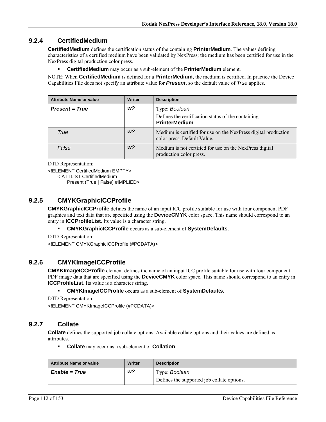## **9.2.4 CertifiedMedium**

**CertifiedMedium** defines the certification status of the containing **PrinterMedium**. The values defining characteristics of a certified medium have been validated by NexPress; the medium has been certified for use in the NexPress digital production color press.

**CertifiedMedium** may occur as a sub-element of the **PrinterMedium** element.

NOTE: When **CertifiedMedium** is defined for a **PrinterMedium**, the medium is certified. In practice the Device Capabilities File does not specify an attribute value for *Present*, so the default value of *True* applies.

| <b>Attribute Name or value</b> | <b>Writer</b>  | <b>Description</b>                                                                            |
|--------------------------------|----------------|-----------------------------------------------------------------------------------------------|
| <b>Present = True</b>          | w?             | Type: Boolean                                                                                 |
|                                |                | Defines the certification status of the containing<br><b>PrinterMedium.</b>                   |
| True                           | w?             | Medium is certified for use on the NexPress digital production<br>color press. Default Value. |
| False                          | W <sup>2</sup> | Medium is not certified for use on the NexPress digital<br>production color press.            |

DTD Representation:

<!ELEMENT CertifiedMedium EMPTY>

<!ATTLIST CertifiedMedium

Present (True | False) #IMPLIED>

## **9.2.5 CMYKGraphicICCProfile**

**CMYKGraphicICCProfile** defines the name of an input ICC profile suitable for use with four component PDF graphics and text data that are specified using the **DeviceCMYK** color space. This name should correspond to an entry in **ICCProfileList**. Its value is a character string.

**CMYKGraphicICCProfile** occurs as a sub-element of **SystemDefaults**.

DTD Representation: <!ELEMENT CMYKGraphicICCProfile (#PCDATA)>

## **9.2.6 CMYKImageICCProfile**

**CMYKImageICCProfile** element defines the name of an input ICC profile suitable for use with four component PDF image data that are specified using the **DeviceCMYK** color space. This name should correspond to an entry in **ICCProfileList**. Its value is a character string.

**CMYKImageICCProfile** occurs as a sub-element of **SystemDefaults**.

DTD Representation:

<!ELEMENT CMYKImageICCProfile (#PCDATA)>

## **9.2.7 Collate**

**Collate** defines the supported job collate options. Available collate options and their values are defined as attributes.

**Collate** may occur as a sub-element of **Collation**.

| <b>Attribute Name or value</b> | <b>Writer</b> | <b>Description</b>                         |
|--------------------------------|---------------|--------------------------------------------|
| <i>Enable = True</i>           | w?            | Type: Boolean                              |
|                                |               | Defines the supported job collate options. |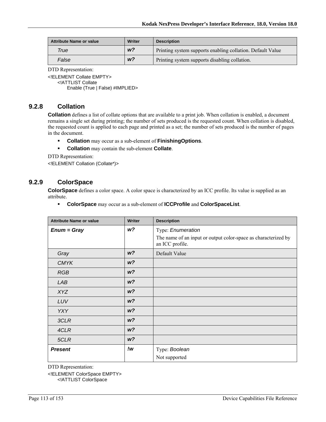| <b>Attribute Name or value</b> | Writer         | <b>Description</b>                                         |
|--------------------------------|----------------|------------------------------------------------------------|
| True                           | W <sup>2</sup> | Printing system supports enabling collation. Default Value |
| False                          | W <sup>2</sup> | Printing system supports disabling collation.              |

<!ELEMENT Collate EMPTY>

<!ATTLIST Collate

Enable (True | False) #IMPLIED>

## **9.2.8 Collation**

**Collation** defines a list of collate options that are available to a print job. When collation is enabled, a document remains a single set during printing; the number of sets produced is the requested count. When collation is disabled, the requested count is applied to each page and printed as a set; the number of sets produced is the number of pages in the document.

- **Collation** may occur as a sub-element of **FinishingOptions**.
- **Collation** may contain the sub-element **Collate**.

DTD Representation:

<!ELEMENT Collation (Collate\*)>

## **9.2.9 ColorSpace**

**ColorSpace** defines a color space. A color space is characterized by an ICC profile. Its value is supplied as an attribute.

**ColorSpace** may occur as a sub-element of **ICCProfile** and **ColorSpaceList**.

| <b>Attribute Name or value</b> | Writer         | <b>Description</b>                                                                |
|--------------------------------|----------------|-----------------------------------------------------------------------------------|
| $Enum = Gray$                  | w?             | Type: Enumeration                                                                 |
|                                |                | The name of an input or output color-space as characterized by<br>an ICC profile. |
| Gray                           | W <sup>2</sup> | Default Value                                                                     |
| <b>CMYK</b>                    | W <sup>2</sup> |                                                                                   |
| <b>RGB</b>                     | W <sup>2</sup> |                                                                                   |
| LAB                            | W <sup>2</sup> |                                                                                   |
| <b>XYZ</b>                     | W <sup>2</sup> |                                                                                   |
| LUV                            | W <sup>2</sup> |                                                                                   |
| <b>YXY</b>                     | W <sup>2</sup> |                                                                                   |
| 3CLR                           | W <sup>2</sup> |                                                                                   |
| 4CLR                           | W <sup>2</sup> |                                                                                   |
| 5CLR                           | W <sup>2</sup> |                                                                                   |
| <b>Present</b>                 | !w             | Type: Boolean                                                                     |
|                                |                | Not supported                                                                     |

DTD Representation:

<!ELEMENT ColorSpace EMPTY>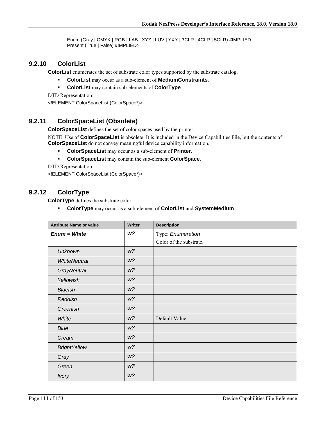Enum (Gray | CMYK | RGB | LAB | XYZ | LUV | YXY | 3CLR | 4CLR | 5CLR) #IMPLIED Present (True | False) #IMPLIED>

#### **9.2.10 ColorList**

**ColorList** enumerates the set of substrate color types supported by the substrate catalog.

- **ColorList** may occur as a sub-element of **MediumConstraints**.
- **ColorList** may contain sub-elements of **ColorType**.

DTD Representation: <!ELEMENT ColorSpaceList (ColorSpace\*)>

## **9.2.11 ColorSpaceList (Obsolete)**

**ColorSpaceList** defines the set of color spaces used by the printer.

NOTE: Use of **ColorSpaceList** is obsolete. It is included in the Device Capabilities File, but the contents of **ColorSpaceList** do not convey meaningful device capability information.

- **ColorSpaceList** may occur as a sub-element of **Printer**.
- **ColorSpaceList** may contain the sub-element **ColorSpace**.

DTD Representation:

<!ELEMENT ColorSpaceList (ColorSpace\*)>

## **9.2.12 ColorType**

**ColorType** defines the substrate color.

**ColorType** may occur as a sub-element of **ColorList** and **SystemMedium**.

| <b>Attribute Name or value</b> | <b>Writer</b>  | <b>Description</b>      |
|--------------------------------|----------------|-------------------------|
| $Enum = White$                 | w?             | Type: Enumeration       |
|                                |                | Color of the substrate. |
| <b>Unknown</b>                 | W <sup>2</sup> |                         |
| <b>WhiteNeutral</b>            | W <sup>2</sup> |                         |
| <b>GrayNeutral</b>             | W <sup>2</sup> |                         |
| Yellowish                      | W <sup>2</sup> |                         |
| <b>Blueish</b>                 | W <sup>2</sup> |                         |
| Reddish                        | W <sup>2</sup> |                         |
| Greenish                       | W <sup>2</sup> |                         |
| White                          | W <sup>2</sup> | Default Value           |
| Blue                           | W <sup>2</sup> |                         |
| Cream                          | W <sup>2</sup> |                         |
| <b>BrightYellow</b>            | W <sup>2</sup> |                         |
| Gray                           | W <sup>2</sup> |                         |
| Green                          | W <sup>2</sup> |                         |
| <b>Ivory</b>                   | W <sup>2</sup> |                         |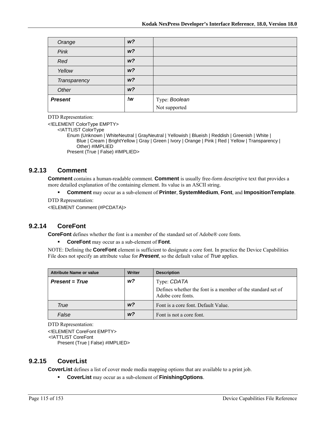| Orange         | W <sub>2</sub> |                                |
|----------------|----------------|--------------------------------|
| Pink           | W <sup>2</sup> |                                |
| Red            | W <sup>2</sup> |                                |
| Yellow         | W <sup>2</sup> |                                |
| Transparency   | W <sup>2</sup> |                                |
| Other          | W <sup>2</sup> |                                |
| <b>Present</b> | !w             | Type: Boolean<br>Not supported |
|                |                |                                |

<!ELEMENT ColorType EMPTY>

<!ATTLIST ColorType

Enum (Unknown | WhiteNeutral | GrayNeutral | Yellowish | Blueish | Reddish | Greenish | White | Blue | Cream | BrightYellow | Gray | Green | Ivory | Orange | Pink | Red | Yellow | Transparency | Other) #IMPLIED Present (True | False) #IMPLIED>

#### **9.2.13 Comment**

**Comment** contains a human-readable comment. **Comment** is usually free-form descriptive text that provides a more detailed explanation of the containing element. Its value is an ASCII string.

**Comment** may occur as a sub-element of **Printer**, **SystemMedium**, **Font**, and **ImpositionTemplate**.

DTD Representation:

<!ELEMENT Comment (#PCDATA)>

#### **9.2.14 CoreFont**

**CoreFont** defines whether the font is a member of the standard set of Adobe® core fonts.

**CoreFont** may occur as a sub-element of **Font**.

NOTE: Defining the **CoreFont** element is sufficient to designate a core font. In practice the Device Capabilities File does not specify an attribute value for *Present*, so the default value of *True* applies.

| <b>Attribute Name or value</b> | <b>Writer</b>  | <b>Description</b>                                                               |
|--------------------------------|----------------|----------------------------------------------------------------------------------|
| <b>Present = True</b>          | w?             | Type: CDATA                                                                      |
|                                |                | Defines whether the font is a member of the standard set of<br>Adobe core fonts. |
| True                           | W <sup>2</sup> | Font is a core font. Default Value.                                              |
| False                          | w <sup>2</sup> | Font is not a core font.                                                         |

DTD Representation:

<!ELEMENT CoreFont EMPTY> <!ATTLIST CoreFont Present (True | False) #IMPLIED>

#### **9.2.15 CoverList**

**CoverList** defines a list of cover mode media mapping options that are available to a print job.

**CoverList** may occur as a sub-element of **FinishingOptions**.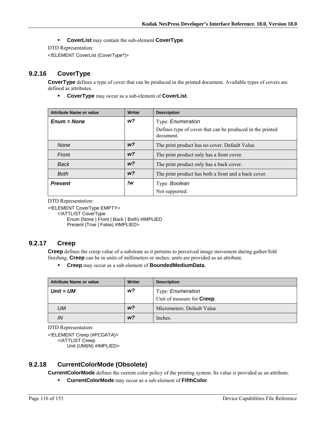**CoverList** may contain the sub-element **CoverType**.

DTD Representation:

<!ELEMENT CoverList (CoverType\*)>

## **9.2.16 CoverType**

**CoverType** defines a type of cover that can be produced in the printed document. Available types of covers are defined as attributes.

**CoverType** may occur as a sub-element of **CoverList**.

| <b>Attribute Name or value</b> | Writer         | <b>Description</b>                                                     |
|--------------------------------|----------------|------------------------------------------------------------------------|
| $Enum = None$                  | $w$ ?          | Type: Enumeration                                                      |
|                                |                | Defines type of cover that can be produced in the printed<br>document. |
| None                           | W <sup>2</sup> | The print product has no cover. Default Value.                         |
| Front                          | W <sup>2</sup> | The print product only has a front cover.                              |
| <b>Back</b>                    | W <sup>2</sup> | The print product only has a back cover.                               |
| <b>Both</b>                    | W <sup>2</sup> | The print product has both a front and a back cover.                   |
| <b>Present</b>                 | !w             | Type: Boolean                                                          |
|                                |                | Not supported.                                                         |

DTD Representation:

<!ELEMENT CoverType EMPTY>

<!ATTLIST CoverType

Enum (None | Front | Back | Both) #IMPLIED Present (True | False) #IMPLIED>

# **9.2.17 Creep**

**Creep** defines the creep value of a substrate as it pertains to perceived image movement during gather/fold finishing. **Creep** can be in units of millimeters or inches; units are provided as an attribute.

**Creep** may occur as a sub-element of **BoundedMediumData**.

| <b>Attribute Name or value</b> | Writer         | <b>Description</b>                                             |
|--------------------------------|----------------|----------------------------------------------------------------|
| $Unit = UM$                    | w?             | Type: <i>Enumeration</i><br>Unit of measure for <b>Creep</b> . |
| UM                             | W <sup>2</sup> | Micrometers. Default Value                                     |
| IN                             | W <sup>2</sup> | Inches.                                                        |

DTD Representation:

<!ELEMENT Creep (#PCDATA)> <!ATTLIST Creep Unit (UM|IN) #IMPLIED>

## **9.2.18 CurrentColorMode (Obsolete)**

**CurrentColorMode** defines the current color policy of the printing system. Its value is provided as an attribute.

**CurrentColorMode** may occur as a sub-element of **FifthColor**.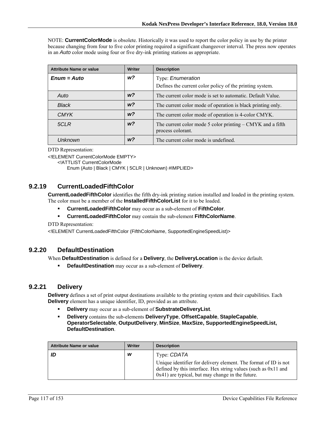NOTE: **CurrentColorMode** is obsolete. Historically it was used to report the color policy in use by the printer because changing from four to five color printing required a significant changeover interval. The press now operates in an *Auto* color mode using four or five dry-ink printing stations as appropriate.

| <b>Attribute Name or value</b> | <b>Writer</b>  | <b>Description</b>                                                              |
|--------------------------------|----------------|---------------------------------------------------------------------------------|
| $Enum = Auto$                  | $w$ ?          | Type: Enumeration                                                               |
|                                |                | Defines the current color policy of the printing system.                        |
| Auto                           | w <sub>2</sub> | The current color mode is set to automatic. Default Value.                      |
| <b>Black</b>                   | W <sup>2</sup> | The current color mode of operation is black printing only.                     |
| <b>CMYK</b>                    | w <sub>2</sub> | The current color mode of operation is 4-color CMYK.                            |
| 5CLR                           | W <sup>2</sup> | The current color mode 5 color printing – CMYK and a fifth<br>process colorant. |
| <b>Unknown</b>                 | w <sub>2</sub> | The current color mode is undefined.                                            |

DTD Representation:

<!ELEMENT CurrentColorMode EMPTY>

<!ATTLIST CurrentColorMode

Enum (Auto | Black | CMYK | 5CLR | Unknown) #IMPLIED>

#### **9.2.19 CurrentLoadedFifthColor**

**CurrentLoadedFifthColor** identifies the fifth dry-ink printing station installed and loaded in the printing system. The color must be a member of the **InstalledFifthColorList** for it to be loaded.

- **CurrentLoadedFifthColor** may occur as a sub-element of **FifthColor**.
- **CurrentLoadedFifthColor** may contain the sub-element **FifthColorName**.

DTD Representation:

<!ELEMENT CurrentLoadedFifthColor (FifthColorName, SupportedEngineSpeedList)>

#### **9.2.20 DefaultDestination**

When **DefaultDestination** is defined for a **Delivery**, the **DeliveryLocation** is the device default.

**DefaultDestination** may occur as a sub-element of **Delivery**.

## **9.2.21 Delivery**

**Delivery** defines a set of print output destinations available to the printing system and their capabilities. Each **Delivery** element has a unique identifier, ID, provided as an attribute.

- **Delivery** may occur as a sub-element of **SubstrateDeliveryList**.
- **Delivery** contains the sub-elements **DeliveryType**, **OffsetCapable**, **StapleCapable**, **OperatorSelectable**, **OutputDelivery**, **MinSize**, **MaxSize, SupportedEngineSpeedList, DefaultDestination**.

| <b>Attribute Name or value</b> | Writer | <b>Description</b>                                                                                                                                                                         |
|--------------------------------|--------|--------------------------------------------------------------------------------------------------------------------------------------------------------------------------------------------|
| ID                             | W      | Type: CDATA                                                                                                                                                                                |
|                                |        | Unique identifier for delivery element. The format of ID is not<br>defined by this interface. Hex string values (such as $0x11$ and<br>$0x41$ ) are typical, but may change in the future. |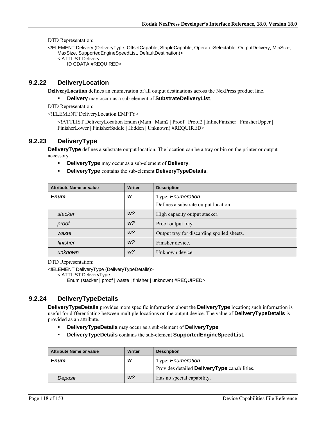<!ELEMENT Delivery (DeliveryType, OffsetCapable, StapleCapable, OperatorSelectable, OutputDelivery, MinSize, MaxSize, SupportedEngineSpeedList, DefaultDestination)> <!ATTLIST Delivery ID CDATA #REQUIRED>

#### **9.2.22 DeliveryLocation**

**DeliveryLocation** defines an enumeration of all output destinations across the NexPress product line.

**Delivery** may occur as a sub-element of **SubstrateDeliveryList**.

DTD Representation:

<!ELEMENT DeliveryLocation EMPTY>

<!ATTLIST DeliveryLocation Enum (Main | Main2 | Proof | Proof2 | InlineFinisher | FinisherUpper | FinisherLower | FinisherSaddle | Hidden | Unknown) #REQUIRED>

## **9.2.23 DeliveryType**

**DeliveryType** defines a substrate output location. The location can be a tray or bin on the printer or output accessory.

- **DeliveryType** may occur as a sub-element of **Delivery**.
- **DeliveryType** contains the sub-element **DeliveryTypeDetails**.

| <b>Attribute Name or value</b> | <b>Writer</b>  | <b>Description</b>                         |
|--------------------------------|----------------|--------------------------------------------|
| <b>Enum</b>                    | W              | Type: Enumeration                          |
|                                |                | Defines a substrate output location.       |
| stacker                        | w <sup>2</sup> | High capacity output stacker.              |
| proof                          | w <sup>2</sup> | Proof output tray.                         |
| waste                          | w <sub>2</sub> | Output tray for discarding spoiled sheets. |
| finisher                       | W <sup>2</sup> | Finisher device.                           |
| unknown                        | W <sup>2</sup> | Unknown device.                            |

DTD Representation:

<!ELEMENT DeliveryType (DeliveryTypeDetails)>

<!ATTLIST DeliveryType

Enum (stacker | proof | waste | finisher | unknown) #REQUIRED>

# **9.2.24 DeliveryTypeDetails**

**DeliveryTypeDetails** provides more specific information about the **DeliveryType** location; such information is useful for differentiating between multiple locations on the output device. The value of **DeliveryTypeDetails** is provided as an attribute.

- **DeliveryTypeDetails** may occur as a sub-element of **DeliveryType**.
- **DeliveryTypeDetails** contains the sub-element **SupportedEngineSpeedList.**

| <b>Attribute Name or value</b> | <b>Writer</b>  | <b>Description</b>                           |
|--------------------------------|----------------|----------------------------------------------|
| <b>Enum</b>                    | W              | Type: <i>Enumeration</i>                     |
|                                |                | Provides detailed DeliveryType capabilities. |
| Deposit                        | W <sup>2</sup> | Has no special capability.                   |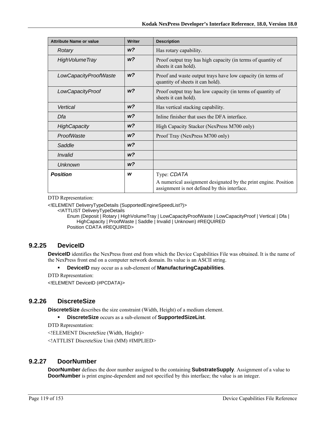| <b>Attribute Name or value</b> | <b>Writer</b>  | <b>Description</b>                                                                                              |
|--------------------------------|----------------|-----------------------------------------------------------------------------------------------------------------|
| Rotary                         | w <sub>2</sub> | Has rotary capability.                                                                                          |
| <b>High Volume Tray</b>        | w <sub>2</sub> | Proof output tray has high capacity (in terms of quantity of<br>sheets it can hold).                            |
| LowCapacityProofWaste          | W <sup>2</sup> | Proof and waste output trays have low capacity (in terms of<br>quantity of sheets it can hold).                 |
| LowCapacityProof               | W <sup>2</sup> | Proof output tray has low capacity (in terms of quantity of<br>sheets it can hold).                             |
| Vertical                       | W <sup>2</sup> | Has vertical stacking capability.                                                                               |
| Dfa                            | W <sup>2</sup> | Inline finisher that uses the DFA interface.                                                                    |
| <b>HighCapacity</b>            | w <sub>2</sub> | High Capacity Stacker (NexPress M700 only)                                                                      |
| ProofWaste                     | W <sup>2</sup> | Proof Tray (NexPress M700 only)                                                                                 |
| Saddle                         | W <sup>2</sup> |                                                                                                                 |
| Invalid                        | W <sup>2</sup> |                                                                                                                 |
| <b>Unknown</b>                 | W <sup>2</sup> |                                                                                                                 |
| <b>Position</b>                | W              | Type: CDATA                                                                                                     |
|                                |                | A numerical assignment designated by the print engine. Position<br>assignment is not defined by this interface. |

<!ELEMENT DeliveryTypeDetails (SupportedEngineSpeedList?)>

<!ATTLIST DeliveryTypeDetails

Enum (Deposit | Rotary | HighVolumeTray | LowCapacityProofWaste | LowCapacityProof | Vertical | Dfa | HighCapacity | ProofWaste | Saddle | Invalid | Unknown) #REQUIRED Position CDATA #REQUIRED>

## **9.2.25 DeviceID**

**DeviceID** identifies the NexPress front end from which the Device Capabilities File was obtained. It is the name of the NexPress front end on a computer network domain. Its value is an ASCII string.

- **DeviceID** may occur as a sub-element of **ManufacturingCapabilities**.
- DTD Representation:

<!ELEMENT DeviceID (#PCDATA)>

## **9.2.26 DiscreteSize**

**DiscreteSize** describes the size constraint (Width, Height) of a medium element.

**DiscreteSize** occurs as a sub-element of **SupportedSizeList**.

DTD Representation:

<!ELEMENT DiscreteSize (Width, Height)>

<!ATTLIST DiscreteSize Unit (MM) #IMPLIED>

#### **9.2.27 DoorNumber**

**DoorNumber** defines the door number assigned to the containing **SubstrateSupply**. Assignment of a value to **DoorNumber** is print engine-dependent and not specified by this interface; the value is an integer.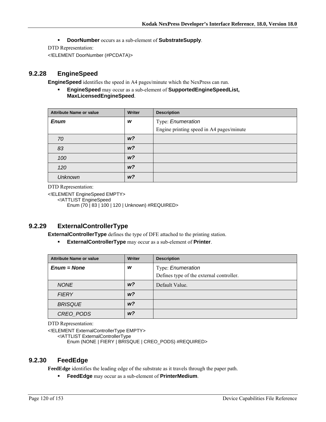**DoorNumber** occurs as a sub-element of **SubstrateSupply**.

DTD Representation:

<!ELEMENT DoorNumber (#PCDATA)>

## **9.2.28 EngineSpeed**

**EngineSpeed** identifies the speed in A4 pages/minute which the NexPress can run.

 **EngineSpeed** may occur as a sub-element of **SupportedEngineSpeedList, MaxLicensedEngineSpeed**.

| <b>Attribute Name or value</b> | <b>Writer</b>  | <b>Description</b>                       |
|--------------------------------|----------------|------------------------------------------|
| <b>Enum</b>                    | W              | Type: Enumeration                        |
|                                |                | Engine printing speed in A4 pages/minute |
| 70                             | W <sup>2</sup> |                                          |
| 83                             | W <sup>2</sup> |                                          |
| 100                            | W <sup>2</sup> |                                          |
| 120                            | W <sup>2</sup> |                                          |
| <b>Unknown</b>                 | W <sup>2</sup> |                                          |

DTD Representation:

<!ELEMENT EngineSpeed EMPTY> <!ATTLIST EngineSpeed Enum (70 | 83 | 100 | 120 | Unknown) #REQUIRED>

# **9.2.29 ExternalControllerType**

**ExternalControllerType** defines the type of DFE attached to the printing station.

**ExternalControllerType** may occur as a sub-element of **Printer**.

| <b>Attribute Name or value</b> | <b>Writer</b>  | <b>Description</b>                                            |
|--------------------------------|----------------|---------------------------------------------------------------|
| $Enum = None$                  | W              | Type: Enumeration<br>Defines type of the external controller. |
| <b>NONE</b>                    | w <sup>2</sup> | Default Value.                                                |
| <b>FIERY</b>                   | W <sup>2</sup> |                                                               |
| <b>BRISQUE</b>                 | W <sup>2</sup> |                                                               |
| CREO PODS                      | W <sup>2</sup> |                                                               |

DTD Representation:

<!ELEMENT ExternalControllerType EMPTY>

<!ATTLIST ExternalControllerType

Enum (NONE | FIERY | BRISQUE | CREO\_PODS) #REQUIRED>

#### **9.2.30 FeedEdge**

**FeedEdge** identifies the leading edge of the substrate as it travels through the paper path.

**FeedEdge** may occur as a sub-element of **PrinterMedium**.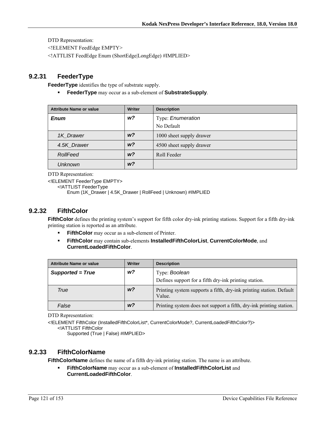<!ELEMENT FeedEdge EMPTY>

<!ATTLIST FeedEdge Enum (ShortEdge|LongEdge) #IMPLIED>

## **9.2.31 FeederType**

**FeederType** identifies the type of substrate supply.

**FeederType** may occur as a sub-element of **SubstrateSupply**.

| <b>Attribute Name or value</b> | <b>Writer</b>  | <b>Description</b>       |
|--------------------------------|----------------|--------------------------|
| <b>Enum</b>                    | w?             | Type: Enumeration        |
|                                |                | No Default               |
| 1K Drawer                      | W <sup>2</sup> | 1000 sheet supply drawer |
| 4.5K Drawer                    | w?             | 4500 sheet supply drawer |
| RollFeed                       | W <sup>2</sup> | Roll Feeder              |
| <b>Unknown</b>                 | w?             |                          |

DTD Representation:

<!ELEMENT FeederType EMPTY>

<!ATTLIST FeederType

Enum (1K\_Drawer | 4.5K\_Drawer | RollFeed | Unknown) #IMPLIED

#### **9.2.32 FifthColor**

**FifthColor** defines the printing system's support for fifth color dry-ink printing stations. Support for a fifth dry-ink printing station is reported as an attribute.

- **FifthColor** may occur as a sub-element of Printer.
- **FifthColor** may contain sub-elements **InstalledFifthColorList**, **CurrentColorMode**, and **CurrentLoadedFifthColor**.

| <b>Attribute Name or value</b> | Writer         | <b>Description</b>                                                            |
|--------------------------------|----------------|-------------------------------------------------------------------------------|
| Supported = True               | w?             | Type: Boolean                                                                 |
|                                |                | Defines support for a fifth dry-ink printing station.                         |
| True                           | W <sup>2</sup> | Printing system supports a fifth, dry-ink printing station. Default<br>Value. |
| False                          | w?             | Printing system does not support a fifth, dry-ink printing station.           |

DTD Representation:

<!ELEMENT FifthColor (InstalledFifthColorList\*, CurrentColorMode?, CurrentLoadedFifthColor?)> <!ATTLIST FifthColor

Supported (True | False) #IMPLIED>

## **9.2.33 FifthColorName**

**FifthColorName** defines the name of a fifth dry-ink printing station. The name is an attribute.

 **FifthColorName** may occur as a sub-element of **InstalledFifthColorList** and **CurrentLoadedFifthColor**.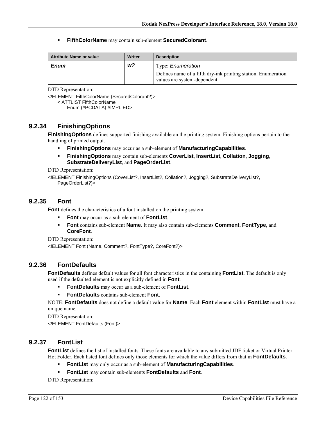**FifthColorName** may contain sub-element **SecuredColorant**.

| <b>Attribute Name or value</b> | Writer | <b>Description</b>                                                                                                        |
|--------------------------------|--------|---------------------------------------------------------------------------------------------------------------------------|
| <b>Enum</b>                    | w?     | Type: <i>Enumeration</i><br>Defines name of a fifth dry-ink printing station. Enumeration<br>values are system-dependent. |

DTD Representation:

<!ELEMENT FifthColorName (SecuredColorant?)> <!ATTLIST FifthColorName Enum (#PCDATA) #IMPLIED>

## **9.2.34 FinishingOptions**

**FinishingOptions** defines supported finishing available on the printing system. Finishing options pertain to the handling of printed output.

- **FinishingOptions** may occur as a sub-element of **ManufacturingCapabilities**.
- **FinishingOptions** may contain sub-elements **CoverList**, **InsertList**, **Collation**, **Jogging**, **SubstrateDeliveryList**, and **PageOrderList**.

DTD Representation:

<!ELEMENT FinishingOptions (CoverList?, InsertList?, Collation?, Jogging?, SubstrateDeliveryList?, PageOrderList?)>

#### **9.2.35 Font**

**Font** defines the characteristics of a font installed on the printing system.

- **Font** may occur as a sub-element of **FontList**.
- **Font** contains sub-element **Name**. It may also contain sub-elements **Comment**, **FontType**, and **CoreFont**.

DTD Representation:

<!ELEMENT Font (Name, Comment?, FontType?, CoreFont?)>

#### **9.2.36 FontDefaults**

**FontDefaults** defines default values for all font characteristics in the containing **FontList**. The default is only used if the defaulted element is not explicitly defined in **Font**.

- **FontDefaults** may occur as a sub-element of **FontList**.
- **FontDefaults** contains sub-element **Font**.

NOTE: **FontDefaults** does not define a default value for **Name**. Each **Font** element within **FontList** must have a unique name.

DTD Representation:

<!ELEMENT FontDefaults (Font)>

## **9.2.37 FontList**

**FontList** defines the list of installed fonts. These fonts are available to any submitted JDF ticket or Virtual Printer Hot Folder. Each listed font defines only those elements for which the value differs from that in **FontDefaults**.

- **FontList** may only occur as a sub-element of **ManufacturingCapabilities**.
- **FontList** may contain sub-elements **FontDefaults** and **Font**.

DTD Representation: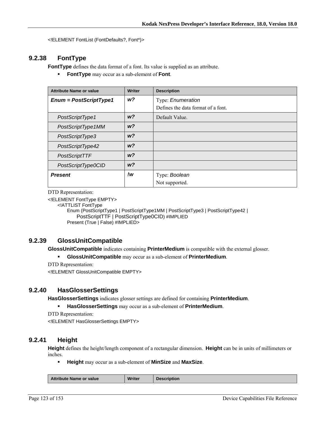<!ELEMENT FontList (FontDefaults?, Font\*)>

## **9.2.38 FontType**

**FontType** defines the data format of a font. Its value is supplied as an attribute.

**FontType** may occur as a sub-element of **Font**.

| <b>Attribute Name or value</b> | <b>Writer</b>  | <b>Description</b>                 |
|--------------------------------|----------------|------------------------------------|
| $Enum = PostScriptType1$       | w?             | Type: Enumeration                  |
|                                |                | Defines the data format of a font. |
| PostScriptType1                | W <sup>2</sup> | Default Value.                     |
| PostScriptType1MM              | W <sup>2</sup> |                                    |
| PostScriptType3                | W <sup>2</sup> |                                    |
| PostScriptType42               | W <sup>2</sup> |                                    |
| PostScriptTTF                  | W <sup>2</sup> |                                    |
| PostScriptType0CID             | W <sup>2</sup> |                                    |
| <b>Present</b>                 | !w             | Type: Boolean                      |
|                                |                | Not supported.                     |

DTD Representation:

<!ELEMENT FontType EMPTY>

<!ATTLIST FontType

Enum (PostScriptType1 | PostScriptType1MM | PostScriptType3 | PostScriptType42 | PostScriptTTF | PostScriptType0CID) #IMPLIED Present (True | False) #IMPLIED>

## **9.2.39 GlossUnitCompatible**

**GlossUnitCompatible** indicates containing **PrinterMedium** is compatible with the external glosser.

**GlossUnitCompatible** may occur as a sub-element of **PrinterMedium**.

DTD Representation:

<!ELEMENT GlossUnitCompatible EMPTY>

#### **9.2.40 HasGlosserSettings**

**HasGlosserSettings** indicates glosser settings are defined for containing **PrinterMedium**.

**HasGlosserSettings** may occur as a sub-element of **PrinterMedium**.

DTD Representation:

<!ELEMENT HasGlosserSettings EMPTY>

## **9.2.41 Height**

**Height** defines the height/length component of a rectangular dimension. **Height** can be in units of millimeters or inches.

**Height** may occur as a sub-element of **MinSize** and **MaxSize**.

|  | <b>Attribute Name or value</b> | <b>Writer</b> | <b>Description</b> |
|--|--------------------------------|---------------|--------------------|
|--|--------------------------------|---------------|--------------------|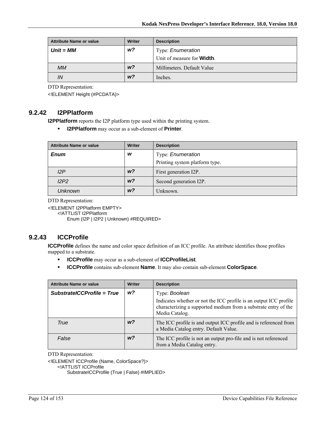| Attribute Name or value | <b>Writer</b>  | <b>Description</b>                 |
|-------------------------|----------------|------------------------------------|
| $Unit = MM$             | w?             | Type: Enumeration                  |
|                         |                | Unit of measure for <b>Width</b> . |
| <b>MM</b>               | W <sup>2</sup> | Millimeters. Default Value         |
| ΙN                      | W <sup>2</sup> | Inches.                            |

<!ELEMENT Height (#PCDATA)>

## **9.2.42 I2PPlatform**

**I2PPlatform** reports the I2P platform type used within the printing system.

**I2PPlatform** may occur as a sub-element of **Printer**.

| <b>Attribute Name or value</b> | <b>Writer</b>  | <b>Description</b>             |
|--------------------------------|----------------|--------------------------------|
| <b>Enum</b>                    | w              | Type: Enumeration              |
|                                |                | Printing system platform type. |
| 12P                            | w <sup>2</sup> | First generation I2P.          |
| I2P2                           | w <sup>2</sup> | Second generation I2P.         |
| <b>Unknown</b>                 | W <sup>2</sup> | Unknown.                       |

DTD Representation:

<!ELEMENT I2PPlatform EMPTY>

<!ATTLIST I2PPlatform

Enum (I2P | I2P2 | Unknown) #REQUIRED>

## **9.2.43 ICCProfile**

**ICCProfile** defines the name and color space definition of an ICC profile. An attribute identifies those profiles mapped to a substrate.

- **ICCProfile** may occur as a sub-element of **ICCProfileList**.
- **ICCProfile** contains sub-element **Name**. It may also contain sub-element **ColorSpace**.

| <b>Attribute Name or value</b> | Writer         | <b>Description</b>                                                                                                                                     |
|--------------------------------|----------------|--------------------------------------------------------------------------------------------------------------------------------------------------------|
| SubstratelCCProfile = True     | w?             | Type: Boolean                                                                                                                                          |
|                                |                | Indicates whether or not the ICC profile is an output ICC profile<br>characterizing a supported medium from a substrate entry of the<br>Media Catalog. |
| True                           | w?             | The ICC profile is and output ICC profile and is referenced from<br>a Media Catalog entry. Default Value.                                              |
| False                          | w <sup>2</sup> | The ICC profile is not an output pro-file and is not referenced<br>from a Media Catalog entry.                                                         |

DTD Representation:

<!ELEMENT ICCProfile (Name, ColorSpace?)>

<!ATTLIST ICCProfile

SubstrateICCProfile (True | False) #IMPLIED>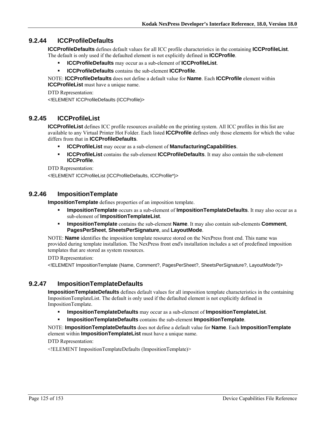## **9.2.44 ICCProfileDefaults**

**ICCProfileDefaults** defines default values for all ICC profile characteristics in the containing **ICCProfileList**. The default is only used if the defaulted element is not explicitly defined in **ICCProfile**.

- **ICCProfileDefaults** may occur as a sub-element of **ICCProfileList**.
- **ICCProfileDefaults** contains the sub-element **ICCProfile**.

NOTE: **ICCProfileDefaults** does not define a default value for **Name**. Each **ICCProfile** element within **ICCProfileList** must have a unique name.

DTD Representation: <!ELEMENT ICCProfileDefaults (ICCProfile)>

## **9.2.45 ICCProfileList**

**ICCProfileList** defines ICC profile resources available on the printing system. All ICC profiles in this list are available to any Virtual Printer Hot Folder. Each listed **ICCProfile** defines only those elements for which the value differs from that in **ICCProfileDefaults**.

- **ICCProfileList** may occur as a sub-element of **ManufacturingCapabilities**.
- **ICCProfileList** contains the sub-element **ICCProfileDefaults**. It may also contain the sub-element **ICCProfile**.

DTD Representation:

<!ELEMENT ICCProfileList (ICCProfileDefaults, ICCProfile\*)>

#### **9.2.46 ImpositionTemplate**

**ImpositionTemplate** defines properties of an imposition template.

- **ImpositionTemplate** occurs as a sub-element of **ImpositionTemplateDefaults**. It may also occur as a sub-element of **ImpositionTemplateList**.
- **ImpositionTemplate** contains the sub-element **Name**. It may also contain sub-elements **Comment**, **PagesPerSheet**, **SheetsPerSignature**, and **LayoutMode**.

NOTE: **Name** identifies the imposition template resource stored on the NexPress front end. This name was provided during template installation. The NexPress front end's installation includes a set of predefined imposition templates that are stored as system resources.

DTD Representation:

<!ELEMENT ImpositionTemplate (Name, Comment?, PagesPerSheet?, SheetsPerSignature?, LayoutMode?)>

## **9.2.47 ImpositionTemplateDefaults**

**ImpositionTemplateDefaults** defines default values for all imposition template characteristics in the containing ImpositionTemplateList. The default is only used if the defaulted element is not explicitly defined in ImpositionTemplate.

- **ImpositionTemplateDefaults** may occur as a sub-element of **ImpositionTemplateList**.
- **ImpositionTemplateDefaults** contains the sub-element **ImpositionTemplate**.

NOTE: **ImpositionTemplateDefaults** does not define a default value for **Name**. Each **ImpositionTemplate** element within **ImpositionTemplateList** must have a unique name.

DTD Representation:

<!ELEMENT ImpositionTemplateDefaults (ImpositionTemplate)>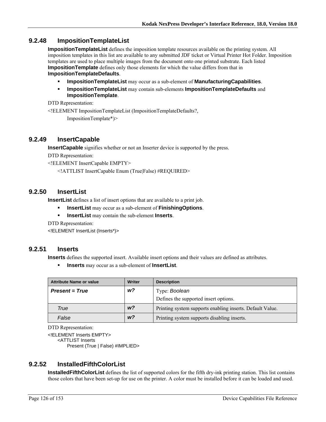## **9.2.48 ImpositionTemplateList**

**ImpositionTemplateList** defines the imposition template resources available on the printing system. All imposition templates in this list are available to any submitted JDF ticket or Virtual Printer Hot Folder. Imposition templates are used to place multiple images from the document onto one printed substrate. Each listed **ImpositionTemplate** defines only those elements for which the value differs from that in **ImpositionTemplateDefaults**.

- **ImpositionTemplateList** may occur as a sub-element of **ManufacturingCapabilities**.
- **ImpositionTemplateList** may contain sub-elements **ImpositionTemplateDefaults** and **ImpositionTemplate**.

DTD Representation:

<!ELEMENT ImpositionTemplateList (ImpositionTemplateDefaults?,

ImpositionTemplate\*)>

#### **9.2.49 InsertCapable**

**InsertCapable** signifies whether or not an Inserter device is supported by the press.

DTD Representation:

<!ELEMENT InsertCapable EMPTY>

<!ATTLIST InsertCapable Enum (True|False) #REQUIRED>

#### **9.2.50 InsertList**

**InsertList** defines a list of insert options that are available to a print job.

- **InsertList** may occur as a sub-element of **FinishingOptions**.
- **InsertList** may contain the sub-element **Inserts**.

DTD Representation:

<!ELEMENT InsertList (Inserts\*)>

#### **9.2.51 Inserts**

**Inserts** defines the supported insert. Available insert options and their values are defined as attributes.

**Inserts** may occur as a sub-element of **InsertList**.

| <b>Attribute Name or value</b> | Writer         | <b>Description</b>                                        |
|--------------------------------|----------------|-----------------------------------------------------------|
| <b>Present = True</b>          | w?             | Type: Boolean                                             |
|                                |                | Defines the supported insert options.                     |
| True                           | W <sup>2</sup> | Printing system supports enabling inserts. Default Value. |
| False                          | W <sup>2</sup> | Printing system supports disabling inserts.               |

DTD Representation:

<!ELEMENT Inserts EMPTY> <ATTLIST Inserts

Present (True | False) #IMPLIED>

# **9.2.52 InstalledFifthColorList**

**InstalledFifthColorList** defines the list of supported colors for the fifth dry-ink printing station. This list contains those colors that have been set-up for use on the printer. A color must be installed before it can be loaded and used.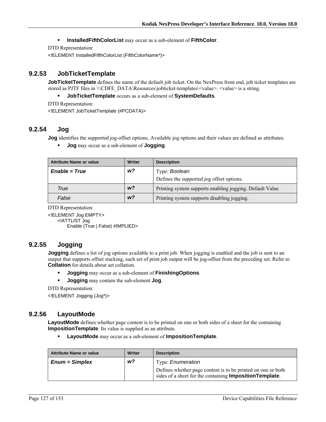**InstalledFifthColorList** may occur as a sub-element of **FifthColor**.

DTD Representation:

<!ELEMENT InstalledFifthColorList (FifthColorName\*)>

## **9.2.53 JobTicketTemplate**

**JobTicketTemplate** defines the name of the default job ticket. On the NexPress front end, job ticket templates are stored as PJTF files in \\\CDFE\_DATA\Resources\jobticket-templates\<value>. <value> is a string.

**JobTicketTemplate** occurs as a sub-element of **SystemDefaults**.

DTD Representation:

<!ELEMENT JobTicketTemplate (#PCDATA)>

## **9.2.54 Jog**

**Jog** identifies the supported jog-offset options. Available jog options and their values are defined as attributes.

**Jog** may occur as a sub-element of **Jogging**.

| <b>Attribute Name or value</b> | <b>Writer</b>  | <b>Description</b>                                       |
|--------------------------------|----------------|----------------------------------------------------------|
| $Enable = True$                | w?             | Type: Boolean                                            |
|                                |                | Defines the supported jog offset options.                |
| True                           | W <sup>2</sup> | Printing system supports enabling jogging. Default Value |
| False                          | w <sup>2</sup> | Printing system supports disabling jogging.              |

DTD Representation:

<!ELEMENT Jog EMPTY> <!ATTLIST Jog Enable (True | False) #IMPLIED>

#### **9.2.55 Jogging**

**Jogging** defines a list of jog options available to a print job. When jogging is enabled and the job is sent to an output that supports offset stacking, each set of print job output will be jog-offset from the preceding set. Refer to **Collation** for details about set collation.

**Jogging** may occur as a sub-element of **FinishingOptions**.

**Jogging** may contain the sub-element **Jog**.

DTD Representation:

<!ELEMENT Jogging (Jog\*)>

#### **9.2.56 LayoutMode**

LayoutMode defines whether page content is to be printed on one or both sides of a sheet for the containing **ImpositionTemplate**. Its value is supplied as an attribute.

**LayoutMode** may occur as a sub-element of **ImpositionTemplate**.

| Attribute Name or value | Writer | <b>Description</b>                                                                                                               |
|-------------------------|--------|----------------------------------------------------------------------------------------------------------------------------------|
| $Enum = Simplex$        | w?     | Type: <i>Enumeration</i>                                                                                                         |
|                         |        | Defines whether page content is to be printed on one or both<br>sides of a sheet for the containing <b>Imposition Template</b> . |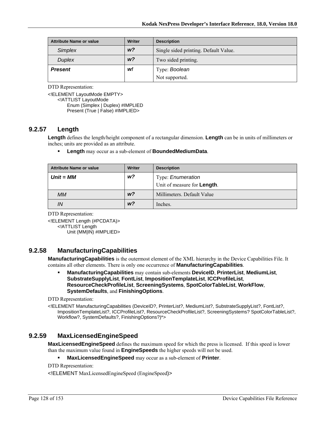| <b>Attribute Name or value</b> | <b>Writer</b>  | <b>Description</b>                    |
|--------------------------------|----------------|---------------------------------------|
| <b>Simplex</b>                 | W <sup>2</sup> | Single sided printing. Default Value. |
| <b>Duplex</b>                  | W <sup>2</sup> | Two sided printing.                   |
| <b>Present</b>                 | w!             | Type: Boolean                         |
|                                |                | Not supported.                        |

<!ELEMENT LayoutMode EMPTY> <!ATTLIST LayoutMode Enum (Simplex | Duplex) #IMPLIED Present (True | False) #IMPLIED>

#### **9.2.57 Length**

**Length** defines the length/height component of a rectangular dimension. **Length** can be in units of millimeters or inches; units are provided as an attribute.

#### **Length** may occur as a sub-element of **BoundedMediumData**.

| <b>Attribute Name or value</b> | Writer         | <b>Description</b>                  |
|--------------------------------|----------------|-------------------------------------|
| $Unit = MM$                    | w?             | Type: Enumeration                   |
|                                |                | Unit of measure for <b>Length</b> . |
| <b>MM</b>                      | W <sup>2</sup> | Millimeters. Default Value          |
| IN                             | W <sup>2</sup> | Inches.                             |

DTD Representation:

<!ELEMENT Length (#PCDATA)> <!ATTLIST Length Unit (MM|IN) #IMPLIED>

## **9.2.58 ManufacturingCapabilities**

**ManufacturingCapabilities** is the outermost element of the XML hierarchy in the Device Capabilities File. It contains all other elements. There is only one occurrence of **ManufacturingCapabilities**.

 **ManufacturingCapabilities** may contain sub-elements **DeviceID**, **PrinterList**, **MediumList**, **SubstrateSupplyList**, **FontList**, **ImpositionTemplateList**, **ICCProfileList**, **ResourceCheckProfileList**, **ScreeningSystems**, **SpotColorTableList**, **WorkFlow**, **SystemDefaults**, and **FinishingOptions**.

DTD Representation:

<!ELEMENT ManufacturingCapabilities (DeviceID?, PrinterList?, MediumList?, SubstrateSupplyList?, FontList?, ImpositionTemplateList?, ICCProfileList?, ResourceCheckProfileList?, ScreeningSystems? SpotColorTableList?, Workflow?, SystemDefaults?, FinishingOptions?)\*>

#### **9.2.59 MaxLicensedEngineSpeed**

**MaxLicensedEngineSpeed** defines the maximum speed for which the press is licensed. If this speed is lower than the maximum value found in **EngineSpeeds** the higher speeds will not be used.

**MaxLicensedEngineSpeed** may occur as a sub-element of **Printer**.

DTD Representation:

<!ELEMENT MaxLicensedEngineSpeed (EngineSpeed)>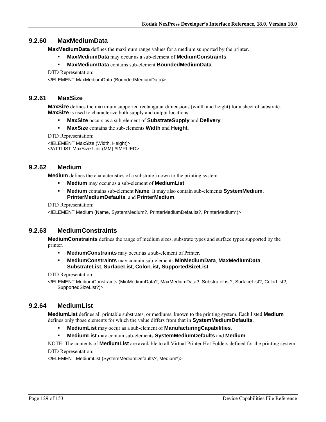#### **9.2.60 MaxMediumData**

**MaxMediumData** defines the maximum range values for a medium supported by the printer.

- **MaxMediumData** may occur as a sub-element of **MediumConstraints**.
- **MaxMediumData** contains sub-element **BoundedMediumData**.

DTD Representation:

<!ELEMENT MaxMediumData (BoundedMediumData)>

## **9.2.61 MaxSize**

**MaxSize** defines the maximum supported rectangular dimensions (width and height) for a sheet of substrate. **MaxSize** is used to characterize both supply and output locations.

- **MaxSize** occurs as a sub-element of **SubstrateSupply** and **Delivery**.
- **MaxSize** contains the sub-elements **Width** and **Height**.

DTD Representation:

<!ELEMENT MaxSize (Width, Height)> <!ATTLIST MaxSize Unit (MM) #IMPLIED>

## **9.2.62 Medium**

**Medium** defines the characteristics of a substrate known to the printing system.

- **Medium** may occur as a sub-element of **MediumList**.
- **Medium** contains sub-element **Name**. It may also contain sub-elements **SystemMedium**, **PrinterMediumDefaults**, and **PrinterMedium**.

DTD Representation:

<!ELEMENT Medium (Name, SystemMedium?, PrinterMediumDefaults?, PrinterMedium\*)>

## **9.2.63 MediumConstraints**

**MediumConstraints** defines the range of medium sizes, substrate types and surface types supported by the printer.

- **MediumConstraints** may occur as a sub-element of Printer.
- **MediumConstraints** may contain sub-elements **MinMediumData**, **MaxMediumData**, **SubstrateList**, **SurfaceList**, **ColorList, SupportedSizeList**.

DTD Representation:

<!ELEMENT MediumConstraints (MinMediumData?, MaxMediumData?, SubstrateList?, SurfaceList?, ColorList?, SupportedSizeList?)>

## **9.2.64 MediumList**

**MediumList** defines all printable substrates, or mediums, known to the printing system. Each listed **Medium** defines only those elements for which the value differs from that in **SystemMediumDefaults**.

- **MediumList** may occur as a sub-element of **ManufacturingCapabilities**.
- **MediumList** may contain sub-elements **SystemMediumDefaults** and **Medium**.

NOTE: The contents of **MediumList** are available to all Virtual Printer Hot Folders defined for the printing system.

#### DTD Representation:

<!ELEMENT MediumList (SystemMediumDefaults?, Medium\*)>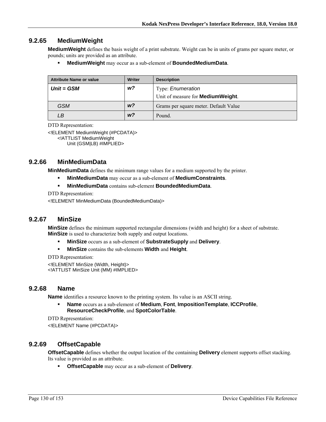### **9.2.65 MediumWeight**

**MediumWeight** defines the basis weight of a print substrate. Weight can be in units of grams per square meter, or pounds; units are provided as an attribute.

**MediumWeight** may occur as a sub-element of **BoundedMediumData**.

| <b>Attribute Name or value</b> | Writer         | <b>Description</b>                        |
|--------------------------------|----------------|-------------------------------------------|
| $Unit = GSM$                   | w?             | Type: Enumeration                         |
|                                |                | Unit of measure for <b>MediumWeight</b> . |
| <b>GSM</b>                     | W <sup>2</sup> | Grams per square meter. Default Value     |
| LВ                             | W <sup>2</sup> | Pound.                                    |

DTD Representation:

<!ELEMENT MediumWeight (#PCDATA)> <!ATTLIST MediumWeight

Unit (GSM|LB) #IMPLIED>

## **9.2.66 MinMediumData**

**MinMediumData** defines the minimum range values for a medium supported by the printer.

- **MinMediumData** may occur as a sub-element of **MediumConstraints**.
- **MinMediumData** contains sub-element **BoundedMediumData**.

DTD Representation:

<!ELEMENT MinMediumData (BoundedMediumData)>

#### **9.2.67 MinSize**

**MinSize** defines the minimum supported rectangular dimensions (width and height) for a sheet of substrate. **MinSize** is used to characterize both supply and output locations.

- **MinSize** occurs as a sub-element of **SubstrateSupply** and **Delivery**.
- **MinSize** contains the sub-elements **Width** and **Height**.

DTD Representation:

<!ELEMENT MinSize (Width, Height)> <!ATTLIST MinSize Unit (MM) #IMPLIED>

#### **9.2.68 Name**

**Name** identifies a resource known to the printing system. Its value is an ASCII string.

 **Name** occurs as a sub-element of **Medium**, **Font**, **ImpositionTemplate**, **ICCProfile**, **ResourceCheckProfile**, and **SpotColorTable**.

DTD Representation:

<!ELEMENT Name (#PCDATA)>

#### **9.2.69 OffsetCapable**

**OffsetCapable** defines whether the output location of the containing **Delivery** element supports offset stacking. Its value is provided as an attribute.

**OffsetCapable** may occur as a sub-element of **Delivery**.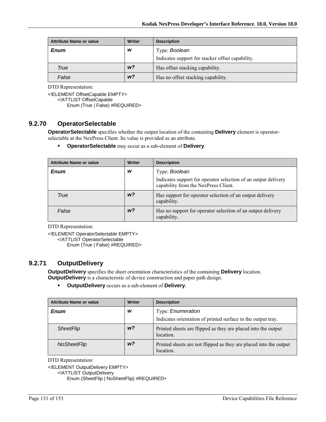| <b>Attribute Name or value</b> | Writer         | <b>Description</b>                               |
|--------------------------------|----------------|--------------------------------------------------|
| <b>Enum</b>                    | w              | Type: Boolean                                    |
|                                |                | Indicates support for stacker offset capability. |
| True                           | w <sup>2</sup> | Has offset stacking capability.                  |
| False                          | w <sup>2</sup> | Has no offset stacking capability.               |

<!ELEMENT OffsetCapable EMPTY>

<!ATTLIST OffsetCapable

Enum (True | False) #REQUIRED>

## **9.2.70 OperatorSelectable**

**OperatorSelectable** specifies whether the output location of the containing **Delivery** element is operatorselectable at the NexPress Client. Its value is provided as an attribute.

**OperatorSelectable** may occur as a sub-element of **Delivery**.

| <b>Attribute Name or value</b> | <b>Writer</b>  | <b>Description</b>                                                                                     |
|--------------------------------|----------------|--------------------------------------------------------------------------------------------------------|
| <b>Enum</b>                    | W              | Type: Boolean                                                                                          |
|                                |                | Indicates support for operator selection of an output delivery<br>capability from the NexPress Client. |
| True                           | W <sup>2</sup> | Has support for operator selection of an output delivery<br>capability.                                |
| False                          | W <sup>2</sup> | Has no support for operator selection of an output delivery<br>capability.                             |

DTD Representation:

<!ELEMENT OperatorSelectable EMPTY> <!ATTLIST OperatorSelectable

Enum (True | False) #REQUIRED>

## **9.2.71 OutputDelivery**

**OutputDelivery** specifies the sheet orientation characteristics of the containing **Delivery** location. **OutputDelivery** is a characteristic of device construction and paper path design.

**OutputDelivery** occurs as a sub-element of **Delivery**.

| <b>Attribute Name or value</b> | <b>Writer</b> | <b>Description</b>                                                                |
|--------------------------------|---------------|-----------------------------------------------------------------------------------|
| <b>Enum</b>                    | w             | Type: Enumeration<br>Indicates orientation of printed surface in the output tray. |
| <b>SheetFlip</b>               | w?            | Printed sheets are flipped as they are placed into the output<br>location.        |
| NoSheetFlip                    | w?            | Printed sheets are not flipped as they are placed into the output<br>location.    |

DTD Representation:

<!ELEMENT OutputDelivery EMPTY>

<!ATTLIST OutputDelivery

Enum (SheetFlip | NoSheetFlip) #REQUIRED>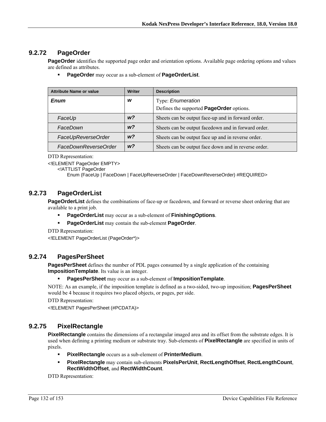## **9.2.72 PageOrder**

**PageOrder** identifies the supported page order and orientation options. Available page ordering options and values are defined as attributes.

**PageOrder** may occur as a sub-element of **PageOrderList**.

| <b>Attribute Name or value</b> | <b>Writer</b>  | <b>Description</b>                                   |
|--------------------------------|----------------|------------------------------------------------------|
| Enum                           | W              | Type: Enumeration                                    |
|                                |                | Defines the supported <b>PageOrder</b> options.      |
| FaceUp                         | w?             | Sheets can be output face-up and in forward order.   |
| FaceDown                       | W <sup>2</sup> | Sheets can be output facedown and in forward order.  |
| FaceUpReverseOrder             | w?             | Sheets can be output face up and in reverse order.   |
| FaceDownReverseOrder           | w?             | Sheets can be output face down and in reverse order. |

DTD Representation:

<!ELEMENT PageOrder EMPTY>

<!ATTLIST PageOrder

Enum (FaceUp | FaceDown | FaceUpReverseOrder | FaceDownReverseOrder) #REQUIRED>

## **9.2.73 PageOrderList**

**PageOrderList** defines the combinations of face-up or facedown, and forward or reverse sheet ordering that are available to a print job.

- **PageOrderList** may occur as a sub-element of **FinishingOptions**.
- **PageOrderList** may contain the sub-element **PageOrder**.

DTD Representation:

<!ELEMENT PageOrderList (PageOrder\*)>

#### **9.2.74 PagesPerSheet**

**PagesPerSheet** defines the number of PDL pages consumed by a single application of the containing **ImpositionTemplate**. Its value is an integer.

**PagesPerSheet** may occur as a sub-element of **ImpositionTemplate**.

NOTE: As an example, if the imposition template is defined as a two-sided, two-up imposition; **PagesPerSheet** would be 4 because it requires two placed objects, or pages, per side.

DTD Representation:

<!ELEMENT PagesPerSheet (#PCDATA)>

# **9.2.75 PixelRectangle**

**PixelRectangle** contains the dimensions of a rectangular imaged area and its offset from the substrate edges. It is used when defining a printing medium or substrate tray. Sub-elements of **PixelRectangle** are specified in units of pixels.

- **PixelRectangle** occurs as a sub-element of **PrinterMedium**.
- **PixelRectangle** may contain sub-elements **PixelsPerUnit**, **RectLengthOffset**, **RectLengthCount**, **RectWidthOffset**, and **RectWidthCount**.

DTD Representation: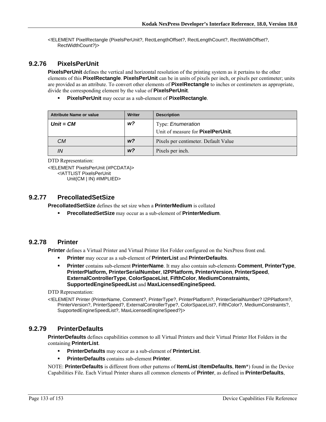<!ELEMENT PixelRectangle (PixelsPerUnit?, RectLengthOffset?, RectLengthCount?, RectWidthOffset?, RectWidthCount?)>

## **9.2.76 PixelsPerUnit**

**PixelsPerUnit** defines the vertical and horizontal resolution of the printing system as it pertains to the other elements of this **PixelRectangle**. **PixelsPerUnit** can be in units of pixels per inch, or pixels per centimeter; units are provided as an attribute. To convert other elements of **PixelRectangle** to inches or centimeters as appropriate, divide the corresponding element by the value of **PixelsPerUnit**.

**PixelsPerUnit** may occur as a sub-element of **PixelRectangle**.

| <b>Attribute Name or value</b> | Writer         | <b>Description</b>                        |
|--------------------------------|----------------|-------------------------------------------|
| $Unit = CM$                    | w?             | Type: <i>Enumeration</i>                  |
|                                |                | Unit of measure for <b>PixelPerUnit</b> . |
| CМ                             | w <sup>2</sup> | Pixels per centimeter. Default Value      |
| ΙN                             | w?             | Pixels per inch.                          |

```
DTD Representation:
```
<!ELEMENT PixelsPerUnit (#PCDATA)> <!ATTLIST PixelsPerUnit Unit(CM | IN) #IMPLIED>

## **9.2.77 PrecollatedSetSize**

**PrecollatedSetSize** defines the set size when a **PrinterMedium** is collated

**PrecollatedSetSize** may occur as a sub-element of **PrinterMedium**.

#### **9.2.78 Printer**

**Printer** defines a Virtual Printer and Virtual Printer Hot Folder configured on the NexPress front end.

- **Printer** may occur as a sub-element of **PrinterList** and **PrinterDefaults**.
- **Printer** contains sub-element **PrinterName**. It may also contain sub-elements **Comment**, **PrinterType**, **PrinterPlatform, PrinterSerialNumber**, **I2PPlatform***,* **PrinterVersion**, **PrinterSpeed**, **ExternalControllerType**, **ColorSpaceList**, **FifthColor**, **MediumConstraints, SupportedEngineSpeedList** and **MaxLicensedEngineSpeed.**

DTD Representation:

<!ELEMENT Printer (PrinterName, Comment?, PrinterType?, PrinterPlatform?, PrinterSerialNumber? I2PPlatform?, PrinterVersion?, PrinterSpeed?, ExternalControllerType?, ColorSpaceList?, FifthColor?, MediumConstraints?, SupportedEngineSpeedList?, MaxLicensedEngineSpeed?)>

#### **9.2.79 PrinterDefaults**

**PrinterDefaults** defines capabilities common to all Virtual Printers and their Virtual Printer Hot Folders in the containing **PrinterList**.

- **PrinterDefaults** may occur as a sub-element of **PrinterList**.
- **PrinterDefaults** contains sub-element **Printer**.

NOTE: **PrinterDefaults** is different from other patterns of **ItemList** (**ItemDefaults**, **Item**\*) found in the Device Capabilities File. Each Virtual Printer shares all common elements of **Printer**, as defined in **PrinterDefaults**,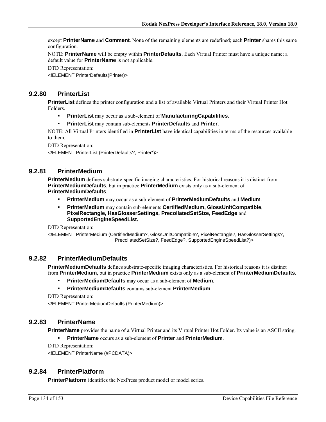except **PrinterName** and **Comment**. None of the remaining elements are redefined; each **Printer** shares this same configuration.

NOTE: **PrinterName** will be empty within **PrinterDefaults**. Each Virtual Printer must have a unique name; a default value for **PrinterName** is not applicable.

DTD Representation:

<!ELEMENT PrinterDefaults(Printer)>

## **9.2.80 PrinterList**

**PrinterList** defines the printer configuration and a list of available Virtual Printers and their Virtual Printer Hot Folders.

- **PrinterList** may occur as a sub-element of **ManufacturingCapabilities**.
- **PrinterList** may contain sub-elements **PrinterDefaults** and **Printer**.

NOTE: All Virtual Printers identified in **PrinterList** have identical capabilities in terms of the resources available to them.

DTD Representation:

<!ELEMENT PrinterList (PrinterDefaults?, Printer\*)>

#### **9.2.81 PrinterMedium**

**PrinterMedium** defines substrate-specific imaging characteristics. For historical reasons it is distinct from **PrinterMediumDefaults**, but in practice **PrinterMedium** exists only as a sub-element of **PrinterMediumDefaults**.

- **PrinterMedium** may occur as a sub-element of **PrinterMediumDefaults** and **Medium**.
- **PrinterMedium** may contain sub-elements **CertifiedMedium, GlossUnitCompatible**, **PixelRectangle, HasGlosserSettings, PrecollatedSetSize, FeedEdge** and **SupportedEngineSpeedList.**

DTD Representation:

<!ELEMENT PrinterMedium (CertifiedMedium?, GlossUnitCompatible?, PixelRectangle?, HasGlosserSettings?, PrecollatedSetSize?, FeedEdge?, SupportedEngineSpeedList?)>

#### **9.2.82 PrinterMediumDefaults**

**PrinterMediumDefaults** defines substrate-specific imaging characteristics. For historical reasons it is distinct from **PrinterMedium**, but in practice **PrinterMedium** exists only as a sub-element of **PrinterMediumDefaults**.

- **PrinterMediumDefaults** may occur as a sub-element of **Medium**.
- **PrinterMediumDefaults** contains sub-element **PrinterMedium**.

DTD Representation:

<!ELEMENT PrinterMediumDefaults (PrinterMedium)>

#### **9.2.83 PrinterName**

**PrinterName** provides the name of a Virtual Printer and its Virtual Printer Hot Folder. Its value is an ASCII string.

**PrinterName** occurs as a sub-element of **Printer** and **PrinterMedium**.

DTD Representation:

<!ELEMENT PrinterName (#PCDATA)>

#### **9.2.84 PrinterPlatform**

**PrinterPlatform** identifies the NexPress product model or model series.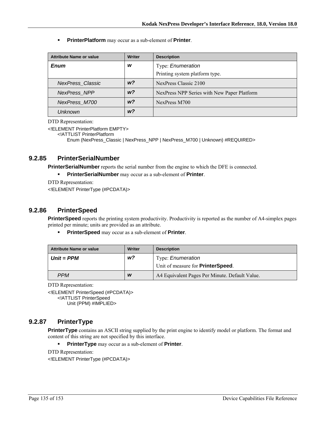**PrinterPlatform** may occur as a sub-element of **Printer**.

| <b>Attribute Name or value</b> | <b>Writer</b>  | <b>Description</b>                          |
|--------------------------------|----------------|---------------------------------------------|
| <b>Enum</b>                    | w              | Type: Enumeration                           |
|                                |                | Printing system platform type.              |
| <b>NexPress Classic</b>        | W <sup>2</sup> | NexPress Classic 2100                       |
| <b>NexPress NPP</b>            | w?             | NexPress NPP Series with New Paper Platform |
| NexPress M700                  | w?             | NexPress M700                               |
| Unknown                        | w?             |                                             |

DTD Representation:

<!ELEMENT PrinterPlatform EMPTY>

<!ATTLIST PrinterPlatform

Enum (NexPress\_Classic | NexPress\_NPP | NexPress\_M700 | Unknown) #REQUIRED>

## **9.2.85 PrinterSerialNumber**

**PrinterSerialNumber** reports the serial number from the engine to which the DFE is connected.

**PrinterSerialNumber** may occur as a sub-element of **Printer**.

DTD Representation:

<!ELEMENT PrinterType (#PCDATA)>

## **9.2.86 PrinterSpeed**

**PrinterSpeed** reports the printing system productivity. Productivity is reported as the number of A4-simplex pages printed per minute; units are provided as an attribute.

**PrinterSpeed** may occur as a sub-element of **Printer**.

| <b>Attribute Name or value</b> | <b>Writer</b> | <b>Description</b>                             |
|--------------------------------|---------------|------------------------------------------------|
| $Unit = PPM$                   | w?            | Type: <i>Enumeration</i>                       |
|                                |               | Unit of measure for <b>PrinterSpeed</b> .      |
| <b>PPM</b>                     | W             | A4 Equivalent Pages Per Minute. Default Value. |

DTD Representation:

<!ELEMENT PrinterSpeed (#PCDATA)> <!ATTLIST PrinterSpeed Unit (PPM) #IMPLIED>

# **9.2.87 PrinterType**

**PrinterType** contains an ASCII string supplied by the print engine to identify model or platform. The format and content of this string are not specified by this interface.

**PrinterType** may occur as a sub-element of **Printer**.

```
DTD Representation: 
<!ELEMENT PrinterType (#PCDATA)>
```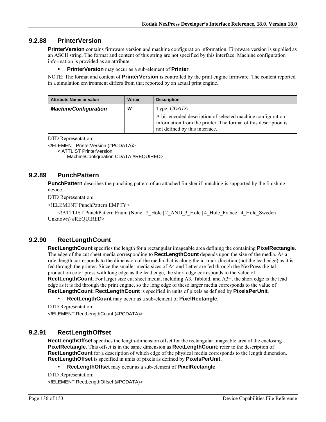## **9.2.88 PrinterVersion**

**PrinterVersion** contains firmware version and machine configuration information. Firmware version is supplied as an ASCII string. The format and content of this string are not specified by this interface. Machine configuration information is provided as an attribute.

#### **PrinterVersion** may occur as a sub-element of **Printer**.

NOTE: The format and content of **PrinterVersion** is controlled by the print engine firmware. The content reported in a simulation environment differs from that reported by an actual print engine.

| <b>Attribute Name or value</b> | Writer | <b>Description</b>                                                                                                                                               |
|--------------------------------|--------|------------------------------------------------------------------------------------------------------------------------------------------------------------------|
| <b>MachineConfiguration</b>    | W      | Type: CDATA                                                                                                                                                      |
|                                |        | A bit-encoded description of selected machine configuration<br>information from the printer. The format of this description is<br>not defined by this interface. |

DTD Representation:

<!ELEMENT PrinterVersion (#PCDATA)>

<!ATTLIST PrinterVersion

MachineConfiguration CDATA #REQUIRED>

## **9.2.89 PunchPattern**

**PunchPattern** describes the punching pattern of an attached finisher if punching is supported by the finishing device.

DTD Representation:

<!ELEMENT PunchPattern EMPTY>

 $\le$ !ATTLIST PunchPattern Enum (None | 2\_Hole | 2\_AND\_3\_Hole | 4\_Hole France | 4\_Hole\_Sweden | Unknown) #REQUIRED>

## **9.2.90 RectLengthCount**

**RectLengthCount** specifies the length for a rectangular imageable area defining the containing **PixelRectangle**. The edge of the cut sheet media corresponding to **RectLengthCount** depends upon the size of the media. As a rule, length corresponds to the dimension of the media that is along the in-track direction (not the lead edge) as it is fed through the printer. Since the smaller media sizes of A4 and Letter are fed through the NexPress digital production color press with long edge as the lead edge, the short edge corresponds to the value of **RectLengthCount**. For larger size cut sheet media, including A3, Tabloid, and A3+, the short edge is the lead edge as it is fed through the print engine, so the long edge of these larger media corresponds to the value of **RectLengthCount**. **RectLengthCount** is specified in units of pixels as defined by **PixelsPerUnit**.

**RectLengthCount** may occur as a sub-element of **PixelRectangle**.

DTD Representation: <!ELEMENT RectLengthCount (#PCDATA)>

#### **9.2.91 RectLengthOffset**

**RectLengthOffset** specifies the length-dimension offset for the rectangular imageable area of the enclosing **PixelRectangle**. This offset is in the same dimension as **RectLengthCount**; refer to the description of **RectLengthCount** for a description of which edge of the physical media corresponds to the length dimension. **RectLengthOffset** is specified in units of pixels as defined by **PixelsPerUnit.**

**RecLengthOffset** may occur as a sub-element of **PixelRectangle**.

```
DTD Representation:
```
<!ELEMENT RectLengthOffset (#PCDATA)>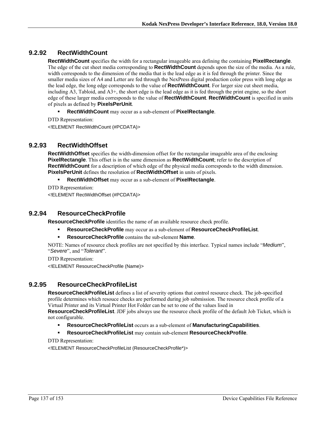# **9.2.92 RectWidthCount**

**RectWidthCount** specifies the width for a rectangular imageable area defining the containing **PixelRectangle**. The edge of the cut sheet media corresponding to **RectWidthCount** depends upon the size of the media. As a rule, width corresponds to the dimension of the media that is the lead edge as it is fed through the printer. Since the smaller media sizes of A4 and Letter are fed through the NexPress digital production color press with long edge as the lead edge, the long edge corresponds to the value of **RectWidthCount**. For larger size cut sheet media, including A3, Tabloid, and A3+, the short edge is the lead edge as it is fed through the print engine, so the short edge of these larger media corresponds to the value of **RectWidthCount**. **RectWidthCount** is specified in units of pixels as defined by **PixelsPerUnit**.

- **RectWidthCount** may occur as a sub-element of **PixelRectangle**.
- DTD Representation:

<!ELEMENT RectWidthCount (#PCDATA)>

## **9.2.93 RectWidthOffset**

**RectWidthOffset** specifies the width-dimension offset for the rectangular imageable area of the enclosing **PixelRectangle**. This offset is in the same dimension as **RectWidthCount**; refer to the description of **RectWidthCount** for a description of which edge of the physical media corresponds to the width dimension. **PixelsPerUnit** defines the resolution of **RectWidthOffset** in units of pixels.

- **RectWidthOffset** may occur as a sub-element of **PixelRectangle**.
- DTD Representation:

<!ELEMENT RectWidthOffset (#PCDATA)>

## **9.2.94 ResourceCheckProfile**

**ResourceCheckProfile** identifies the name of an available resource check profile.

- **ResourceCheckProfile** may occur as a sub-element of **ResourceCheckProfileList**.
- **ResourceCheckProfile** contains the sub-element **Name**.

NOTE: Names of resource check profiles are not specified by this interface. Typical names include "*Medium*", "*Severe*", and "*Tolerant*".

DTD Representation:

<!ELEMENT ResourceCheckProfile (Name)>

## **9.2.95 ResourceCheckProfileList**

**ResourceCheckProfileList** defines a list of severity options that control resource check. The job-specified profile determines which resouce checks are performed during job submission. The resource check profile of a Virtual Printer and its Virtual Printer Hot Folder can be set to one of the values lised in

**ResourceCheckProfileList**. JDF jobs always use the resource check profile of the default Job Ticket, which is not configurable.

- **ResourceCheckProfileList** occurs as a sub-element of **ManufacturingCapabilities**.
- **ResourceCheckProfileList** may contain sub-element **ResourceCheckProfile**.

DTD Representation:

<!ELEMENT ResourceCheckProfileList (ResourceCheckProfile\*)>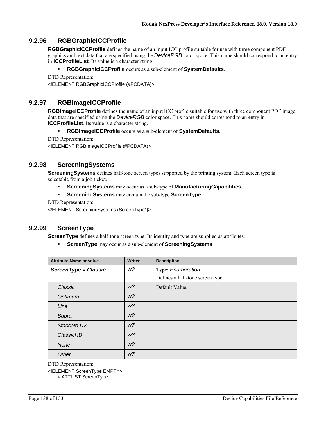## **9.2.96 RGBGraphicICCProfile**

**RGBGraphicICCProfile** defines the name of an input ICC profile suitable for use with three component PDF graphics and text data that are specified using the *DeviceRGB* color space. This name should correspond to an entry in **ICCProfileList**. Its value is a character string.

#### **RGBGraphicICCProfile** occurs as a sub-element of **SystemDefaults**.

```
DTD Representation:
```
<!ELEMENT RGBGraphicICCProfile (#PCDATA)>

## **9.2.97 RGBImageICCProfile**

**RGBImageICCProfile** defines the name of an input ICC profile suitable for use with three component PDF image data that are specified using the *DeviceRGB* color space. This name should correspond to an entry in **ICCProfileList**. Its value is a character string.

#### **RGBImageICCProfile** occurs as a sub-element of **SystemDefaults**.

DTD Representation:

<!ELEMENT RGBImageICCProfile (#PCDATA)>

#### **9.2.98 ScreeningSystems**

**ScreeningSystems** defines half-tone screen types supported by the printing system. Each screen type is selectable from a job ticket.

- **ScreeningSystems** may occur as a sub-type of **ManufacturingCapabilities**.
- **ScreeningSystems** may contain the sub-type **ScreenType**.

DTD Representation:

<!ELEMENT ScreeningSystems (ScreenType\*)>

#### **9.2.99 ScreenType**

**ScreenType** defines a half-tone screen type. Its identity and type are supplied as attributes.

**ScreenType** may occur as a sub-element of **ScreeningSystems**.

| <b>Attribute Name or value</b> | <b>Writer</b>  | <b>Description</b>               |
|--------------------------------|----------------|----------------------------------|
| ScreenType = Classic           | w?             | Type: Enumeration                |
|                                |                | Defines a half-tone screen type. |
| Classic                        | W <sup>2</sup> | Default Value.                   |
| Optimum                        | W <sup>2</sup> |                                  |
| Line                           | W <sup>2</sup> |                                  |
| Supra                          | W <sup>2</sup> |                                  |
| Staccato DX                    | W <sup>2</sup> |                                  |
| ClassicHD                      | W <sup>2</sup> |                                  |
| None                           | W <sup>2</sup> |                                  |
| Other                          | W <sup>2</sup> |                                  |

DTD Representation:

<!ELEMENT ScreenType EMPTY> <!ATTLIST ScreenType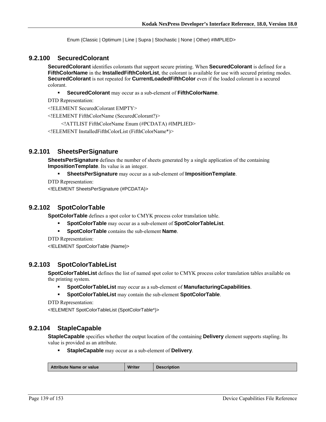Enum (Classic | Optimum | Line | Supra | Stochastic | None | Other) #IMPLIED>

#### **9.2.100 SecuredColorant**

**SecuredColorant** identifies colorants that support secure printing. When **SecuredColorant** is defined for a **FifthColorName** in the **InstalledFifthColorList**, the colorant is available for use with secured printing modes. **SecuredColorant** is not repeated for **CurrentLoadedFifthColor** even if the loaded colorant is a secured colorant.

**SecuredColorant** may occur as a sub-element of **FifthColorName**.

DTD Representation:

<!ELEMENT SecuredColorant EMPTY>

<!ELEMENT FifthColorName (SecuredColorant?)>

<!ATTLIST FifthColorName Enum (#PCDATA) #IMPLIED>

<!ELEMENT InstalledFifthColorList (FifthColorName\*)>

#### **9.2.101 SheetsPerSignature**

**SheetsPerSignature** defines the number of sheets generated by a single application of the containing **ImpositionTemplate**. Its value is an integer.

#### **SheetsPerSignature** may occur as a sub-element of **ImpositionTemplate**.

DTD Representation:

<!ELEMENT SheetsPerSignature (#PCDATA)>

#### **9.2.102 SpotColorTable**

**SpotColorTable** defines a spot color to CMYK process color translation table.

- **SpotColorTable** may occur as a sub-element of **SpotColorTableList**.
- **SpotColorTable** contains the sub-element **Name**.

DTD Representation:

<!ELEMENT SpotColorTable (Name)>

#### **9.2.103 SpotColorTableList**

**SpotColorTableList** defines the list of named spot color to CMYK process color translation tables available on the printing system.

- **SpotColorTableList** may occur as a sub-element of **ManufacturingCapabilities**.
- **SpotColorTableList** may contain the sub-element **SpotColorTable**.

```
DTD Representation:
```
<!ELEMENT SpotColorTableList (SpotColorTable\*)>

#### **9.2.104 StapleCapable**

**StapleCapable** specifies whether the output location of the containing **Delivery** element supports stapling. Its value is provided as an attribute.

**StapleCapable** may occur as a sub-element of **Delivery**.

| <b>Att</b><br>or value<br>Mame or<br>ribute | <b>Writer</b> | <b>Description</b> |
|---------------------------------------------|---------------|--------------------|
|                                             |               |                    |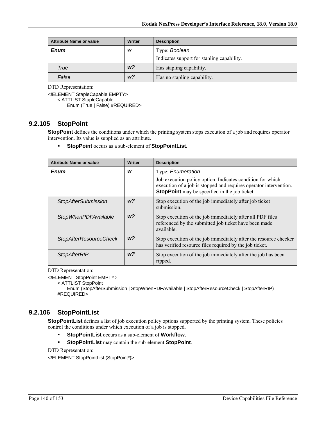| <b>Attribute Name or value</b> | Writer         | <b>Description</b>                         |
|--------------------------------|----------------|--------------------------------------------|
| <b>Enum</b>                    | w              | Type: Boolean                              |
|                                |                | Indicates support for stapling capability. |
| True                           | W <sup>2</sup> | Has stapling capability.                   |
| False                          | W <sup>2</sup> | Has no stapling capability.                |

<!ELEMENT StapleCapable EMPTY> <!ATTLIST StapleCapable Enum (True | False) #REQUIRED>

## **9.2.105 StopPoint**

**StopPoint** defines the conditions under which the printing system stops execution of a job and requires operator intervention. Its value is supplied as an attribute.

**StopPoint** occurs as a sub-element of **StopPointList**.

| <b>Attribute Name or value</b> | <b>Writer</b>  | <b>Description</b>                                                                                                                                                                      |
|--------------------------------|----------------|-----------------------------------------------------------------------------------------------------------------------------------------------------------------------------------------|
| Enum                           | w              | Type: <i>Enumeration</i>                                                                                                                                                                |
|                                |                | Job execution policy option. Indicates condition for which<br>execution of a job is stopped and requires operator intervention.<br><b>StopPoint</b> may be specified in the job ticket. |
| <b>StopAfterSubmission</b>     | W <sup>2</sup> | Stop execution of the job immediately after job ticket<br>submission.                                                                                                                   |
| <b>StopWhenPDFAvailable</b>    | W <sup>2</sup> | Stop execution of the job immediately after all PDF files<br>referenced by the submitted job ticket have been made<br>available.                                                        |
| <b>StopAfterResourceCheck</b>  | W <sup>2</sup> | Stop execution of the job immediately after the resource checker<br>has verified resource files required by the job ticket.                                                             |
| <b>StopAfterRIP</b>            | $w$ ?          | Stop execution of the job immediately after the job has been<br>ripped.                                                                                                                 |

DTD Representation:

<!ELEMENT StopPoint EMPTY>

<!ATTLIST StopPoint

Enum (StopAfterSubmission | StopWhenPDFAvailable | StopAfterResourceCheck | StopAfterRIP) #REQUIRED>

## **9.2.106 StopPointList**

**StopPointList** defines a list of job execution policy options supported by the printing system. These policies control the conditions under which execution of a job is stopped.

- **StopPointList** occurs as a sub-element of **Workflow**.
- **StopPointList** may contain the sub-element **StopPoint**.

DTD Representation:

<!ELEMENT StopPointList (StopPoint\*)>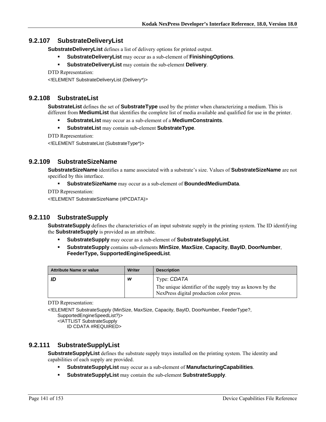## **9.2.107 SubstrateDeliveryList**

**SubstrateDeliveryList** defines a list of delivery options for printed output.

- **SubstrateDeliveryList** may occur as a sub-element of **FinishingOptions**.
- **SubstrateDeliveryList** may contain the sub-element **Delivery**.

DTD Representation:

<!ELEMENT SubstrateDeliveryList (Delivery\*)>

#### **9.2.108 SubstrateList**

**SubstrateList** defines the set of **SubstrateType** used by the printer when characterizing a medium. This is different from **MediumList** that identifies the complete list of media available and qualified for use in the printer.

- **SubstrateList** may occur as a sub-element of a **MediumConstraints**.
- **SubstrateList** may contain sub-element **SubstrateType**.

DTD Representation:

<!ELEMENT SubstrateList (SubstrateType\*)>

## **9.2.109 SubstrateSizeName**

**SubstrateSizeName** identifies a name associated with a substrate's size. Values of **SubstrateSizeName** are not specified by this interface.

**SubstrateSizeName** may occur as a sub-element of **BoundedMediumData**.

DTD Representation:

<!ELEMENT SubstrateSizeName (#PCDATA)>

#### **9.2.110 SubstrateSupply**

**SubstrateSupply** defines the characteristics of an input substrate supply in the printing system. The ID identifying the **SubstrateSupply** is provided as an attribute.

- **SubstrateSupply** may occur as a sub-element of **SubstrateSupplyList**.
- **SubstrateSupply** contains sub-elements **MinSize**, **MaxSize**, **Capacity**, **BayID**, **DoorNumber**, **FeederType, SupportedEngineSpeedList**.

| <b>Attribute Name or value</b> | Writer | <b>Description</b>                                                                                   |
|--------------------------------|--------|------------------------------------------------------------------------------------------------------|
|                                | W      | Type: CDATA                                                                                          |
|                                |        | The unique identifier of the supply tray as known by the<br>NexPress digital production color press. |

DTD Representation:

<!ELEMENT SubstrateSupply (MinSize, MaxSize, Capacity, BayID, DoorNumber, FeederType?, SupportedEngineSpeedList?)>

<!ATTLIST SubstrateSupply

ID CDATA #REQUIRED>

#### **9.2.111 SubstrateSupplyList**

**SubstrateSupplyList** defines the substrate supply trays installed on the printing system. The identity and capabilities of each supply are provided.

- **SubstrateSupplyList** may occur as a sub-element of **ManufacturingCapabilities**.
- **SubstrateSupplyList** may contain the sub-element **SubstrateSupply**.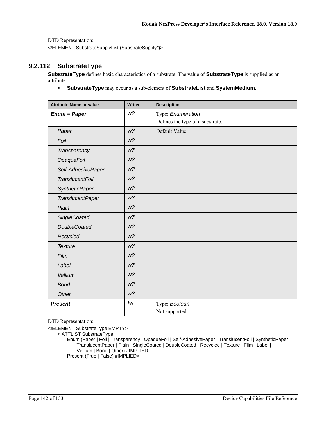<!ELEMENT SubstrateSupplyList (SubstrateSupply\*)>

## **9.2.112 SubstrateType**

**SubstrateType** defines basic characteristics of a substrate. The value of **SubstrateType** is supplied as an attribute.

**SubstrateType** may occur as a sub-element of **SubstrateList** and **SystemMedium**.

| <b>Attribute Name or value</b> | Writer         | <b>Description</b>               |
|--------------------------------|----------------|----------------------------------|
| $Enum = Paper$                 | W <sup>2</sup> | Type: Enumeration                |
|                                |                | Defines the type of a substrate. |
| Paper                          | W <sup>2</sup> | Default Value                    |
| Foil                           | W <sup>2</sup> |                                  |
| Transparency                   | W <sup>2</sup> |                                  |
| <b>OpaqueFoil</b>              | W <sup>2</sup> |                                  |
| Self-AdhesivePaper             | W <sup>2</sup> |                                  |
| <b>TranslucentFoil</b>         | W <sup>2</sup> |                                  |
| <b>SyntheticPaper</b>          | W <sup>2</sup> |                                  |
| <b>TranslucentPaper</b>        | W <sup>2</sup> |                                  |
| Plain                          | W <sup>2</sup> |                                  |
| <b>SingleCoated</b>            | W <sup>2</sup> |                                  |
| <b>DoubleCoated</b>            | W <sub>2</sub> |                                  |
| Recycled                       | W <sup>2</sup> |                                  |
| <b>Texture</b>                 | W <sup>2</sup> |                                  |
| Film                           | W <sup>2</sup> |                                  |
| Label                          | W <sup>2</sup> |                                  |
| Vellium                        | W <sub>2</sub> |                                  |
| <b>Bond</b>                    | W <sup>2</sup> |                                  |
| Other                          | W <sup>2</sup> |                                  |
| <b>Present</b>                 | !w             | Type: Boolean                    |
|                                |                | Not supported.                   |

DTD Representation:

<!ELEMENT SubstrateType EMPTY>

<!ATTLIST SubstrateType

Enum (Paper | Foil | Transparency | OpaqueFoil | Self-AdhesivePaper | TranslucentFoil | SyntheticPaper | TranslucentPaper | Plain | SingleCoated | DoubleCoated | Recycled | Texture | Film | Label | Vellium | Bond | Other) #IMPLIED Present (True | False) #IMPLIED>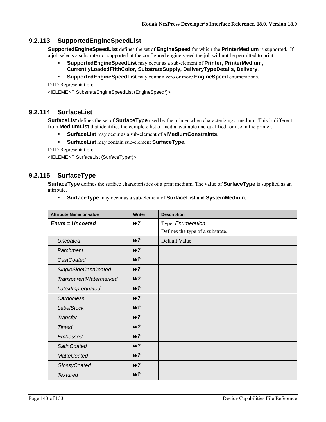## **9.2.113 SupportedEngineSpeedList**

**SupportedEngineSpeedList** defines the set of **EngineSpeed** for which the **PrinterMedium** is supported. If a job selects a substrate not supported at the configured engine speed the job will not be permitted to print.

- **SupportedEngineSpeedList** may occur as a sub-element of **Printer, PrinterMedium, CurrentlyLoadedFifthColor, SubstrateSupply, DeliveryTypeDetails, Delivery**.
- **SupportedEngineSpeedList** may contain zero or more **EngineSpeed** enumerations.

DTD Representation:

<!ELEMENT SubstrateEngineSpeedList (EngineSpeed\*)>

#### **9.2.114 SurfaceList**

**SurfaceList** defines the set of **SurfaceType** used by the printer when characterizing a medium. This is different from **MediumList** that identifies the complete list of media available and qualified for use in the printer.

- **SurfaceList** may occur as a sub-element of a **MediumConstraints**.
- **SurfaceList** may contain sub-element **SurfaceType**.

DTD Representation:

<!ELEMENT SurfaceList (SurfaceType\*)>

## **9.2.115 SurfaceType**

**SurfaceType** defines the surface characteristics of a print medium. The value of **SurfaceType** is supplied as an attribute.

**SurfaceType** may occur as a sub-element of **SurfaceList** and **SystemMedium**.

| <b>Attribute Name or value</b> | <b>Writer</b>  | <b>Description</b>               |
|--------------------------------|----------------|----------------------------------|
| <b>Enum = Uncoated</b>         | w?             | Type: Enumeration                |
|                                |                | Defines the type of a substrate. |
| <b>Uncoated</b>                | W <sup>2</sup> | Default Value                    |
| Parchment                      | W <sup>2</sup> |                                  |
| CastCoated                     | W <sup>2</sup> |                                  |
| <b>SingleSideCastCoated</b>    | W <sup>2</sup> |                                  |
| TransparentWatermarked         | W <sup>2</sup> |                                  |
| LatexImpregnated               | W <sup>2</sup> |                                  |
| Carbonless                     | W <sup>2</sup> |                                  |
| <b>LabelStock</b>              | W <sup>2</sup> |                                  |
| <b>Transfer</b>                | W <sup>2</sup> |                                  |
| <b>Tinted</b>                  | W <sup>2</sup> |                                  |
| Embossed                       | W <sup>2</sup> |                                  |
| <b>SatinCoated</b>             | W <sup>2</sup> |                                  |
| <b>MatteCoated</b>             | W <sup>2</sup> |                                  |
| GlossyCoated                   | W <sup>2</sup> |                                  |
| <b>Textured</b>                | W <sup>2</sup> |                                  |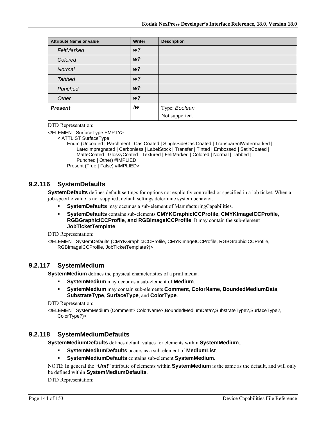| <b>Attribute Name or value</b> | <b>Writer</b>  | <b>Description</b> |
|--------------------------------|----------------|--------------------|
| FeltMarked                     | W <sup>2</sup> |                    |
| Colored                        | W <sup>2</sup> |                    |
| Normal                         | W <sup>2</sup> |                    |
| <b>Tabbed</b>                  | W <sup>2</sup> |                    |
| Punched                        | W <sup>2</sup> |                    |
| Other                          | W <sup>2</sup> |                    |
| <b>Present</b>                 | !w             | Type: Boolean      |
|                                |                | Not supported.     |

<!ELEMENT SurfaceType EMPTY>

<!ATTLIST SurfaceType

Enum (Uncoated | Parchment | CastCoated | SingleSideCastCoated | TransparentWatermarked | LatexImpregnated | Carbonless | LabelStock | Transfer | Tinted | Embossed | SatinCoated | MatteCoated | GlossyCoated | Textured | FeltMarked | Colored | Normal | Tabbed | Punched | Other) #IMPLIED Present (True | False) #IMPLIED>

## **9.2.116 SystemDefaults**

**SystemDefaults** defines default settings for options not explicitly controlled or specified in a job ticket. When a job-specific value is not supplied, default settings determine system behavior.

- **SystemDefaults** may occur as a sub-element of ManufacturingCapabilities.
- **SystemDefaults** contains sub-elements **CMYKGraphicICCProfile**, **CMYKImageICCProfile**, **RGBGraphicICCProfile**, **and RGBImageICCProfile**. It may contain the sub-element **JobTicketTemplate**.

DTD Representation:

<!ELEMENT SystemDefaults (CMYKGraphicICCProfile, CMYKImageICCProfile, RGBGraphicICCProfile, RGBImageICCProfile, JobTicketTemplate?)>

## **9.2.117 SystemMedium**

**SystemMedium** defines the physical characteristics of a print media.

- **SystemMedium** may occur as a sub-element of **Medium**.
- **SystemMedium** may contain sub-elements **Comment**, **ColorName**, **BoundedMediumData**, **SubstrateType**, **SurfaceType**, and **ColorType**.

DTD Representation:

<!ELEMENT SystemMedium (Comment?,ColorName?,BoundedMediumData?,SubstrateType?,SurfaceType?, ColorType?)>

## **9.2.118 SystemMediumDefaults**

**SystemMediumDefaults** defines default values for elements within **SystemMedium**..

- **SystemMediumDefaults** occurs as a sub-element of **MediumList**.
- **SystemMediumDefaults** contains sub-element **SystemMedium**.

NOTE: In general the "*Unit*" attribute of elements within **SystemMedium** is the same as the default, and will only be defined within **SystemMediumDefaults**.

DTD Representation: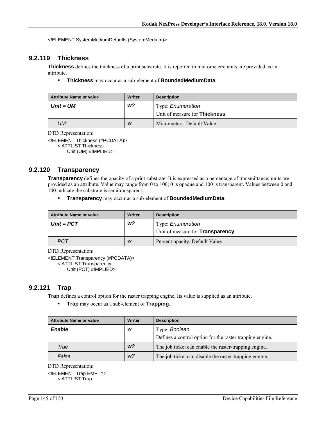<!ELEMENT SystemMediumDefaults (SystemMedium)>

# **9.2.119 Thickness**

**Thickness** defines the thickness of a print substrate. It is reported in micrometers; units are provided as an attribute.

**Thickness** may occur as a sub-element of **BoundedMediumData**.

| <b>Attribute Name or value</b> | Writer | <b>Description</b>                     |
|--------------------------------|--------|----------------------------------------|
| Unit = UM                      | w?     | Type: <i>Enumeration</i>               |
|                                |        | Unit of measure for <b>Thickness</b> . |
| UМ                             | W      | Micrometers. Default Value             |

DTD Representation:

<!ELEMENT Thickness (#PCDATA)> <!ATTLIST Thickness Unit (UM) #IMPLIED>

## **9.2.120 Transparency**

**Transparency** defines the opacity of a print substrate. It is expressed as a percentage of transmittance; units are provided as an attribute. Value may range from 0 to 100; 0 is opaque and 100 is transparent. Values between 0 and 100 indicate the substrate is semitransparent.

**Transparency** may occur as a sub-element of **BoundedMediumData**.

| <b>Attribute Name or value</b> | Writer | <b>Description</b>                        |
|--------------------------------|--------|-------------------------------------------|
| $Unit = PCT$                   | w?     | Type: <i>Enumeration</i>                  |
|                                |        | Unit of measure for <b>Transparency</b> . |
| <b>PCT</b>                     | W      | Percent opacity. Default Value            |

DTD Representation:

<!ELEMENT Transparency (#PCDATA)> <!ATTLIST Transparency Unit (PCT) #IMPLIED>

## **9.2.121 Trap**

**Trap** defines a control option for the raster trapping engine. Its value is supplied as an attribute.

**Trap** may occur as a sub-element of **Trapping**.

| <b>Attribute Name or value</b> | Writer         | <b>Description</b>                                       |
|--------------------------------|----------------|----------------------------------------------------------|
| <b>Enable</b>                  | W              | Type: Boolean                                            |
|                                |                | Defines a control option for the raster trapping engine. |
| True                           | W <sup>2</sup> | The job ticket can enable the raster-trapping engine.    |
| False                          | W <sup>2</sup> | The job ticket can disable the raster-trapping engine.   |

DTD Representation:

<!ELEMENT Trap EMPTY> <!ATTLIST Trap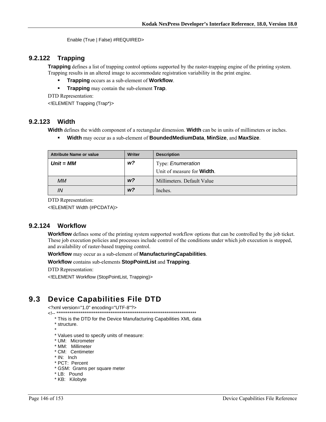Enable (True | False) #REQUIRED>

#### 9.2.122 **Trapping**

**Trapping** defines a list of trapping control options supported by the raster-trapping engine of the printing system. Trapping results in an altered image to accommodate registration variability in the print engine.

- **Trapping** occurs as a sub-element of **Workflow**.
- $\blacksquare$ Trapping may contain the sub-element Trap.

DTD Representation:

<! ELEMENT Trapping (Trap\*)>

## 9.2.123 Width

Width defines the width component of a rectangular dimension. Width can be in units of millimeters or inches.

 $\blacksquare$ Width may occur as a sub-element of BoundedMediumData, MinSize, and MaxSize.

| <b>Attribute Name or value</b> | Writer         | <b>Description</b>                 |
|--------------------------------|----------------|------------------------------------|
| $Unit = MM$                    | w?             | Type: <i>Enumeration</i>           |
|                                |                | Unit of measure for <b>Width</b> . |
| МM                             | w <sup>2</sup> | Millimeters. Default Value         |
| IN                             | W <sup>2</sup> | Inches.                            |

DTD Representation:

<!ELEMENT Width (#PCDATA)>

#### 9.2.124 **Workflow**

**Workflow** defines some of the printing system supported workflow options that can be controlled by the job ticket. These job execution policies and processes include control of the conditions under which job execution is stopped, and availability of raster-based trapping control.

Workflow may occur as a sub-element of Manufacturing Capabilities.

#### Workflow contains sub-elements StopPointList and Trapping.

DTD Representation:

<!ELEMENT Workflow (StopPointList, Trapping)>

#### **Device Capabilities File DTD**  $9.3$

<?xml version="1.0" encoding="UTF-8"?>

\* This is the DTD for the Device Manufacturing Capabilities XML data

- \* structure.
- \* Values used to specify units of measure:
- \* UM: Micrometer
- \* MM: Millimeter
- \* CM: Centimeter
- \* IN: Inch
- \* PCT: Percent
- \* GSM: Grams per square meter
- \* LB: Pound
- \* KB: Kilobyte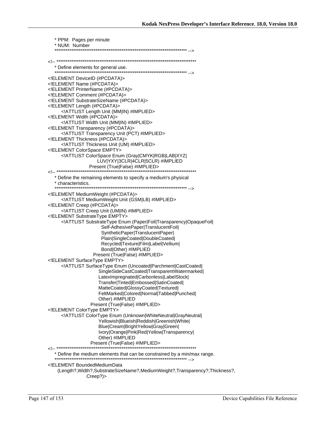| * PPM: Pages per minute                                                                             |
|-----------------------------------------------------------------------------------------------------|
| * NUM: Number                                                                                       |
|                                                                                                     |
|                                                                                                     |
|                                                                                                     |
|                                                                                                     |
| ELEMENT DeviceID (#PCDATA)                                                                          |
| ELEMENT Name (#PCDATA)                                                                              |
| ELEMENT PrinterName (#PCDATA)                                                                       |
| ELEMENT Comment (#PCDATA)<br>ELEMENT SubstrateSizeName (#PCDATA)                                    |
| ELEMENT Length (#PCDATA)                                                                            |
| ATTLIST Length Unit (MM IN) #IMPLIED                                                                |
| ELEMENT Width (#PCDATA)                                                                             |
| ATTLIST Width Unit (MM IN) #IMPLIED                                                                 |
| ELEMENT Transparency (#PCDATA)                                                                      |
| ATTLIST Transparency Unit (PCT) #IMPLIED                                                            |
| ELEMENT Thickness (#PCDATA)<br>ATTLIST Thickness Unit (UM) #IMPLIED                                 |
| ELEMENT ColorSpace EMPTY                                                                            |
| ATTLIST ColorSpace Enum (Gray CMYK RGB LAB XYZ </td                                                 |
| LUV YXY 3CLR 4CLR 5CLR) #IMPLIED                                                                    |
| Present (True False) #IMPLIED>                                                                      |
|                                                                                                     |
| * Define the remaining elements to specify a medium's physical<br>* characteristics.                |
|                                                                                                     |
| ELEMENT MediumWeight (#PCDATA)                                                                      |
| ATTLIST Medium Weight Unit (GSM LB) #IMPLIED                                                        |
| ELEMENT Creep (#PCDATA)                                                                             |
| ATTLIST Creep Unit (UM IN) #IMPLIED                                                                 |
| ELEMENT Substrate Type EMPTY<br>ATTLIST SubstrateType Enum (Paper Foil Transparency OpaqueFoil </td |
| Self-AdhesivePaper TranslucentFoil                                                                  |
| SyntheticPaper TranslucentPaper                                                                     |
| Plain SingleCoated DoubleCoated                                                                     |
| Recycled Texture Film Label Vellium                                                                 |
| Bond Other) #IMPLIED                                                                                |
| Present (True False) #IMPLIED>                                                                      |
| ELEMENT SurfaceType EMPTY<br>ATTLIST Surface Type Enum (Uncoated Parchment CastCoated </td          |
| SingleSideCastCoated TransparentWatermarked                                                         |
| LatexImpregnated Carbonless LabelStock                                                              |
| Transfer Tinted Embossed SatinCoated                                                                |
| MatteCoated GlossyCoated Textured                                                                   |
| FeltMarked Colored Normal Tabbed Punched                                                            |
| Other) #IMPLIED                                                                                     |
| Present (True False) #IMPLIED><br>ELEMENT ColorType EMPTY                                           |
| ATTLIST ColorType Enum (Unknown WhiteNeutral GrayNeutral </td                                       |
| Yellowish Blueish Reddish Greenish White                                                            |
| Blue Cream BrightYellow Gray Green                                                                  |
| Ivory Orange Pink Red Yellow Transparency                                                           |
| Other) #IMPLIED                                                                                     |
|                                                                                                     |
|                                                                                                     |
|                                                                                                     |
| ELEMENT BoundedMediumData</td                                                                       |
| (Length?, Width?, SubstrateSizeName?, MediumWeight?, Transparency?, Thickness?,                     |
| Creep?                                                                                              |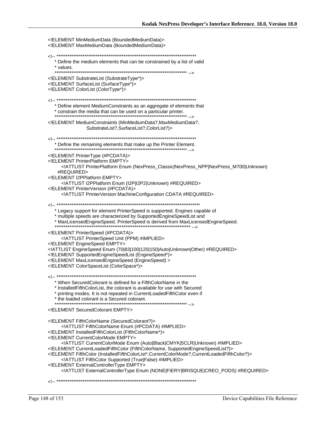<!ELEMENT MinMediumData (BoundedMediumData)> <!ELEMENT MaxMediumData (BoundedMediumData)> \* Define the medium elements that can be constrained by a list of valid \* values. <!ELEMENT SubstrateList (SubstrateType\*)> <!ELEMENT SurfaceList (SurfaceType\*)> <! ELEMENT ColorList (ColorType\*)> \* Define element MediumConstraints as an aggregate of elements that \* constrain the media that can be used on a particular printer. <!ELEMENT MediumConstraints (MinMediumData?, MaxMediumData?, SubstrateList?,SurfaceList?,ColorList?)> \* Define the remaining elements that make up the Printer Element. <!ELEMENT PrinterType (#PCDATA)> <! ELEMENT PrinterPlatform EMPTY> <!ATTLIST PrinterPlatform Enum (NexPress\_Classic|NexPress\_NPP|NexPress\_M700|Unknown) #REQUIRED> <! ELEMENT I2PPlatform EMPTY> <!ATTLIST I2PPlatform Enum (I2P|I2P2|Unknown) #REQUIRED> <!ELEMENT PrinterVersion (#PCDATA)> <! ATTLIST Printer Version Machine Configuration CDATA #REQUIRED> \* Legacy support for element PrinterSpeed is supported. Engines capable of \* multiple speeds are characterized by SupportedEngineSpeedList and \* MaxLicensedEngineSpeed. PrinterSpeed is derived from MaxLicensedEngineSpeed. <!ELEMENT PrinterSpeed (#PCDATA)> <! ATTLIST PrinterSpeed Unit (PPM) #IMPLIED> <! ELEMENT EngineSpeed EMPTY> <!ATTLIST EngineSpeed Enum (70|83|100|120|150|Auto|Unknown|Other) #REQUIRED> <!ELEMENT SupportedEngineSpeedList (EngineSpeed\*)> <! ELEMENT MaxLicensed EngineSpeed (EngineSpeed) > <!ELEMENT ColorSpaceList (ColorSpace\*)> \* When SecuredColorant is defined for a FifthColorName in the \* InstalledFifthColorList, the colorant is available for use with Secured \* printing modes. It is not repeated in CurrentLoadedFifthColor even if \* the loaded colorant is a Secured colorant. <! ELEMENT Secured Colorant EMPTY> <!ELEMENT FifthColorName (SecuredColorant?)> <! ATTLIST Fifth ColorName Enum (#PCDATA) #IMPLIED> <!ELEMENT InstalledFifthColorList (FifthColorName\*)> <! ELEMENT CurrentColorMode EMPTY> <!ATTLIST CurrentColorMode Enum (Auto|Black|CMYK|5CLR|Unknown) #IMPLIED> <!ELEMENT CurrentLoadedFifthColor (FifthColorName, SupportedEngineSpeedList?)> <!ELEMENT FifthColor (InstalledFifthColorList\*,CurrentColorMode?,CurrentLoadedFifthColor?)> <! ATTLIST Fifth Color Supported (True | False) #IMPLIED> <! ELEMENT External Controller Type EMPTY> <!ATTLIST ExternalControllerType Enum (NONE|FIERY|BRISQUE|CREO\_PODS) #REQUIRED>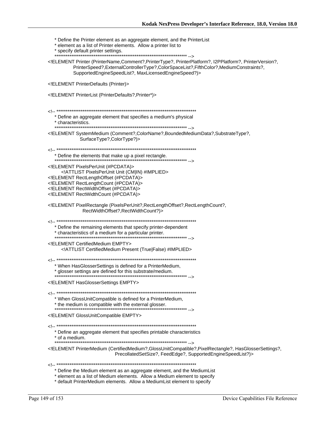\* Define the Printer element as an aggregate element, and the PrinterList \* element as a list of Printer elements. Allow a printer list to \* specify default printer settings. <!ELEMENT Printer (PrinterName,Comment?,PrinterType?, PrinterPlatform?, I2PPlatform?, PrinterVersion?, PrinterSpeed?, ExternalControllerType?, ColorSpaceList?, FifthColor?, MediumConstraints?, SupportedEngineSpeedList?, MaxLicensedEngineSpeed?)> <! ELEMENT PrinterDefaults (Printer)> <! ELEMENT PrinterList (PrinterDefaults?, Printer\*)> \* Define an aggregate element that specifies a medium's physical \* characteristics. <!ELEMENT SystemMedium (Comment?,ColorName?,BoundedMediumData?,SubstrateType?, SurfaceType?,ColorType?)> \* Define the elements that make up a pixel rectangle. ,...<br>\*\*\*\*\*\*\*\*\*\*\*\*\*\*\* --> <! ELEMENT Pixels PerUnit (#PCDATA)> <! ATTLIST Pixels PerUnit Unit (CM|IN) #IMPLIED> <!ELEMENT RectLengthOffset (#PCDATA)> <!ELEMENT RectLengthCount (#PCDATA)> <! ELEMENT RectWidthOffset (#PCDATA)> <! ELEMENT RectWidthCount (#PCDATA)> <!ELEMENT PixelRectangle (PixelsPerUnit?, RectLengthOffset?, RectLengthCount?, RectWidthOffset?, RectWidthCount?)> \* Define the remaining elements that specify printer-dependent \* characteristics of a medium for a particular printer. <! ELEMENT CertifiedMedium EMPTY> <!ATTLIST CertifiedMedium Present (True|False) #IMPLIED> \* When HasGlosserSettings is defined for a PrinterMedium, \* glosser settings are defined for this substrate/medium. <! ELEMENT Has Glosser Settings EMPTY> \* When GlossUnitCompatible is defined for a PrinterMedium, \* the medium is compatible with the external glosser. <! ELEMENT GlossUnitCompatible EMPTY> \* Define an aggregate element that specifies printable characteristics \* of a medium. <!ELEMENT PrinterMedium (CertifiedMedium?,GlossUnitCompatible?,PixelRectangle?, HasGlosserSettings?, PrecollatedSetSize?, FeedEdge?, SupportedEngineSpeedList?)> \* Define the Medium element as an aggregate element, and the MediumList \* element as a list of Medium elements. Allow a Medium element to specify

\* default PrinterMedium elements. Allow a MediumList element to specify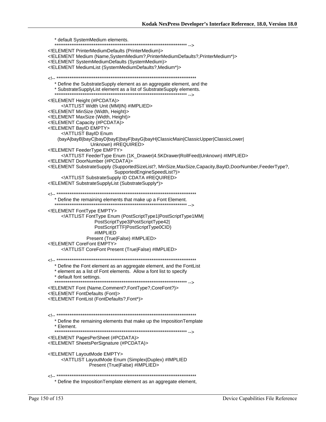\* default SystemMedium elements. <!ELEMENT PrinterMediumDefaults (PrinterMedium)> <!ELEMENT Medium (Name, SystemMedium?, PrinterMediumDefaults?, PrinterMedium\*)> <!ELEMENT SystemMediumDefaults (SystemMedium)> <!ELEMENT MediumList (SystemMediumDefaults?, Medium\*)> \* Define the SubstrateSupply element as an aggregate element, and the \* SubstrateSupplyList element as a list of SubstrateSupply elements. <!ELEMENT Height (#PCDATA)> <! ATTLIST Width Unit (MM|IN) #IMPLIED> <! ELEMENT MinSize (Width, Height)> <! ELEMENT MaxSize (Width, Height)> <! ELEMENT Capacity (#PCDATA)> <! ELEMENT BayID EMPTY> <!ATTLIST BayID Enum (bayA|bayB|bayC|bayD|bayE|bayF|bayG|bayH|ClassicMain|ClassicUpper|ClassicLower| Unknown) #REQUIRED> <! ELEMENT FeederType EMPTY> <!ATTLIST FeederType Enum (1K\_Drawer|4.5KDrawer|RollFeed|Unknown) #IMPLIED> <! ELEMENT DoorNumber (#PCDATA)> <!ELEMENT SubstrateSupply (SupportedSizeList?, MinSize,MaxSize,Capacity,BayID,DoorNumber,FeederType?, SupportedEngineSpeedList?)> <! ATTLIST Substrate Supply ID CDATA #REQUIRED> <!ELEMENT SubstrateSupplyList (SubstrateSupply\*)> \* Define the remaining elements that make up a Font Element. <! ELEMENT FontType EMPTY> <! ATTLIST FontType Enum (PostScriptType1|PostScriptType1MM| PostScriptType3|PostScriptType42| PostScriptTTF|PostScriptType0CID) #IMPLIED Present (True|False) #IMPLIED> <! ELEMENT CoreFont EMPTY> <! ATTLIST CoreFont Present (True|False) #IMPLIED> \* Define the Font element as an aggregate element, and the FontList \* element as a list of Font elements. Allow a font list to specify \* default font settings. <!ELEMENT Font (Name,Comment?,FontType?,CoreFont?)> <!ELEMENT FontDefaults (Font)> <!ELEMENT FontList (FontDefaults?,Font\*)> \* Define the remaining elements that make up the Imposition Template \* Element. <! ELEMENT PagesPerSheet (#PCDATA)> <! ELEMENT Sheets PerSignature (#PCDATA)> <! ELEMENT LayoutMode EMPTY> <! ATTLIST LayoutMode Enum (Simplex|Duplex) #IMPLIED Present (True|False) #IMPLIED> \* Define the ImpositionTemplate element as an aggregate element,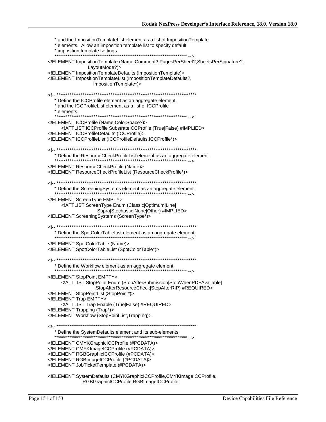\* and the Imposition TemplateList element as a list of Imposition Template \* elements. Allow an imposition template list to specify default \* imposition template settings. <!ELEMENT ImpositionTemplate (Name,Comment?,PagesPerSheet?,SheetsPerSignature?, LayoutMode?)> <!ELEMENT ImpositionTemplateDefaults (ImpositionTemplate)> <!ELEMENT ImpositionTemplateList (ImpositionTemplateDefaults?, ImpositionTemplate\*)> \* Define the ICCProfile element as an aggregate element, \* and the ICCProfileList element as a list of ICCProfile \* elements. <!ELEMENT ICCProfile (Name,ColorSpace?)> <!ATTLIST ICCProfile SubstrateICCProfile (True|False) #IMPLIED> <!ELEMENT ICCProfileDefaults (ICCProfile)> <!ELEMENT ICCProfileList (ICCProfileDefaults, ICCProfile\*)> \* Define the ResourceCheckProfileList element as an aggregate element. <! ELEMENT Resource Check Profile (Name)> <! ELEMENT ResourceCheckProfileList (ResourceCheckProfile\*)> \* Define the ScreeningSystems element as an aggregate element. <! ELEMENT ScreenType EMPTY> <!ATTLIST ScreenType Enum (Classic|Optimum|Line| Supra|Stochastic|None|Other) #IMPLIED> <!ELEMENT ScreeningSystems (ScreenType\*)> \* Define the SpotColorTableList element as an aggregate element. <! ELEMENT SpotColorTable (Name)> <!ELEMENT SpotColorTableList (SpotColorTable\*)> \* Define the Workflow element as an aggregate element. <! ELEMENT StopPoint EMPTY> <!ATTLIST StopPoint Enum (StopAfterSubmission|StopWhenPDFAvailable) StopAfterResourceCheck|StopAfterRIP) #REQUIRED> <! ELEMENT StopPointList (StopPoint\*)> <!ELEMENT Trap EMPTY> <!ATTLIST Trap Enable (True|False) #REQUIRED> <! ELEMENT Trapping (Trap\*)> <! ELEMENT Workflow (StopPointList, Trapping)> \* Define the SystemDefaults element and its sub-elements. <!ELEMENT CMYKGraphicICCProfile (#PCDATA)> <!ELEMENT CMYKImageICCProfile (#PCDATA)> <! ELEMENT RGBGraphicICCProfile (#PCDATA)> <!ELEMENT RGBImageICCProfile (#PCDATA)> <!ELEMENT JobTicketTemplate (#PCDATA)> <!ELEMENT SystemDefaults (CMYKGraphicICCProfile,CMYKImageICCProfile,

RGBGraphiclCCProfile,RGBImageICCProfile,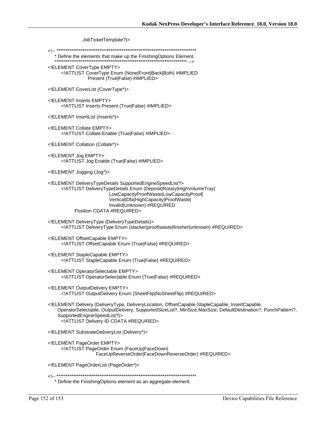JobTicketTemplate?)>

\* Define the elements that make up the FinishingOptions Element. 

<! ELEMENT CoverType EMPTY> <! ATTLIST CoverType Enum (None|Front|Back|Both) #IMPLIED Present (True|False) #IMPLIED>

<!ELEMENT CoverList (CoverType\*)>

<! ELEMENT Inserts EMPTY> <! ATTLIST Inserts Present (True|False) #IMPLIED>

<!ELEMENT InsertList (Inserts\*)>

<! ELEMENT Collate EMPTY> <! ATTLIST Collate Enable (True|False) #IMPLIED>

<!ELEMENT Collation (Collate\*)>

<!ELEMENT Jog EMPTY> <!ATTLIST Jog Enable (True|False) #IMPLIED>

<!ELEMENT Jogging (Jog\*)>

<!ELEMENT DeliveryTypeDetails SupportedEngineSpeedList?> <!ATTLIST DeliveryTypeDetails Enum (Deposit|Rotary|HighVolumeTray| LowCapacityProofWaste|LowCapacityProof| Vertical|Dfa|HighCapacity|ProofWaste| Invalid|Unknown) #REQUIRED Position CDATA #REQUIRED>

<!ELEMENT DeliveryType (DeliveryTypeDetails)> <!ATTLIST DeliveryType Enum (stacker|proof|waste|finisher|unknown) #REQUIRED>

<!ELEMENT OffsetCapable EMPTY> <! ATTLIST Offset Capable Enum (True | False) #REQUIRED>

<! ELEMENT Staple Capable EMPTY> <! ATTLIST Staple Capable Enum (True|False) #REQUIRED>

<! ELEMENT OperatorSelectable EMPTY> <!ATTLIST OperatorSelectable Enum (True|False) #REQUIRED>

<! ELEMENT Output Delivery EMPTY> <!ATTLIST OutputDelivery Enum (SheetFlip|NoSheetFlip) #REQUIRED>

<!ELEMENT Delivery (DeliveryType, DeliveryLocation, OffsetCapable, StapleCapable, InsertCapable, OperatorSelectable, OutputDelivery, SupportedSizeList?, MinSize, MaxSize, DefaultDestination?, PunchPattern?, SupportedEngineSpeedList?)> <! ATTLIST Delivery ID CDATA #REQUIRED>

<! ELEMENT Substrate Delivery List (Delivery\*)>

<! ELEMENT PageOrder EMPTY> <!ATTLIST PageOrder Enum (FaceUp|FaceDown| FaceUpReverseOrder|FaceDownReverseOrder) #REQUIRED>

<!ELEMENT PageOrderList (PageOrder\*)>

\* Define the FinishingOptions element as an aggregate element.